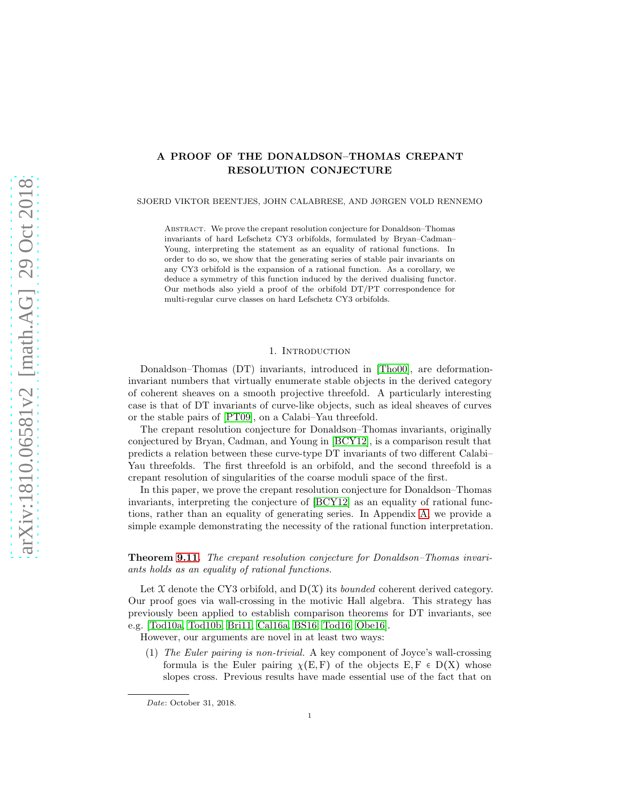# A PROOF OF THE DONALDSON–THOMAS CREPANT RESOLUTION CONJECTURE

SJOERD VIKTOR BEENTJES, JOHN CALABRESE, AND JØRGEN VOLD RENNEMO

ABSTRACT. We prove the crepant resolution conjecture for Donaldson–Thomas invariants of hard Lefschetz CY3 orbifolds, formulated by Bryan–Cadman– Young, interpreting the statement as an equality of rational functions. In order to do so, we show that the generating series of stable pair invariants on any CY3 orbifold is the expansion of a rational function. As a corollary, we deduce a symmetry of this function induced by the derived dualising functor. Our methods also yield a proof of the orbifold DT/PT correspondence for multi-regular curve classes on hard Lefschetz CY3 orbifolds.

### 1. INTRODUCTION

Donaldson–Thomas (DT) invariants, introduced in [\[Tho00\]](#page-64-0), are deformationinvariant numbers that virtually enumerate stable objects in the derived category of coherent sheaves on a smooth projective threefold. A particularly interesting case is that of DT invariants of curve-like objects, such as ideal sheaves of curves or the stable pairs of [\[PT09\]](#page-64-1), on a Calabi–Yau threefold.

The crepant resolution conjecture for Donaldson–Thomas invariants, originally conjectured by Bryan, Cadman, and Young in [\[BCY12\]](#page-63-0), is a comparison result that predicts a relation between these curve-type DT invariants of two different Calabi– Yau threefolds. The first threefold is an orbifold, and the second threefold is a crepant resolution of singularities of the coarse moduli space of the first.

In this paper, we prove the crepant resolution conjecture for Donaldson–Thomas invariants, interpreting the conjecture of [\[BCY12\]](#page-63-0) as an equality of rational functions, rather than an equality of generating series. In Appendix [A,](#page-56-0) we provide a simple example demonstrating the necessity of the rational function interpretation.

# Theorem [9.11.](#page-55-0) The crepant resolution conjecture for Donaldson–Thomas invariants holds as an equality of rational functions.

Let  $X$  denote the CY3 orbifold, and  $D(X)$  its *bounded* coherent derived category. Our proof goes via wall-crossing in the motivic Hall algebra. This strategy has previously been applied to establish comparison theorems for DT invariants, see e.g. [\[Tod10a,](#page-65-0) [Tod10b,](#page-65-1) [Bri11,](#page-64-2) [Cal16a,](#page-64-3) [BS16,](#page-64-4) [Tod16,](#page-65-2) [Obe16\]](#page-64-5).

However, our arguments are novel in at least two ways:

(1) The Euler pairing is non-trivial. A key component of Joyce's wall-crossing formula is the Euler pairing  $\chi(E, F)$  of the objects  $E, F \in D(X)$  whose slopes cross. Previous results have made essential use of the fact that on

*Date*: October 31, 2018.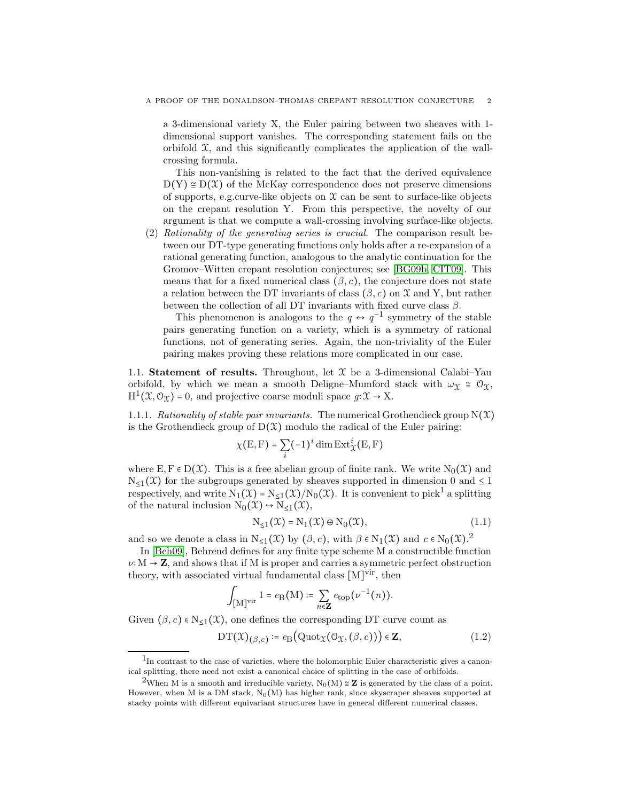a 3-dimensional variety X, the Euler pairing between two sheaves with 1 dimensional support vanishes. The corresponding statement fails on the orbifold  $X$ , and this significantly complicates the application of the wallcrossing formula.

This non-vanishing is related to the fact that the derived equivalence  $D(Y) \cong D(X)$  of the McKay correspondence does not preserve dimensions of supports, e.g.curve-like objects on  $\mathfrak X$  can be sent to surface-like objects on the crepant resolution Y. From this perspective, the novelty of our argument is that we compute a wall-crossing involving surface-like objects.

(2) Rationality of the generating series is crucial. The comparison result between our DT-type generating functions only holds after a re-expansion of a rational generating function, analogous to the analytic continuation for the Gromov–Witten crepant resolution conjectures; see [\[BG09b,](#page-63-1) [CIT09\]](#page-64-6). This means that for a fixed numerical class  $(\beta, c)$ , the conjecture does not state a relation between the DT invariants of class  $(\beta, c)$  on X and Y, but rather between the collection of all DT invariants with fixed curve class  $\beta$ .

This phenomenon is analogous to the  $q \leftrightarrow q^{-1}$  symmetry of the stable pairs generating function on a variety, which is a symmetry of rational functions, not of generating series. Again, the non-triviality of the Euler pairing makes proving these relations more complicated in our case.

1.1. Statement of results. Throughout, let  $X$  be a 3-dimensional Calabi–Yau orbifold, by which we mean a smooth Deligne–Mumford stack with  $\omega_{\Upsilon} \cong \mathcal{O}_{\Upsilon}$ ,  $H^1(\mathfrak{X}, \mathcal{O}_{\mathfrak{X}}) = 0$ , and projective coarse moduli space  $g: \mathfrak{X} \to X$ .

1.1.1. Rationality of stable pair invariants. The numerical Grothendieck group  $N(\mathcal{X})$ is the Grothendieck group of  $D(\mathcal{X})$  modulo the radical of the Euler pairing:

$$
\chi(E, F) = \sum_{i} (-1)^{i} \dim \operatorname{Ext}^{i}_{\mathcal{X}}(E, F)
$$

where E,  $F \in D(\mathcal{X})$ . This is a free abelian group of finite rank. We write  $N_0(\mathcal{X})$  and  $N_{\leq 1}(\mathfrak{X})$  for the subgroups generated by sheaves supported in dimension 0 and  $\leq 1$ respectively, and write  $N_1(\mathfrak{X}) = N_{\leq 1}(\mathfrak{X})/N_0(\mathfrak{X})$ . It is convenient to pick<sup>1</sup> a splitting of the natural inclusion  $N_0(\mathfrak{X}) \hookrightarrow N_{\leq 1}(\mathfrak{X}),$ 

<span id="page-1-0"></span>
$$
N_{\leq 1}(\mathfrak{X}) = N_1(\mathfrak{X}) \oplus N_0(\mathfrak{X}), \tag{1.1}
$$

and so we denote a class in  $N_{\leq 1}(\mathfrak{X})$  by  $(\beta, c)$ , with  $\beta \in N_1(\mathfrak{X})$  and  $c \in N_0(\mathfrak{X})$ .<sup>2</sup>

In [\[Beh09\]](#page-63-2), Behrend defines for any finite type scheme M a constructible function  $\nu$ : M  $\rightarrow$  **Z**, and shows that if M is proper and carries a symmetric perfect obstruction theory, with associated virtual fundamental class  $[M]^{vir}$ , then

$$
\int_{\left[\mathrm{M}\right]^{\mathrm{vir}}} 1 = e_{\mathrm{B}}(\mathrm{M}) \coloneqq \sum_{n \in \mathbf{Z}} e_{\mathrm{top}}(\nu^{-1}(n)).
$$

Given  $(\beta, c) \in N_{\leq 1}(\mathfrak{X})$ , one defines the corresponding DT curve count as

$$
DT(\mathfrak{X})_{(\beta,c)} \coloneqq e_{\mathcal{B}}(Quot_{\mathfrak{X}}(\mathcal{O}_{\mathfrak{X}}, (\beta, c))) \in \mathbf{Z},
$$
\n(1.2)

<sup>&</sup>lt;sup>1</sup>In contrast to the case of varieties, where the holomorphic Euler characteristic gives a canonical splitting, there need not exist a canonical choice of splitting in the case of orbifolds.

<sup>&</sup>lt;sup>2</sup>When M is a smooth and irreducible variety,  $N_0(M) \cong Z$  is generated by the class of a point. However, when M is a DM stack,  $N_0(M)$  has higher rank, since skyscraper sheaves supported at stacky points with different equivariant structures have in general different numerical classes.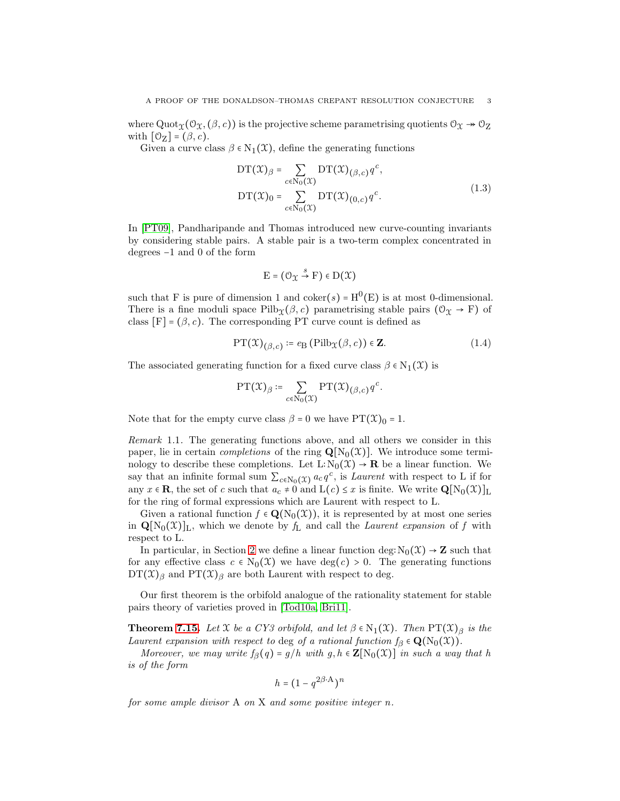where Quot $\chi(\mathcal{O}_\mathfrak{X}, (\beta, c))$  is the projective scheme parametrising quotients  $\mathcal{O}_\mathfrak{X} \twoheadrightarrow \mathcal{O}_\mathfrak{X}$ with  $[O_{Z}] = (\beta, c)$ .

Given a curve class  $\beta \in N_1(\mathfrak{X})$ , define the generating functions

$$
DT(\mathcal{X})_{\beta} = \sum_{c \in N_0(\mathcal{X})} DT(\mathcal{X})_{(\beta,c)} q^c,
$$
  
 
$$
DT(\mathcal{X})_0 = \sum_{c \in N_0(\mathcal{X})} DT(\mathcal{X})_{(0,c)} q^c.
$$
 (1.3)

In [\[PT09\]](#page-64-1), Pandharipande and Thomas introduced new curve-counting invariants by considering stable pairs. A stable pair is a two-term complex concentrated in degrees −1 and 0 of the form

$$
\mathrm{E}=(\mathcal{O}_\mathfrak{X}\overset{s}{\to}\mathrm{F})\in\mathrm{D}(\mathfrak{X})
$$

such that F is pure of dimension 1 and  $coker(s) = H^0(E)$  is at most 0-dimensional. There is a fine moduli space  $Pilb_{\Upsilon}(\beta, c)$  parametrising stable pairs  $(\mathcal{O}_{\Upsilon} \to F)$  of class  $[F] = (\beta, c)$ . The corresponding PT curve count is defined as

$$
PT(\mathfrak{X})_{(\beta,c)} \coloneqq e_{\mathcal{B}}(Pilb_{\mathfrak{X}}(\beta,c)) \in \mathbf{Z}.
$$
 (1.4)

The associated generating function for a fixed curve class  $\beta \in N_1(\mathfrak{X})$  is

$$
\mathrm{PT}(\mathfrak{X})_{\beta} \coloneqq \sum_{c \in \mathrm{N}_0(\mathfrak{X})} \mathrm{PT}(\mathfrak{X})_{(\beta,c)} q^c.
$$

Note that for the empty curve class  $\beta = 0$  we have  $PT(\mathcal{X})_0 = 1$ .

Remark 1.1. The generating functions above, and all others we consider in this paper, lie in certain *completions* of the ring  $\mathbf{Q}[\mathrm{N}_0(\mathcal{X})]$ . We introduce some terminology to describe these completions. Let  $L: N_0(\mathfrak{X}) \to \mathbf{R}$  be a linear function. We say that an infinite formal sum  $\sum_{c \in N_0(\mathfrak{X})} a_c q^c$ , is *Laurent* with respect to L if for any  $x \in \mathbf{R}$ , the set of c such that  $a_c \neq 0$  and  $L(c) \leq x$  is finite. We write  $\mathbf{Q}[N_0(\mathcal{X})]_L$ for the ring of formal expressions which are Laurent with respect to L.

Given a rational function  $f \in \mathbf{Q}(N_0(\mathcal{X}))$ , it is represented by at most one series in  $\mathbf{Q}[N_0(\mathcal{X})]_L$ , which we denote by  $f_L$  and call the *Laurent expansion* of f with respect to L.

In particular, in Section [2](#page-10-0) we define a linear function deg:  $N_0(\mathfrak{X}) \rightarrow \mathbb{Z}$  such that for any effective class  $c \in N_0(\mathfrak{X})$  we have  $deg(c) > 0$ . The generating functions  $DT(\mathfrak{X})_{\beta}$  and  $PT(\mathfrak{X})_{\beta}$  are both Laurent with respect to deg.

Our first theorem is the orbifold analogue of the rationality statement for stable pairs theory of varieties proved in [\[Tod10a,](#page-65-0) [Bri11\]](#page-64-2).

**Theorem [7.15.](#page-35-0)** Let X be a CY3 orbifold, and let  $\beta \in N_1(\mathfrak{X})$ . Then  $PT(\mathfrak{X})_{\beta}$  is the Laurent expansion with respect to deg of a rational function  $f_\beta \in \mathbf{Q}(N_0(\mathfrak{X}))$ .

Moreover, we may write  $f_{\beta}(q) = g/h$  with  $g, h \in \mathbb{Z}[\mathrm{N}_{0}(\mathfrak{X})]$  in such a way that h is of the form

$$
h = \big(1 - q^{2\beta \cdot \mathbf{A}}\big)^n
$$

for some ample divisor A on X and some positive integer n.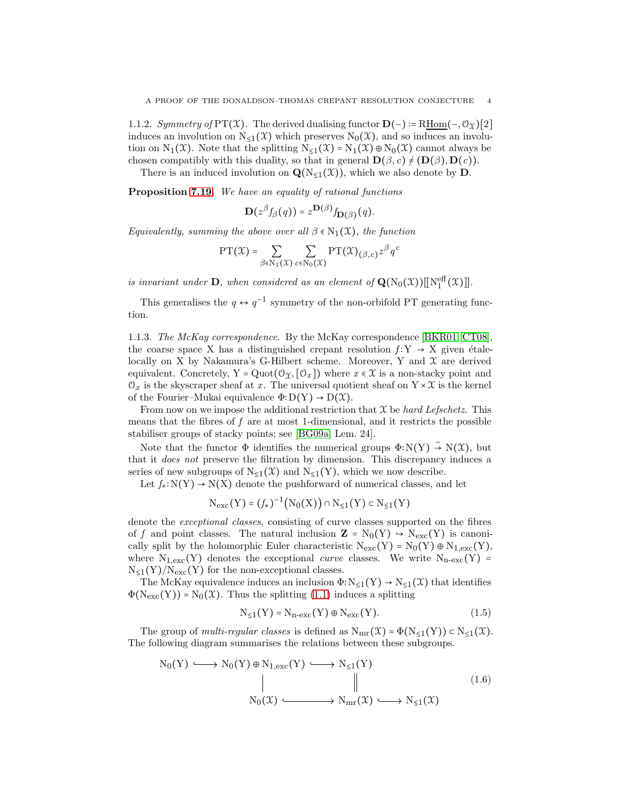1.1.2. Symmetry of PT(X). The derived dualising functor  $\mathbf{D}(-) := \text{RHom}(-, \mathcal{O}_X)[2]$ induces an involution on  $N_{\leq 1}(\mathfrak{X})$  which preserves  $N_0(\mathfrak{X})$ , and so induces an involution on  $N_1(\mathfrak{X})$ . Note that the splitting  $N_{\leq 1}(\mathfrak{X}) = N_1(\mathfrak{X}) \oplus N_0(\mathfrak{X})$  cannot always be chosen compatibly with this duality, so that in general  $\mathbf{D}(\beta, c) \neq (\mathbf{D}(\beta), \mathbf{D}(c)).$ 

There is an induced involution on  $\mathbf{Q}(N_{\leq 1}(\mathcal{X}))$ , which we also denote by  $\mathbf{D}$ .

Proposition [7.19.](#page-38-0) We have an equality of rational functions

$$
\mathbf{D}(z^{\beta}f_{\beta}(q)) = z^{\mathbf{D}(\beta)}f_{\mathbf{D}(\beta)}(q).
$$

Equivalently, summing the above over all  $\beta \in N_1(\mathfrak{X})$ , the function

$$
\mathrm{PT}(\mathfrak{X}) = \sum_{\beta \in \mathrm{N}_1(\mathfrak{X})} \sum_{c \in \mathrm{N}_0(\mathfrak{X})} \mathrm{PT}(\mathfrak{X})_{(\beta, c)} z^{\beta} q^c
$$

is invariant under **D**, when considered as an element of  $\mathbf{Q}(N_0(\mathfrak{X}))[[N_1^{\text{eff}}(\mathfrak{X})]].$ 

This generalises the  $q \leftrightarrow q^{-1}$  symmetry of the non-orbifold PT generating function.

1.1.3. The McKay correspondence. By the McKay correspondence [\[BKR01,](#page-64-7) [CT08\]](#page-64-8), the coarse space X has a distinguished crepant resolution  $f: Y \rightarrow X$  given étalelocally on X by Nakamura's G-Hilbert scheme. Moreover, Y and  $\mathfrak X$  are derived equivalent. Concretely, Y = Quot $(\mathcal{O}_\Upsilon, [\mathcal{O}_x])$  where  $x \in \mathcal{X}$  is a non-stacky point and  $\mathcal{O}_x$  is the skyscraper sheaf at x. The universal quotient sheaf on  $Y \times \mathcal{X}$  is the kernel of the Fourier–Mukai equivalence  $\Phi: D(Y) \to D(X)$ .

From now on we impose the additional restriction that  $\mathfrak X$  be hard Lefschetz. This means that the fibres of f are at most 1-dimensional, and it restricts the possible stabiliser groups of stacky points; see [\[BG09a,](#page-63-3) Lem. 24].

Note that the functor  $\Phi$  identifies the numerical groups  $\Phi: N(Y) \stackrel{\sim}{\to} N(X)$ , but that it does not preserve the filtration by dimension. This discrepancy induces a series of new subgroups of  $N_{\leq 1}(\mathfrak{X})$  and  $N_{\leq 1}(Y)$ , which we now describe.

Let  $f_*: N(Y) \to N(X)$  denote the pushforward of numerical classes, and let

$$
N_{\rm exc}(Y) = (f_*)^{-1} (N_0(X)) \cap N_{\leq 1}(Y) \subset N_{\leq 1}(Y)
$$

denote the exceptional classes, consisting of curve classes supported on the fibres of f and point classes. The natural inclusion  $\mathbf{Z} = \mathrm{N}_0(Y) \leftrightarrow \mathrm{N}_{\mathrm{exc}}(Y)$  is canonically split by the holomorphic Euler characteristic  $N_{\text{exc}}(Y) = N_0(Y) \oplus N_{1,\text{exc}}(Y)$ , where  $N_{1,exc}(Y)$  denotes the exceptional *curve* classes. We write  $N_{n-exc}(Y)$  =  $N_{\leq 1}(Y)/N_{\rm exc}(Y)$  for the non-exceptional classes.

The McKay equivalence induces an inclusion  $\Phi: N_{\leq 1}(Y) \to N_{\leq 1}(\mathcal{X})$  that identifies  $\Phi(N_{\rm exc}(Y)) = N_0(\mathfrak{X})$ . Thus the splitting [\(1.1\)](#page-1-0) induces a splitting

<span id="page-3-0"></span>
$$
N_{\leq 1}(Y) = N_{n-\text{exc}}(Y) \oplus N_{\text{exc}}(Y). \tag{1.5}
$$

The group of *multi-regular classes* is defined as  $N_{mr}(\mathfrak{X}) = \Phi(N_{\leq 1}(Y)) \subset N_{\leq 1}(\mathfrak{X})$ . The following diagram summarises the relations between these subgroups.

<span id="page-3-1"></span>
$$
N_0(Y) \longleftrightarrow N_0(Y) \oplus N_{1,\text{exc}}(Y) \longleftrightarrow N_{\leq 1}(Y)
$$
  
\n
$$
\parallel \qquad \qquad \parallel \qquad \qquad |
$$
  
\n
$$
N_0(\mathfrak{X}) \longleftrightarrow N_{\text{mr}}(\mathfrak{X}) \longleftrightarrow N_{\leq 1}(\mathfrak{X})
$$
  
\n(1.6)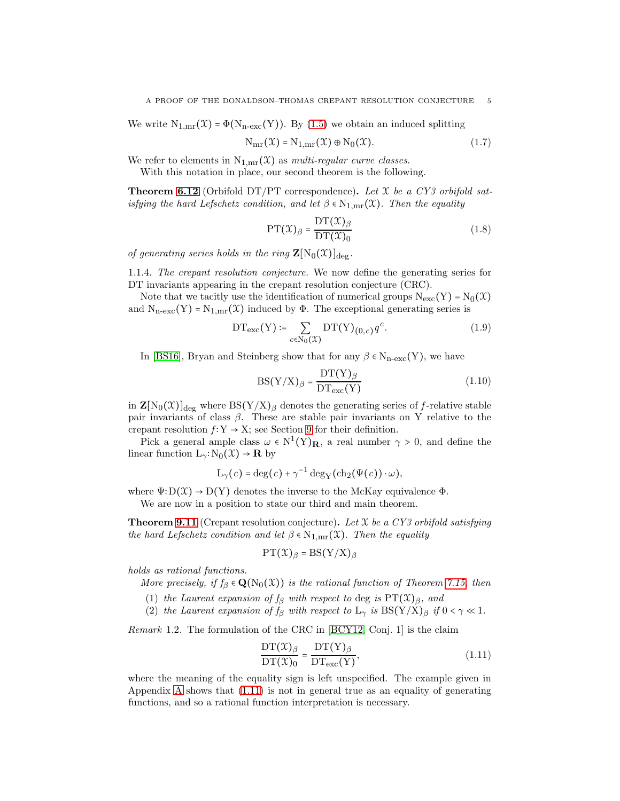We write  $N_{1,mr}(\mathcal{X}) = \Phi(N_{n-exc}(Y))$ . By [\(1.5\)](#page-3-0) we obtain an induced splitting

$$
N_{mr}(\mathcal{X}) = N_{1,mr}(\mathcal{X}) \oplus N_0(\mathcal{X}).
$$
\n(1.7)

We refer to elements in  $N_{1,mr}(\mathfrak{X})$  as *multi-regular curve classes*.

With this notation in place, our second theorem is the following.

**Theorem [6.12](#page-28-0)** (Orbifold DT/PT correspondence). Let  $\mathfrak{X}$  be a CY3 orbifold satisfying the hard Lefschetz condition, and let  $\beta \in N_{1,mr}(\mathfrak{X})$ . Then the equality

$$
PT(\mathcal{X})_{\beta} = \frac{DT(\mathcal{X})_{\beta}}{DT(\mathcal{X})_0}
$$
\n(1.8)

of generating series holds in the ring  $\mathbf{Z}[\mathrm{N}_0(\mathfrak{X})]_{\text{deg}}$ .

1.1.4. The crepant resolution conjecture. We now define the generating series for DT invariants appearing in the crepant resolution conjecture (CRC).

Note that we tacitly use the identification of numerical groups  $N_{\text{exc}}(Y) = N_0(\mathcal{X})$ and  $N_{n-exc}(Y) = N_{1,mr}(\mathcal{X})$  induced by  $\Phi$ . The exceptional generating series is

$$
DT_{\text{exc}}(Y) \coloneqq \sum_{c \in N_0(\mathcal{X})} DT(Y)_{(0,c)} q^c.
$$
 (1.9)

In [\[BS16\]](#page-64-4), Bryan and Steinberg show that for any  $\beta \in N_{n-\text{exc}}(Y)$ , we have

$$
BS(Y/X)_{\beta} = \frac{DT(Y)_{\beta}}{DT_{\text{exc}}(Y)}
$$
(1.10)

in  $\mathbf{Z}[N_0(\mathcal{X})]_{\text{deg}}$  where  $\text{BS}(Y/X)_{\beta}$  denotes the generating series of f-relative stable pair invariants of class  $\beta$ . These are stable pair invariants on Y relative to the crepant resolution  $f: Y \to X$ ; see Section [9](#page-52-0) for their definition.

Pick a general ample class  $\omega \in N^1(Y)_R$ , a real number  $\gamma > 0$ , and define the linear function  $L_{\gamma}:N_0(\mathfrak{X})\to \mathbf{R}$  by

$$
L_{\gamma}(c) = \deg(c) + \gamma^{-1} \deg_{Y}(\mathrm{ch}_{2}(\Psi(c)) \cdot \omega),
$$

where  $\Psi: D(\mathcal{X}) \to D(Y)$  denotes the inverse to the McKay equivalence  $\Phi$ .

We are now in a position to state our third and main theorem.

**Theorem [9.11](#page-55-0)** (Crepant resolution conjecture). Let  $X$  be a CY3 orbifold satisfying the hard Lefschetz condition and let  $\beta \in N_{1,mr}(\mathfrak{X})$ . Then the equality

$$
PT(\mathfrak{X})_{\beta} = BS(Y/X)_{\beta}
$$

holds as rational functions.

More precisely, if  $f_\beta \in \mathbf{Q}(N_0(\mathfrak{X}))$  is the rational function of Theorem [7.15,](#page-35-0) then

(1) the Laurent expansion of  $f_\beta$  with respect to deg is  $PT(\mathfrak{X})_\beta$ , and

(2) the Laurent expansion of  $f_\beta$  with respect to  $L_\gamma$  is  $BS(Y/X)_{\beta}$  if  $0 < \gamma \ll 1$ .

Remark 1.2. The formulation of the CRC in [\[BCY12,](#page-63-0) Conj. 1] is the claim

<span id="page-4-0"></span>
$$
\frac{\mathrm{DT}(\mathcal{X})_{\beta}}{\mathrm{DT}(\mathcal{X})_{0}} = \frac{\mathrm{DT}(Y)_{\beta}}{\mathrm{DT}_{\text{exc}}(Y)},\tag{1.11}
$$

where the meaning of the equality sign is left unspecified. The example given in Appendix [A](#page-56-0) shows that [\(1.11\)](#page-4-0) is not in general true as an equality of generating functions, and so a rational function interpretation is necessary.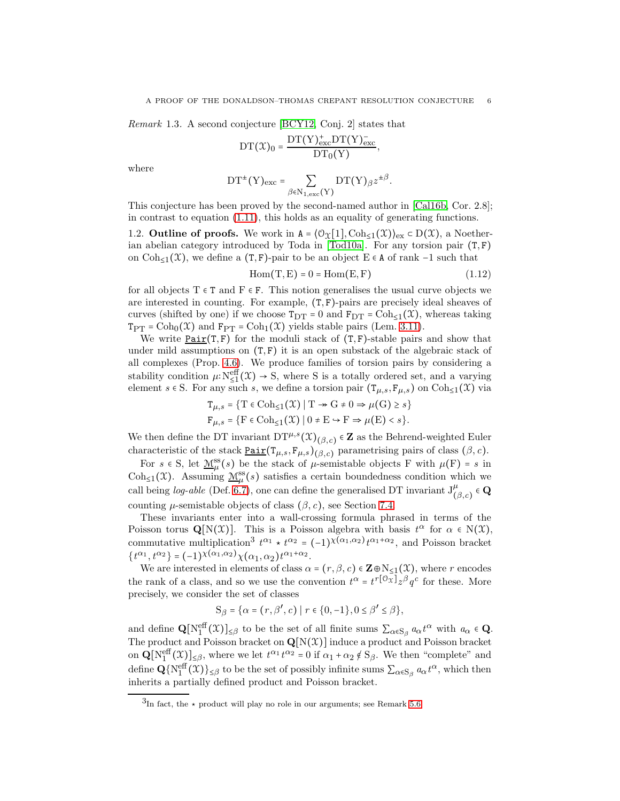Remark 1.3. A second conjecture [\[BCY12,](#page-63-0) Conj. 2] states that

$$
DT(\mathcal{X})_0 = \frac{DT(Y)_{\text{exc}}^+ DT(Y)_{\text{exc}}^-}{DT_0(Y)},
$$

where

$$
DT^{\pm}(Y)_{\text{exc}} = \sum_{\beta \in N_{1,\text{exc}}(Y)} DT(Y)_{\beta} z^{\pm \beta}.
$$

This conjecture has been proved by the second-named author in [\[Cal16b,](#page-64-9) Cor. 2.8]; in contrast to equation [\(1.11\)](#page-4-0), this holds as an equality of generating functions.

1.2. **Outline of proofs.** We work in  $A = (\mathcal{O}_{\mathfrak{X}}[1], \mathrm{Coh}_{\leq 1}(\mathfrak{X}))_{\mathrm{ex}} \subset D(\mathfrak{X})$ , a Noether-ian abelian category introduced by Toda in [\[Tod10a\]](#page-65-0). For any torsion pair  $(T, F)$ on  $Coh_{\leq 1}(\mathfrak{X})$ , we define a  $(T, F)$ -pair to be an object E ∈ A of rank -1 such that

$$
Hom(T, E) = 0 = Hom(E, F)
$$
\n(1.12)

for all objects  $T \in T$  and  $F \in F$ . This notion generalises the usual curve objects we are interested in counting. For example,  $(T, F)$ -pairs are precisely ideal sheaves of curves (shifted by one) if we choose  $T_{DT} = 0$  and  $F_{DT} = \text{Coh}_{\leq 1}(\mathfrak{X})$ , whereas taking  $T_{PT} = \text{Coh}_0(\mathfrak{X})$  and  $F_{PT} = \text{Coh}_1(\mathfrak{X})$  yields stable pairs (Lem. [3.11\)](#page-19-0).

We write  $Pair(T, F)$  for the moduli stack of  $(T, F)$ -stable pairs and show that</u> under mild assumptions on  $(T, F)$  it is an open substack of the algebraic stack of all complexes (Prop. [4.6\)](#page-22-0). We produce families of torsion pairs by considering a stability condition  $\mu: N_{\leq 1}^{\text{eff}}(\mathfrak{X}) \to S$ , where S is a totally ordered set, and a varying element  $s \in S$ . For any such s, we define a torsion pair  $(T_{\mu,s}, F_{\mu,s})$  on  $Coh_{\leq 1}(\mathfrak{X})$  via

$$
\begin{aligned} \mathbf{T}_{\mu,s} &= \{ \mathbf{T} \in \mathrm{Coh}_{\leq 1}(\mathcal{X}) \mid \mathbf{T} \twoheadrightarrow \mathbf{G} \neq 0 \Rightarrow \mu(\mathbf{G}) \geq s \} \\ \mathbf{F}_{\mu,s} &= \{ \mathbf{F} \in \mathrm{Coh}_{\leq 1}(\mathcal{X}) \mid 0 \neq \mathbf{E} \hookrightarrow \mathbf{F} \Rightarrow \mu(\mathbf{E}) < s \}. \end{aligned}
$$

We then define the DT invariant  $DT^{\mu,s}(\mathfrak{X})_{(\beta,c)} \in \mathbb{Z}$  as the Behrend-weighted Euler characteristic of the stack  $\underline{Pair}(T_{\mu,s}, F_{\mu,s})_{(\beta,c)}$  parametrising pairs of class  $(\beta, c)$ .

For  $s \in S$ , let  $\underline{\mathcal{M}}_{\mu}^{ss}(s)$  be the stack of  $\mu$ -semistable objects F with  $\mu(F) = s$  in Coh<sub>≤1</sub>(X). Assuming  $\underline{\mathcal{M}}_\\\mu^{\text{ss}}(s)$  satisfies a certain boundedness condition which we call being *log-able* (Def. [6.7\)](#page-27-0), one can define the generalised DT invariant  $J^{\mu}_{(\beta,c)} \in \mathbf{Q}$ counting  $\mu$ -semistable objects of class  $(\beta, c)$ , see Section [7.4.](#page-32-0)

These invariants enter into a wall-crossing formula phrased in terms of the Poisson torus  $\mathbf{Q}[N(\mathfrak{X})]$ . This is a Poisson algebra with basis  $t^{\alpha}$  for  $\alpha \in N(\mathfrak{X})$ , commutative multiplication<sup>3</sup>  $t^{\alpha_1} \star t^{\alpha_2} = (-1)^{\chi(\alpha_1, \alpha_2)} t^{\alpha_1 + \alpha_2}$ , and Poisson bracket  $\{t^{\alpha_1}, t^{\alpha_2}\} = (-1)^{\chi(\alpha_1, \alpha_2)} \chi(\alpha_1, \alpha_2) t^{\alpha_1 + \alpha_2}.$ 

We are interested in elements of class  $\alpha = (r, \beta, c) \in \mathbb{Z} \oplus N_{\leq 1}(\mathfrak{X})$ , where r encodes the rank of a class, and so we use the convention  $t^{\alpha} = t^{r[\mathcal{O}_X]} z^{\beta} q^c$  for these. More precisely, we consider the set of classes

$$
S_{\beta} = \{ \alpha = (r, \beta', c) \mid r \in \{0, -1\}, 0 \le \beta' \le \beta \},\
$$

and define  $\mathbf{Q}[\mathrm{N}_1^{\text{eff}}(\mathfrak{X})]_{\leq \beta}$  to be the set of all finite sums  $\sum_{\alpha \in \mathbf{S}_{\beta}} a_{\alpha} t^{\alpha}$  with  $a_{\alpha} \in \mathbf{Q}$ . The product and Poisson bracket on  $\mathbf{Q}[N(\mathcal{X})]$  induce a product and Poisson bracket on  $\mathbf{Q}[\mathbf{N}_1^{\text{eff}}(\mathcal{X})]_{\leq \beta}$ , where we let  $t^{\alpha_1}t^{\alpha_2} = 0$  if  $\alpha_1 + \alpha_2 \notin \mathbf{S}_{\beta}$ . We then "complete" and define  $\mathbf{Q} \{ \mathcal{N}_1^{\text{eff}}(\mathfrak{X}) \}_{\leq \beta}$  to be the set of possibly infinite sums  $\sum_{\alpha \in \mathcal{S}_{\beta}} a_{\alpha} t^{\alpha}$ , which then inherits a partially defined product and Poisson bracket.

 $3<sup>3</sup>$ In fact, the  $\star$  product will play no role in our arguments; see Remark [5.6.](#page-25-0)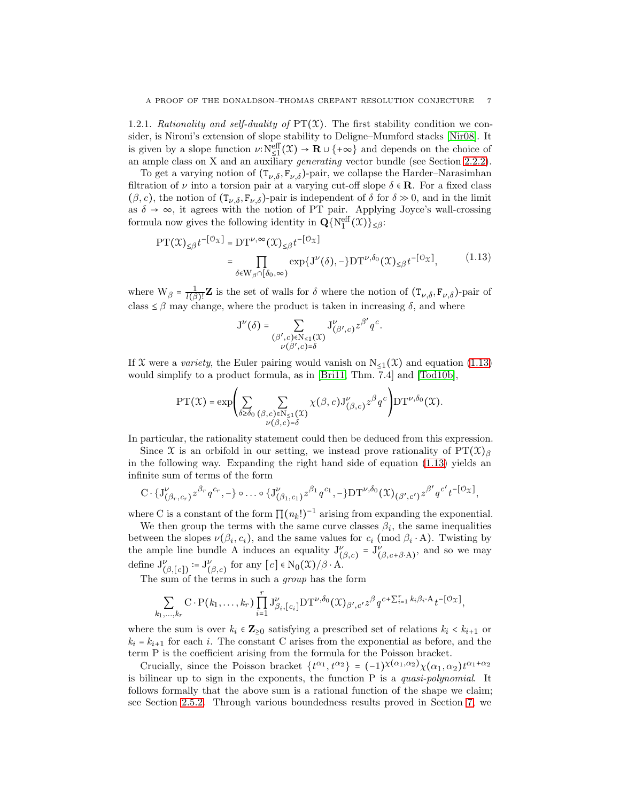1.2.1. Rationality and self-duality of  $PT(X)$ . The first stability condition we consider, is Nironi's extension of slope stability to Deligne–Mumford stacks [\[Nir08\]](#page-64-10). It is given by a slope function  $\nu: N_{\leq 1}^{\text{eff}}(\mathfrak{X}) \to \mathbf{R} \cup \{+\infty\}$  and depends on the choice of an ample class on X and an auxiliary *generating* vector bundle (see Section [2.2.2\)](#page-11-0).

To get a varying notion of  $(T_{\nu,\delta}, F_{\nu,\delta})$ -pair, we collapse the Harder–Narasimhan filtration of  $\nu$  into a torsion pair at a varying cut-off slope  $\delta \in \mathbb{R}$ . For a fixed class  $(\beta, c)$ , the notion of  $(T_{\nu,\delta}, F_{\nu,\delta})$ -pair is independent of  $\delta$  for  $\delta \gg 0$ , and in the limit as  $\delta \to \infty$ , it agrees with the notion of PT pair. Applying Joyce's wall-crossing formula now gives the following identity in  $\mathbf{Q} \{ N_1^{\text{eff}}(\mathcal{X}) \}_{\leq \beta}$ :

<span id="page-6-0"></span>
$$
\begin{split} \text{PT}(\mathfrak{X})_{\leq \beta} t^{-[\mathcal{O}_{\mathfrak{X}}]} &= \text{DT}^{\nu, \infty}(\mathfrak{X})_{\leq \beta} t^{-[\mathcal{O}_{\mathfrak{X}}]} \\ &= \prod_{\delta \in \mathcal{W}_{\beta} \cap [\delta_0, \infty)} \exp\{J^{\nu}(\delta), -\} \text{DT}^{\nu, \delta_0}(\mathfrak{X})_{\leq \beta} t^{-[\mathcal{O}_{\mathfrak{X}}]}, \end{split} \tag{1.13}
$$

.

where  $W_{\beta} = \frac{1}{l(\beta)}$  $\frac{1}{l(\beta)!}\mathbf{Z}$  is the set of walls for  $\delta$  where the notion of  $(\mathbf{T}_{\nu,\delta},\mathbf{F}_{\nu,\delta})$ -pair of class  $\leq \beta$  may change, where the product is taken in increasing  $\delta$ , and where

$$
\mathbf{J}^{\nu}(\delta) = \sum_{\substack{(\beta', c) \in \mathbb{N}_{\leq 1}(\mathfrak{X}) \\ \nu(\beta', c) = \delta}} \mathbf{J}^{\nu}_{(\beta', c)} z^{\beta'} q^c
$$

If X were a variety, the Euler pairing would vanish on  $N_{\leq 1}(\mathcal{X})$  and equation [\(1.13\)](#page-6-0) would simplify to a product formula, as in [\[Bri11,](#page-64-2) Thm. 7.4] and [\[Tod10b\]](#page-65-1),

$$
\mathrm{PT}(\mathfrak{X}) = \exp \left( \sum_{\delta \geq \delta_0} \sum_{\substack{(\beta,c) \in \mathrm{N}_{\leq 1}(\mathfrak{X}) \\ \nu(\beta,c) = \delta}} \chi(\beta,c) \mathrm{J}_{(\beta,c)}^{\nu} z^{\beta} q^c \right) \mathrm{DT}^{\nu,\delta_0}(\mathfrak{X}).
$$

In particular, the rationality statement could then be deduced from this expression.

Since X is an orbifold in our setting, we instead prove rationality of  $PT(\mathfrak{X})_{\beta}$ in the following way. Expanding the right hand side of equation  $(1.13)$  yields an infinite sum of terms of the form

$$
C \cdot \{J_{(\beta_r,c_r)}^{\nu} z^{\beta_r} q^{c_r}, -\} \circ \dots \circ \{J_{(\beta_1,c_1)}^{\nu} z^{\beta_1} q^{c_1}, -\} DT^{\nu,\delta_0}(\mathfrak{X})_{(\beta',c')} z^{\beta'} q^{c'} t^{-[\mathcal{O}_{\mathfrak{X}}]},
$$

where C is a constant of the form  $\prod (n_k!)^{-1}$  arising from expanding the exponential.

We then group the terms with the same curve classes  $\beta_i$ , the same inequalities between the slopes  $\nu(\beta_i, c_i)$ , and the same values for  $c_i$  (mod  $\beta_i \cdot A$ ). Twisting by the ample line bundle A induces an equality  $J_{(\beta,c)}^{\nu} = J_{(\beta,c+\beta\cdot A)}^{\nu}$ , and so we may define  $J_{(\beta,[c])}^{\nu} := J_{(\beta,c)}^{\nu}$  for any  $[c] \in N_0(\mathfrak{X})/\beta \cdot A$ .

The sum of the terms in such a *group* has the form

$$
\sum_{k_1,\ldots,k_r} \mathbf{C} \cdot \mathbf{P}(k_1,\ldots,k_r) \prod_{i=1}^r \mathbf{J}^{\nu}_{\beta_i,[c_i]} \mathbf{D} \mathbf{T}^{\nu,\delta_0}(\mathfrak{X})_{\beta',c'} z^{\beta} q^{c+\sum_{i=1}^r k_i \beta_i \cdot \mathbf{A}} t^{-[\mathcal{O}_{\mathfrak{X}}]},
$$

where the sum is over  $k_i \in \mathbb{Z}_{\geq 0}$  satisfying a prescribed set of relations  $k_i \lt k_{i+1}$  or  $k_i = k_{i+1}$  for each i. The constant C arises from the exponential as before, and the term P is the coefficient arising from the formula for the Poisson bracket.

Crucially, since the Poisson bracket  $\{t^{\alpha_1}, t^{\alpha_2}\} = (-1)^{\chi(\alpha_1, \alpha_2)} \chi(\alpha_1, \alpha_2) t^{\alpha_1 + \alpha_2}$ is bilinear up to sign in the exponents, the function P is a quasi-polynomial. It follows formally that the above sum is a rational function of the shape we claim; see Section [2.5.2.](#page-15-0) Through various boundedness results proved in Section [7,](#page-29-0) we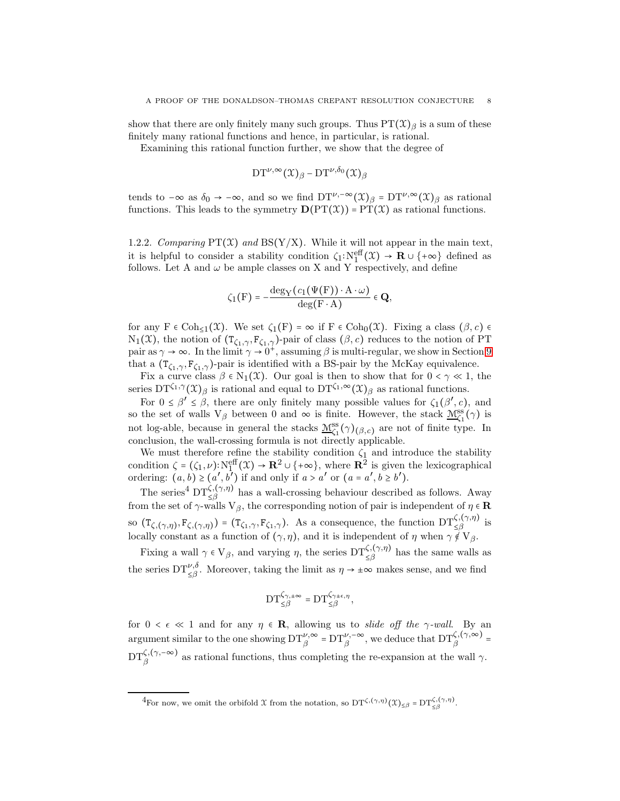show that there are only finitely many such groups. Thus  $PT(\mathcal{X})_{\beta}$  is a sum of these finitely many rational functions and hence, in particular, is rational.

Examining this rational function further, we show that the degree of

$$
\operatorname{DT}^{\nu,\infty}(\mathfrak{X})_\beta-\operatorname{DT}^{\nu,\delta_0}(\mathfrak{X})_\beta
$$

tends to  $-\infty$  as  $\delta_0 \to -\infty$ , and so we find  $DT^{\nu,-\infty}(\mathfrak{X})_{\beta} = DT^{\nu,\infty}(\mathfrak{X})_{\beta}$  as rational functions. This leads to the symmetry  $\mathbf{D}(\mathrm{PT}(\mathcal{X})) = \mathrm{PT}(\mathcal{X})$  as rational functions.

<span id="page-7-0"></span>1.2.2. Comparing  $PT(\mathcal{X})$  and  $BS(Y/X)$ . While it will not appear in the main text, it is helpful to consider a stability condition  $\zeta_1: N_1^{\text{eff}}(\mathfrak{X}) \to \mathbf{R} \cup \{+\infty\}$  defined as follows. Let A and  $\omega$  be ample classes on X and Y respectively, and define

$$
\zeta_1(F) = -\frac{\deg_Y(c_1(\Psi(F)) \cdot A \cdot \omega)}{\deg(F \cdot A)} \in \mathbf{Q},
$$

for any  $F \in \text{Coh}_{\leq 1}(\mathfrak{X})$ . We set  $\zeta_1(F) = \infty$  if  $F \in \text{Coh}_0(\mathfrak{X})$ . Fixing a class  $(\beta, c) \in$  $N_1(\mathfrak{X})$ , the notion of  $(T_{\zeta_1,\gamma}, F_{\zeta_1,\gamma})$ -pair of class  $(\beta, c)$  reduces to the notion of PT pair as  $\gamma \to \infty$ . In the limit  $\gamma \to 0^+$ , assuming  $\beta$  is multi-regular, we show in Section [9](#page-52-0) that a  $(T_{\zeta_1,\gamma}, F_{\zeta_1,\gamma})$ -pair is identified with a BS-pair by the McKay equivalence.

Fix a curve class  $\beta \in N_1(\mathfrak{X})$ . Our goal is then to show that for  $0 < \gamma \ll 1$ , the series  $DT^{\zeta_1,\gamma}(\mathfrak{X})_\beta$  is rational and equal to  $DT^{\zeta_1,\infty}(\mathfrak{X})_\beta$  as rational functions.

For  $0 \leq \beta' \leq \beta$ , there are only finitely many possible values for  $\zeta_1(\beta', c)$ , and so the set of walls  $V_\beta$  between 0 and  $\infty$  is finite. However, the stack  $\underline{M}_{\zeta_1}^{ss}(\gamma)$  is not log-able, because in general the stacks  $\underline{M}_{\zeta_1}^{ss}(\gamma)_{(\beta,c)}$  are not of finite type. In conclusion, the wall-crossing formula is not directly applicable.

We must therefore refine the stability condition  $\zeta_1$  and introduce the stability condition  $\zeta = (\zeta_1, \nu): N_1^{\text{eff}}(\mathfrak{X}) \to \mathbf{R}^2 \cup \{+\infty\}$ , where  $\mathbf{R}^2$  is given the lexicographical ordering:  $(a, b) \ge (a', b')$  if and only if  $a > a'$  or  $(a = a', b \ge b')$ .

The series<sup>4</sup>  $DT_{\leq\beta}^{\zeta,(\gamma,\eta)}$  has a wall-crossing behaviour described as follows. Away from the set of  $\gamma$ -walls  $V_\beta$ , the corresponding notion of pair is independent of  $\eta \in \mathbf{R}$ so  $(T_{\zeta,(\gamma,\eta)},F_{\zeta,(\gamma,\eta)})=(T_{\zeta_1,\gamma},F_{\zeta_1,\gamma})$ . As a consequence, the function  $DT_{\leq\beta}^{\zeta,(\gamma,\eta)}$  is locally constant as a function of  $(\gamma, \eta)$ , and it is independent of  $\eta$  when  $\gamma \notin V_{\beta}$ .

Fixing a wall  $\gamma \in V_\beta$ , and varying  $\eta$ , the series  $DT_{\leq \beta}^{\zeta, (\gamma, \eta)}$  has the same walls as the series  $DT^{\nu,\delta}_{\leq\beta}$ . Moreover, taking the limit as  $\eta \to \pm \infty$  makes sense, and we find

$$
\mathrm{DT}^{\zeta_{\gamma,\pm\infty}}_{\leq\beta}=\mathrm{DT}^{\zeta_{\gamma\pm\epsilon,\eta}}_{\leq\beta},
$$

for  $0 < \epsilon \ll 1$  and for any  $\eta \in \mathbb{R}$ , allowing us to *slide off the*  $\gamma$ *-wall*. By an argument similar to the one showing  $DT^{\nu,\infty}_{\beta} = DT^{\nu,-\infty}_{\beta}$ , we deduce that  $DT^{\zeta,(\gamma,\infty)}_{\beta} =$  $DT_{\beta}^{\zeta,(\gamma,-\infty)}$  as rational functions, thus completing the re-expansion at the wall  $\gamma$ .

<sup>&</sup>lt;sup>4</sup>For now, we omit the orbifold X from the notation, so  $DT^{\zeta,(\gamma,\eta)}(\mathfrak{X})_{\leq \beta} = DT^{\zeta,(\gamma,\eta)}_{\leq \beta}$ .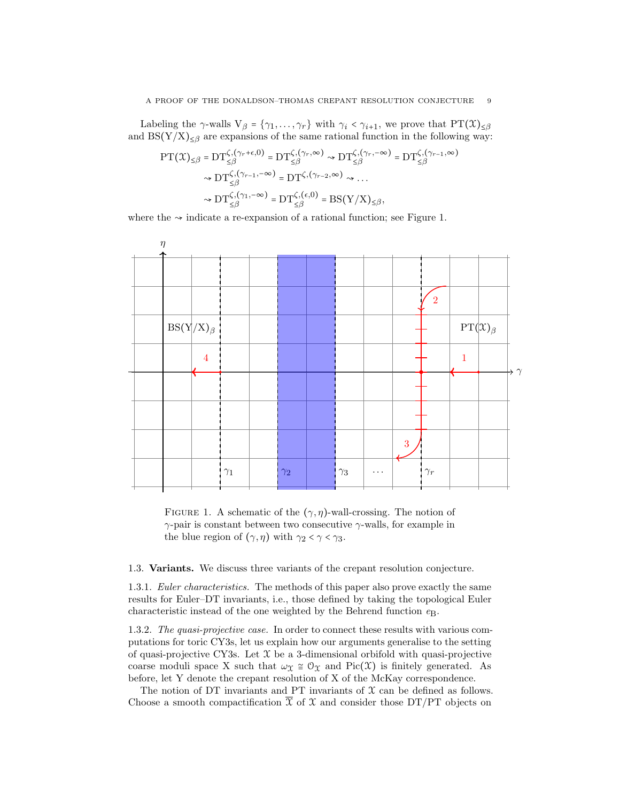Labeling the  $\gamma$ -walls  $V_\beta = {\gamma_1, \ldots, \gamma_r}$  with  $\gamma_i < \gamma_{i+1}$ , we prove that  $PT(\mathfrak{X})_{\leq \beta}$ and  $BS(Y/X)_{\leq \beta}$  are expansions of the same rational function in the following way:

$$
\begin{aligned} \mathrm{PT}(\mathfrak{X})_{\leq \beta} &= \mathrm{DT}_{\leq \beta}^{\zeta, (\gamma_r + \epsilon, 0)} = \mathrm{DT}_{\leq \beta}^{\zeta, (\gamma_r, \infty)} \rightsquigarrow \mathrm{DT}_{\leq \beta}^{\zeta, (\gamma_r, -\infty)} = \mathrm{DT}_{\leq \beta}^{\zeta, (\gamma_{r-1}, \infty)} \\ &\leadsto \mathrm{DT}_{\leq \beta}^{\zeta, (\gamma_{r-1}, -\infty)} = \mathrm{DT}^{\zeta, (\gamma_{r-2}, \infty)} \rightsquigarrow \ldots \\ &\leadsto \mathrm{DT}_{\leq \beta}^{\zeta, (\gamma_1, -\infty)} = \mathrm{DT}_{\leq \beta}^{\zeta, (\epsilon, 0)} = \mathrm{BS}(\mathrm{Y/X})_{\leq \beta}, \end{aligned}
$$

where the  $\sim$  indicate a re-expansion of a rational function; see Figure 1.



FIGURE 1. A schematic of the  $(\gamma, \eta)$ -wall-crossing. The notion of  $\gamma$ -pair is constant between two consecutive  $\gamma$ -walls, for example in the blue region of  $(\gamma, \eta)$  with  $\gamma_2 < \gamma < \gamma_3$ .

1.3. Variants. We discuss three variants of the crepant resolution conjecture.

1.3.1. Euler characteristics. The methods of this paper also prove exactly the same results for Euler–DT invariants, i.e., those defined by taking the topological Euler characteristic instead of the one weighted by the Behrend function  $e_{\rm B}$ .

<span id="page-8-0"></span>1.3.2. The quasi-projective case. In order to connect these results with various computations for toric CY3s, let us explain how our arguments generalise to the setting of quasi-projective CY3s. Let  $X$  be a 3-dimensional orbifold with quasi-projective coarse moduli space X such that  $\omega_{\mathfrak{X}} \cong \mathfrak{O}_{\mathfrak{X}}$  and Pic(X) is finitely generated. As before, let Y denote the crepant resolution of X of the McKay correspondence.

The notion of DT invariants and PT invariants of  $\mathfrak X$  can be defined as follows. Choose a smooth compactification  $\overline{X}$  of X and consider those DT/PT objects on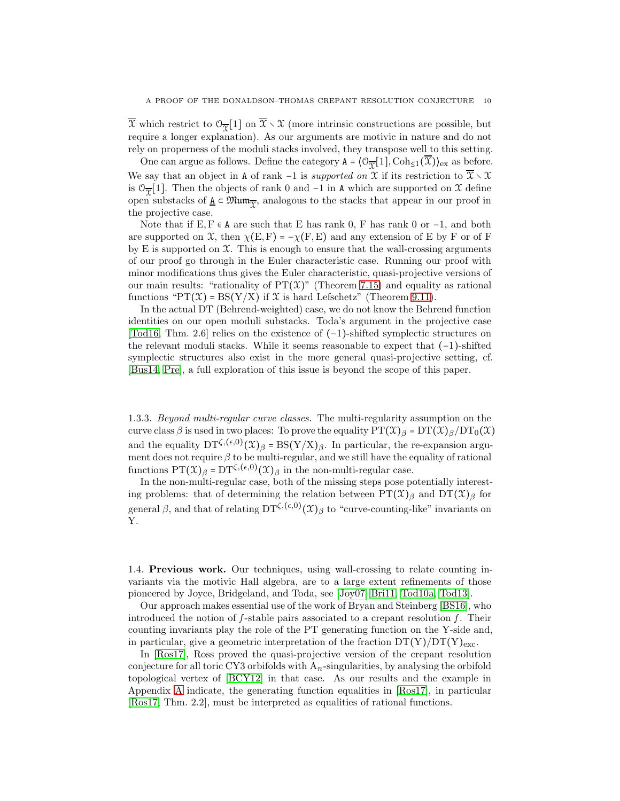$\overline{x}$  which restrict to  $\mathbb{O}_{\overline{x}}[1]$  on  $\overline{x} \setminus \mathfrak{X}$  (more intrinsic constructions are possible, but require a longer explanation). As our arguments are motivic in nature and do not rely on properness of the moduli stacks involved, they transpose well to this setting.

One can argue as follows. Define the category  $A = \langle \mathcal{O}_{\overline{\mathcal{X}}}[1], \text{Coh}_{\leq 1}(\overline{\mathcal{X}}) \rangle_{\text{ex}}$  as before. We say that an object in A of rank -1 is *supported on*  $\mathfrak X$  if its restriction to  $\overline{\mathfrak X}\smallsetminus\mathfrak X$ is  $\mathcal{O}_{\overline{\mathcal{X}}}[1]$ . Then the objects of rank 0 and -1 in A which are supported on X define open substacks of  $\underline{A} \subset \mathfrak{Mum}_{\overline{X}}$ , analogous to the stacks that appear in our proof in the projective case.

Note that if  $E, F \in A$  are such that E has rank 0, F has rank 0 or  $-1$ , and both are supported on X, then  $\chi(E, F) = -\chi(F, E)$  and any extension of E by F or of F by  $E$  is supported on  $\mathfrak{X}$ . This is enough to ensure that the wall-crossing arguments of our proof go through in the Euler characteristic case. Running our proof with minor modifications thus gives the Euler characteristic, quasi-projective versions of our main results: "rationality of  $PT(\mathcal{X})$ " (Theorem [7.15\)](#page-35-0) and equality as rational functions " $PT(\mathcal{X}) = BS(Y/X)$  if  $\mathcal X$  is hard Lefschetz" (Theorem [9.11\)](#page-55-0).

In the actual DT (Behrend-weighted) case, we do not know the Behrend function identities on our open moduli substacks. Toda's argument in the projective case [\[Tod16,](#page-65-2) Thm. 2.6] relies on the existence of (−1)-shifted symplectic structures on the relevant moduli stacks. While it seems reasonable to expect that  $(-1)$ -shifted symplectic structures also exist in the more general quasi-projective setting, cf. [\[Bus14,](#page-64-11) [Pre\]](#page-64-12), a full exploration of this issue is beyond the scope of this paper.

1.3.3. Beyond multi-regular curve classes. The multi-regularity assumption on the curve class  $\beta$  is used in two places: To prove the equality  $PT(\mathfrak{X})_{\beta} = DT(\mathfrak{X})_{\beta}/DT_0(\mathfrak{X})$ and the equality  $DT^{\zeta,(\epsilon,0)}(\mathfrak{X})_{\beta} = BS(Y/X)_{\beta}$ . In particular, the re-expansion argument does not require  $\beta$  to be multi-regular, and we still have the equality of rational functions  $PT(\mathfrak{X})_{\beta} = DT^{\zeta, (\epsilon, 0)}(\mathfrak{X})_{\beta}$  in the non-multi-regular case.

In the non-multi-regular case, both of the missing steps pose potentially interesting problems: that of determining the relation between  $PT(\mathcal{X})_{\beta}$  and  $DT(\mathcal{X})_{\beta}$  for general  $\beta$ , and that of relating DT<sup> $\zeta, (\epsilon, 0)$ </sup> $(\mathfrak{X})_{\beta}$  to "curve-counting-like" invariants on Y.

1.4. Previous work. Our techniques, using wall-crossing to relate counting invariants via the motivic Hall algebra, are to a large extent refinements of those pioneered by Joyce, Bridgeland, and Toda, see [\[Joy07,](#page-64-13) [Bri11,](#page-64-2) [Tod10a,](#page-65-0) [Tod13\]](#page-65-3).

Our approach makes essential use of the work of Bryan and Steinberg [\[BS16\]](#page-64-4), who introduced the notion of  $f$ -stable pairs associated to a crepant resolution  $f$ . Their counting invariants play the role of the PT generating function on the Y-side and, in particular, give a geometric interpretation of the fraction  $DT(Y)/DT(Y)_{exc}$ .

In [\[Ros17\]](#page-64-14), Ross proved the quasi-projective version of the crepant resolution conjecture for all toric CY3 orbifolds with A*n*-singularities, by analysing the orbifold topological vertex of [\[BCY12\]](#page-63-0) in that case. As our results and the example in Appendix [A](#page-56-0) indicate, the generating function equalities in [\[Ros17\]](#page-64-14), in particular [\[Ros17,](#page-64-14) Thm. 2.2], must be interpreted as equalities of rational functions.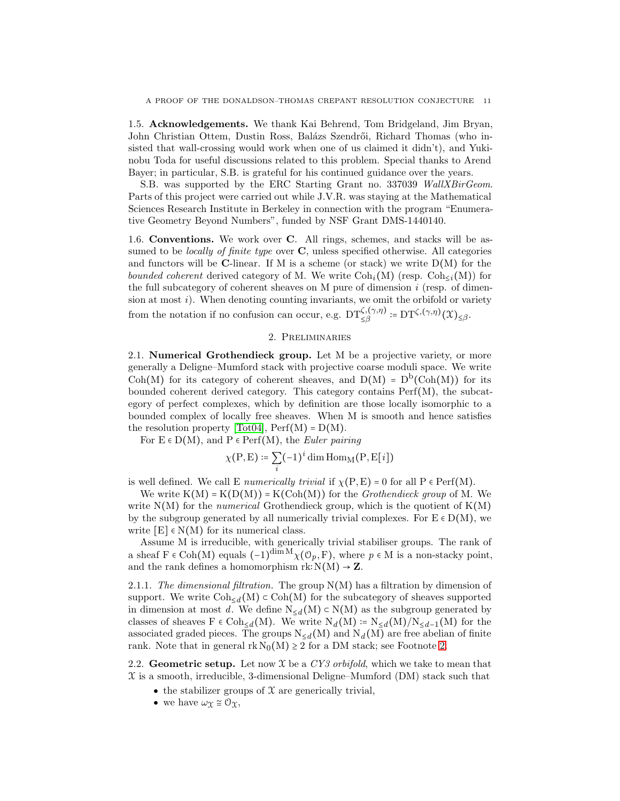1.5. Acknowledgements. We thank Kai Behrend, Tom Bridgeland, Jim Bryan, John Christian Ottem, Dustin Ross, Balázs Szendrői, Richard Thomas (who insisted that wall-crossing would work when one of us claimed it didn't), and Yukinobu Toda for useful discussions related to this problem. Special thanks to Arend Bayer; in particular, S.B. is grateful for his continued guidance over the years.

S.B. was supported by the ERC Starting Grant no. 337039 WallXBirGeom. Parts of this project were carried out while J.V.R. was staying at the Mathematical Sciences Research Institute in Berkeley in connection with the program "Enumerative Geometry Beyond Numbers", funded by NSF Grant DMS-1440140.

1.6. Conventions. We work over C. All rings, schemes, and stacks will be assumed to be *locally of finite type* over  $C$ , unless specified otherwise. All categories and functors will be C-linear. If M is a scheme (or stack) we write  $D(M)$  for the bounded coherent derived category of M. We write  $\text{Coh}_{i}(M)$  (resp.  $\text{Coh}_{\leq i}(M)$ ) for the full subcategory of coherent sheaves on M pure of dimension  $i$  (resp. of dimension at most  $i$ ). When denoting counting invariants, we omit the orbifold or variety from the notation if no confusion can occur, e.g.  $DT_{\leq\beta}^{\zeta,(\gamma,\eta)}:=DT^{\zeta,(\gamma,\eta)}(\mathfrak{X})_{\leq\beta}$ .

## 2. Preliminaries

<span id="page-10-0"></span>2.1. Numerical Grothendieck group. Let M be a projective variety, or more generally a Deligne–Mumford stack with projective coarse moduli space. We write Coh(M) for its category of coherent sheaves, and  $D(M) = D^{b}(Coh(M))$  for its bounded coherent derived category. This category contains Perf(M), the subcategory of perfect complexes, which by definition are those locally isomorphic to a bounded complex of locally free sheaves. When M is smooth and hence satisfies the resolution property [\[Tot04\]](#page-65-4),  $\text{Perf}(M) = D(M)$ .

For  $E \in D(M)$ , and  $P \in \text{Perf}(M)$ , the *Euler pairing* 

$$
\chi(P, E) \coloneqq \sum_{i} (-1)^{i} \dim \text{Hom}_{\mathbf{M}}(P, E[i])
$$

is well defined. We call E *numerically trivial* if  $\chi(P, E) = 0$  for all  $P \in \text{Perf}(M)$ .

We write  $K(M) = K(D(M)) = K(Coh(M))$  for the *Grothendieck group* of M. We write  $N(M)$  for the *numerical* Grothendieck group, which is the quotient of  $K(M)$ by the subgroup generated by all numerically trivial complexes. For  $E \in D(M)$ , we write  $[E] \in N(M)$  for its numerical class.

Assume M is irreducible, with generically trivial stabiliser groups. The rank of a sheaf  $F \in Coh(M)$  equals  $(-1)^{\dim M} \chi(\mathcal{O}_p, F)$ , where  $p \in M$  is a non-stacky point, and the rank defines a homomorphism  $rk: N(M) \to \mathbb{Z}$ .

2.1.1. The dimensional filtration. The group  $N(M)$  has a filtration by dimension of support. We write  $\text{Coh}_{\leq d}(M) \subset \text{Coh}(M)$  for the subcategory of sheaves supported in dimension at most d. We define  $N_{\leq d}(M) \subset N(M)$  as the subgroup generated by classes of sheaves  $F \in \text{Coh}_{\leq d}(M)$ . We write  $N_d(M) := N_{\leq d}(M)/N_{\leq d-1}(M)$  for the associated graded pieces. The groups  $N_{\leq d}(M)$  and  $N_d(M)$  are free abelian of finite rank. Note that in general  $rk N_0(M) \geq 2$  for a DM stack; see Footnote [2.](#page-1-0)

<span id="page-10-1"></span>2.2. Geometric setup. Let now  $\mathfrak X$  be a CY3 orbifold, which we take to mean that  $\mathfrak X$  is a smooth, irreducible, 3-dimensional Deligne–Mumford (DM) stack such that

- the stabilizer groups of  $\mathfrak X$  are generically trivial,
- we have  $\omega_{\mathfrak{X}} \cong \mathfrak{O}_{\mathfrak{X}}$ ,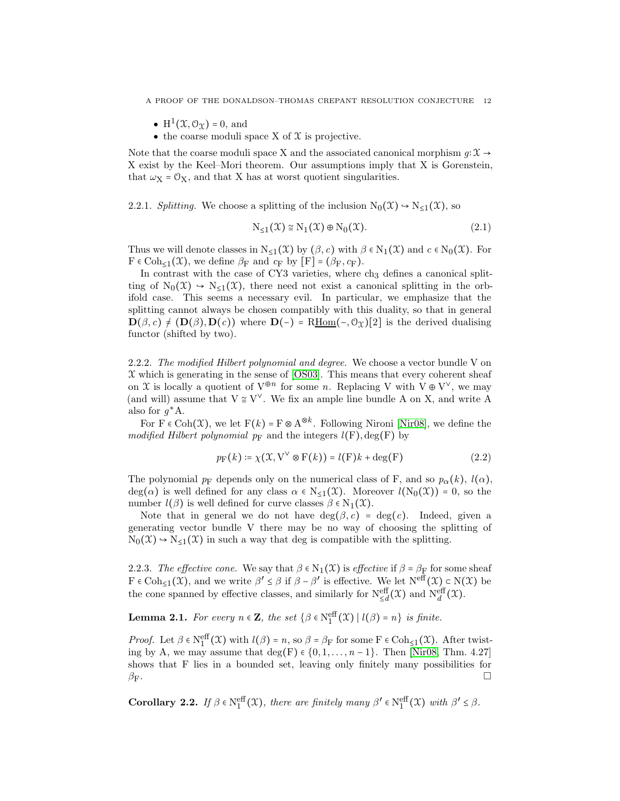A PROOF OF THE DONALDSON–THOMAS CREPANT RESOLUTION CONJECTURE 12

- $H^1(\mathfrak{X}, \mathcal{O}_{\mathfrak{X}}) = 0$ , and
- the coarse moduli space X of  $\mathfrak X$  is projective.

Note that the coarse moduli space X and the associated canonical morphism  $g: \mathcal{X} \to$ X exist by the Keel–Mori theorem. Our assumptions imply that X is Gorenstein, that  $\omega_X = \mathcal{O}_X$ , and that X has at worst quotient singularities.

2.2.1. Splitting. We choose a splitting of the inclusion  $N_0(\mathfrak{X}) \to N_{\leq 1}(\mathfrak{X})$ , so

$$
N_{\leq 1}(\mathfrak{X}) \cong N_1(\mathfrak{X}) \oplus N_0(\mathfrak{X}). \tag{2.1}
$$

Thus we will denote classes in  $N_{\leq 1}(\mathfrak{X})$  by  $(\beta, c)$  with  $\beta \in N_1(\mathfrak{X})$  and  $c \in N_0(\mathfrak{X})$ . For  $F \in \text{Coh}_{\leq 1}(\mathfrak{X})$ , we define  $\beta_F$  and  $c_F$  by  $[F] = (\beta_F, c_F)$ .

In contrast with the case of CY3 varieties, where  $ch<sub>3</sub>$  defines a canonical splitting of  $N_0(\mathfrak{X}) \to N_{\leq 1}(\mathfrak{X})$ , there need not exist a canonical splitting in the orbifold case. This seems a necessary evil. In particular, we emphasize that the splitting cannot always be chosen compatibly with this duality, so that in general  $\mathbf{D}(\beta, c) \neq (\mathbf{D}(\beta), \mathbf{D}(c))$  where  $\mathbf{D}(-) = \text{RHom}(-, \mathcal{O}_{\Upsilon})[2]$  is the derived dualising functor (shifted by two).

<span id="page-11-0"></span>2.2.2. The modified Hilbert polynomial and degree. We choose a vector bundle V on  $\mathfrak X$  which is generating in the sense of [\[OS03\]](#page-64-15). This means that every coherent sheaf on X is locally a quotient of  $V^{\oplus n}$  for some n. Replacing V with  $V \oplus V^{\vee}$ , we may (and will) assume that  $V \cong V^{\vee}$ . We fix an ample line bundle A on X, and write A also for  $g^*A$ .

For  $F \in \text{Coh}(\mathfrak{X})$ , we let  $F(k) = F \otimes A^{\otimes k}$ . Following Nironi [\[Nir08\]](#page-64-10), we define the modified Hilbert polynomial  $p_F$  and the integers  $l(F)$ , deg(F) by

$$
p_{\mathcal{F}}(k) \coloneqq \chi(\mathfrak{X}, \mathbf{V}^{\vee} \otimes \mathbf{F}(k)) = l(\mathbf{F})k + \deg(\mathbf{F})
$$
\n(2.2)

The polynomial  $p_F$  depends only on the numerical class of F, and so  $p_\alpha(k)$ ,  $l(\alpha)$ , deg( $\alpha$ ) is well defined for any class  $\alpha \in N_{\leq 1}(\mathfrak{X})$ . Moreover  $l(N_0(\mathfrak{X})) = 0$ , so the number  $l(\beta)$  is well defined for curve classes  $\beta \in N_1(\mathfrak{X})$ .

Note that in general we do not have  $deg(\beta, c) = deg(c)$ . Indeed, given a generating vector bundle V there may be no way of choosing the splitting of  $N_0(\mathfrak{X}) \rightarrow N_{\leq 1}(\mathfrak{X})$  in such a way that deg is compatible with the splitting.

2.2.3. The effective cone. We say that  $\beta \in N_1(\mathfrak{X})$  is effective if  $\beta = \beta_F$  for some sheaf  $F \in \text{Coh}_{\leq 1}(\mathfrak{X})$ , and we write  $\beta' \leq \beta$  if  $\beta - \beta'$  is effective. We let  $N^{\text{eff}}(\mathfrak{X}) \subset N(\mathfrak{X})$  be the cone spanned by effective classes, and similarly for  $N_{\leq d}^{\text{eff}}(\mathfrak{X})$  and  $N_d^{\text{eff}}(\mathfrak{X})$ .

**Lemma 2.1.** For every  $n \in \mathbb{Z}$ , the set  $\{\beta \in \mathbb{N}_1^{\text{eff}}(\mathcal{X}) \mid l(\beta) = n\}$  is finite.

*Proof.* Let  $\beta \in N_1^{\text{eff}}(\mathfrak{X})$  with  $l(\beta) = n$ , so  $\beta = \beta_F$  for some  $F \in \text{Coh}_{\leq 1}(\mathfrak{X})$ . After twisting by A, we may assume that deg(F)  $\in \{0, 1, \ldots, n-1\}$ . Then [\[Nir08,](#page-64-10) Thm. 4.27] shows that F lies in a bounded set, leaving only finitely many possibilities for  $\beta_F$ .

<span id="page-11-1"></span>Corollary 2.2. If  $\beta \in \mathbb{N}_1^{\text{eff}}(\mathfrak{X})$ , there are finitely many  $\beta' \in \mathbb{N}_1^{\text{eff}}(\mathfrak{X})$  with  $\beta' \leq \beta$ .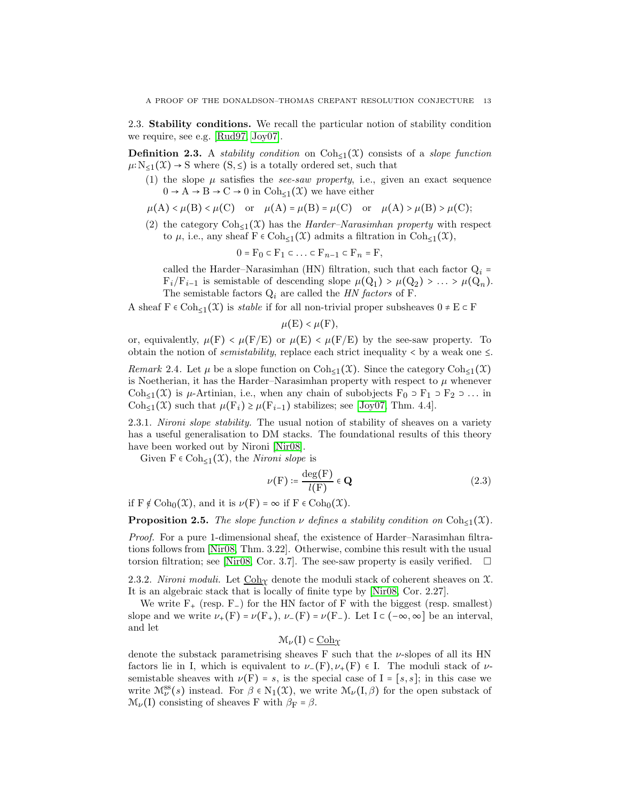2.3. Stability conditions. We recall the particular notion of stability condition we require, see e.g. [\[Rud97,](#page-64-16) [Joy07\]](#page-64-13).

**Definition 2.3.** A *stability condition* on  $Coh_{\leq 1}(\mathfrak{X})$  consists of a *slope function*  $\mu: N_{\leq 1}(\mathfrak{X}) \to S$  where  $(S, \leq)$  is a totally ordered set, such that

(1) the slope  $\mu$  satisfies the *see-saw property*, i.e., given an exact sequence  $0 \to A \to B \to C \to 0$  in  $Coh_{\leq 1}(\mathfrak{X})$  we have either

$$
\mu(A) < \mu(B) < \mu(C)
$$
 or  $\mu(A) = \mu(B) = \mu(C)$  or  $\mu(A) > \mu(B) > \mu(C)$ ;

(2) the category  $\text{Coh}_{\leq 1}(\mathfrak{X})$  has the *Harder–Narasimhan property* with respect to  $\mu$ , i.e., any sheaf  $F \in Coh_{\leq 1}(\mathfrak{X})$  admits a filtration in  $Coh_{\leq 1}(\mathfrak{X})$ ,

$$
0 = F_0 \subset F_1 \subset \ldots \subset F_{n-1} \subset F_n = F,
$$

called the Harder–Narasimhan (HN) filtration, such that each factor  $Q_i$  =  $F_i/F_{i-1}$  is semistable of descending slope  $\mu(Q_1) > \mu(Q_2) > ... > \mu(Q_n)$ . The semistable factors  $Q_i$  are called the *HN factors* of F.

A sheaf  $F \in \text{Coh}_{\leq 1}(\mathfrak{X})$  is stable if for all non-trivial proper subsheaves  $0 \neq E \subset F$ 

$$
\mu(E) < \mu(F),
$$

or, equivalently,  $\mu(F) < \mu(F/E)$  or  $\mu(E) < \mu(F/E)$  by the see-saw property. To obtain the notion of *semistability*, replace each strict inequality  $\lt$  by a weak one  $\leq$ .

Remark 2.4. Let  $\mu$  be a slope function on Coh<sub>≤1</sub>( $\mathfrak{X}$ ). Since the category Coh<sub>≤1</sub>( $\mathfrak{X}$ ) is Noetherian, it has the Harder–Narasimhan property with respect to  $\mu$  whenever Coh<sub>≤1</sub>(X) is  $\mu$ -Artinian, i.e., when any chain of subobjects  $F_0 \supset F_1 \supset F_2 \supset \dots$  in Coh<sub>≤1</sub>(X) such that  $\mu(\mathbf{F}_i) \geq \mu(\mathbf{F}_{i-1})$  stabilizes; see [\[Joy07,](#page-64-13) Thm. 4.4].

2.3.1. Nironi slope stability. The usual notion of stability of sheaves on a variety has a useful generalisation to DM stacks. The foundational results of this theory have been worked out by Nironi [\[Nir08\]](#page-64-10).

Given  $F \in \text{Coh}_{\leq 1}(\mathfrak{X})$ , the *Nironi slope* is

$$
\nu(\mathbf{F}) \coloneqq \frac{\deg(\mathbf{F})}{l(\mathbf{F})} \in \mathbf{Q} \tag{2.3}
$$

if  $F \notin \text{Coh}_0(\mathfrak{X})$ , and it is  $\nu(F) = \infty$  if  $F \in \text{Coh}_0(\mathfrak{X})$ .

**Proposition 2.5.** The slope function  $\nu$  defines a stability condition on Coh<sub>≤1</sub>(X).

Proof. For a pure 1-dimensional sheaf, the existence of Harder–Narasimhan filtrations follows from [\[Nir08,](#page-64-10) Thm. 3.22]. Otherwise, combine this result with the usual torsion filtration; see [\[Nir08,](#page-64-10) Cor. 3.7]. The see-saw property is easily verified.  $\square$ 

2.3.2. Nironi moduli. Let  $\underline{\text{Coh}}_{\Upsilon}$  denote the moduli stack of coherent sheaves on X. It is an algebraic stack that is locally of finite type by [\[Nir08,](#page-64-10) Cor. 2.27].

We write  $F_{+}$  (resp. F<sub>-</sub>) for the HN factor of F with the biggest (resp. smallest) slope and we write  $\nu_{+}(F) = \nu(F_{+}), \nu_{-}(F) = \nu(F_{-}).$  Let  $I \subset (-\infty, \infty]$  be an interval, and let

$$
\mathcal{M}_{\nu}(I) \subset \underline{\mathrm{Coh}}_{\mathfrak{X}}
$$

denote the substack parametrising sheaves F such that the  $\nu$ -slopes of all its HN factors lie in I, which is equivalent to  $\nu_{-}(F), \nu_{+}(F) \in I$ . The moduli stack of  $\nu$ semistable sheaves with  $\nu(F) = s$ , is the special case of I = [s, s]; in this case we write  $\mathcal{M}^{ss}_{\nu}(s)$  instead. For  $\beta \in N_1(\mathfrak{X})$ , we write  $\mathcal{M}_{\nu}(I,\beta)$  for the open substack of  $\mathcal{M}_{\nu}(I)$  consisting of sheaves F with  $\beta_F = \beta$ .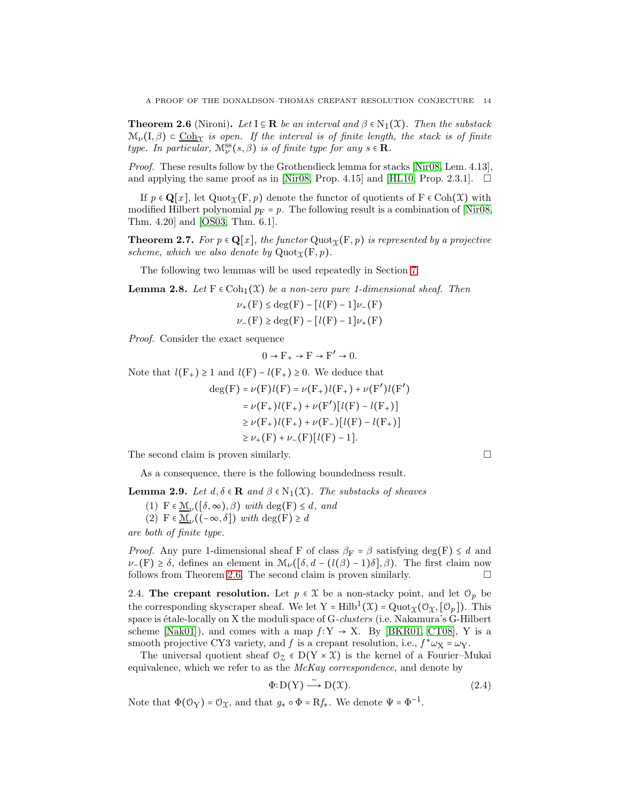<span id="page-13-0"></span>**Theorem 2.6** (Nironi). Let  $I \subseteq \mathbb{R}$  be an interval and  $\beta \in N_1(\mathcal{X})$ . Then the substack  $\mathcal{M}_{\nu}(I,\beta) \subset \underline{\text{Coh}}_{\mathcal{X}}$  is open. If the interval is of finite length, the stack is of finite type. In particular,  $\mathcal{M}_{\nu}^{ss}(s,\beta)$  is of finite type for any  $s \in \mathbf{R}$ .

Proof. These results follow by the Grothendieck lemma for stacks [\[Nir08,](#page-64-10) Lem. 4.13], and applying the same proof as in [\[Nir08,](#page-64-10) Prop. 4.15] and [\[HL10,](#page-64-17) Prop. 2.3.1].  $\Box$ 

If  $p \in \mathbf{Q}[x]$ , let  $\text{Quot}_{\Upsilon}(\mathbf{F}, p)$  denote the functor of quotients of  $\mathbf{F} \in \text{Coh}(\mathcal{X})$  with modified Hilbert polynomial  $p_F = p$ . The following result is a combination of Nir08, Thm. 4.20] and [\[OS03,](#page-64-15) Thm. 6.1].

**Theorem 2.7.** For  $p \in \mathbb{Q}[x]$ , the functor  $\text{Quot}_{\Upsilon}(\mathbf{F}, p)$  is represented by a projective scheme, which we also denote by  $\mathrm{Quot}_{\Upsilon}(F, p)$ .

The following two lemmas will be used repeatedly in Section [7.](#page-29-0)

<span id="page-13-2"></span>**Lemma 2.8.** Let  $F \in \text{Coh}_1(\mathfrak{X})$  be a non-zero pure 1-dimensional sheaf. Then

$$
\nu_{+}(F) \le \deg(F) - [l(F) - 1]\nu_{-}(F)
$$
  

$$
\nu_{-}(F) \ge \deg(F) - [l(F) - 1]\nu_{+}(F)
$$

Proof. Consider the exact sequence

 $0 \to F_+ \to F \to F' \to 0.$ 

Note that  $l(F_+) \geq 1$  and  $l(F) - l(F_+) \geq 0$ . We deduce that

$$
deg(F) = \nu(F)l(F) = \nu(F_+)l(F_+) + \nu(F')l(F')
$$
  
=  $\nu(F_+)l(F_+) + \nu(F')[l(F) - l(F_+)]$   
 $\ge \nu(F_+)l(F_+) + \nu(F_-)[l(F) - l(F_+)]$   
 $\ge \nu_+(F) + \nu_-(F)[l(F) - 1].$ 

The second claim is proven similarly.

As a consequence, there is the following boundedness result.

<span id="page-13-3"></span>**Lemma 2.9.** Let  $d, \delta \in \mathbb{R}$  and  $\beta \in N_1(\mathfrak{X})$ . The substacks of sheaves

(1)  $F \in \underline{\mathcal{M}}_{\nu}([\delta, \infty), \beta)$  with  $\deg(F) \leq d$ , and (2)  $F \in \underline{\mathcal{M}}_{\nu}((-\infty,\delta])$  with  $\deg(F) \geq d$ 

are both of finite type.

*Proof.* Any pure 1-dimensional sheaf F of class  $\beta_F = \beta$  satisfying deg(F)  $\leq d$  and  $\nu$ −(F) ≥  $\delta$ , defines an element in  $\mathcal{M}_{\nu}(\delta, d - (\ell(\beta) - 1)\delta), \beta$ . The first claim now follows from Theorem [2.6.](#page-13-0) The second claim is proven similarly.  $\square$ 

<span id="page-13-1"></span>2.4. The crepant resolution. Let  $p \in \mathcal{X}$  be a non-stacky point, and let  $\mathcal{O}_p$  be the corresponding skyscraper sheaf. We let Y = Hilb<sup>1</sup>( $\mathfrak{X}$ ) = Quot<sub> $\mathfrak{X}(\mathfrak{O}_{\mathfrak{X}},[\mathfrak{O}_p])$ . This</sub> space is étale-locally on X the moduli space of  $G\text{-}clusters$  (i.e. Nakamura's  $G\text{-}Hilbert$ scheme [\[Nak01\]](#page-64-18)), and comes with a map  $f: Y \rightarrow X$ . By [\[BKR01,](#page-64-7) [CT08\]](#page-64-8), Y is a smooth projective CY3 variety, and f is a crepant resolution, i.e.,  $f^* \omega_X = \omega_Y$ .

The universal quotient sheaf  $\mathcal{O}_{\mathcal{Z}} \in D(Y \times \mathcal{X})$  is the kernel of a Fourier–Mukai equivalence, which we refer to as the McKay correspondence, and denote by

$$
\Phi: D(Y) \xrightarrow{\sim} D(\mathcal{X}). \tag{2.4}
$$

Note that  $\Phi(\mathcal{O}_Y) = \mathcal{O}_X$ , and that  $g_* \circ \Phi = Rf_*$ . We denote  $\Psi = \Phi^{-1}$ .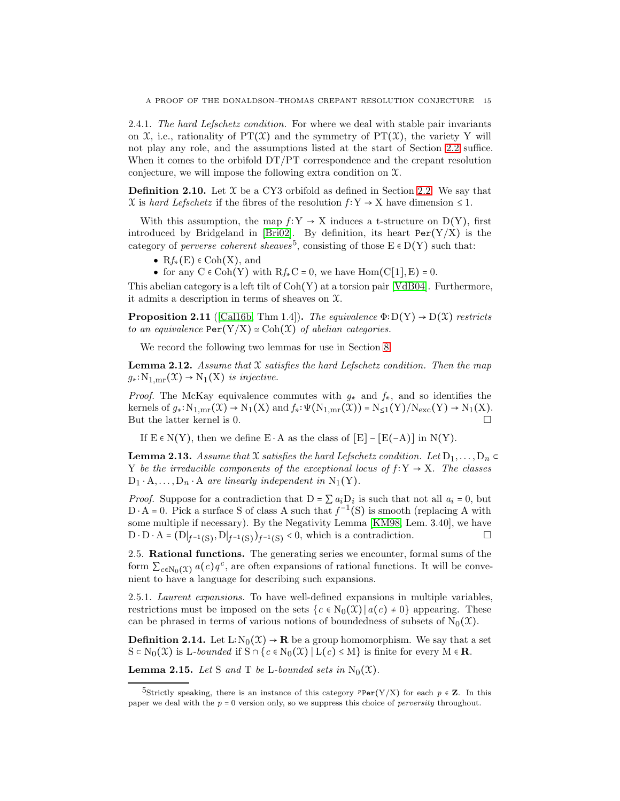<span id="page-14-2"></span>2.4.1. The hard Lefschetz condition. For where we deal with stable pair invariants on  $\mathfrak{X}$ , i.e., rationality of PT $(\mathfrak{X})$  and the symmetry of PT $(\mathfrak{X})$ , the variety Y will not play any role, and the assumptions listed at the start of Section [2.2](#page-10-1) suffice. When it comes to the orbifold DT/PT correspondence and the crepant resolution conjecture, we will impose the following extra condition on  $\mathfrak{X}$ .

**Definition 2.10.** Let  $\mathcal{X}$  be a CY3 orbifold as defined in Section [2.2.](#page-10-1) We say that X is hard Lefschetz if the fibres of the resolution  $f: Y \to X$  have dimension  $\leq 1$ .

With this assumption, the map  $f: Y \to X$  induces a t-structure on D(Y), first introduced by Bridgeland in [\[Bri02\]](#page-64-19). By definition, its heart  $Per(Y/X)$  is the category of *perverse coherent sheaves*<sup>5</sup>, consisting of those  $E \in D(Y)$  such that:

- $Rf_*(E) \in \text{Coh}(X)$ , and
- for any  $C \in Coh(Y)$  with  $Rf_*C = 0$ , we have  $Hom(C[1], E) = 0$ .

This abelian category is a left tilt of Coh(Y) at a torsion pair [\[VdB04\]](#page-65-5). Furthermore, it admits a description in terms of sheaves on X.

<span id="page-14-1"></span>**Proposition 2.11** ([\[Cal16b,](#page-64-9) Thm 1.4]). The equivalence  $\Phi$ :  $D(Y) \rightarrow D(X)$  restricts to an equivalence  $\text{Per}(Y/X) \simeq \text{Coh}(\mathfrak{X})$  of abelian categories.

We record the following two lemmas for use in Section [8.](#page-39-0)

<span id="page-14-4"></span>**Lemma 2.12.** Assume that  $X$  satisfies the hard Lefschetz condition. Then the map  $g_*: \mathrm{N}_{1,\text{mr}}(\mathfrak{X}) \to \mathrm{N}_1(\mathfrak{X})$  is injective.

*Proof.* The McKay equivalence commutes with  $g_*$  and  $f_*$ , and so identifies the kernels of  $g_*: \mathrm{N}_{1,\text{mr}}(\mathfrak{X}) \to \mathrm{N}_1(X)$  and  $f_*: \Psi(\mathrm{N}_{1,\text{mr}}(\mathfrak{X})) = \mathrm{N}_{\leq 1}(Y)/\mathrm{N}_{\text{exc}}(Y) \to \mathrm{N}_1(X)$ . But the latter kernel is 0.

If  $E \in N(Y)$ , then we define  $E \cdot A$  as the class of  $[E] - [E(-A)]$  in  $N(Y)$ .

<span id="page-14-5"></span>**Lemma 2.13.** Assume that X satisfies the hard Lefschetz condition. Let  $D_1, \ldots, D_n \subset$ Y be the irreducible components of the exceptional locus of  $f: Y \to X$ . The classes  $D_1 \cdot A, \ldots, D_n \cdot A$  are linearly independent in N<sub>1</sub>(Y).

*Proof.* Suppose for a contradiction that  $D = \sum a_i D_i$  is such that not all  $a_i = 0$ , but  $D \cdot A = 0$ . Pick a surface S of class A such that  $f^{-1}(S)$  is smooth (replacing A with some multiple if necessary). By the Negativity Lemma [\[KM98,](#page-64-20) Lem. 3.40], we have D ⋅ D ⋅ A =  $(D|_{f^{-1}(S)}, D|_{f^{-1}(S)})_{f^{-1}(S)}$  < 0, which is a contradiction.  $□$ 

2.5. Rational functions. The generating series we encounter, formal sums of the form  $\sum_{c \in N_0(\mathfrak{X})} a(c)q^c$ , are often expansions of rational functions. It will be convenient to have a language for describing such expansions.

2.5.1. Laurent expansions. To have well-defined expansions in multiple variables, restrictions must be imposed on the sets  $\{c \in N_0(\mathcal{X}) \mid a(c) \neq 0\}$  appearing. These can be phrased in terms of various notions of boundedness of subsets of  $N_0(\mathfrak{X})$ .

<span id="page-14-3"></span>**Definition 2.14.** Let L∶N<sub>0</sub>( $X$ )  $\rightarrow$  **R** be a group homomorphism. We say that a set  $S \subset N_0(\mathfrak{X})$  is L-bounded if  $S \cap \{c \in N_0(\mathfrak{X}) \mid L(c) \leq M\}$  is finite for every  $M \in \mathbb{R}$ .

<span id="page-14-0"></span>**Lemma 2.15.** Let S and T be L-bounded sets in  $N_0(\mathfrak{X})$ .

<sup>5</sup>Strictly speaking, there is an instance of this category  ${}^p$ Per(Y/X) for each  $p \in \mathbb{Z}$ . In this paper we deal with the *p* = 0 version only, so we suppress this choice of *perversity* throughout.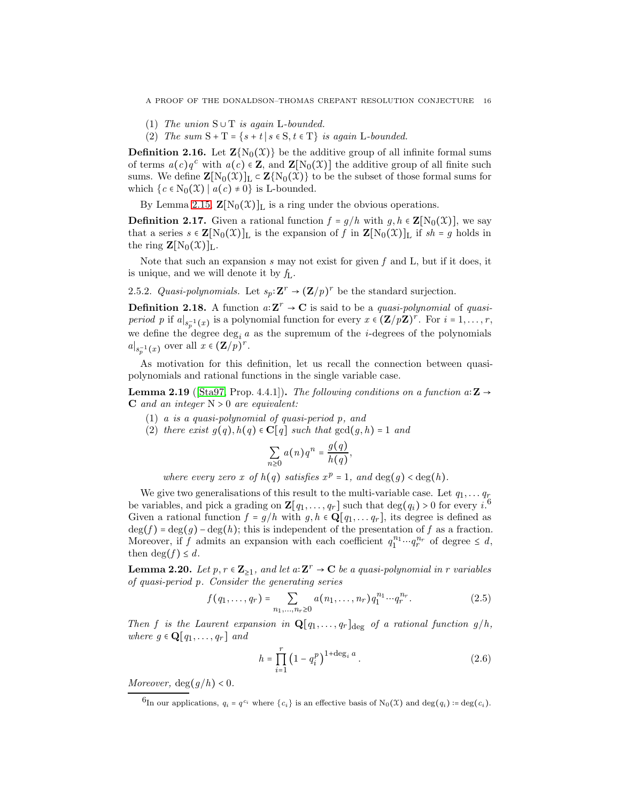A PROOF OF THE DONALDSON–THOMAS CREPANT RESOLUTION CONJECTURE 16

- (1) The union  $S \cup T$  is again L-bounded.
- (2) The sum  $S + T = \{s + t | s \in S, t \in T\}$  is again L-bounded.

**Definition 2.16.** Let  $\mathbf{Z}\{N_0(\mathcal{X})\}$  be the additive group of all infinite formal sums of terms  $a(c)q^c$  with  $a(c) \in \mathbb{Z}$ , and  $\mathbb{Z}[\mathrm{N}_0(\mathfrak{X})]$  the additive group of all finite such sums. We define  $\mathbf{Z}[N_0(\mathfrak{X})]_L \subset \mathbf{Z}\{N_0(\mathfrak{X})\}$  to be the subset of those formal sums for which  $\{c \in N_0(\mathfrak{X}) \mid a(c) \neq 0\}$  is L-bounded.

By Lemma [2.15,](#page-14-0)  $\mathbf{Z}[N_0(\mathcal{X})]_L$  is a ring under the obvious operations.

<span id="page-15-2"></span>**Definition 2.17.** Given a rational function  $f = g/h$  with  $g, h \in \mathbf{Z}[\mathrm{N}_0(\mathcal{X})]$ , we say that a series  $s \in \mathbf{Z}[N_0(\mathfrak{X})]_L$  is the expansion of f in  $\mathbf{Z}[N_0(\mathfrak{X})]_L$  if  $sh = g$  holds in the ring  $\mathbf{Z}[\mathrm{N}_0(\mathfrak{X})]_L$ .

Note that such an expansion  $s$  may not exist for given  $f$  and  $L$ , but if it does, it is unique, and we will denote it by  $f_L$ .

<span id="page-15-0"></span>2.5.2. Quasi-polynomials. Let  $s_p: \mathbf{Z}^r \to (\mathbf{Z}/p)^r$  be the standard surjection.

**Definition 2.18.** A function  $a: \mathbf{Z}^r \to \mathbf{C}$  is said to be a *quasi-polynomial* of *quasiperiod p* if  $a|_{s_p^{-1}(x)}$  is a polynomial function for every  $x \in (\mathbf{Z}/p\mathbf{Z})^r$ . For  $i = 1, \ldots, r$ , we define the degree  $\deg_i a$  as the supremum of the *i*-degrees of the polynomials  $a|_{s_p^{-1}(x)}$  over all  $x \in (\mathbf{Z}/p)^r$ .

As motivation for this definition, let us recall the connection between quasipolynomials and rational functions in the single variable case.

**Lemma 2.19** ([\[Sta97,](#page-64-21) Prop. 4.4.1]). The following conditions on a function a:  $\mathbf{Z} \rightarrow$  $C$  and an integer  $N > 0$  are equivalent:

- (1) a is a quasi-polynomial of quasi-period p, and
- (2) there exist  $g(q)$ ,  $h(q) \in \mathbb{C}[q]$  such that  $gcd(g, h) = 1$  and

$$
\sum_{n\geq 0} a(n)q^n = \frac{g(q)}{h(q)},
$$

where every zero x of  $h(q)$  satisfies  $x^p = 1$ , and  $\deg(q) < \deg(h)$ .

We give two generalisations of this result to the multi-variable case. Let  $q_1, \ldots q_r$ be variables, and pick a grading on  $\mathbf{Z}[q_1,\ldots,q_r]$  such that  $\deg(q_i) > 0$  for every  $i$ .<sup>6</sup> Given a rational function  $f = g/h$  with  $g, h \in \mathbf{Q}[q_1, \ldots q_r]$ , its degree is defined as  $\deg(f) = \deg(g) - \deg(h)$ ; this is independent of the presentation of f as a fraction. Moreover, if f admits an expansion with each coefficient  $q_1^{n_1} \cdots q_r^{n_r}$  of degree  $\leq d$ , then  $\deg(f) \leq d$ .

<span id="page-15-1"></span>**Lemma 2.20.** Let  $p, r \in \mathbb{Z}_{\geq 1}$ , and let  $a: \mathbb{Z}^r \to \mathbb{C}$  be a quasi-polynomial in r variables of quasi-period p. Consider the generating series

$$
f(q_1, \ldots, q_r) = \sum_{n_1, \ldots, n_r \ge 0} a(n_1, \ldots, n_r) q_1^{n_1} \cdots q_r^{n_r}.
$$
 (2.5)

Then f is the Laurent expansion in  $\mathbf{Q}[q_1,\ldots,q_r]_{\text{deg}}$  of a rational function  $g/h$ , where  $g \in \mathbf{Q}[q_1, \ldots, q_r]$  and

$$
h = \prod_{i=1}^{r} \left(1 - q_i^p\right)^{1 + \deg_i a}.
$$
\n(2.6)

Moreover,  $\deg(g/h) < 0$ .

<sup>6</sup>In our applications,  $q_i = q^{c_i}$  where  $\{c_i\}$  is an effective basis of  $N_0(\mathfrak{X})$  and  $\deg(q_i) := \deg(c_i)$ .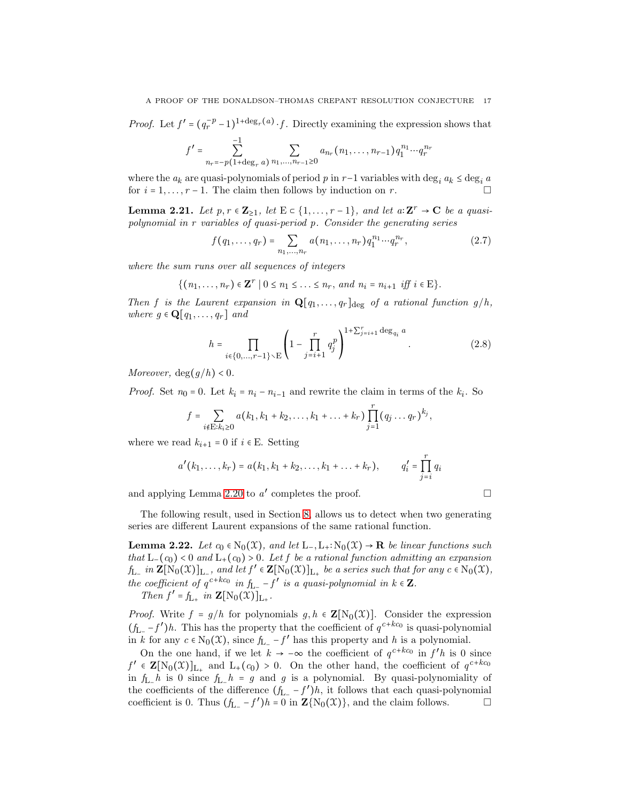*Proof.* Let  $f' = (q_r^{-p} - 1)^{1 + \deg_r(a)} \cdot f$ . Directly examining the expression shows that

$$
f' = \sum_{n_r=-p(1+\deg_r a)}^{-1} \sum_{n_1,\dots,n_{r-1}\geq 0} a_{n_r}(n_1,\dots,n_{r-1}) q_1^{n_1} \cdots q_r^{n_r}
$$

where the  $a_k$  are quasi-polynomials of period p in r−1 variables with deg<sub>*i*</sub>  $a_k \le \deg_i a$  for  $i = 1, ..., r-1$ . The claim then follows by induction on r. for  $i = 1, \ldots, r - 1$ . The claim then follows by induction on r.

<span id="page-16-0"></span>**Lemma 2.21.** Let  $p, r \in \mathbb{Z}_{\geq 1}$ , let  $E \subset \{1, ..., r-1\}$ , and let  $a: \mathbb{Z}^r \to \mathbb{C}$  be a quasipolynomial in r variables of quasi-period p. Consider the generating series

$$
f(q_1, \ldots, q_r) = \sum_{n_1, \ldots, n_r} a(n_1, \ldots, n_r) q_1^{n_1} \cdots q_r^{n_r},
$$
 (2.7)

where the sum runs over all sequences of integers

$$
\{(n_1,\ldots,n_r)\in\mathbf{Z}^r\mid 0\leq n_1\leq\ldots\leq n_r,\ and\ n_i=n_{i+1}\ iff\ i\in\mathbf{E}\}.
$$

Then f is the Laurent expansion in  $\mathbf{Q}[q_1,\ldots,q_r]_{\text{deg}}$  of a rational function  $g/h$ , where  $g \in \mathbf{Q}[q_1,\ldots,q_r]$  and

$$
h = \prod_{i \in \{0, ..., r-1\} \setminus E} \left(1 - \prod_{j=i+1}^{r} q_j^p \right)^{1 + \sum_{j=i+1}^{r} \deg_{q_i} a}.
$$
 (2.8)

Moreover,  $\deg(g/h) < 0$ .

*Proof.* Set  $n_0 = 0$ . Let  $k_i = n_i - n_{i-1}$  and rewrite the claim in terms of the  $k_i$ . So

$$
f = \sum_{i \notin \mathcal{E}: k_i \geq 0} a(k_1, k_1 + k_2, \dots, k_1 + \dots + k_r) \prod_{j=1}^r (q_j \dots q_r)^{k_j}
$$

where we read  $k_{i+1} = 0$  if  $i \in E$ . Setting

$$
a'(k_1,\ldots,k_r) = a(k_1,k_1+k_2,\ldots,k_1+\ldots+k_r), \qquad q'_i = \prod_{j=i}^r q_i
$$

and applying Lemma [2.20](#page-15-1) to  $a'$  completes the proof.

,

The following result, used in Section [8,](#page-39-0) allows us to detect when two generating series are different Laurent expansions of the same rational function.

<span id="page-16-1"></span>**Lemma 2.22.** Let  $c_0 \in N_0(\mathfrak{X})$ , and let  $L_-, L_+ : N_0(\mathfrak{X}) \to \mathbf{R}$  be linear functions such that  $L_-(c_0) < 0$  and  $L_+(c_0) > 0$ . Let f be a rational function admitting an expansion  $f_{L_{-}}$  in  $\mathbf{Z}[\text{N}_0(\mathfrak{X})]_{L_{-}}$ , and let  $f' \in \mathbf{Z}[\text{N}_0(\mathfrak{X})]_{L_{+}}$  be a series such that for any  $c \in \text{N}_0(\mathfrak{X})$ , the coefficient of  $q^{c+kc_0}$  in  $f_{L-} - f'$  is a quasi-polynomial in  $k \in \mathbb{Z}$ . .

Then  $f' = f_{L_+}$  in  $\mathbf{Z}[\mathrm{N}_0(\mathfrak{X})]_{L_+}$ 

*Proof.* Write  $f = g/h$  for polynomials  $g, h \in \mathbb{Z}[N_0(\mathfrak{X})]$ . Consider the expression  $(f_{L_} - f')h$ . This has the property that the coefficient of  $q^{c+kc_0}$  is quasi-polynomial in k for any  $c \in N_0(\mathfrak{X})$ , since  $f_{L_-} - f'$  has this property and h is a polynomial.

On the one hand, if we let  $k \to -\infty$  the coefficient of  $q^{c+kc_0}$  in  $f'h$  is 0 since  $f' \in \mathbf{Z}[N_0(\mathfrak{X})]_{L_+}$  and  $L_+(c_0) > 0$ . On the other hand, the coefficient of  $q^{c+kc_0}$ in  $f_{\text{L}_-}h$  is 0 since  $f_{\text{L}_-}h = g$  and g is a polynomial. By quasi-polynomiality of the coefficients of the difference  $(f_{L_{-}} - f')h$ , it follows that each quasi-polynomial coefficient is 0. Thus  $(f_{L-} - f')h = 0$  in  $\mathbf{Z}{N_0(\mathcal{X})}$ , and the claim follows.  $\Box$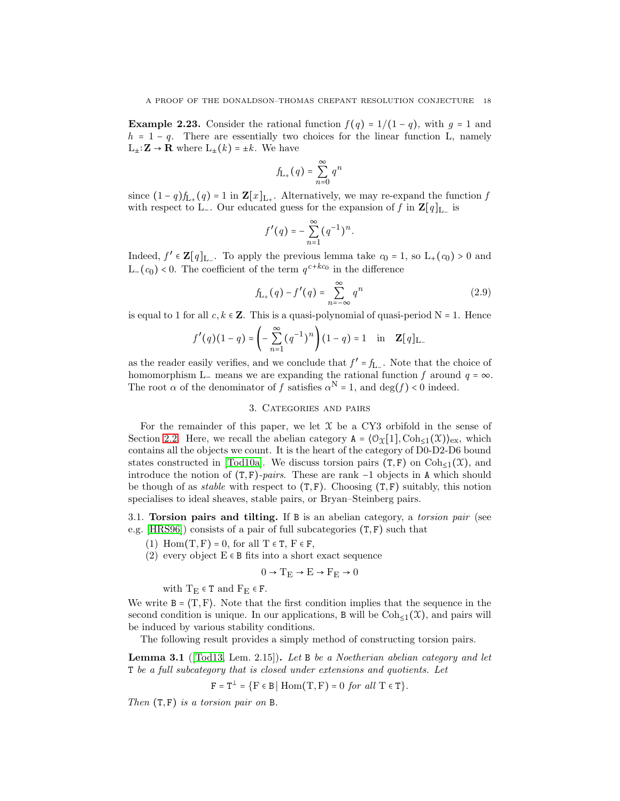**Example 2.23.** Consider the rational function  $f(q) = 1/(1-q)$ , with  $q = 1$  and  $h = 1 - q$ . There are essentially two choices for the linear function L, namely  $L_{\pm}$ :  $\mathbf{Z} \rightarrow \mathbf{R}$  where  $L_{\pm}(k) = \pm k$ . We have

$$
f_{\mathbf{L}_{+}}(q) = \sum_{n=0}^{\infty} q^{n}
$$

since  $(1-q)f_{L_+}(q) = 1$  in  $\mathbf{Z}[x]_{L_+}$ . Alternatively, we may re-expand the function f with respect to L<sup>-</sup>. Our educated guess for the expansion of f in  $\mathbf{Z}[q]_{L_-\}$  is

$$
f'(q) = -\sum_{n=1}^{\infty} (q^{-1})^n.
$$

Indeed,  $f' \in \mathbf{Z}[q]_{L_{-}}$ . To apply the previous lemma take  $c_0 = 1$ , so  $L_{+}(c_0) > 0$  and L−( $c_0$ ) < 0. The coefficient of the term  $q^{c+kc_0}$  in the difference

$$
f_{L_{+}}(q) - f'(q) = \sum_{n = -\infty}^{\infty} q^{n}
$$
 (2.9)

is equal to 1 for all  $c, k \in \mathbb{Z}$ . This is a quasi-polynomial of quasi-period N = 1. Hence

$$
f'(q)(1-q) = \left(-\sum_{n=1}^{\infty} (q^{-1})^n\right)(1-q) = 1 \text{ in } \mathbf{Z}[q]_{L-1}
$$

as the reader easily verifies, and we conclude that  $f' = f_{L-}$ . Note that the choice of homomorphism L− means we are expanding the rational function f around  $q = \infty$ . The root  $\alpha$  of the denominator of f satisfies  $\alpha^N = 1$ , and  $\deg(f) < 0$  indeed.

## 3. Categories and pairs

For the remainder of this paper, we let  $\mathfrak X$  be a CY3 orbifold in the sense of Section [2.2.](#page-10-1) Here, we recall the abelian category  $A = \{ \mathcal{O}_\Upsilon[1], \text{Coh}_{\leq 1}(\mathfrak{X}) \}_{\text{ex}}$ , which contains all the objects we count. It is the heart of the category of D0-D2-D6 bound states constructed in [\[Tod10a\]](#page-65-0). We discuss torsion pairs  $(T, F)$  on  $Coh_{\leq 1}(\mathcal{X})$ , and introduce the notion of  $(T, F)$ -pairs. These are rank  $-1$  objects in A which should be though of as *stable* with respect to  $(T, F)$ . Choosing  $(T, F)$  suitably, this notion specialises to ideal sheaves, stable pairs, or Bryan–Steinberg pairs.

3.1. Torsion pairs and tilting. If B is an abelian category, a *torsion pair* (see e.g.  $[HRS96]$  consists of a pair of full subcategories  $(T, F)$  such that

- (1) Hom $(T, F) = 0$ , for all  $T \in T$ ,  $F \in F$ ,
- (2) every object  $E \in B$  fits into a short exact sequence

$$
0 \to T_E \to E \to F_E \to 0
$$

with  $T_E \in T$  and  $F_E \in F$ .

We write  $B = \langle T, F \rangle$ . Note that the first condition implies that the sequence in the second condition is unique. In our applications, B will be  $\text{Coh}_{\leq 1}(\mathfrak{X})$ , and pairs will be induced by various stability conditions.

The following result provides a simply method of constructing torsion pairs.

<span id="page-17-0"></span>**Lemma 3.1** ([\[Tod13,](#page-65-3) Lem. 2.15]). Let B be a Noetherian abelian category and let T be a full subcategory that is closed under extensions and quotients. Let

$$
F = T^{\perp} = \{ F \in B \mid \text{Hom}(T, F) = 0 \text{ for all } T \in T \}.
$$

Then  $(T, F)$  is a torsion pair on B.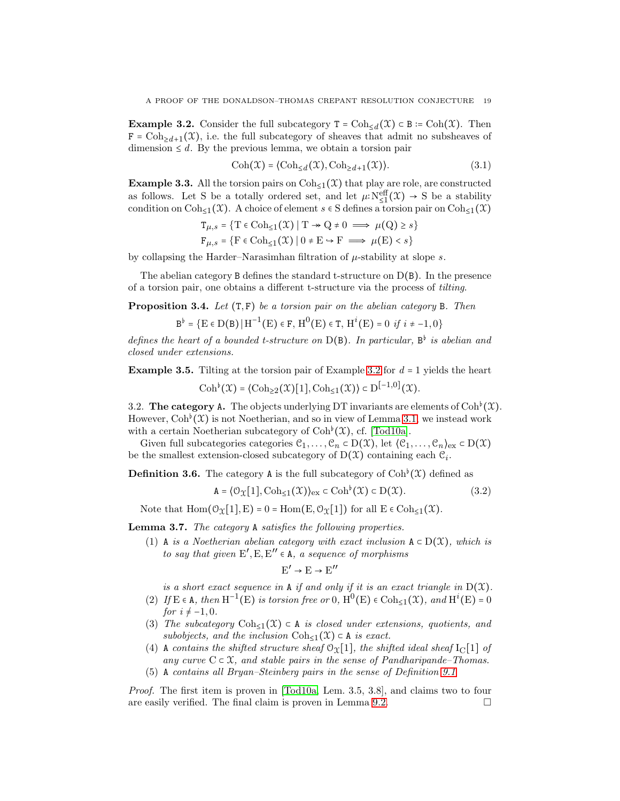<span id="page-18-0"></span>**Example 3.2.** Consider the full subcategory  $T = \text{Coh}_{\leq d}(\mathcal{X}) \subset B := \text{Coh}(\mathcal{X})$ . Then  $F = \text{Coh}_{\geq d+1}(\mathfrak{X})$ , i.e. the full subcategory of sheaves that admit no subsheaves of dimension  $\leq d$ . By the previous lemma, we obtain a torsion pair

$$
Coh(\mathfrak{X}) = \langle Coh_{\leq d}(\mathfrak{X}), Coh_{\geq d+1}(\mathfrak{X}) \rangle.
$$
 (3.1)

**Example 3.3.** All the torsion pairs on  $\text{Coh}_{\leq 1}(\mathcal{X})$  that play are role, are constructed as follows. Let S be a totally ordered set, and let  $\mu: N_{\leq 1}^{\text{eff}}(\mathfrak{X}) \to S$  be a stability condition on  $\text{Coh}_{\leq 1}(\mathfrak{X})$ . A choice of element  $s \in S$  defines a torsion pair on  $\text{Coh}_{\leq 1}(\mathfrak{X})$ 

$$
T_{\mu,s} = \{ T \in \text{Coh}_{\leq 1}(\mathcal{X}) \mid T \to Q \neq 0 \implies \mu(Q) \geq s \}
$$
  

$$
F_{\mu,s} = \{ F \in \text{Coh}_{\leq 1}(\mathcal{X}) \mid 0 \neq E \to F \implies \mu(E) < s \}
$$

by collapsing the Harder–Narasimhan filtration of  $\mu$ -stability at slope s.

The abelian category  $B$  defines the standard t-structure on  $D(B)$ . In the presence of a torsion pair, one obtains a different t-structure via the process of tilting.

**Proposition 3.4.** Let  $(T, F)$  be a torsion pair on the abelian category B. Then

$$
B^{\flat}=\bigl\{E\in D(B)\,\big|\,H^{-1}\bigl(E\bigr)\in F,\,H^{0}\bigl(E\bigr)\in T,\,H^{i}\bigl(E\bigr)=0\ \, if\,\,i\neq -1,0\bigr\}
$$

defines the heart of a bounded t-structure on  $D(B)$ . In particular,  $B^{\flat}$  is abelian and closed under extensions.

<span id="page-18-1"></span>**Example 3.5.** Tilting at the torsion pair of Example [3.2](#page-18-0) for  $d = 1$  yields the heart  $\mathrm{Coh}^{\flat}(\mathfrak{X}) = \langle \mathrm{Coh}_{\geq 2}(\mathfrak{X})[1], \mathrm{Coh}_{\leq 1}(\mathfrak{X}) \rangle \subset D^{[-1,0]}(\mathfrak{X}).$ 

3.2. The category A. The objects underlying DT invariants are elements of  $Coh<sup>b</sup>(\mathfrak{X})$ . However,  $\text{Coh}^{\flat}(\mathcal{X})$  is not Noetherian, and so in view of Lemma [3.1,](#page-17-0) we instead work with a certain Noetherian subcategory of  $Coh<sup>b</sup>(X)$ , cf. [\[Tod10a\]](#page-65-0).

Given full subcategories categories  $\mathcal{C}_1, \ldots, \mathcal{C}_n \subset D(\mathcal{X})$ , let  $\langle \mathcal{C}_1, \ldots, \mathcal{C}_n \rangle_{\text{ex}} \subset D(\mathcal{X})$ be the smallest extension-closed subcategory of  $D(\mathcal{X})$  containing each  $\mathcal{C}_i$ .

**Definition 3.6.** The category A is the full subcategory of  $\text{Coh}^{\flat}(\mathcal{X})$  defined as

$$
\mathbf{A} = \langle \mathcal{O}_{\mathcal{X}}[1], \mathrm{Coh}_{\leq 1}(\mathcal{X}) \rangle_{\mathrm{ex}} \subset \mathrm{Coh}^{\flat}(\mathcal{X}) \subset \mathrm{D}(\mathcal{X}). \tag{3.2}
$$

Note that  $\text{Hom}(\mathcal{O}_{\mathfrak{X}}[1], E) = 0 = \text{Hom}(E, \mathcal{O}_{\mathfrak{X}}[1])$  for all  $E \in \text{Coh}_{\leq 1}(\mathfrak{X})$ .

Lemma 3.7. The category A satisfies the following properties.

(1) A is a Noetherian abelian category with exact inclusion  $A \subset D(X)$ , which is to say that given  $E', E, E'' \in A$ , a sequence of morphisms

 $E' \rightarrow E \rightarrow E''$ 

is a short exact sequence in A if and only if it is an exact triangle in  $D(\mathfrak{X})$ .

- (2) If  $E \in A$ , then  $H^{-1}(E)$  is torsion free or 0,  $H^0(E) \in \text{Coh}_{\leq 1}(\mathfrak{X})$ , and  $H^i(E) = 0$ for  $i \neq -1, 0$ .
- (3) The subcategory Coh<sub>≤1</sub>(X)  $\subset$  A is closed under extensions, quotients, and subobjects, and the inclusion  $\text{Coh}_{\leq 1}(\mathfrak{X}) \subset A$  is exact.
- (4) A contains the shifted structure sheaf  $O_x[1]$ , the shifted ideal sheaf  $I_c[1]$  of any curve  $C \subset \mathfrak{X}$ , and stable pairs in the sense of Pandharipande–Thomas.
- (5) A contains all Bryan–Steinberg pairs in the sense of Definition [9.1](#page-52-1)

Proof. The first item is proven in [\[Tod10a,](#page-65-0) Lem. 3.5, 3.8], and claims two to four are easily verified. The final claim is proven in Lemma [9.2.](#page-52-2)  $\Box$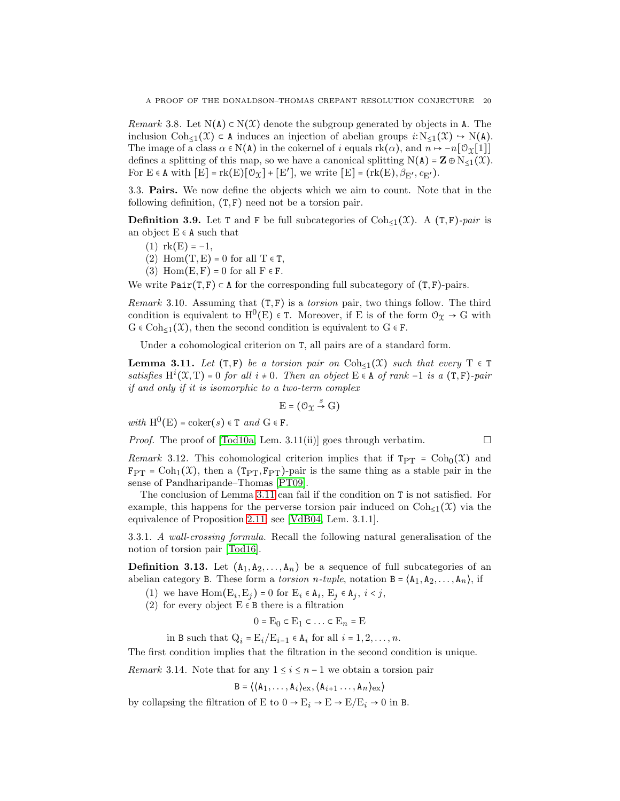Remark 3.8. Let  $N(A) \subset N(X)$  denote the subgroup generated by objects in A. The inclusion  $\text{Coh}_{\leq 1}(\mathfrak{X}) \subset A$  induces an injection of abelian groups  $i:\mathrm{N}_{\leq 1}(\mathfrak{X}) \to \mathrm{N}(A)$ . The image of a class  $\alpha \in N(A)$  in the cokernel of i equals  $rk(\alpha)$ , and  $n \mapsto -n[0 \chi[1]]$ defines a splitting of this map, so we have a canonical splitting  $N(A) = \mathbf{Z} \oplus N_{\leq 1}(\mathcal{X})$ . For  $E \in A$  with  $[E] = \text{rk}(E)[O_{X}] + [E'],$  we write  $[E] = (\text{rk}(E), \beta_{E'}, \beta_{E'})$ .

3.3. Pairs. We now define the objects which we aim to count. Note that in the following definition, (T, F) need not be a torsion pair.

<span id="page-19-1"></span>**Definition 3.9.** Let T and F be full subcategories of  $\text{Coh}_{\leq 1}(\mathcal{X})$ . A  $(T, F)$ -pair is an object  $E \in A$  such that

- $(1)$  rk $(E) = -1$ ,
- (2) Hom $(T, E) = 0$  for all  $T \in T$ ,
- (3) Hom $(E, F) = 0$  for all  $F \in F$ .

We write  $Pair(T, F) \subset A$  for the corresponding full subcategory of  $(T, F)$ -pairs.

*Remark* 3.10. Assuming that  $(T, F)$  is a *torsion* pair, two things follow. The third condition is equivalent to  $H^0(E) \in \mathcal{T}$ . Moreover, if E is of the form  $\mathcal{O}_{\mathcal{X}} \to G$  with  $G \in \text{Coh}_{\leq 1}(\mathfrak{X})$ , then the second condition is equivalent to  $G \in \mathbf{F}$ .

Under a cohomological criterion on T, all pairs are of a standard form.

<span id="page-19-0"></span>**Lemma 3.11.** Let  $(T, F)$  be a torsion pair on Coh<sub> $\leq 1$ </sub> $(\mathcal{X})$  such that every  $T \in T$ satisfies  $H^i(\mathfrak{X}, T) = 0$  for all  $i \neq 0$ . Then an object  $E \in A$  of rank -1 is a  $(T, F)$ -pair if and only if it is isomorphic to a two-term complex

$$
E = (\mathcal{O}_{\mathfrak{X}} \stackrel{s}{\to} G)
$$

with  $H^0(E) = \text{coker}(s) \in T$  and  $G \in F$ .

*Proof.* The proof of [\[Tod10a,](#page-65-0) Lem. 3.11(ii)] goes through verbatim.  $\square$ 

Remark 3.12. This cohomological criterion implies that if  $T_{PT} = \text{Coh}_0(\mathfrak{X})$  and  $F_{PT} = \text{Coh}_{1}(\mathcal{X})$ , then a  $(T_{PT}, F_{PT})$ -pair is the same thing as a stable pair in the sense of Pandharipande–Thomas [\[PT09\]](#page-64-1).

The conclusion of Lemma [3.11](#page-19-0) can fail if the condition on T is not satisfied. For example, this happens for the perverse torsion pair induced on  $Coh_{\leq 1}(\mathfrak{X})$  via the equivalence of Proposition [2.11;](#page-14-1) see [\[VdB04,](#page-65-5) Lem. 3.1.1].

3.3.1. A wall-crossing formula. Recall the following natural generalisation of the notion of torsion pair [\[Tod16\]](#page-65-2).

**Definition 3.13.** Let  $(A_1, A_2, \ldots, A_n)$  be a sequence of full subcategories of an abelian category B. These form a *torsion n-tuple*, notation  $B = \langle A_1, A_2, \ldots, A_n \rangle$ , if

- (1) we have  $Hom(E_i, E_j) = 0$  for  $E_i \in A_i$ ,  $E_j \in A_j$ ,  $i < j$ ,
- (2) for every object  $E \in B$  there is a filtration

 $0 = E_0 \subset E_1 \subset \ldots \subset E_n = E$ 

in B such that  $Q_i = E_i/E_{i-1} \in A_i$  for all  $i = 1, 2, ..., n$ .

The first condition implies that the filtration in the second condition is unique.

*Remark* 3.14. Note that for any  $1 \leq i \leq n-1$  we obtain a torsion pair

$$
B = \langle \langle A_1, \ldots, A_i \rangle_{\text{ex}}, \langle A_{i+1} \ldots, A_n \rangle_{\text{ex}} \rangle
$$

by collapsing the filtration of E to  $0 \to \mathcal{E}_i \to \mathcal{E} \to \mathcal{E} / \mathcal{E}_i \to 0$  in B.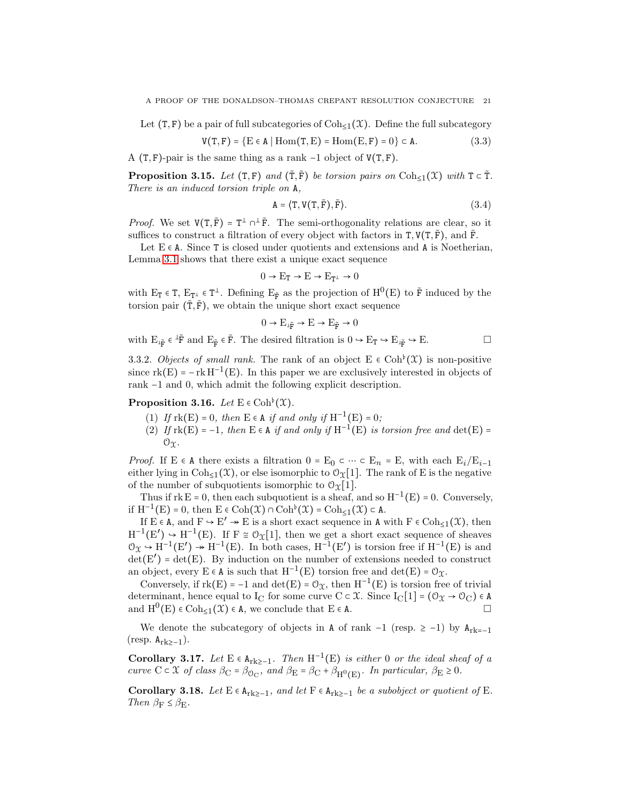Let  $(T, F)$  be a pair of full subcategories of  $\text{Coh}_{\leq 1}(\mathfrak{X})$ . Define the full subcategory

$$
V(T, F) = \{ E \in A \mid \text{Hom}(T, E) = \text{Hom}(E, F) = 0 \} \subset A. \tag{3.3}
$$

A  $(T, F)$ -pair is the same thing as a rank -1 object of  $V(T, F)$ .

<span id="page-20-1"></span>**Proposition 3.15.** Let  $(T, \mathbf{F})$  and  $(\tilde{T}, \tilde{F})$  be torsion pairs on Coh<sub>≤1</sub>(X) with  $T \subset \tilde{T}$ . There is an induced torsion triple on A,

$$
A = \langle T, V(T, \tilde{F}), \tilde{F} \rangle. \tag{3.4}
$$

*Proof.* We set  $V(T, \tilde{F}) = T^{\perp} \cap^{\perp} \tilde{F}$ . The semi-orthogonality relations are clear, so it suffices to construct a filtration of every object with factors in  $T, V(T, \tilde{F})$ , and  $\tilde{F}$ .

Let  $E \in A$ . Since T is closed under quotients and extensions and A is Noetherian, Lemma [3.1](#page-17-0) shows that there exist a unique exact sequence

$$
0 \to E_T \to E \to E_{T^{\perp}} \to 0
$$

with  $E_T \in T$ ,  $E_{T^{\perp}} \in T^{\perp}$ . Defining  $E_{\tilde{F}}$  as the projection of  $H^0(E)$  to  $\tilde{F}$  induced by the torsion pair  $(\tilde{T}, \tilde{F})$ , we obtain the unique short exact sequence

$$
0 \to E_{\text{L} \tilde{\textbf{F}}} \to E \to E_{\tilde{\textbf{F}}} \to 0
$$

with  $E_{\dot{\mathbf{F}}} \in {}^{\perp}\tilde{\mathbf{F}}$  and  $E_{\tilde{\mathbf{F}}} \in \tilde{\mathbf{F}}$ . The desired filtration is  $0 \to E_T \to E_{\dot{\mathbf{F}}} \to E$ .

3.3.2. Objects of small rank. The rank of an object  $E \in \mathrm{Coh}^{\flat}(\mathcal{X})$  is non-positive since  $rk(E) = -rk H^{-1}(E)$ . In this paper we are exclusively interested in objects of rank −1 and 0, which admit the following explicit description.

<span id="page-20-0"></span>**Proposition 3.16.** Let  $E \in \mathrm{Coh}^{\flat}(\mathfrak{X})$ .

- (1) If  $rk(E) = 0$ , then  $E \in A$  if and only if  $H^{-1}(E) = 0$ ;
- (2) If  $rk(E) = -1$ , then  $E \in A$  if and only if  $H^{-1}(E)$  is torsion free and  $det(E) =$  $\mathcal{O}_\Upsilon$ .

*Proof.* If E ∈ A there exists a filtration  $0 = E_0 \subset \cdots \subset E_n = E$ , with each  $E_i / E_{i-1}$ either lying in  $\text{Coh}_{\leq 1}(\mathfrak{X})$ , or else isomorphic to  $\mathfrak{O}_{\mathfrak{X}}[1]$ . The rank of E is the negative of the number of subquotients isomorphic to  $\mathcal{O}_\Upsilon[1]$ .

Thus if  $rk E = 0$ , then each subquotient is a sheaf, and so  $H^{-1}(E) = 0$ . Conversely, if  $H^{-1}(E) = 0$ , then  $E \in \text{Coh}(\mathcal{X}) \cap \text{Coh}^{\flat}(\mathcal{X}) = \text{Coh}_{\leq 1}(\mathcal{X}) \subset A$ .

If  $E \in A$ , and  $F \to E' \twoheadrightarrow E$  is a short exact sequence in A with  $F \in \text{Coh}_{\leq 1}(\mathfrak{X})$ , then  $H^{-1}(E') \rightarrow H^{-1}(E)$ . If  $F \cong \mathcal{O}_X[1]$ , then we get a short exact sequence of sheaves  $\mathcal{O}_{\mathfrak{X}} \to H^{-1}(E') \to H^{-1}(E)$ . In both cases,  $H^{-1}(E')$  is torsion free if  $H^{-1}(E)$  is and  $\det(E')$  =  $\det(E)$ . By induction on the number of extensions needed to construct an object, every  $E \in A$  is such that  $H^{-1}(E)$  torsion free and  $det(E) = \mathcal{O}_{\mathcal{X}}$ .

Conversely, if  $rk(E) = -1$  and  $det(E) = \mathcal{O}_X$ , then  $H^{-1}(E)$  is torsion free of trivial determinant, hence equal to I<sub>C</sub> for some curve  $C \subset \mathcal{X}$ . Since I<sub>C</sub>[1] = ( $\mathcal{O}_{\mathcal{X}} \to \mathcal{O}_{C}$ )  $\in A$ and  $\mathrm{H}^{0}(\mathrm{E}) \in \mathrm{Coh}_{\leq 1}(\mathfrak{X}) \in \mathbb{A}$ , we conclude that  $\mathrm{E} \in \mathbb{A}$ .

We denote the subcategory of objects in A of rank  $-1$  (resp.  $\geq -1$ ) by  $A_{rk=-1}$ (resp.  $\mathtt{A_{rk\geq -1}}).$ 

Corollary 3.17. Let  $E \in A_{rk\geq -1}$ . Then  $H^{-1}(E)$  is either 0 or the ideal sheaf of a curve  $C \subset \mathfrak{X}$  of class  $\beta_C = \beta_{O_C}$ , and  $\beta_E = \beta_C + \beta_{H^0(E)}$ . In particular,  $\beta_E \ge 0$ .

<span id="page-20-2"></span>Corollary 3.18. Let  $E \in A_{rk\geq -1}$ , and let  $F \in A_{rk\geq -1}$  be a subobject or quotient of E. Then  $\beta_F \leq \beta_E$ .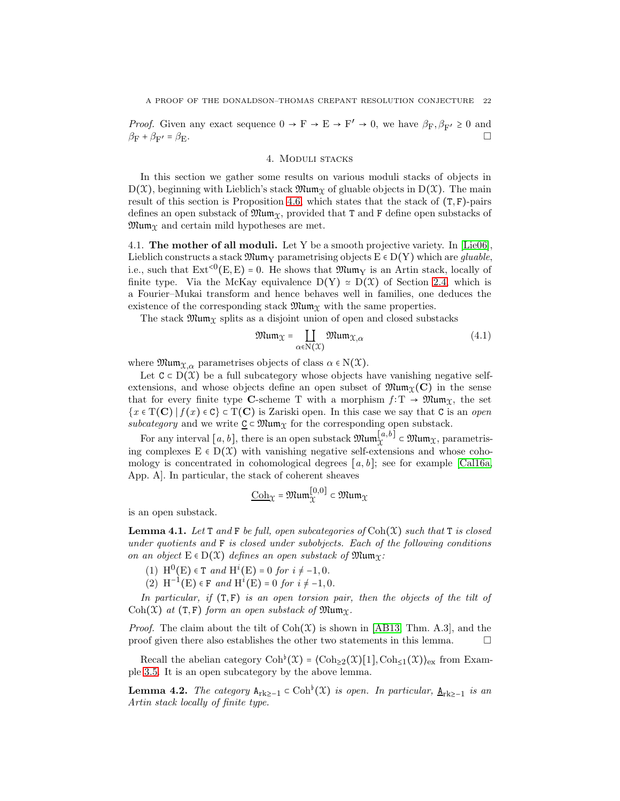*Proof.* Given any exact sequence  $0 \to F \to E \to F' \to 0$ , we have  $\beta_F, \beta_{F'} \ge 0$  and  $\beta_{\rm F} + \beta_{\rm F'} = \beta_{\rm E}.$  $\alpha = \beta_{\rm E}$ .

#### 4. Moduli stacks

In this section we gather some results on various moduli stacks of objects in  $D(\mathcal{X})$ , beginning with Lieblich's stack  $\mathfrak{Mum}_{\mathcal{X}}$  of gluable objects in  $D(\mathcal{X})$ . The main result of this section is Proposition [4.6,](#page-22-0) which states that the stack of  $(T, F)$ -pairs defines an open substack of  $\mathfrak{Mum}_\mathfrak{X}$ , provided that T and F define open substacks of  $\mathfrak{Mum}_{\mathfrak{X}}$  and certain mild hypotheses are met.

4.1. The mother of all moduli. Let Y be a smooth projective variety. In [\[Lie06\]](#page-64-23), Lieblich constructs a stack  $\mathfrak{Mum}_Y$  parametrising objects  $E \in D(Y)$  which are *gluable*, i.e., such that  $\text{Ext}^{<0}(\text{E}, \text{E}) = 0$ . He shows that  $\mathfrak{Mum}_Y$  is an Artin stack, locally of finite type. Via the McKay equivalence  $D(Y) \approx D(X)$  of Section [2.4,](#page-13-1) which is a Fourier–Mukai transform and hence behaves well in families, one deduces the existence of the corresponding stack  $\mathfrak{Mum}_{\mathfrak{X}}$  with the same properties.

The stack  $\mathfrak{Mum}_{\mathfrak{X}}$  splits as a disjoint union of open and closed substacks

$$
\mathfrak{Mum}_{\mathcal{X}} = \coprod_{\alpha \in \mathbb{N}(\mathcal{X})} \mathfrak{Mum}_{\mathcal{X}, \alpha} \tag{4.1}
$$

where  $\mathfrak{Mum}_{\mathfrak{X},\alpha}$  parametrises objects of class  $\alpha \in N(\mathfrak{X})$ .

Let  $C \subset D(\mathcal{X})$  be a full subcategory whose objects have vanishing negative selfextensions, and whose objects define an open subset of  $\mathfrak{Mum}_{\mathfrak{X}}(C)$  in the sense that for every finite type C-scheme T with a morphism  $f: T \to \mathfrak{Mum}_\mathfrak{X}$ , the set  ${x \in T(C) | f(x) \in C} \subset T(C)$  is Zariski open. In this case we say that C is an *open* subcategory and we write  $\underline{C} \subset \mathfrak{Mum}_{\mathfrak{X}}$  for the corresponding open substack.

For any interval  $[a, b]$ , there is an open substack  $\mathfrak{Mum}_{\mathfrak{X}}^{[a,b]} \subset \mathfrak{Mum}_{\mathfrak{X}}$ , parametrising complexes  $E \in D(\mathcal{X})$  with vanishing negative self-extensions and whose cohomology is concentrated in cohomological degrees  $[a, b]$ ; see for example [\[Cal16a,](#page-64-3) App. A]. In particular, the stack of coherent sheaves

$$
\underline{\mathrm{Coh}}_{\mathfrak{X}} = \mathfrak{Mum}_{\mathfrak{X}}^{[0,0]} \subset \mathfrak{Mum}_{\mathfrak{X}}
$$

is an open substack.

<span id="page-21-0"></span>**Lemma 4.1.** Let T and F be full, open subcategories of  $\text{Coh}(\mathcal{X})$  such that T is closed under quotients and  $\bf{F}$  is closed under subobjects. Each of the following conditions on an object  $E \in D(\mathcal{X})$  defines an open substack of  $\mathfrak{Mum}_{\Upsilon}$ :

(1) H<sup>0</sup>(E) ∈ T and H<sup>i</sup>(E) = 0 for i  $\neq$  -1, 0.

(2)  $H^{-1}(E) \in F$  and  $H^{\lambda}(E) = 0$  for  $i \neq -1, 0$ .

In particular, if  $(T, F)$  is an open torsion pair, then the objects of the tilt of Coh(X) at  $(T, F)$  form an open substack of Mum $_{\Upsilon}$ .

*Proof.* The claim about the tilt of  $Coh(\mathcal{X})$  is shown in [\[AB13,](#page-63-4) Thm. A.3], and the proof given there also establishes the other two statements in this lemma.  $\Box$ 

Recall the abelian category  $\text{Coh}^{\flat}(\mathfrak{X}) = \langle \text{Coh}_{\geq 2}(\mathfrak{X})[1], \text{Coh}_{\leq 1}(\mathfrak{X}) \rangle_{\text{ex}}$  from Example [3.5.](#page-18-1) It is an open subcategory by the above lemma.

**Lemma 4.2.** The category  $A_{rk\geq -1} \subset \text{Coh}^{\flat}(\mathfrak{X})$  is open. In particular,  $\underline{A}_{rk\geq -1}$  is an Artin stack locally of finite type.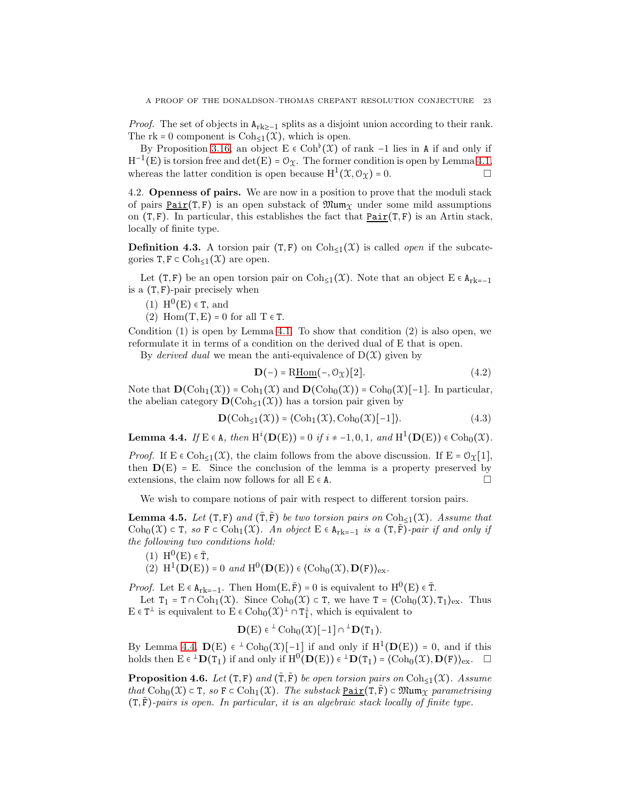*Proof.* The set of objects in  $A_{rk\geq -1}$  splits as a disjoint union according to their rank. The rk = 0 component is  $Coh<sub>≤1</sub>(X)$ , which is open.

By Proposition [3.16,](#page-20-0) an object  $E \in \mathrm{Coh}^{b}(\mathfrak{X})$  of rank -1 lies in A if and only if  $H^{-1}(E)$  is torsion free and  $det(E) = \mathcal{O}_{\mathfrak{X}}$ . The former condition is open by Lemma [4.1,](#page-21-0) whereas the latter condition is open because  $H^1(\mathfrak{X}, \mathcal{O}_{\mathfrak{X}}) = 0.$ 

4.2. Openness of pairs. We are now in a position to prove that the moduli stack of pairs  $Pair(T, F)$  is an open substack of  $\mathfrak{Mum}_{\mathcal{X}}$  under some mild assumptions</u> on  $(T, F)$ . In particular, this establishes the fact that  $Pair(T, F)$  is an Artin stack,</u> locally of finite type.

**Definition 4.3.** A torsion pair  $(T, F)$  on  $Coh_{\leq 1}(\mathcal{X})$  is called *open* if the subcategories  $T, F \subset \text{Coh}_{\leq 1}(\mathfrak{X})$  are open.

Let (T, F) be an open torsion pair on Coh<sub>≤1</sub>( $\mathfrak{X}$ ). Note that an object E  $\in$  A<sub>rk=-1</sub> is a  $(T, F)$ -pair precisely when

- (1)  $H^0(E) \in T$ , and
- (2) Hom $(T, E) = 0$  for all  $T \in T$ .

Condition  $(1)$  is open by Lemma [4.1.](#page-21-0) To show that condition  $(2)$  is also open, we reformulate it in terms of a condition on the derived dual of E that is open.

By *derived dual* we mean the anti-equivalence of  $D(\mathcal{X})$  given by

$$
\mathbf{D}(-) = \text{R}\underline{\text{Hom}}(-, \mathcal{O}_{\mathcal{X}})[2].\tag{4.2}
$$

Note that  $\mathbf{D}(\mathrm{Coh}_1(\mathfrak{X})) = \mathrm{Coh}_1(\mathfrak{X})$  and  $\mathbf{D}(\mathrm{Coh}_0(\mathfrak{X})) = \mathrm{Coh}_0(\mathfrak{X})[-1]$ . In particular, the abelian category  $\mathbf{D}(\mathrm{Coh}_{\leq 1}(\mathfrak{X}))$  has a torsion pair given by

<span id="page-22-3"></span>
$$
\mathbf{D}(\mathrm{Coh}_{\leq 1}(\mathfrak{X})) = \langle \mathrm{Coh}_{1}(\mathfrak{X}), \mathrm{Coh}_{0}(\mathfrak{X})[-1] \rangle. \tag{4.3}
$$

<span id="page-22-1"></span>**Lemma 4.4.** *If* E ∈ A, *then*  $H^{i}(\mathbf{D}(E)) = 0$  *if*  $i \neq -1, 0, 1$ , *and*  $H^{1}(\mathbf{D}(E)) \in \text{Coh}_{0}(\mathcal{X})$ *.* 

*Proof.* If  $E \in \text{Coh}_{\leq 1}(\mathfrak{X})$ , the claim follows from the above discussion. If  $E = \mathcal{O}_{\mathfrak{X}}[1]$ , then  $D(E) = E$ . Since the conclusion of the lemma is a property preserved by extensions, the claim now follows for all  $E \in A$ .

We wish to compare notions of pair with respect to different torsion pairs.

<span id="page-22-2"></span>**Lemma 4.5.** Let  $(T, F)$  and  $(\tilde{T}, \tilde{F})$  be two torsion pairs on  $\text{Coh}_{\leq 1}(\mathfrak{X})$ . Assume that Coh<sub>0</sub>( $X$ ) ⊂ T, so F ⊂ Coh<sub>1</sub>( $X$ ). An object E ∈ A<sub>rk=-1</sub> is a (T,F)-pair if and only if the following two conditions hold:

- (1)  $H^0(E) \in \tilde{T}$ ,
- (2)  $H^1(D(E)) = 0$  and  $H^0(D(E)) \in \langle \text{Coh}_0(\mathfrak{X}), D(F) \rangle_{\text{ex}}$ .

*Proof.* Let  $E \in A_{rk=-1}$ . Then  $Hom(E, \tilde{F}) = 0$  is equivalent to  $H^0(E) \in \tilde{T}$ .

Let  $T_1 = T \cap \text{Coh}_1(\mathfrak{X})$ . Since  $\text{Coh}_0(\mathfrak{X}) \subset T$ , we have  $T = \langle \text{Coh}_0(\mathfrak{X}), T_1 \rangle_{\text{ex}}$ . Thus  $E \in T^{\perp}$  is equivalent to  $E \in \text{Coh}_0(\mathfrak{X})^{\perp} \cap T_1^{\perp}$ , which is equivalent to

$$
\mathbf{D}(E) \in {}^\perp \operatorname{Coh}_0(\mathfrak{X})[-1] \cap {}^\perp \mathbf{D}(\mathtt{T}_1).
$$

By Lemma [4.4,](#page-22-1)  $\mathbf{D}(E) \in {}^{\perp} \text{Coh}_0(\mathcal{X})[-1]$  if and only if  $H^1(\mathbf{D}(E)) = 0$ , and if this holds then  $E \in {}^{\perp}D(T_1)$  if and only if  $H^0(D(E)) \in {}^{\perp}D(T_1) = \langle \text{Coh}_0(\mathfrak{X}), D(F) \rangle_{\text{ex}}.$ 

<span id="page-22-0"></span>**Proposition 4.6.** Let  $(T, F)$  and  $(\tilde{T}, \tilde{F})$  be open torsion pairs on  $Coh_{\leq 1}(\mathfrak{X})$ . Assume that  $\text{Coh}_0(\mathfrak{X}) \subset \mathbf{T}$ , so  $\mathbf{F} \subset \text{Coh}_1(\mathfrak{X})$ . The substack  $\text{Pair}(\mathbf{T}, \mathbf{F}) \subset \mathfrak{Mum}_{\Upsilon}$  parametrising  $(T, \tilde{F})$ -pairs is open. In particular, it is an algebraic stack locally of finite type.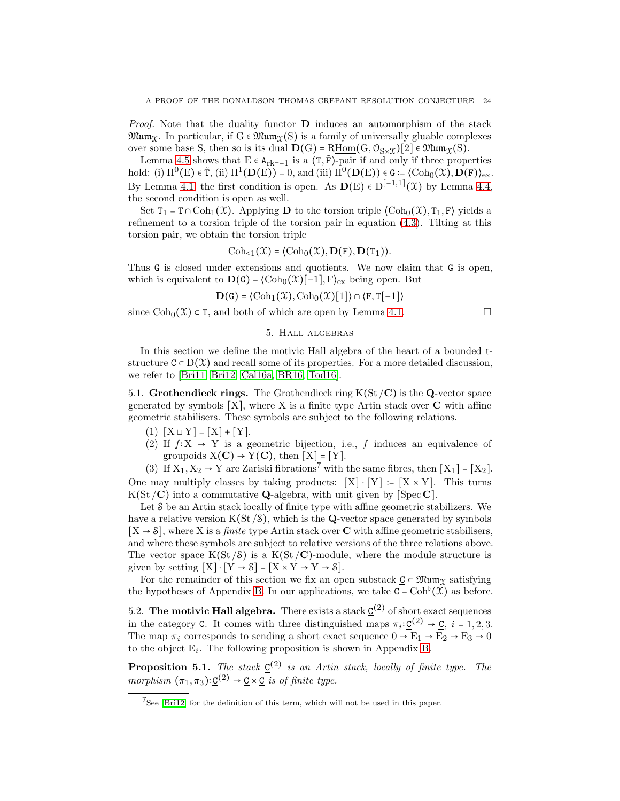*Proof.* Note that the duality functor  $\bf{D}$  induces an automorphism of the stack  $\mathfrak{Mum}_{\mathfrak{X}}$ . In particular, if  $G \in \mathfrak{Mum}_{\mathfrak{X}}(S)$  is a family of universally gluable complexes over some base S, then so is its dual  $\mathbf{D}(G) = R\underline{\mathrm{Hom}}(G, \mathbb{O}_{S\times\mathfrak{X}})[2] \in \mathfrak{Mum}_{\mathfrak{X}}(S)$ .

Lemma [4.5](#page-22-2) shows that  $E \in A_{rk=-1}$  is a  $(T, \tilde{F})$ -pair if and only if three properties  $\mathrm{hold}\colon \mathrm{(i)}\ \mathrm{H}^{0}(\mathrm{E})\in \tilde{\mathrm{T}}, \ \mathrm{(ii)}\ \mathrm{H}^{1}(\mathbf{D}(\mathrm{E}))=0, \ \mathrm{and} \ \mathrm{(iii)}\ \mathrm{H}^{0}(\mathbf{D}(\mathrm{E}))\in \mathrm{G}:=\langle \mathrm{Coh}_{0}(\mathfrak{X}),\mathbf{D}(\mathrm{F})\rangle_{\mathrm{ex}}.$ By Lemma [4.1,](#page-21-0) the first condition is open. As  $\mathbf{D}(E) \in D^{[-1,1]}(\mathcal{X})$  by Lemma [4.4,](#page-22-1) the second condition is open as well.

Set  $T_1 = T \cap \text{Coh}_1(\mathfrak{X})$ . Applying **D** to the torsion triple  $(\text{Coh}_0(\mathfrak{X}), T_1, F)$  yields a refinement to a torsion triple of the torsion pair in equation [\(4.3\)](#page-22-3). Tilting at this torsion pair, we obtain the torsion triple

$$
\mathrm{Coh}_{\leq 1}(\mathfrak{X}) = \langle \mathrm{Coh}_0(\mathfrak{X}), \mathbf{D}(\mathtt{F}), \mathbf{D}(\mathtt{T}_1) \rangle.
$$

Thus G is closed under extensions and quotients. We now claim that G is open, which is equivalent to  $\mathbf{D}(\mathbf{G}) = \langle \text{Coh}_0(\mathbf{\mathcal{X}})[-1], \mathbf{F} \rangle_{\text{ex}}$  being open. But

$$
\mathbf{D}(\mathtt{G}) = \langle \mathrm{Coh}_1(\mathfrak{X}), \mathrm{Coh}_0(\mathfrak{X})[1] \rangle \cap \langle \mathtt{F}, \mathtt{T}[-1] \rangle
$$

since  $\text{Coh}_0(\mathcal{X}) \subset \mathcal{T}$ , and both of which are open by Lemma [4.1.](#page-21-0)

# 5. Hall algebras

In this section we define the motivic Hall algebra of the heart of a bounded tstructure  $C \subset D(\mathcal{X})$  and recall some of its properties. For a more detailed discussion, we refer to [\[Bri11,](#page-64-2) [Bri12,](#page-64-24) [Cal16a,](#page-64-3) [BR16,](#page-64-25) [Tod16\]](#page-65-2).

5.1. Grothendieck rings. The Grothendieck ring  $K(St/C)$  is the Q-vector space generated by symbols  $[X]$ , where X is a finite type Artin stack over  $C$  with affine geometric stabilisers. These symbols are subject to the following relations.

- (1)  $[X ⊔ Y] = [X] + [Y].$
- (2) If  $f: X \rightarrow Y$  is a geometric bijection, i.e., f induces an equivalence of groupoids  $X(\mathbf{C}) \rightarrow Y(\mathbf{C})$ , then  $[X] = [Y]$ .

(3) If  $X_1, X_2 \rightarrow Y$  are Zariski fibrations<sup>7</sup> with the same fibres, then  $[X_1] = [X_2]$ . One may multiply classes by taking products:  $[X] \cdot [Y] := [X \times Y]$ . This turns  $K(St/C)$  into a commutative **Q**-algebra, with unit given by [Spec C].

Let S be an Artin stack locally of finite type with affine geometric stabilizers. We have a relative version  $K(St/8)$ , which is the **Q**-vector space generated by symbols  $[X \rightarrow \mathcal{S}]$ , where X is a *finite* type Artin stack over **C** with affine geometric stabilisers, and where these symbols are subject to relative versions of the three relations above. The vector space  $K(St/8)$  is a  $K(St/C)$ -module, where the module structure is given by setting  $[X] \cdot [Y \rightarrow S] = [X \times Y \rightarrow Y \rightarrow S].$ 

For the remainder of this section we fix an open substack  $\underline{C} \subset \mathfrak{Mum}_{\mathfrak{X}}$  satisfying the hypotheses of Appendix [B.](#page-57-0) In our applications, we take  $C = \text{Coh}^{\flat}(\mathfrak{X})$  as before.

5.2. The motivic Hall algebra. There exists a stack  $\underline{C}^{(2)}$  of short exact sequences in the category C. It comes with three distinguished maps  $\pi_i: \underline{C}^{(2)} \to \underline{C}, i = 1, 2, 3$ . The map  $\pi_i$  corresponds to sending a short exact sequence  $0 \to \mathrm{E}_1 \to \mathrm{E}_2 \to \mathrm{E}_3 \to 0$ to the object  $E_i$ . The following proposition is shown in Appendix [B.](#page-57-0)

<span id="page-23-0"></span>**Proposition 5.1.** The stack  $\underline{C}^{(2)}$  is an Artin stack, locally of finite type. The morphism  $(\pi_1, \pi_3): \underline{C}^{(2)} \to \underline{C} \times \underline{C}$  is of finite type.

 $7$ See [\[Bri12\]](#page-64-24) for the definition of this term, which will not be used in this paper.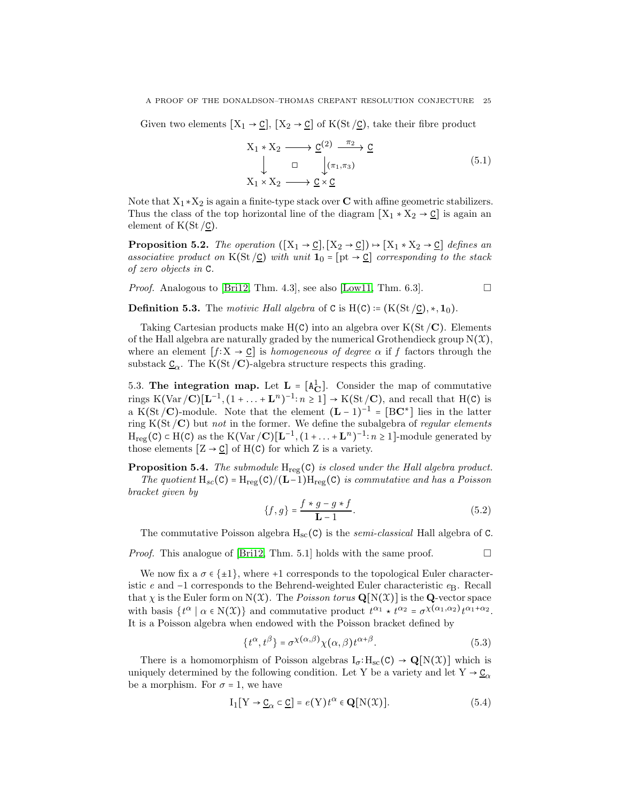Given two elements  $[X_1 \to \underline{C}]$ ,  $[X_2 \to \underline{C}]$  of  $K(St/\underline{C})$ , take their fibre product

$$
X_1 * X_2 \longrightarrow \underline{C}^{(2)} \xrightarrow{\pi_2} \underline{C}
$$
  
\n
$$
\downarrow \qquad \Box \qquad \qquad \downarrow (\pi_1, \pi_3)
$$
  
\n
$$
X_1 \times X_2 \longrightarrow \underline{C} \times \underline{C}
$$
\n(5.1)

Note that  $X_1 * X_2$  is again a finite-type stack over **C** with affine geometric stabilizers. Thus the class of the top horizontal line of the diagram  $[X_1 * X_2 \rightarrow \underline{C}]$  is again an element of  $K(St / C)$ .

**Proposition 5.2.** The operation  $([X_1 \rightarrow \underline{C}], [X_2 \rightarrow \underline{C}]) \rightarrow [X_1 \times X_2 \rightarrow \underline{C}]$  defines an associative product on K(St  $\angle$ C) with unit  $\mathbf{1}_0 = [\text{pt} \rightarrow \text{c}]$  corresponding to the stack of zero objects in C.

*Proof.* Analogous to [\[Bri12,](#page-64-24) Thm. 4.3], see also [\[Low11,](#page-64-26) Thm. 6.3].

**Definition 5.3.** The motivic Hall algebra of C is H(C) :=  $(K(St/C), *, 1_0)$ .

Taking Cartesian products make  $H(C)$  into an algebra over  $K(St/C)$ . Elements of the Hall algebra are naturally graded by the numerical Grothendieck group  $N(\mathcal{X})$ , where an element  $[f: X \to \underline{C}]$  is *homogeneous of degree*  $\alpha$  if f factors through the substack  $\underline{C}_{\alpha}$ . The K(St/**C**)-algebra structure respects this grading.

<span id="page-24-0"></span>5.3. The integration map. Let  $L = [A_C^1]$ . Consider the map of commutative rings K(Var/C)[ $\mathbf{L}^{-1}$ ,  $(1 + ... + \mathbf{L}^n)^{-1}$ :  $n \ge 1$ ]  $\rightarrow$  K(St/C), and recall that H(C) is a K(St/**C**)-module. Note that the element  $(L-1)^{-1} = [BC^*]$  lies in the latter ring  $K(St/C)$  but not in the former. We define the subalgebra of regular elements  $H_{reg}(C) \subset H(C)$  as the K(Var/C)[ $\mathbf{L}^{-1}$ ,  $(1 + ... + \mathbf{L}^n)^{-1}$ :  $n \ge 1$ ]-module generated by those elements  $[Z \to \underline{C}]$  of  $H(C)$  for which Z is a variety.

**Proposition 5.4.** The submodule  $H_{reg}(C)$  is closed under the Hall algebra product.

The quotient  $H_{sc}(C) = H_{reg}(C)/(L-1)H_{reg}(C)$  is commutative and has a Poisson bracket given by

$$
\{f, g\} = \frac{f * g - g * f}{L - 1}.
$$
\n(5.2)

The commutative Poisson algebra  $H_{sc}(C)$  is the *semi-classical* Hall algebra of C.

*Proof.* This analogue of [\[Bri12,](#page-64-24) Thm. 5.1] holds with the same proof.  $\Box$ 

We now fix a  $\sigma \in \{\pm 1\}$ , where +1 corresponds to the topological Euler characteristic e and  $-1$  corresponds to the Behrend-weighted Euler characteristic  $e_B$ . Recall that  $\chi$  is the Euler form on N(X). The *Poisson torus*  $\mathbf{Q}[N(\mathcal{X})]$  is the **Q**-vector space with basis  $\{t^{\alpha} \mid \alpha \in N(\mathfrak{X})\}$  and commutative product  $t^{\alpha_1} \star t^{\alpha_2} = \sigma^{\chi(\alpha_1, \alpha_2)} t^{\alpha_1 + \alpha_2}$ . It is a Poisson algebra when endowed with the Poisson bracket defined by

$$
\{t^{\alpha}, t^{\beta}\} = \sigma^{\chi(\alpha,\beta)}\chi(\alpha,\beta)t^{\alpha+\beta}.
$$
 (5.3)

There is a homomorphism of Poisson algebras  $I_{\sigma}: H_{\rm sc}(C) \to \mathbf{Q}[N(\mathfrak{X})]$  which is uniquely determined by the following condition. Let Y be a variety and let  $Y \rightarrow \underline{C}_{\alpha}$ be a morphism. For  $\sigma = 1$ , we have

$$
I_1[Y \to \underline{C}_{\alpha} \subset \underline{C}] = e(Y)t^{\alpha} \in \mathbf{Q}[N(\mathfrak{X})].
$$
\n(5.4)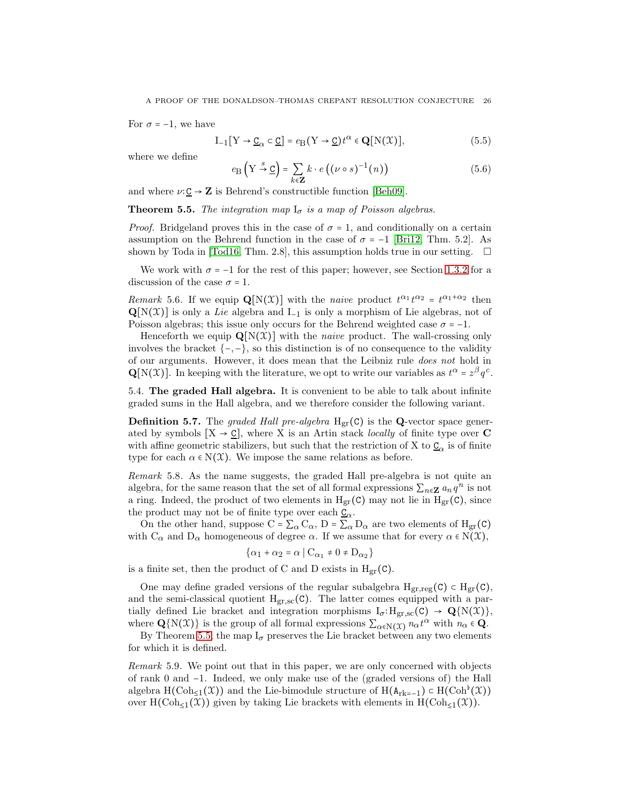For  $\sigma = -1$ , we have

<span id="page-25-2"></span>
$$
I_{-1}[Y \to \underline{C}_{\alpha} \subset \underline{C}] = e_{B}(Y \to \underline{C})t^{\alpha} \in \mathbf{Q}[N(\mathcal{X})],
$$
\n(5.5)

where we define

$$
e_{\mathcal{B}}\left(\mathcal{Y} \stackrel{s}{\to} \underline{\mathcal{C}}\right) = \sum_{k \in \mathbf{Z}} k \cdot e\left((\nu \circ s)^{-1}(n)\right) \tag{5.6}
$$

and where  $\nu: \mathbf{C} \to \mathbf{Z}$  is Behrend's constructible function [\[Beh09\]](#page-63-2).

<span id="page-25-1"></span>**Theorem 5.5.** The integration map  $I_{\sigma}$  is a map of Poisson algebras.

*Proof.* Bridgeland proves this in the case of  $\sigma = 1$ , and conditionally on a certain assumption on the Behrend function in the case of  $\sigma = -1$  [\[Bri12,](#page-64-24) Thm. 5.2]. As shown by Toda in [\[Tod16,](#page-65-2) Thm. 2.8], this assumption holds true in our setting.  $\square$ 

We work with  $\sigma = -1$  for the rest of this paper; however, see Section [1.3.2](#page-8-0) for a discussion of the case  $\sigma = 1$ .

<span id="page-25-0"></span>Remark 5.6. If we equip  $\mathbf{Q}[N(\mathcal{X})]$  with the naive product  $t^{\alpha_1}t^{\alpha_2} = t^{\alpha_1+\alpha_2}$  then  $\mathbf{Q}[N(\mathbf{\mathcal{X}})]$  is only a Lie algebra and  $I_{-1}$  is only a morphism of Lie algebras, not of Poisson algebras; this issue only occurs for the Behrend weighted case  $\sigma = -1$ .

Henceforth we equip  $\mathbf{Q}[N(\mathcal{X})]$  with the *naive* product. The wall-crossing only involves the bracket  $\{-,-\}$ , so this distinction is of no consequence to the validity of our arguments. However, it does mean that the Leibniz rule does not hold in  $\mathbf{Q}[N(\mathfrak{X})]$ . In keeping with the literature, we opt to write our variables as  $t^{\alpha} = z^{\beta} q^c$ .

5.4. The graded Hall algebra. It is convenient to be able to talk about infinite graded sums in the Hall algebra, and we therefore consider the following variant.

**Definition 5.7.** The graded Hall pre-algebra  $H_{gr}(C)$  is the Q-vector space generated by symbols  $[X \to \mathcal{C}]$ , where X is an Artin stack *locally* of finite type over C with affine geometric stabilizers, but such that the restriction of X to  $\underline{\mathsf{C}}_\alpha$  is of finite type for each  $\alpha \in N(\mathfrak{X})$ . We impose the same relations as before.

Remark 5.8. As the name suggests, the graded Hall pre-algebra is not quite an algebra, for the same reason that the set of all formal expressions  $\sum_{n\in\mathbf{Z}} a_n q^n$  is not a ring. Indeed, the product of two elements in  $H_{gr}(C)$  may not lie in  $H_{gr}(C)$ , since the product may not be of finite type over each  $\underline{C}_{\alpha}$ .

On the other hand, suppose C =  $\sum_{\alpha} C_{\alpha}$ , D =  $\sum_{\alpha} D_{\alpha}$  are two elements of H<sub>gr</sub>(C) with  $C_{\alpha}$  and  $D_{\alpha}$  homogeneous of degree  $\alpha$ . If we assume that for every  $\alpha \in N(\mathcal{X}),$ 

$$
\left\{\alpha_1+\alpha_2=\alpha\mid \mathrm C_{\alpha_1}\neq 0\neq \mathrm D_{\alpha_2}\right\}
$$

is a finite set, then the product of C and D exists in  $H_{gr}(C)$ .

One may define graded versions of the regular subalgebra  $H_{gr,reg}(C) \subset H_{gr}(C)$ , and the semi-classical quotient  $H_{gr,sc}(C)$ . The latter comes equipped with a partially defined Lie bracket and integration morphisms  $I_{\sigma}:H_{gr,sc}(C) \rightarrow \mathbf{Q}{N(\mathfrak{X})}$ , where  $\mathbf{Q}\{N(\mathfrak{X})\}$  is the group of all formal expressions  $\sum_{\alpha \in N(\mathfrak{X})} n_{\alpha} t^{\alpha}$  with  $n_{\alpha} \in \mathbf{Q}$ .

By Theorem [5.5,](#page-25-1) the map  $I_{\sigma}$  preserves the Lie bracket between any two elements for which it is defined.

Remark 5.9. We point out that in this paper, we are only concerned with objects of rank 0 and −1. Indeed, we only make use of the (graded versions of) the Hall algebra H(Coh<sub>≤1</sub>(X)) and the Lie-bimodule structure of H( $A_{rk=1}$ ) ⊂ H(Coh<sup> $\flat$ </sup>(X)) over H(Coh<sub><1</sub>(X)) given by taking Lie brackets with elements in H(Coh<sub><1</sub>(X)).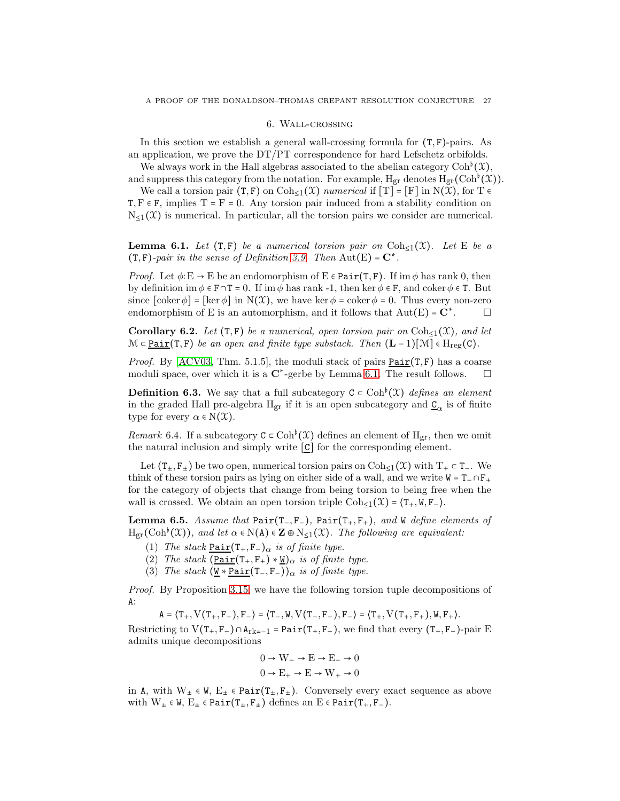#### 6. Wall-crossing

In this section we establish a general wall-crossing formula for  $(T, F)$ -pairs. As an application, we prove the DT/PT correspondence for hard Lefschetz orbifolds.

We always work in the Hall algebras associated to the abelian category  $\mathrm{Coh}^{\flat}(\mathfrak{X}),$ and suppress this category from the notation. For example,  $H_{gr}$  denotes  $H_{gr}(Coh^{\flat}(\mathcal{X}))$ .

We call a torsion pair  $(T, F)$  on  $Coh_{\leq 1}(\mathfrak{X})$  numerical if  $[T] = [F]$  in  $N(\mathfrak{X})$ , for  $T \in$  $T, F \in F$ , implies  $T = F = 0$ . Any torsion pair induced from a stability condition on  $N<sub>1</sub>(X)$  is numerical. In particular, all the torsion pairs we consider are numerical.

<span id="page-26-0"></span>**Lemma 6.1.** Let  $(T, F)$  be a numerical torsion pair on  $Coh_{\leq 1}(\mathfrak{X})$ . Let E be a  $(T, F)$ -pair in the sense of Definition [3.9.](#page-19-1) Then Aut $(E) = C^*$ .

*Proof.* Let  $\phi: E \to E$  be an endomorphism of  $E \in \text{Pair}(T, F)$ . If im  $\phi$  has rank 0, then by definition im  $\phi \in \mathbf{F} \cap \mathbf{T} = 0$ . If im  $\phi$  has rank -1, then ker  $\phi \in \mathbf{F}$ , and coker  $\phi \in \mathbf{T}$ . But since  $\lceil \operatorname{coker} \phi \rceil = \lceil \operatorname{ker} \phi \rceil$  in  $N(\mathcal{X})$ , we have  $\operatorname{ker} \phi = \operatorname{coker} \phi = 0$ . Thus every non-zero endomorphism of E is an automorphism, and it follows that  $Aut(E) = \mathbb{C}^*$ . . □

<span id="page-26-2"></span>Corollary 6.2. Let  $(T, F)$  be a numerical, open torsion pair on  $Coh_{\leq 1}(\mathfrak{X})$ , and let  $\mathcal{M} \subset \underline{\text{Pair}}(T, F)$  be an open and finite type substack. Then  $(L - 1)[\mathcal{M}] \in H_{reg}(C)$ .

*Proof.* By [\[ACV03,](#page-63-5) Thm. 5.1.5], the moduli stack of pairs  $Pair(T, F)$  has a coarse</u> moduli space, over which it is a  $\mathbb{C}^*$ -gerbe by Lemma [6.1.](#page-26-0) The result follows.  $\square$ 

**Definition 6.3.** We say that a full subcategory  $C \subset \text{Coh}^{\flat}(\mathcal{X})$  defines an element in the graded Hall pre-algebra  $\rm H_{gr}$  if it is an open subcategory and  $\underline{C}_{\alpha}$  is of finite type for every  $\alpha \in N(\mathfrak{X})$ .

*Remark* 6.4. If a subcategory  $C \subset \mathrm{Coh}^{b}(\mathcal{X})$  defines an element of H<sub>gr</sub>, then we omit the natural inclusion and simply write  $[\underline{C}]$  for the corresponding element.

Let  $(T_+, F_+)$  be two open, numerical torsion pairs on  $Coh_{\leq 1}(\mathfrak{X})$  with  $T_+ \subset T_-$ . We think of these torsion pairs as lying on either side of a wall, and we write  $W = T_0 \cap F_+$ for the category of objects that change from being torsion to being free when the wall is crossed. We obtain an open torsion triple  $\text{Coh}_{\leq 1}(\mathfrak{X}) = \langle T_+, W, F_- \rangle$ .

<span id="page-26-1"></span>Lemma 6.5. Assume that Pair(T<sub>−</sub>, F<sub>−</sub>), Pair(T<sub>+</sub>, F<sub>+</sub>), and W define elements of  $H_{gr}(Coh^{\flat}(\mathfrak{X}))$ , and let  $\alpha \in N(A) \in \mathbb{Z} \oplus N_{\leq 1}(\mathfrak{X})$ . The following are equivalent:

- (1) The stack  $Pair(T_+, F_-)_{\alpha}$  is of finite type.</u>
- (2) The stack  $(\underline{\text{Pair}}(T_+, F_+) * \underline{W})_{\alpha}$  is of finite type.
- (3) The stack  $(\Psi * \underline{Pair}(T_-, F_-))_{\alpha}$  is of finite type.

Proof. By Proposition [3.15,](#page-20-1) we have the following torsion tuple decompositions of A:

 $A = \langle T_+, V(T_+, F_-), F_- \rangle = \langle T_-, W, V(T_-, F_-), F_- \rangle = \langle T_+, V(T_+, F_+), W, F_+ \rangle.$ 

Restricting to  $V(T_+, F_-) \cap A_{rk=-1} = \text{Pair}(T_+, F_-)$ , we find that every  $(T_+, F_-)$ -pair E admits unique decompositions

$$
0 \to W_- \to E \to E_- \to 0
$$
  

$$
0 \to E_+ \to E \to W_+ \to 0
$$

in A, with  $W_{\pm} \in W$ ,  $E_{\pm} \in \text{Pair}(T_{\pm}, F_{\pm})$ . Conversely every exact sequence as above with  $W_{\pm} \in W$ ,  $E_{\pm} \in \text{Pair}(T_{\pm}, F_{\pm})$  defines an  $E \in \text{Pair}(T_{+}, F_{-})$ .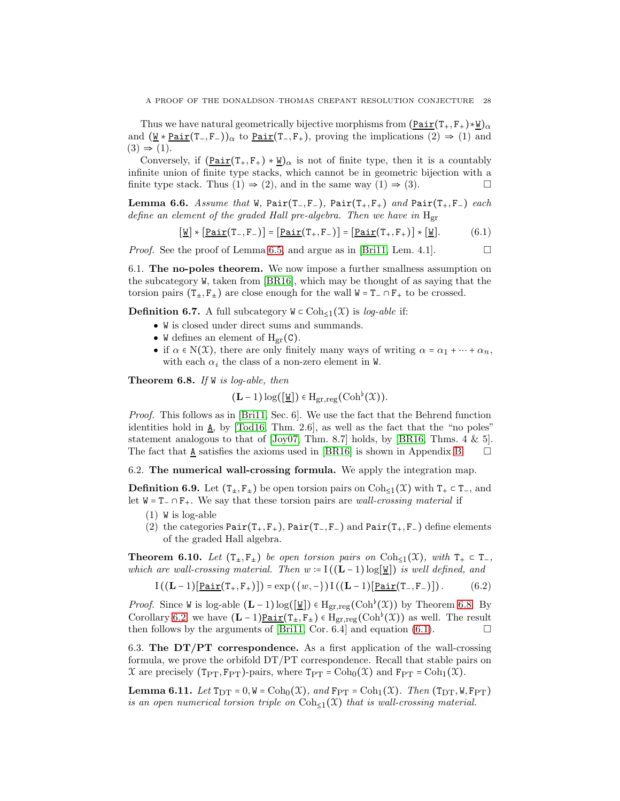Thus we have natural geometrically bijective morphisms from  $(\underline{Pair}(T_+, F_+) * \underline{W})_{\alpha}$ and  $(\underline{\mathsf{W}} * \underline{\mathsf{Pair}}(T_-, F_-))_{\alpha}$  to  $\underline{\mathsf{Pair}}(T_-, F_+)$ , proving the implications  $(2) \Rightarrow (1)$  and  $(3) \Rightarrow (1).$ 

Conversely, if  $(\underline{Pair}(T_+, F_+) * \underline{W})_{\alpha}$  is not of finite type, then it is a countably infinite union of finite type stacks, which cannot be in geometric bijection with a finite type stack. Thus  $(1) \Rightarrow (2)$ , and in the same way  $(1) \Rightarrow (3)$ .

Lemma 6.6. Assume that W, Pair(T<sub>−</sub>, F<sub>−</sub>), Pair(T<sub>+</sub>, F<sub>+</sub>) and Pair(T<sub>+</sub>, F<sub>−</sub>) each define an element of the graded Hall pre-algebra. Then we have in  $H_{gr}$ 

<span id="page-27-2"></span>
$$
\underline{[w]} * [\underline{Pair}(T_-, F_-)] = [\underline{Pair}(T_+, F_-)] = [\underline{Pair}(T_+, F_+)] * [\underline{w}]. \tag{6.1}
$$

*Proof.* See the proof of Lemma [6.5,](#page-26-1) and argue as in [\[Bri11,](#page-64-2) Lem. 4.1].

6.1. The no-poles theorem. We now impose a further smallness assumption on the subcategory W, taken from [\[BR16\]](#page-64-25), which may be thought of as saying that the torsion pairs  $(T_{\pm}, F_{\pm})$  are close enough for the wall  $W = T_-\cap F_+$  to be crossed.

<span id="page-27-0"></span>**Definition 6.7.** A full subcategory  $W \subset \text{Coh}_{\leq 1}(\mathcal{X})$  is *log-able* if:

- W is closed under direct sums and summands.
- W defines an element of  $H_{gr}(C)$ .
- if  $\alpha \in N(\mathfrak{X})$ , there are only finitely many ways of writing  $\alpha = \alpha_1 + \cdots + \alpha_n$ , with each  $\alpha_i$  the class of a non-zero element in W.

<span id="page-27-1"></span>**Theorem 6.8.** If  $W$  is log-able, then

 $(L-1) \log([\underline{W}]) \in H_{gr,reg}(Coh^{\flat}(\mathcal{X})).$ 

Proof. This follows as in [\[Bri11,](#page-64-2) Sec. 6]. We use the fact that the Behrend function identities hold in  $\underline{\mathbf{A}}$ , by [\[Tod16,](#page-65-2) Thm. 2.6], as well as the fact that the "no poles" statement analogous to that of  $[Joy07, Thm. 8.7]$  holds, by  $[BRI6, Thms. 4 \& 5].$ The fact that  $\underline{A}$  satisfies the axioms used in [\[BR16\]](#page-64-25) is shown in Appendix [B.](#page-57-0)  $\square$ 

6.2. The numerical wall-crossing formula. We apply the integration map.

<span id="page-27-6"></span>**Definition 6.9.** Let  $(T_*, F_*)$  be open torsion pairs on Coh<sub>≤1</sub>( $\mathcal{X}$ ) with  $T_+ \subset T_-$ , and let  $W = T_-\cap F_+$ . We say that these torsion pairs are *wall-crossing material* if

- (1) W is log-able
- (2) the categories  $Pair(T_+, F_+)$ ,  $Pair(T_-, F_-)$  and  $Pair(T_+, F_-)$  define elements of the graded Hall algebra.

<span id="page-27-3"></span>**Theorem 6.10.** Let  $(T_{\pm}, F_{\pm})$  be open torsion pairs on  $Coh_{\leq 1}(\mathfrak{X})$ , with  $T_{+} \subset T_{-}$ , which are wall-crossing material. Then  $w = I((L-1) \log|\mathcal{U}|)$  is well defined, and

<span id="page-27-5"></span>
$$
I((\mathbf{L}-1)[\underline{\mathrm{Pair}}(T_+, F_+)]) = \exp\left(\{w, -\}\right) I((\mathbf{L}-1)[\underline{\mathrm{Pair}}(T_-, F_-)]). \tag{6.2}
$$

*Proof.* Since W is log-able  $(L-1)\log([\underline{W}]) \in H_{gr,reg}(Coh^{\flat}(\mathcal{X}))$  by Theorem [6.8.](#page-27-1) By Corollary [6.2,](#page-26-2) we have  $(L-1)\underline{\text{Pair}}(T_{\pm}, F_{\pm}) \in H_{gr,reg}(Coh^{\flat}(\mathcal{X}))$  as well. The result then follows by the arguments of [\[Bri11,](#page-64-2) Cor. 6.4] and equation [\(6.1\)](#page-27-2).  $\Box$ 

6.3. The  $DT/PT$  correspondence. As a first application of the wall-crossing formula, we prove the orbifold DT/PT correspondence. Recall that stable pairs on  $\mathfrak X$  are precisely (T<sub>PT</sub>, F<sub>PT</sub>)-pairs, where T<sub>PT</sub> = Coh<sub>0</sub>( $\mathfrak X$ ) and F<sub>PT</sub> = Coh<sub>1</sub>( $\mathfrak X$ ).

<span id="page-27-4"></span>**Lemma 6.11.** Let  $T_{DT} = 0$ ,  $W = \text{Coh}_0(\mathcal{X})$ , and  $F_{PT} = \text{Coh}_1(\mathcal{X})$ . Then  $(T_{DT}, W, F_{PT})$ is an open numerical torsion triple on  $\text{Coh}_{\leq 1}(\mathfrak{X})$  that is wall-crossing material.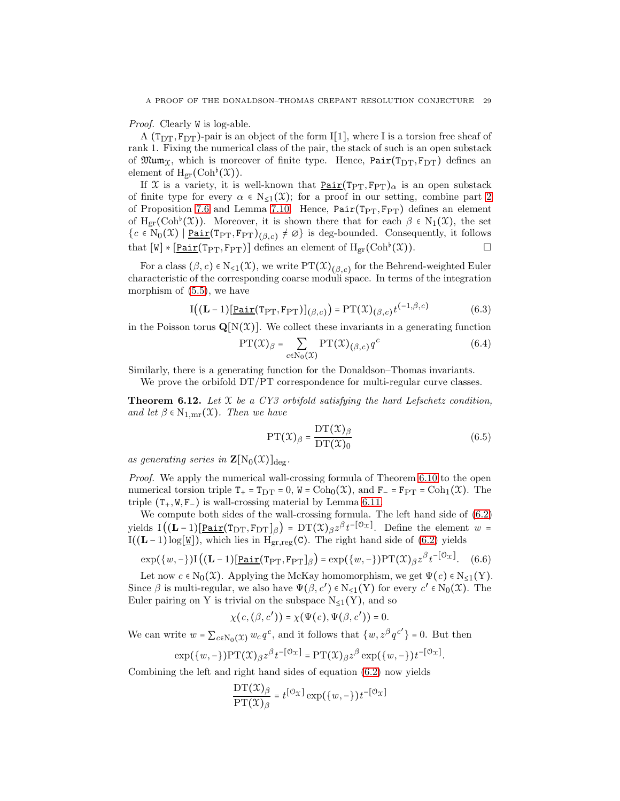Proof. Clearly W is log-able.

A ( $T_{\text{DT}}, F_{\text{DT}}$ )-pair is an object of the form I[1], where I is a torsion free sheaf of rank 1. Fixing the numerical class of the pair, the stack of such is an open substack of  $\mathfrak{Mum}_{\mathfrak{X}}$ , which is moreover of finite type. Hence,  $Pair(T_{DT}, F_{DT})$  defines an element of  $H_{gr}(\mathrm{Coh}^{\flat}(\mathfrak{X}))$ .

If X is a variety, it is well-known that  $\underline{Pair}(T_{PT}, F_{PT})_{\alpha}$  is an open substack of finite type for every  $\alpha \in N_{\leq 1}(\mathfrak{X})$ ; for a proof in our setting, combine part [2](#page-31-0) of Proposition [7.6](#page-31-1) and Lemma [7.10.](#page-33-0) Hence,  $Pair(T_{PT}, F_{PT})$  defines an element of H<sub>gr</sub>(Coh<sup> $\flat$ </sup>(X)). Moreover, it is shown there that for each  $\beta \in N_1(\mathfrak{X})$ , the set  ${c \in N_0(\mathfrak{X}) \mid \underline{\mathtt{Pair}}(\mathtt{Tr}_\mathtt{TT},\mathtt{F}_\mathtt{PT})_{(\beta,c)} \neq \varnothing}$  is deg-bounded. Consequently, it follows that  $[W] * [\underline{Pair}(T_{PT}, F_{PT})]$  defines an element of  $H_{gr}(Coh^{\flat}(\mathfrak{X}))$ .

For a class  $(\beta, c) \in N_{\leq 1}(\mathfrak{X})$ , we write  $PT(\mathfrak{X})_{(\beta, c)}$  for the Behrend-weighted Euler characteristic of the corresponding coarse moduli space. In terms of the integration morphism of [\(5.5\)](#page-25-2), we have

$$
I((L-1)[\underline{\text{Pair}}(T_{\text{PT}}, F_{\text{PT}})]_{(\beta, c)}) = PT(\mathfrak{X})_{(\beta, c)} t^{(-1, \beta, c)}
$$
(6.3)

in the Poisson torus  $\mathbf{Q}[N(\mathcal{X})]$ . We collect these invariants in a generating function

$$
PT(\mathcal{X})_{\beta} = \sum_{c \in N_0(\mathcal{X})} PT(\mathcal{X})_{(\beta, c)} q^c
$$
 (6.4)

Similarly, there is a generating function for the Donaldson–Thomas invariants.

We prove the orbifold  $DT/PT$  correspondence for multi-regular curve classes.

<span id="page-28-0"></span>**Theorem 6.12.** Let  $X$  be a CY3 orbifold satisfying the hard Lefschetz condition, and let  $\beta \in N_{1,\text{mr}}(\mathfrak{X})$ . Then we have

$$
PT(\mathcal{X})_{\beta} = \frac{DT(\mathcal{X})_{\beta}}{DT(\mathcal{X})_0}
$$
(6.5)

as generating series in  $\mathbf{Z}[\mathrm{N}_0(\mathfrak{X})]_{\text{deg}}$ .

Proof. We apply the numerical wall-crossing formula of Theorem [6.10](#page-27-3) to the open numerical torsion triple  $T_+ = T_{DT} = 0$ ,  $W = \text{Coh}_0(\mathcal{X})$ , and  $F_- = F_{PT} = \text{Coh}_1(\mathcal{X})$ . The triple  $(T_+, W, F_-)$  is wall-crossing material by Lemma [6.11.](#page-27-4)

We compute both sides of the wall-crossing formula. The left hand side of [\(6.2\)](#page-27-5) yields  $I((L-1)[Pair(T<sub>DT</sub>, F<sub>DT</sub>]<sub>\beta</sub>) = DT(X)<sub>\beta</sub>z<sup>\beta</sup>t<sup>-</sup>[<sup>0</sup>x]$ . Define the element w = I((L − 1) log[W]), which lies in H<sub>gr,reg</sub>(C). The right hand side of [\(6.2\)](#page-27-5) yields

$$
\exp(\{w, -\})\mathbf{I}((\mathbf{L} - 1)[\underline{\mathbf{Pair}}(\mathbf{Tp}_\mathrm{T}, \mathbf{F}_{\mathrm{PT}}]_{\beta}) = \exp(\{w, -\})\mathbf{PT}(\mathfrak{X})_{\beta}z^{\beta}t^{-\left[\mathcal{O}_{\mathfrak{X}}\right]}.\tag{6.6}
$$

Let now  $c \in N_0(\mathfrak{X})$ . Applying the McKay homomorphism, we get  $\Psi(c) \in N_{\leq 1}(Y)$ . Since  $\beta$  is multi-regular, we also have  $\Psi(\beta, c') \in N_{\leq 1}(Y)$  for every  $c' \in N_0(\mathfrak{X})$ . The Euler pairing on Y is trivial on the subspace  $N_{\leq 1}(Y)$ , and so

$$
\chi(c,(\beta,c'))=\chi(\Psi(c),\Psi(\beta,c'))=0.
$$

We can write  $w = \sum_{c \in \mathbb{N}_0(\mathfrak{X})} w_c q^c$ , and it follows that  $\{w, z^{\beta} q^{c'}\} = 0$ . But then

$$
\exp(\{w,-\})\mathrm{PT}(\mathfrak{X})_{\beta}z^{\beta}t^{-\left[\mathfrak{O}_{\mathfrak{X}}\right]} = \mathrm{PT}(\mathfrak{X})_{\beta}z^{\beta}\exp(\{w,-\})t^{-\left[\mathfrak{O}_{\mathfrak{X}}\right]}.
$$

Combining the left and right hand sides of equation [\(6.2\)](#page-27-5) now yields

$$
\frac{\mathrm{DT}(\mathfrak{X})_\beta}{\mathrm{PT}(\mathfrak{X})_\beta}=t^{\left[\mathfrak{O}_\mathfrak{X}\right]}\exp\bigl(\left\{w,-\right\})t^{-\left[\mathfrak{O}_\mathfrak{X}\right]}
$$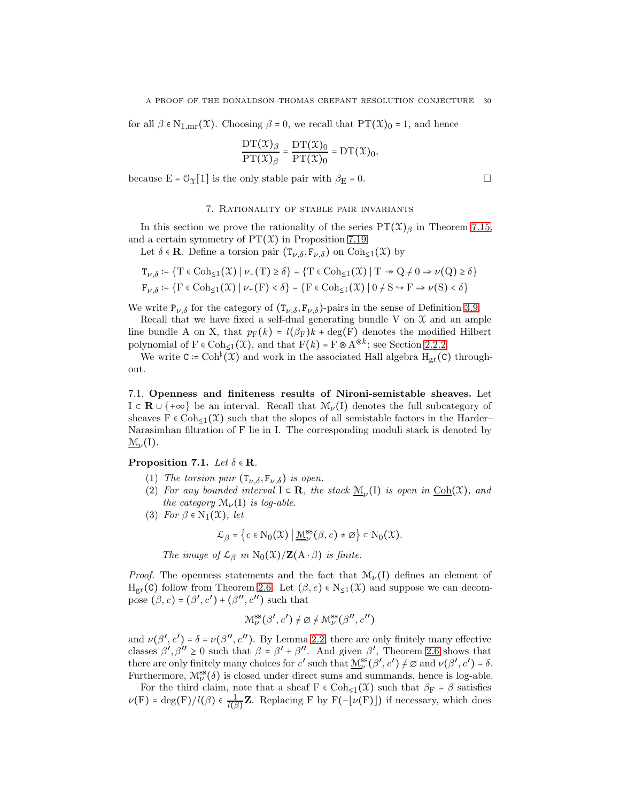for all  $\beta \in N_{1,\text{mr}}(\mathfrak{X})$ . Choosing  $\beta = 0$ , we recall that  $PT(\mathfrak{X})_0 = 1$ , and hence

$$
\frac{\mathrm{DT}(\mathcal{X})_\beta}{\mathrm{PT}(\mathcal{X})_\beta} = \frac{\mathrm{DT}(\mathcal{X})_0}{\mathrm{PT}(\mathcal{X})_0} = \mathrm{DT}(\mathcal{X})_0,
$$

<span id="page-29-0"></span>because  $E = \mathcal{O}_{\mathfrak{X}}[1]$  is the only stable pair with  $\beta_E = 0$ .

# 7. Rationality of stable pair invariants

In this section we prove the rationality of the series  $PT(\mathfrak{X})_{\beta}$  in Theorem [7.15,](#page-35-0) and a certain symmetry of  $PT(\mathcal{X})$  in Proposition [7.19.](#page-38-0)

Let  $\delta \in \mathbf{R}$ . Define a torsion pair  $(T_{\nu,\delta}, F_{\nu,\delta})$  on  $Coh_{\leq 1}(\mathcal{X})$  by

$$
\begin{aligned} \mathbf{T}_{\nu,\delta} & \coloneqq \left\{ \mathrm{T} \in \mathrm{Coh}_{\leq 1}(\mathfrak{X}) \mid \nu_-(\mathrm{T}) \geq \delta \right\} = \left\{ \mathrm{T} \in \mathrm{Coh}_{\leq 1}(\mathfrak{X}) \mid \mathrm{T} \twoheadrightarrow \mathrm{Q} \neq 0 \Rightarrow \nu(\mathrm{Q}) \geq \delta \right\} \\ \mathbf{F}_{\nu,\delta} & \coloneqq \left\{ \mathrm{F} \in \mathrm{Coh}_{\leq 1}(\mathfrak{X}) \mid \nu_+(\mathrm{F}) < \delta \right\} = \left\{ \mathrm{F} \in \mathrm{Coh}_{\leq 1}(\mathfrak{X}) \mid 0 \neq \mathrm{S} \rightarrow \mathrm{F} \Rightarrow \nu(\mathrm{S}) < \delta \right\} \end{aligned}
$$

We write  $P_{\nu,\delta}$  for the category of  $(T_{\nu,\delta}, F_{\nu,\delta})$ -pairs in the sense of Definition [3.9.](#page-19-1)

Recall that we have fixed a self-dual generating bundle V on  $\mathcal X$  and an ample line bundle A on X, that  $p_F(k) = l(\beta_F)k + \deg(F)$  denotes the modified Hilbert polynomial of  $F \in \text{Coh}_{\leq 1}(\mathfrak{X})$ , and that  $F(k) = F \otimes A^{\otimes k}$ ; see Section [2.2.2.](#page-11-0)

We write  $C = \mathrm{Coh}^{\flat}(\mathfrak{X})$  and work in the associated Hall algebra  $H_{gr}(C)$  throughout.

7.1. Openness and finiteness results of Nironi-semistable sheaves. Let  $I \subset \mathbf{R} \cup \{+\infty\}$  be an interval. Recall that  $\mathcal{M}_{\nu}(I)$  denotes the full subcategory of sheaves  $F \in \text{Coh}_{\leq 1}(\mathfrak{X})$  such that the slopes of all semistable factors in the Harder– Narasimhan filtration of F lie in I. The corresponding moduli stack is denoted by  $\mathcal{M}_{\nu}(I)$ .

### <span id="page-29-2"></span><span id="page-29-1"></span>Proposition 7.1. Let  $\delta \in \mathbf{R}$ .

- (1) The torsion pair  $(T_{\nu,\delta}, F_{\nu,\delta})$  is open.
- (2) For any bounded interval  $I \subset \mathbf{R}$ , the stack  $\underline{\mathcal{M}}_{\nu}(I)$  is open in  $\underline{\mathrm{Coh}}(\mathfrak{X})$ , and the category  $\mathcal{M}_{\nu}(I)$  is log-able.
- (3) For  $\beta \in N_1(\mathfrak{X})$ , let

$$
\mathcal{L}_{\beta} = \left\{c \in \mathrm{N}_0(\mathfrak{X}) \; \middle| \; \underline{\mathfrak{M}}^{\mathrm{ss}}_\nu(\beta,c) \neq \varnothing \right\} \subset \mathrm{N}_0(\mathfrak{X}).
$$

The image of  $\mathcal{L}_{\beta}$  in N<sub>0</sub>(X)/**Z**(A ⋅  $\beta$ ) is finite.

*Proof.* The openness statements and the fact that  $\mathcal{M}_{\nu}(I)$  defines an element of  $H_{gr}(C)$  follow from Theorem [2.6.](#page-13-0) Let  $(\beta, c) \in N_{\leq 1}(\mathfrak{X})$  and suppose we can decompose  $(\beta, c) = (\beta', c') + (\beta'', c'')$  such that

$$
\mathcal{M}^{\rm ss}_{\nu}(\beta',c') \neq \varnothing \neq \mathcal{M}^{\rm ss}_{\nu}(\beta'',c'')
$$

and  $\nu(\beta', c') = \delta = \nu(\beta'', c'')$ . By Lemma [2.2,](#page-11-1) there are only finitely many effective classes  $\beta', \beta'' \ge 0$  such that  $\beta = \beta' + \beta''$ . And given  $\beta'$ , Theorem [2.6](#page-13-0) shows that there are only finitely many choices for  $c'$  such that  $\underline{\mathcal{M}}^{\text{ss}}_{\nu}(\beta', c') \neq \emptyset$  and  $\nu(\beta', c') = \delta$ . Furthermore,  $\mathcal{M}^{\text{ss}}_{\nu}(\delta)$  is closed under direct sums and summands, hence is log-able.

For the third claim, note that a sheaf  $F \in \text{Coh}_{\leq 1}(\mathcal{X})$  such that  $\beta_F = \beta$  satisfies  $\nu(\mathrm{F}) = \deg(\mathrm{F})/l(\beta) \in \frac{1}{l(\beta)}$  $\frac{1}{l(\beta)}$ **Z**. Replacing F by F(- $\lfloor \nu(F) \rfloor$ ) if necessary, which does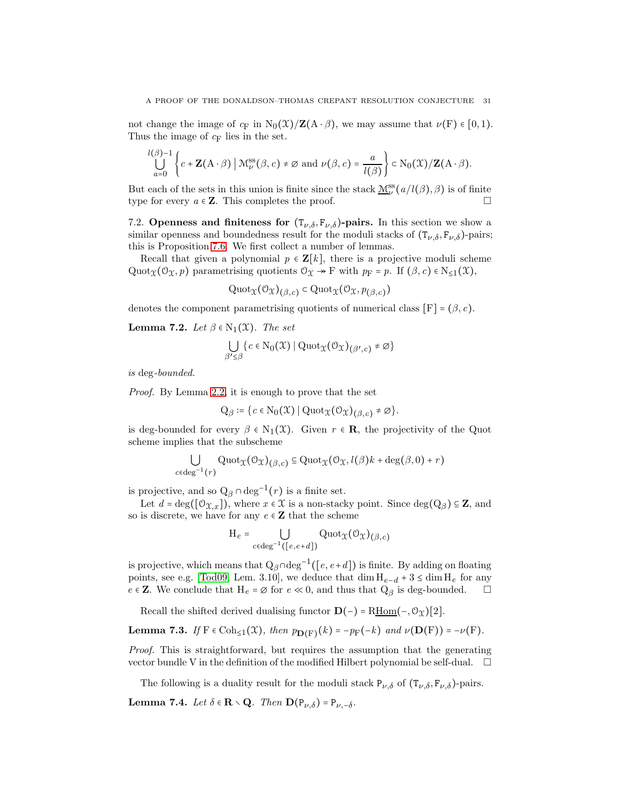not change the image of  $c_F$  in  $N_0(\mathcal{X})/\mathbf{Z}(A \cdot \beta)$ , we may assume that  $\nu(F) \in [0, 1)$ . Thus the image of  $c_F$  lies in the set.

$$
\bigcup_{a=0}^{l(\beta)-1}\left\{c+\mathbf{Z}(\mathbf{A}\cdot\beta)\Big|\ \mathfrak{M}^{\mathrm{ss}}_\nu(\beta,c)\neq\varnothing\ \mathrm{and}\ \nu\big(\beta,c\big)=\frac{a}{l(\beta)}\right\}\subset\mathrm{N}_0(\mathfrak{X})/\mathbf{Z}(\mathbf{A}\cdot\beta).
$$

But each of the sets in this union is finite since the stack  $\underline{\mathcal{M}}^{\text{ss}}_{\nu}(a/l(\beta), \beta)$  is of finite type for every  $a \in \mathbb{Z}$ . This completes the proof.

7.2. Openness and finiteness for  $(T_{\nu,\delta}, F_{\nu,\delta})$ -pairs. In this section we show a similar openness and boundedness result for the moduli stacks of  $(T_{\nu,\delta}, F_{\nu,\delta})$ -pairs; this is Proposition [7.6.](#page-31-1) We first collect a number of lemmas.

Recall that given a polynomial  $p \in \mathbf{Z}[k]$ , there is a projective moduli scheme Quot $\chi(\mathcal{O}_\mathfrak{X}, p)$  parametrising quotients  $\mathcal{O}_\mathfrak{X} \twoheadrightarrow F$  with  $p_F = p$ . If  $(\beta, c) \in N_{\leq 1}(\mathfrak{X}),$ 

$$
\mathrm{Quot}_{\mathfrak{X}}(\mathcal{O}_{\mathfrak{X}})_{(\beta,c)} \subset \mathrm{Quot}_{\mathfrak{X}}(\mathcal{O}_{\mathfrak{X}}, p_{(\beta,c)})
$$

denotes the component parametrising quotients of numerical class  $[F] = (\beta, c)$ .

<span id="page-30-0"></span>**Lemma 7.2.** Let  $\beta \in N_1(\mathfrak{X})$ . The set

$$
\bigcup_{\beta'\leq\beta}\{c\in\mathrm{N}_0(\mathfrak{X})\mid\mathrm{Quot}_{\mathfrak{X}}(\mathcal{O}_{\mathfrak{X}})_{(\beta',c)}\neq\varnothing\}
$$

is deg-bounded.

Proof. By Lemma [2.2,](#page-11-1) it is enough to prove that the set

$$
Q_{\beta} \coloneqq \{c \in N_0(\mathfrak{X}) \mid Quot_{\mathfrak{X}}(\mathcal{O}_{\mathfrak{X}})_{(\beta,c)} \neq \varnothing\}.
$$

is deg-bounded for every  $\beta \in N_1(\mathfrak{X})$ . Given  $r \in \mathbf{R}$ , the projectivity of the Quot scheme implies that the subscheme

$$
\bigcup_{c \in \text{deg}^{-1}(r)} \text{Quot}_{\mathfrak{X}}(\mathcal{O}_{\mathfrak{X}})_{(\beta,c)} \subseteq \text{Quot}_{\mathfrak{X}}(\mathcal{O}_{\mathfrak{X}}, l(\beta)k + \text{deg}(\beta,0) + r)
$$

is projective, and so  $Q_\beta \cap \text{deg}^{-1}(r)$  is a finite set.

Let  $d = \deg([\mathcal{O}_{\mathfrak{X},x}])$ , where  $x \in \mathfrak{X}$  is a non-stacky point. Since  $\deg(Q_\beta) \subseteq \mathbf{Z}$ , and so is discrete, we have for any  $e \in \mathbb{Z}$  that the scheme

$$
\mathcal{H}_e = \bigcup_{c \in \text{deg}^{-1}([e,e+d])} \text{Quot}_{\mathfrak{X}}(\mathcal{O}_{\mathfrak{X}})_{(\beta,c)}
$$

is projective, which means that  $Q_{\beta} \cap \text{deg}^{-1}([e, e+d])$  is finite. By adding on floating points, see e.g. [\[Tod09,](#page-64-27) Lem. 3.10], we deduce that  $\dim H_{e-d} + 3 \leq \dim H_e$  for any  $e \in \mathbf{Z}$ . We conclude that  $H_e = \emptyset$  for  $e \ll 0$ , and thus that  $Q_\beta$  is deg-bounded.  $\Box$ 

Recall the shifted derived dualising functor  $\mathbf{D}(-) = R\underline{\text{Hom}}(-, \mathcal{O}_{\mathfrak{X}})[2]$ .

**Lemma 7.3.** If 
$$
F \in \text{Coh}_{\leq 1}(\mathfrak{X})
$$
, then  $p_{\mathbf{D}(F)}(k) = -p_F(-k)$  and  $\nu(\mathbf{D}(F)) = -\nu(F)$ .

Proof. This is straightforward, but requires the assumption that the generating vector bundle V in the definition of the modified Hilbert polynomial be self-dual.  $\Box$ 

The following is a duality result for the moduli stack  $P_{\nu,\delta}$  of  $(T_{\nu,\delta}, F_{\nu,\delta})$ -pairs.

<span id="page-30-1"></span>**Lemma 7.4.** Let  $\delta \in \mathbf{R} \setminus \mathbf{Q}$ . Then  $\mathbf{D}(\mathbf{P}_{\nu,\delta}) = \mathbf{P}_{\nu,-\delta}$ .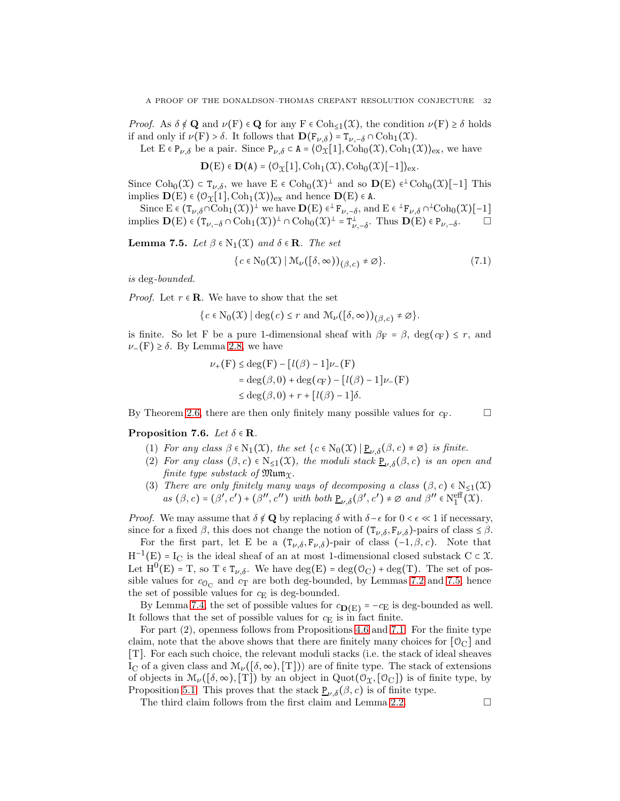*Proof.* As  $\delta \notin \mathbf{Q}$  and  $\nu(\mathrm{F}) \in \mathbf{Q}$  for any  $\mathrm{F} \in \mathrm{Coh}_{\leq 1}(\mathcal{X})$ , the condition  $\nu(\mathrm{F}) \geq \delta$  holds if and only if  $\nu(F) > \delta$ . It follows that  $\mathbf{D}(F_{\nu,\delta}) = T_{\nu,-\delta} \cap \text{Coh}_1(\mathfrak{X})$ .

Let  $E \in P_{\nu,\delta}$  be a pair. Since  $P_{\nu,\delta} \subset A = \langle \mathcal{O}_{\mathfrak{X}}[1], \text{Coh}_0(\mathfrak{X}), \text{Coh}_1(\mathfrak{X}) \rangle_{\text{ex}}$ , we have

 $\mathbf{D}(E) \in \mathbf{D}(A) = \langle \mathcal{O}_{\mathcal{X}}[1], \mathrm{Coh}_1(\mathcal{X}), \mathrm{Coh}_0(\mathcal{X})[-1] \rangle_{\mathrm{ex}}.$ 

Since  $\text{Coh}_0(\mathfrak{X}) \subset \mathsf{T}_{\nu,\delta}$ , we have  $E \in \text{Coh}_0(\mathfrak{X})^{\perp}$  and so  $\mathbf{D}(E) \in \text{Coh}_0(\mathfrak{X})[-1]$  This implies  $\mathbf{D}(E) \in \langle \mathcal{O}_{\mathcal{X}}[1], \mathrm{Coh}_1(\mathcal{X}) \rangle_{\mathrm{ex}}$  and hence  $\mathbf{D}(E) \in \mathtt{A}.$ 

Since  $E \in (\mathsf{T}_{\nu, \delta} \cap \mathrm{Coh}_1(\mathfrak{X}))^{\perp}$  we have  $\mathbf{D}(E) \in {}^{\perp} \mathsf{F}_{\nu, -\delta}$ , and  $E \in {}^{\perp} \mathsf{F}_{\nu, \delta} \cap {}^{\perp} \mathrm{Coh}_0(\mathfrak{X})[-1]$ implies  $\mathbf{D}(E) \in (T_{\nu,-\delta} \cap \mathrm{Coh}_1(\mathfrak{X}))^{\perp} \cap \mathrm{Coh}_0(\mathfrak{X})^{\perp} = T_{\nu,-\delta}^{\perp}$ . Thus  $\mathbf{D}(E) \in P_{\nu,-\delta}$  $\Box$ 

<span id="page-31-2"></span>**Lemma 7.5.** Let  $\beta \in N_1(\mathfrak{X})$  and  $\delta \in \mathbb{R}$ . The set

$$
\{c \in \mathrm{N}_0(\mathfrak{X}) \mid \mathfrak{M}_\nu([\delta, \infty))_{(\beta, c)} \neq \varnothing\}.
$$
 (7.1)

is deg-bounded.

*Proof.* Let  $r \in \mathbb{R}$ . We have to show that the set

$$
\{c \in \mathrm{N}_0(\mathfrak{X}) \mid \deg(c) \leq r \text{ and } \mathfrak{M}_{\nu}\big([\delta, \infty)\big)_{(\beta, c)} \neq \varnothing\}.
$$

is finite. So let F be a pure 1-dimensional sheaf with  $\beta_F = \beta$ , deg( $c_F$ )  $\leq r$ , and  $\nu$ −(F) ≥  $\delta$ . By Lemma [2.8,](#page-13-2) we have

$$
\nu_{+}(F) \le \deg(F) - [l(\beta) - 1]\nu_{-}(F)
$$
  
= deg(\beta, 0) + deg(c<sub>F</sub>) - [l(\beta) - 1]\nu\_{-}(F)  

$$
\le \deg(\beta, 0) + r + [l(\beta) - 1]\delta.
$$

By Theorem [2.6,](#page-13-0) there are then only finitely many possible values for  $c_F$ .

<span id="page-31-1"></span><span id="page-31-0"></span>Proposition 7.6. Let  $\delta \in \mathbf{R}$ .

- (1) For any class  $\beta \in N_1(\mathfrak{X})$ , the set  $\{c \in N_0(\mathfrak{X}) \mid \underline{P}_{\nu,\delta}(\beta,c) \neq \emptyset\}$  is finite.
- (2) For any class  $(\beta, c) \in N_{\leq 1}(\mathfrak{X})$ , the moduli stack  $\underline{P}_{\nu, \delta}(\beta, c)$  is an open and finite type substack of  $\mathfrak{Mum}_{\mathfrak{X}}$ .
- (3) There are only finitely many ways of decomposing a class  $(\beta, c) \in N_{\leq 1}(\mathfrak{X})$  $as(\beta, c) = (\beta', c') + (\beta'', c'') \text{ with both } \underline{P}_{\nu, \delta}(\beta', c') \neq \emptyset \text{ and } \beta'' \in N_1^{\text{eff}}(\mathfrak{X}).$

*Proof.* We may assume that  $\delta \notin \mathbf{Q}$  by replacing  $\delta$  with  $\delta - \epsilon$  for  $0 < \epsilon \ll 1$  if necessary, since for a fixed  $\beta$ , this does not change the notion of  $(\mathbf{T}_{\nu,\delta}, \mathbf{F}_{\nu,\delta})$ -pairs of class  $\leq \beta$ .

For the first part, let E be a  $(\mathbf{T}_{\nu,\delta},\mathbf{F}_{\nu,\delta})$ -pair of class  $(-1,\beta,c)$ . Note that  $H^{-1}(E) = I_C$  is the ideal sheaf of an at most 1-dimensional closed substack  $C \subset \mathcal{X}$ . Let  $H^0(E) = T$ , so  $T \in T_{\nu,\delta}$ . We have  $deg(E) = deg(O_C) + deg(T)$ . The set of possible values for  $c_{\mathcal{O}_{\mathbf C}}$  and  $c_{\mathbf T}$  are both deg-bounded, by Lemmas [7.2](#page-30-0) and [7.5,](#page-31-2) hence the set of possible values for  $c_{\text{E}}$  is deg-bounded.

By Lemma [7.4,](#page-30-1) the set of possible values for  $c_{D(E)} = -c_E$  is deg-bounded as well. It follows that the set of possible values for  $c_{\text{E}}$  is in fact finite.

For part (2), openness follows from Propositions [4.6](#page-22-0) and [7.1.](#page-29-1) For the finite type claim, note that the above shows that there are finitely many choices for  $[0_C]$  and [T]. For each such choice, the relevant moduli stacks (i.e. the stack of ideal sheaves I<sub>C</sub> of a given class and  $\mathcal{M}_{\nu}([\delta, \infty), T])$  are of finite type. The stack of extensions of objects in  $\mathcal{M}_{\nu}([\delta,\infty),T])$  by an object in  $Quot(\mathcal{O}_{\mathfrak{X}},[\mathcal{O}_C])$  is of finite type, by Proposition [5.1.](#page-23-0) This proves that the stack  $\underline{P}_{\nu,\delta}(\beta, c)$  is of finite type.

The third claim follows from the first claim and Lemma [2.2.](#page-11-1)  $\Box$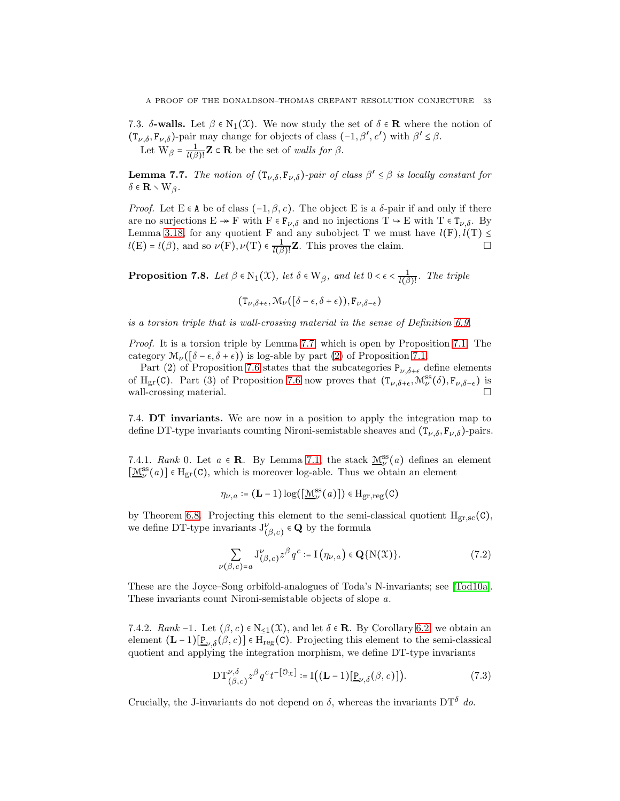7.3. δ-walls. Let  $\beta \in N_1(\mathfrak{X})$ . We now study the set of  $\delta \in \mathbb{R}$  where the notion of  $(T_{\nu,\delta}, F_{\nu,\delta})$ -pair may change for objects of class  $(-1, \beta', c')$  with  $\beta' \leq \beta$ . Let  $W_\beta = \frac{1}{l(\beta)}$  $\frac{1}{l(\beta)!}$ **Z**  $\subset$  **R** be the set of walls for  $\beta$ .

<span id="page-32-1"></span>**Lemma 7.7.** The notion of  $(T_{\nu,\delta}, F_{\nu,\delta})$ -pair of class  $\beta' \leq \beta$  is locally constant for  $\delta \in \mathbf{R} \setminus W_{\beta}$ .

Proof. Let E ∈ A be of class  $(-1, \beta, c)$ . The object E is a δ-pair if and only if there are no surjections  $E \twoheadrightarrow F$  with  $F \in F_{\nu,\delta}$  and no injections  $T \hookrightarrow E$  with  $T \in T_{\nu,\delta}$ . By Lemma [3.18,](#page-20-2) for any quotient F and any subobject T we must have  $l(F)$ ,  $l(T) \leq$  $l(E) = l(\beta)$ , and so  $\nu(F), \nu(T) \in \frac{1}{l(\beta)}$  $\frac{1}{l(\beta)!}$ **Z**. This proves the claim.

<span id="page-32-2"></span>**Proposition 7.8.** Let  $\beta \in N_1(\mathfrak{X})$ , let  $\delta \in W_\beta$ , and let  $0 < \epsilon < \frac{1}{16}$  $\frac{1}{l(\beta)!}$ . The triple

 $(T_{\nu,\delta+\epsilon},\mathcal{M}_{\nu}([\delta-\epsilon,\delta+\epsilon)),F_{\nu,\delta-\epsilon})$ 

is a torsion triple that is wall-crossing material in the sense of Definition [6.9.](#page-27-6)

Proof. It is a torsion triple by Lemma [7.7,](#page-32-1) which is open by Proposition [7.1.](#page-29-1) The category  $\mathcal{M}_{\nu}(\delta-\epsilon,\delta+\epsilon)$ ) is log-able by part [\(2\)](#page-29-2) of Proposition [7.1.](#page-29-1)

Part (2) of Proposition [7.6](#page-31-1) states that the subcategories  $P_{\nu,\delta\pm\epsilon}$  define elements of H<sub>gr</sub>(C). Part (3) of Proposition [7.6](#page-31-1) now proves that  $(T_{\nu,\delta+\epsilon},\mathcal{M}_{\nu}^{ss}(\delta),F_{\nu,\delta-\epsilon})$  is wall-crossing material.

<span id="page-32-0"></span>7.4. DT invariants. We are now in a position to apply the integration map to define DT-type invariants counting Nironi-semistable sheaves and  $(\mathbf{T}_{\nu,\delta}, \mathbf{F}_{\nu,\delta})$ -pairs.

7.4.1. Rank 0. Let  $a \in \mathbb{R}$ . By Lemma [7.1,](#page-29-1) the stack  $\underline{\mathcal{M}}_{\nu}^{ss}(a)$  defines an element  $[\underline{\mathcal{M}}^{\text{ss}}_\nu(a)] \in \mathcal{H}_{\text{gr}}(\mathsf{C}),$  which is moreover log-able. Thus we obtain an element

$$
\eta_{\nu,a} \coloneqq (\mathbf{L} - 1) \log([\underline{\mathcal{M}}^{\text{ss}}_{\nu}(a)]) \in \mathrm{H}_{\text{gr,reg}}(C)
$$

by Theorem [6.8.](#page-27-1) Projecting this element to the semi-classical quotient  $H_{gr,sc}(C)$ , we define DT-type invariants  $J^{\nu}_{(\beta,c)} \in \mathbf{Q}$  by the formula

$$
\sum_{(\beta,c)=a} J_{(\beta,c)}^{\nu} z^{\beta} q^c := \mathcal{I}(\eta_{\nu,a}) \in \mathbf{Q}\{N(\mathfrak{X})\}.
$$
 (7.2)

These are the Joyce–Song orbifold-analogues of Toda's N-invariants; see [\[Tod10a\]](#page-65-0). These invariants count Nironi-semistable objects of slope a.

 $\nu$ 

7.4.2. Rank -1. Let  $(\beta, c) \in N_{\leq 1}(\mathfrak{X})$ , and let  $\delta \in \mathbb{R}$ . By Corollary [6.2,](#page-26-2) we obtain an element  $(L-1)[\underline{P}_{\nu,\delta}(\beta,c)] \in H_{reg}(C)$ . Projecting this element to the semi-classical quotient and applying the integration morphism, we define DT-type invariants

<span id="page-32-3"></span>
$$
\mathcal{DT}_{(\beta,c)}^{\nu,\delta} z^{\beta} q^c t^{-[\mathcal{O}_X]} \coloneqq \mathcal{I}\big((\mathbf{L}-1)[\underline{\mathbf{P}}_{\nu,\delta}(\beta,c)]\big). \tag{7.3}
$$

Crucially, the J-invariants do not depend on  $\delta$ , whereas the invariants DT<sup> $\delta$ </sup> do.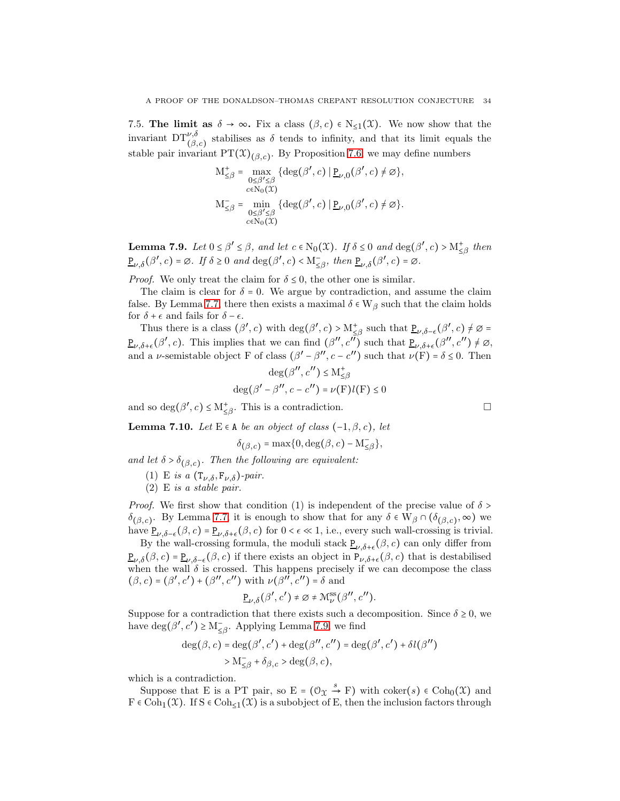7.5. The limit as  $\delta \to \infty$ . Fix a class  $(\beta, c) \in N_{\leq 1}(\mathfrak{X})$ . We now show that the invariant  $DT^{\nu,\delta}_{(\beta,c)}$  stabilises as  $\delta$  tends to infinity, and that its limit equals the stable pair invariant  $PT(\mathfrak{X})_{(\beta,c)}$ . By Proposition [7.6,](#page-31-1) we may define numbers

$$
\begin{aligned} \mathbf{M}_{\leq \beta}^+ &= \max_{\substack{0 \leq \beta' \leq \beta \\ c \in \mathbf{N}_0(\mathfrak{X})}} \{ \deg(\beta', c) \mid \underline{\mathbf{P}}_{\nu,0}(\beta', c) \neq \varnothing \}, \\ \mathbf{M}_{\leq \beta}^- &= \min_{\substack{0 \leq \beta' \leq \beta \\ c \in \mathbf{N}_0(\mathfrak{X})}} \{ \deg(\beta', c) \mid \underline{\mathbf{P}}_{\nu,0}(\beta', c) \neq \varnothing \}. \end{aligned}
$$

<span id="page-33-1"></span>**Lemma 7.9.** Let  $0 \le \beta' \le \beta$ , and let  $c \in N_0(\mathfrak{X})$ . If  $\delta \le 0$  and  $\deg(\beta', c) > M^+_{\le \beta}$  then  $\underline{P}_{\nu,\delta}(\beta',c) = \emptyset$ . If  $\delta \ge 0$  and  $\deg(\beta',c) < M_{\leq \beta}^-$ , then  $\underline{P}_{\nu,\delta}(\beta',c) = \emptyset$ .

*Proof.* We only treat the claim for  $\delta \leq 0$ , the other one is similar.

The claim is clear for  $\delta = 0$ . We argue by contradiction, and assume the claim false. By Lemma [7.7,](#page-32-1) there then exists a maximal  $\delta \in W_\beta$  such that the claim holds for  $\delta+\epsilon$  and fails for  $\delta-\epsilon.$ 

Thus there is a class  $(\beta', c)$  with  $\deg(\beta', c) > M_{\leq \beta}^+$  such that  $\underline{P}_{\nu, \delta-\epsilon}(\beta', c) \neq \emptyset$  $\underline{P}_{\nu,\delta+\epsilon}(\beta',c)$ . This implies that we can find  $(\beta'',c''\overline{\beta})$  such that  $\underline{P}_{\nu,\delta+\epsilon}(\beta'',c'')\neq\emptyset$ , and a *v*-semistable object F of class  $(\beta' - \beta'', c - c'')$  such that  $\nu(F) = \delta \le 0$ . Then

$$
\begin{aligned} \deg(\beta'',c'') &\leq \mathcal{M}^+_{\leq \beta} \\ \deg(\beta'-\beta'',c-c'') &= \nu(\mathcal{F}) l(\mathcal{F}) \leq 0 \end{aligned}
$$

and so  $\deg(\beta', c) \le M^+_{\le \beta}$ . This is a contradiction.

<span id="page-33-0"></span>**Lemma 7.10.** Let  $E \in A$  be an object of class  $(-1, \beta, c)$ , let

$$
\delta_{(\beta,c)} = \max\{0,\deg(\beta,c)-\mathcal{M}_{\leq\beta}^-\},\
$$

and let  $\delta > \delta_{(\beta,c)}$ . Then the following are equivalent:

- (1) E is a  $(\mathsf{T}_{\nu,\delta},\mathsf{F}_{\nu,\delta})$ -pair.
- (2) E is a stable pair.

*Proof.* We first show that condition (1) is independent of the precise value of  $\delta$  > δ<sub>(β,c)</sub>. By Lemma [7.7,](#page-32-1) it is enough to show that for any δ ∈ W<sub>β</sub> ∩ (δ<sub>(β,c)</sub>, ∞) we have  $\underline{P}_{\nu,\delta-\epsilon}(\beta,c) = \underline{P}_{\nu,\delta+\epsilon}(\beta,c)$  for  $0 < \epsilon \ll 1$ , i.e., every such wall-crossing is trivial.

By the wall-crossing formula, the moduli stack  $\underline{P}_{\nu,\delta+\epsilon}(\beta,c)$  can only differ from  $\underline{P}_{\nu,\delta}(\beta,c) = \underline{P}_{\nu,\delta-\epsilon}(\beta,c)$  if there exists an object in  $P_{\nu,\delta+\epsilon}(\beta,c)$  that is destabilised when the wall  $\delta$  is crossed. This happens precisely if we can decompose the class  $(\beta, c) = (\beta', c') + (\beta'', c'')$  with  $\nu(\beta'', c'') = \delta$  and

$$
\underline{\mathbf{P}}_{\nu,\delta}(\beta',c') \neq \varnothing \neq \mathcal{M}^{\rm ss}_{\nu}(\beta'',c'').
$$

Suppose for a contradiction that there exists such a decomposition. Since  $\delta \geq 0$ , we have deg( $\beta', c'$ ) ≥ M<sub> $\subseteq \beta$ </sub>. Applying Lemma [7.9,](#page-33-1) we find

$$
\begin{aligned} \deg(\beta,c) &= \deg(\beta',c') + \deg(\beta'',c'') = \deg(\beta',c') + \delta l(\beta'') \\ &> \mathcal{M}_{\leq \beta}^- + \delta_{\beta,c} > \deg(\beta,c), \end{aligned}
$$

which is a contradiction.

Suppose that E is a PT pair, so E =  $(\mathcal{O}_\mathfrak{X} \stackrel{s}{\to} F)$  with coker(s)  $\in \text{Coh}_0(\mathfrak{X})$  and  $F \in \text{Coh}_{1}(\mathfrak{X})$ . If  $S \in \text{Coh}_{\leq 1}(\mathfrak{X})$  is a subobject of E, then the inclusion factors through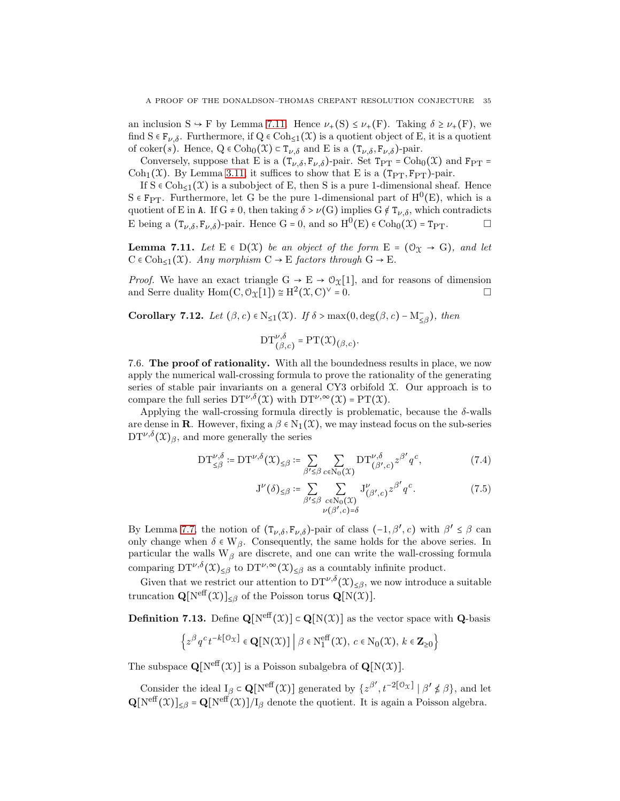an inclusion  $S \to F$  by Lemma [7.11.](#page-34-0) Hence  $\nu_{+}(S) \leq \nu_{+}(F)$ . Taking  $\delta \geq \nu_{+}(F)$ , we find  $S \in F_{\nu,\delta}$ . Furthermore, if  $Q \in \text{Coh}_{\leq 1}(\mathfrak{X})$  is a quotient object of E, it is a quotient of coker(s). Hence,  $Q \in \text{Coh}_0(\mathcal{X}) \subset T_{\nu,\delta}$  and E is a  $(T_{\nu,\delta}, F_{\nu,\delta})$ -pair.

Conversely, suppose that E is a  $(\mathsf{T}_{\nu,\delta},\mathsf{F}_{\nu,\delta})$ -pair. Set  $\mathsf{Tp}_T = \mathrm{Coh}_0(\mathfrak{X})$  and  $\mathsf{F}_{\mathrm{PT}} =$ Coh<sub>1</sub>(X). By Lemma [3.11,](#page-19-0) it suffices to show that E is a (T<sub>PT</sub>, F<sub>PT</sub>)-pair.

If  $S \in \text{Coh}_{\leq 1}(\mathfrak{X})$  is a subobject of E, then S is a pure 1-dimensional sheaf. Hence  $S \in F_{PT}$ . Furthermore, let G be the pure 1-dimensional part of  $H^0(E)$ , which is a quotient of E in A. If G  $\neq$  0, then taking  $\delta > \nu(G)$  implies G  $\notin T_{\nu,\delta}$ , which contradicts E being a  $(T_{\nu,\delta}, F_{\nu,\delta})$ -pair. Hence G = 0, and so  $H^0(E) \in \text{Coh}_0(\mathfrak{X}) = T_{PT}$ .

<span id="page-34-0"></span>**Lemma 7.11.** Let  $E \in D(X)$  be an object of the form  $E = (\mathcal{O}_X \rightarrow G)$ , and let  $C \in \text{Coh}_{\leq 1}(\mathfrak{X})$ . Any morphism  $C \to E$  factors through  $G \to E$ .

*Proof.* We have an exact triangle  $G \rightarrow E \rightarrow \mathcal{O}_{\mathcal{X}}[1]$ , and for reasons of dimension and Serre duality  $\text{Hom}(C, \mathcal{O}_{\mathcal{X}}[1]) \cong H^2(\mathcal{X}, C)^\vee = 0.$ 

<span id="page-34-2"></span>Corollary 7.12. Let  $(\beta, c) \in N_{\leq 1}(\mathfrak{X})$ . If  $\delta > \max(0, \deg(\beta, c) - M_{\leq \beta})$ , then

$$
\mathrm{DT}_{(\beta,c)}^{\nu,\delta} = \mathrm{PT}(\mathfrak{X})_{(\beta,c)}.
$$

7.6. The proof of rationality. With all the boundedness results in place, we now apply the numerical wall-crossing formula to prove the rationality of the generating series of stable pair invariants on a general CY3 orbifold  $\mathfrak{X}$ . Our approach is to compare the full series  $DT^{\nu,\delta}(\mathfrak{X})$  with  $DT^{\nu,\infty}(\mathfrak{X}) = PT(\mathfrak{X})$ .

Applying the wall-crossing formula directly is problematic, because the  $\delta$ -walls are dense in **R**. However, fixing a  $\beta \in N_1(\mathcal{X})$ , we may instead focus on the sub-series  $DT^{\nu,\delta}(\mathfrak{X})_{\beta}$ , and more generally the series

$$
\mathrm{DT}_{\leq\beta}^{\nu,\delta} \coloneqq \mathrm{DT}^{\nu,\delta}(\mathfrak{X})_{\leq\beta} \coloneqq \sum_{\beta'\leq\beta}\sum_{c\in\mathrm{N}_0(\mathfrak{X})} \mathrm{DT}_{(\beta',c)}^{\nu,\delta} z^{\beta'} q^c,\tag{7.4}
$$

<span id="page-34-1"></span>
$$
J^{\nu}(\delta)_{\leq \beta} := \sum_{\beta' \leq \beta} \sum_{\substack{c \in N_0(\mathfrak{X}) \\ \nu(\beta', c) = \delta}} J^{\nu}_{(\beta', c)} z^{\beta'} q^c.
$$
 (7.5)

By Lemma [7.7,](#page-32-1) the notion of  $(T_{\nu,\delta}, F_{\nu,\delta})$ -pair of class  $(-1, \beta', c)$  with  $\beta' \leq \beta$  can only change when  $\delta \in W_{\beta}$ . Consequently, the same holds for the above series. In particular the walls  $W_\beta$  are discrete, and one can write the wall-crossing formula comparing  $DT^{\nu,\delta}(\mathfrak{X})_{\leq\beta}$  to  $DT^{\nu,\infty}(\mathfrak{X})_{\leq\beta}$  as a countably infinite product.

Given that we restrict our attention to  $DT^{\nu,\delta}(\mathfrak{X})_{\leq\beta}$ , we now introduce a suitable truncation  $\mathbf{Q}[\text{N}^{\text{eff}}(\mathfrak{X})]_{\leq \beta}$  of the Poisson torus  $\mathbf{Q}[\text{N}(\mathfrak{X})]$ .

**Definition 7.13.** Define  $\mathbf{Q}[N^{\text{eff}}(\mathcal{X})] \subset \mathbf{Q}[N(\mathcal{X})]$  as the vector space with  $\mathbf{Q}$ -basis

$$
\left\{ z^{\beta} q^c t^{-k[\mathcal{O}_{\mathfrak{X}}]} \in \mathbf{Q}[\mathbf{N}(\mathfrak{X})] \middle| \beta \in \mathbf{N}_1^{\text{eff}}(\mathfrak{X}), c \in \mathbf{N}_0(\mathfrak{X}), k \in \mathbf{Z}_{\geq 0} \right\}
$$

The subspace  $\mathbf{Q}[\text{N}^{\text{eff}}(\mathcal{X})]$  is a Poisson subalgebra of  $\mathbf{Q}[\text{N}(\mathcal{X})]$ .

Consider the ideal  $I_\beta \subset \mathbf{Q}[\mathrm{N}^{\text{eff}}(\mathfrak{X})]$  generated by  $\{z^{\beta'}, t^{-2[\mathfrak{O}_X]} \mid \beta' \notin \beta\}$ , and let  $\mathbf{Q}[\mathrm{N}^{\text{eff}}(\mathfrak{X})]_{\leq \beta} = \mathbf{Q}[\mathrm{N}^{\text{eff}}(\mathfrak{X})]/I_{\beta}$  denote the quotient. It is again a Poisson algebra.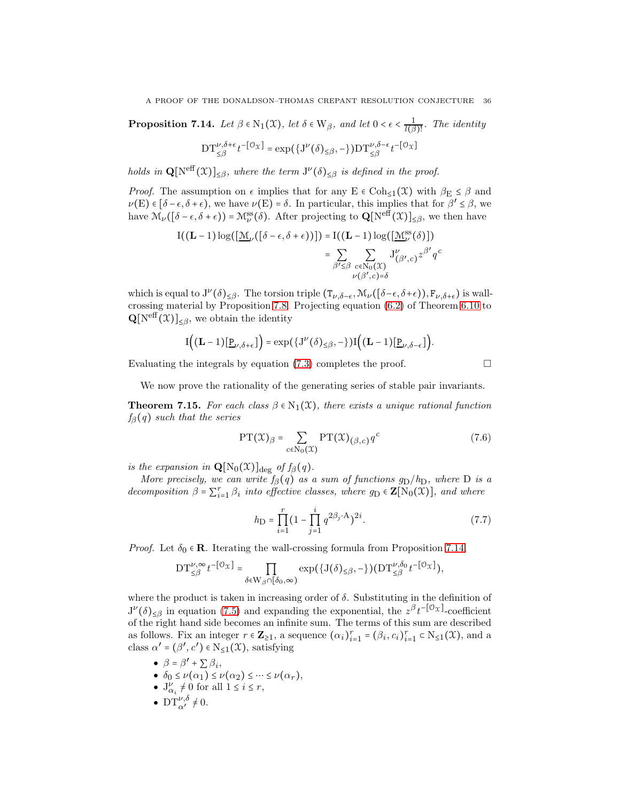<span id="page-35-1"></span>**Proposition 7.14.** Let  $\beta \in N_1(\mathfrak{X})$ , let  $\delta \in W_\beta$ , and let  $0 < \epsilon < \frac{1}{l(\beta)}$  $\frac{1}{l(\beta)!}$ . The identity

$$
\mathrm{DT}_{\leq \beta}^{\nu, \delta+\epsilon}t^{-[\mathfrak{O}_{\mathfrak{X}}]}=\exp\big(\big\{J^{\nu}\big(\delta\big)_{\leq \beta},-\big\}\big)\mathrm{DT}_{\leq \beta}^{\nu, \delta-\epsilon}t^{-[\mathfrak{O}_{\mathfrak{X}}]}
$$

holds in  $\mathbf{Q}[\text{N}^{\text{eff}}(\mathfrak{X})]_{\leq\beta}$ , where the term  $J^{\nu}(\delta)_{\leq\beta}$  is defined in the proof.

*Proof.* The assumption on  $\epsilon$  implies that for any E  $\epsilon$  Coh<sub><1</sub>(X) with  $\beta_{\rm E} \le \beta$  and  $\nu(E) \in [\delta - \epsilon, \delta + \epsilon],$  we have  $\nu(E) = \delta$ . In particular, this implies that for  $\beta' \leq \beta$ , we have  $\mathcal{M}_{\nu}([\delta-\epsilon,\delta+\epsilon)) = \mathcal{M}_{\nu}^{\text{ss}}(\delta)$ . After projecting to  $\mathbf{Q}[\text{N}^{\text{eff}}(\mathfrak{X})]_{\leq \beta}$ , we then have

$$
I((L-1)\log([\underline{\mathcal{M}}_{\nu}([\delta-\epsilon,\delta+\epsilon))]) = I((L-1)\log([\underline{\mathcal{M}}_{\nu}^{ss}(\delta)])
$$
  

$$
= \sum_{\beta' \leq \beta} \sum_{c \in N_0(\mathcal{X})} J_{(\beta',c)}^{\nu} z^{\beta'} q^c
$$
  

$$
\nu(\beta',c)=\delta
$$

which is equal to  $J^{\nu}(\delta)_{\leq\beta}$ . The torsion triple  $(T_{\nu,\delta-\epsilon},\mathcal{M}_{\nu}([\delta-\epsilon,\delta+\epsilon)),F_{\nu,\delta+\epsilon})$  is wallcrossing material by Proposition [7.8.](#page-32-2) Projecting equation [\(6.2\)](#page-27-5) of Theorem [6.10](#page-27-3) to  $\mathbf{Q}[\text{N}^{\text{eff}}(\mathfrak{X})]_{\leq \beta}$ , we obtain the identity

$$
I((L-1)[\underline{P}_{\nu,\delta+\epsilon}]) = \exp(\{J^{\nu}(\delta)_{\leq\beta}, -\})I((L-1)[\underline{P}_{\nu,\delta-\epsilon}]).
$$

Evaluating the integrals by equation  $(7.3)$  completes the proof.

We now prove the rationality of the generating series of stable pair invariants.

<span id="page-35-0"></span>**Theorem 7.15.** For each class  $\beta \in N_1(\mathcal{X})$ , there exists a unique rational function  $f_{\beta}(q)$  such that the series

$$
\text{PT}(\mathcal{X})_{\beta} = \sum_{c \in \mathbb{N}_0(\mathcal{X})} \text{PT}(\mathcal{X})_{(\beta, c)} q^c \tag{7.6}
$$

is the expansion in  $\mathbf{Q}[\mathrm{N}_0(\mathfrak{X})]_{\text{deg}}$  of  $f_\beta(q)$ .

More precisely, we can write  $f_\beta(q)$  as a sum of functions  $g_D/h_D$ , where D is a decomposition  $\beta = \sum_{i=1}^r \beta_i$  into effective classes, where  $g_D \in \mathbf{Z}[N_0(\mathcal{X})]$ , and where

$$
h_{\mathcal{D}} = \prod_{i=1}^{r} \left(1 - \prod_{j=1}^{i} q^{2\beta_j \cdot \mathcal{A}}\right)^{2i}.
$$
 (7.7)

*Proof.* Let  $\delta_0 \in \mathbf{R}$ . Iterating the wall-crossing formula from Proposition [7.14,](#page-35-1)

$$
\mathrm{DT}_{\leq \beta}^{\nu, \infty} t^{-[\mathcal{O}_{\mathfrak{X}}]} = \prod_{\delta \in \mathrm{W}_{\beta} \cap [\delta_0, \infty)} \exp \bigl( \{\mathrm{J}(\delta)_{\leq \beta}, -\} \bigr) \bigl( \mathrm{DT}_{\leq \beta}^{\nu, \delta_0} t^{-[\mathcal{O}_{\mathfrak{X}}]} \bigr),
$$

where the product is taken in increasing order of  $\delta$ . Substituting in the definition of  $J^{\nu}(\delta)_{\leq \beta}$  in equation [\(7.5\)](#page-34-1) and expanding the exponential, the  $z^{\beta}t^{-\lceil \mathcal{O}_X \rceil}$ -coefficient of the right hand side becomes an infinite sum. The terms of this sum are described as follows. Fix an integer  $r \in \mathbb{Z}_{\geq 1}$ , a sequence  $(\alpha_i)_{i=1}^r = (\beta_i, c_i)_{i=1}^r \subset N_{\leq 1}(\mathfrak{X})$ , and a class  $\alpha' = (\beta', c') \in N_{\leq 1}(\mathfrak{X})$ , satisfying

- $\bullet$   $\beta = \beta' + \sum \beta_i$ ,
- $\bullet$   $\delta_0 \leq \nu(\alpha_1) \leq \nu(\alpha_2) \leq \cdots \leq \nu(\alpha_r),$
- $J'_{\alpha_i} \neq 0$  for all  $1 \leq i \leq r$ ,
- $DT^{\nu,\delta}_{\alpha'} \neq 0.$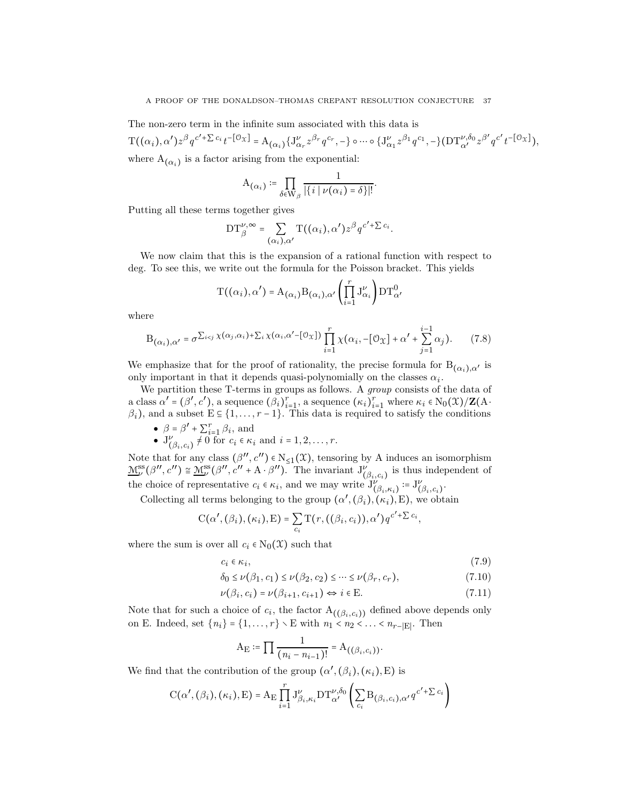The non-zero term in the infinite sum associated with this data is

$$
T((\alpha_i), \alpha')z^{\beta}q^{c'+\sum c_i}t^{-[\mathcal{O}_X]} = A_{(\alpha_i)}\{J^{\nu}_{\alpha r}z^{\beta r}q^{c r}, -\} \circ \cdots \circ \{J^{\nu}_{\alpha_1}z^{\beta_1}q^{c_1}, -\}(\mathcal{D}T^{\nu, \delta_0}_{\alpha'}z^{\beta'}q^{c'}t^{-[\mathcal{O}_X]}),
$$
  
where  $A_{(\alpha_i)}$  is a factor arising from the exponential:

$$
\mathcal{A}_{(\alpha_i)} \coloneqq \prod_{\delta \in \mathcal{W}_{\beta}} \frac{1}{|\{i \mid \nu(\alpha_i) = \delta\}|!}.
$$

Putting all these terms together gives

$$
DT^{\nu,\infty}_{\beta} = \sum_{(\alpha_i),\alpha'} T((\alpha_i),\alpha')z^{\beta}q^{c'+\sum c_i}.
$$

We now claim that this is the expansion of a rational function with respect to deg. To see this, we write out the formula for the Poisson bracket. This yields

$$
T\big((\alpha_i),\alpha'\big)=A_{\left(\alpha_i\right)}B_{\left(\alpha_i\right),\alpha'}\left(\prod_{i=1}^rJ_{\alpha_i}^\nu\right)DT_{\alpha'}^0
$$

where

<span id="page-36-2"></span>
$$
B_{(\alpha_i),\alpha'} = \sigma^{\sum_{i
$$

We emphasize that for the proof of rationality, the precise formula for  $B_{(\alpha_i),\alpha'}$  is only important in that it depends quasi-polynomially on the classes  $\alpha_i$ .

We partition these T-terms in groups as follows. A *group* consists of the data of a class  $\alpha' = (\beta', c')$ , a sequence  $(\beta_i)_{i=1}^r$ , a sequence  $(\kappa_i)_{i=1}^r$  where  $\kappa_i \in N_0(\mathfrak{X})/\mathbf{Z}(\mathbf{A} \cdot$  $\beta_i$ ), and a subset  $E \subseteq \{1, \ldots, r-1\}$ . This data is required to satisfy the conditions

•  $\beta = \beta' + \sum_{i=1}^{r} \beta_i$ , and

• 
$$
J_{(\beta_i, c_i)}^{\nu} \neq 0
$$
 for  $c_i \in \kappa_i$  and  $i = 1, 2, \ldots, r$ .

Note that for any class  $(\beta'', c'') \in N_{\leq 1}(\mathfrak{X})$ , tensoring by A induces an isomorphism  $\underline{\mathcal{M}}^{\text{ss}}_{\nu}(\beta'', c'') \cong \underline{\mathcal{M}}^{\text{ss}}_{\nu}(\beta'', c'' + A \cdot \beta'')$ . The invariant  $J^{\nu}_{(\beta_i, c_i)}$  is thus independent of the choice of representative  $c_i \in \kappa_i$ , and we may write  $J^{\nu}_{(\beta_i,\kappa_i)} := J^{\nu}_{(\beta_i,c_i)}$ .

Collecting all terms belonging to the group  $(\alpha', (\beta_i), (\kappa_i), E)$ , we obtain

$$
C(\alpha', (\beta_i), (\kappa_i), E) = \sum_{c_i} T(r, ((\beta_i, c_i)), \alpha') q^{c' + \sum c_i},
$$

where the sum is over all  $c_i \in N_0(\mathfrak{X})$  such that

<span id="page-36-3"></span>
$$
c_i \in \kappa_i,\tag{7.9}
$$

$$
\delta_0 \le \nu(\beta_1, c_1) \le \nu(\beta_2, c_2) \le \dots \le \nu(\beta_r, c_r),\tag{7.10}
$$

$$
\nu(\beta_i, c_i) = \nu(\beta_{i+1}, c_{i+1}) \Leftrightarrow i \in \mathbf{E}.\tag{7.11}
$$

Note that for such a choice of  $c_i$ , the factor  $A_{((\beta_i, c_i))}$  defined above depends only on E. Indeed, set  $\{n_i\} = \{1, ..., r\} \setminus E$  with  $n_1 < n_2 < ... < n_{r-|E|}$ . Then

<span id="page-36-1"></span><span id="page-36-0"></span>
$$
A_{E} := \prod \frac{1}{(n_i - n_{i-1})!} = A_{((\beta_i, c_i))}.
$$

We find that the contribution of the group  $(\alpha', (\beta_i), (\kappa_i), E)$  is

$$
C(\alpha',(\beta_i),(\kappa_i),E) = A_E \prod_{i=1}^r J_{\beta_i,\kappa_i}^{\nu} DT_{\alpha'}^{\nu,\delta_0} \left( \sum_{c_i} B_{(\beta_i,c_i),\alpha'} q^{c'+\sum c_i} \right)
$$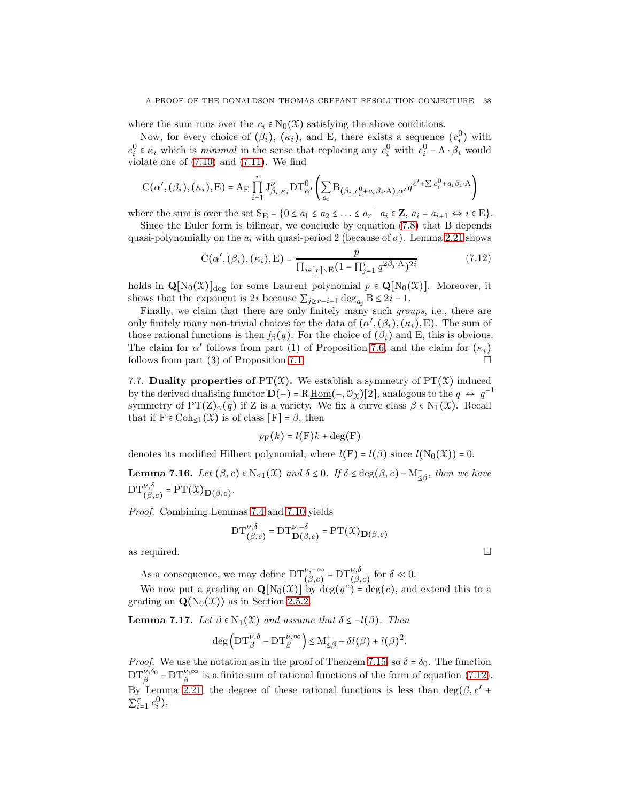where the sum runs over the  $c_i \in N_0(\mathfrak{X})$  satisfying the above conditions.

Now, for every choice of  $(\beta_i)$ ,  $(\kappa_i)$ , and E, there exists a sequence  $(c_i^0)$  with  $c_i^0 \in \kappa_i$  which is *minimal* in the sense that replacing any  $c_i^0$  with  $c_i^0 - A \cdot \beta_i$  would violate one of [\(7.10\)](#page-36-0) and [\(7.11\)](#page-36-1). We find

$$
\mathrm{C}(\alpha',(\beta_i),(\kappa_i),\mathrm{E})=\mathrm{A}_{\mathrm{E}}\prod_{i=1}^r\mathrm{J}^\nu_{\beta_i,\kappa_i}\mathrm{DT}^0_{\alpha'}\left(\sum_{a_i}\mathrm{B}_{\left(\beta_i,c^0_i+a_i\beta_i\cdot\mathrm{A}\right),\alpha'}q^{c'+\sum c^0_i+a_i\beta_i\cdot\mathrm{A}}\right)
$$

where the sum is over the set  $S_E = \{0 \le a_1 \le a_2 \le \ldots \le a_r \mid a_i \in \mathbf{Z}, a_i = a_{i+1} \Leftrightarrow i \in E\}.$ 

Since the Euler form is bilinear, we conclude by equation [\(7.8\)](#page-36-2) that B depends quasi-polynomially on the  $a_i$  with quasi-period 2 (because of  $\sigma$ ). Lemma [2.21](#page-16-0) shows

<span id="page-37-0"></span>
$$
C(\alpha', (\beta_i), (\kappa_i), E) = \frac{p}{\prod_{i \in [r] \setminus E} (1 - \prod_{j=1}^{i} q^{2\beta_j \cdot A})^{2i}}
$$
(7.12)

holds in  $\mathbf{Q}[N_0(\mathfrak{X})]_{\text{deg}}$  for some Laurent polynomial  $p \in \mathbf{Q}[N_0(\mathfrak{X})]$ . Moreover, it shows that the exponent is 2*i* because  $\sum_{j \geq r-i+1} \deg_{a_j} B \leq 2i-1$ .

Finally, we claim that there are only finitely many such groups, i.e., there are only finitely many non-trivial choices for the data of  $(\alpha',(\beta_i),(\kappa_i),E)$ . The sum of those rational functions is then  $f_{\beta}(q)$ . For the choice of  $(\beta_i)$  and E, this is obvious. The claim for  $\alpha'$  follows from part (1) of Proposition [7.6,](#page-31-1) and the claim for  $(\kappa_i)$ follows from part (3) of Proposition [7.1.](#page-29-1)

<span id="page-37-3"></span>7.7. Duality properties of  $PT(X)$ . We establish a symmetry of  $PT(X)$  induced by the derived dualising functor  $\mathbf{D}(-) = R \underline{\text{Hom}}(-, \mathcal{O}_{\mathcal{X}})[2]$ , analogous to the  $q \leftrightarrow q^{-1}$ symmetry of PT(Z)<sub> $\gamma$ </sub>(q) if Z is a variety. We fix a curve class  $\beta \in N_1(\mathfrak{X})$ . Recall that if  $F \in \text{Coh}_{\leq 1}(\mathfrak{X})$  is of class  $[F] = \beta$ , then

$$
p_{\mathrm{F}}(k) = l(\mathrm{F})k + \deg(\mathrm{F})
$$

denotes its modified Hilbert polynomial, where  $l(F) = l(\beta)$  since  $l(N_0(\mathfrak{X})) = 0$ .

<span id="page-37-1"></span>**Lemma 7.16.** Let  $(\beta, c) \in N_{\leq 1}(\mathfrak{X})$  and  $\delta \leq 0$ . If  $\delta \leq \deg(\beta, c) + M_{\leq \beta}^{-}$ , then we have  $DT^{\nu,\delta}_{(\beta,c)} = PT(\mathfrak{X})_{\mathbf{D}(\beta,c)}.$ 

Proof. Combining Lemmas [7.4](#page-30-1) and [7.10](#page-33-0) yields

$$
\mathrm{DT}_{(\beta,c)}^{\nu,\delta}=\mathrm{DT}_{\mathbf{D}(\beta,c)}^{\nu,-\delta}=\mathrm{PT}(\mathfrak{X})_{\mathbf{D}(\beta,c)}
$$

as required.  $\Box$ 

As a consequence, we may define  $DT^{\nu,-\infty}_{(\beta,c)} = DT^{\nu,\delta}_{(\beta,c)}$  for  $\delta \ll 0$ .

We now put a grading on  $\mathbf{Q}[N_0(\mathcal{X})]$  by deg( $q^c$ ) = deg(c), and extend this to a grading on  $\mathbf{Q}(N_0(\mathcal{X}))$  as in Section [2.5.2.](#page-15-0)

<span id="page-37-2"></span>**Lemma 7.17.** Let  $\beta \in N_1(\mathfrak{X})$  and assume that  $\delta \leq -l(\beta)$ . Then

$$
\deg\left({\rm DT}^{\nu,\delta}_{\beta}-{\rm DT}^{\nu,\infty}_{\beta}\right)\leq {\rm M}^+_{\leq \beta}+\delta l(\beta)+l(\beta)^2.
$$

*Proof.* We use the notation as in the proof of Theorem [7.15,](#page-35-0) so  $\delta = \delta_0$ . The function  $DT^{\nu,\delta_0}_{\beta}$  –  $DT^{\nu,\infty}_{\beta}$  is a finite sum of rational functions of the form of equation [\(7.12\)](#page-37-0). By Lemma [2.21,](#page-16-0) the degree of these rational functions is less than  $deg(\beta, c' +$  $\sum_{i=1}^{r} c_i^0$ .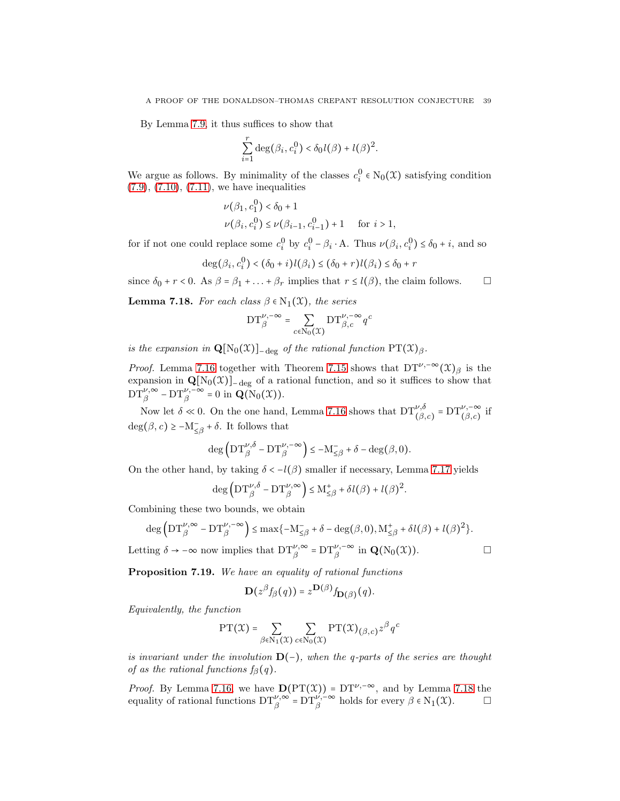By Lemma [7.9,](#page-33-1) it thus suffices to show that

$$
\sum_{i=1}^r \deg(\beta_i, c_i^0) < \delta_0 l(\beta) + l(\beta)^2.
$$

We argue as follows. By minimality of the classes  $c_i^0 \in N_0(\mathfrak{X})$  satisfying condition  $(7.9)$ ,  $(7.10)$ ,  $(7.11)$ , we have inequalities

$$
\nu(\beta_1, c_1^0) < \delta_0 + 1
$$
\n
$$
\nu(\beta_i, c_i^0) \le \nu(\beta_{i-1}, c_{i-1}^0) + 1 \quad \text{for } i > 1,
$$

for if not one could replace some  $c_i^0$  by  $c_i^0 - \beta_i \cdot A$ . Thus  $\nu(\beta_i, c_i^0) \le \delta_0 + i$ , and so

$$
\deg(\beta_i, c_i^0) < (\delta_0 + i)l(\beta_i) \le (\delta_0 + r)l(\beta_i) \le \delta_0 + r
$$

since  $\delta_0 + r < 0$ . As  $\beta = \beta_1 + ... + \beta_r$  implies that  $r \le l(\beta)$ , the claim follows.  $\square$ 

<span id="page-38-1"></span>**Lemma 7.18.** For each class  $\beta \in N_1(\mathfrak{X})$ , the series

$$
\mathrm{DT}^{\nu,-\infty}_{\beta}=\sum_{c\in \mathrm{N}_0(\mathfrak{X})}\mathrm{DT}^{\nu,-\infty}_{\beta,c}q^c
$$

is the expansion in  $\mathbf{Q}[N_0(\mathfrak{X})]_{-\text{deg}}$  of the rational function  $\mathrm{PT}(\mathfrak{X})_{\beta}$ .

*Proof.* Lemma [7.16](#page-37-1) together with Theorem [7.15](#page-35-0) shows that DT<sup> $\nu,~\infty$ </sup> $(\mathfrak{X})_B$  is the expansion in  $\mathbf{Q}[N_0(\mathcal{X})]$ <sub>−deg</sub> of a rational function, and so it suffices to show that  $DT_{\beta}^{\nu,\infty}$  –  $DT_{\beta}^{\nu,-\infty}$  = 0 in  $\mathbf{Q}(\mathrm{N}_0(\mathfrak{X})).$ 

Now let  $\delta \ll 0$ . On the one hand, Lemma [7.16](#page-37-1) shows that  $DT^{\nu,\delta}_{(\beta,c)} = DT^{\nu,-\infty}_{(\beta,c)}$  if  $deg(\beta, c) \ge -M_{\leq \beta}^- + \delta$ . It follows that

$$
\deg\left(\operatorname{DT}_{\beta}^{\nu,\delta}-\operatorname{DT}_{\beta}^{\nu,-\infty}\right)\leq -\mathrm{M}_{\leq\beta}^-+\delta-\deg\big(\beta,0\big).
$$

On the other hand, by taking  $\delta < -l(\beta)$  smaller if necessary, Lemma [7.17](#page-37-2) yields

$$
\deg\left({\rm DT}^{\nu,\delta}_{\beta}-{\rm DT}^{\nu,\infty}_{\beta}\right)\leq {\rm M}^+_{\leq\beta}+\delta l\big(\beta\big)+l\big(\beta\big)^2.
$$

Combining these two bounds, we obtain

$$
\deg\left(\operatorname{DT}_{\beta}^{\nu,\infty}-\operatorname{DT}_{\beta}^{\nu,-\infty}\right)\leq \max\{-\mathrm{M}_{\leq\beta}+\delta-\deg(\beta,0),\mathrm{M}_{\leq\beta}^+ + \delta l(\beta) + l(\beta)^2\}.
$$

Letting  $\delta \to -\infty$  now implies that  $DT_{\beta}^{\nu,\infty} = DT_{\beta}^{\nu,-\infty}$  in  $\mathbf{Q}(N_0(\mathfrak{X}))$ .

<span id="page-38-0"></span>Proposition 7.19. We have an equality of rational functions

$$
\mathbf{D}(z^{\beta}f_{\beta}(q)) = z^{\mathbf{D}(\beta)}f_{\mathbf{D}(\beta)}(q).
$$

Equivalently, the function

$$
\mathrm{PT}(\mathcal{X}) = \sum_{\beta \in \mathrm{N}_1(\mathcal{X})} \sum_{c \in \mathrm{N}_0(\mathcal{X})} \mathrm{PT}(\mathcal{X})_{\left(\beta, c\right)} z^{\beta} q^c
$$

is invariant under the involution  $D(-)$ , when the q-parts of the series are thought of as the rational functions  $f_{\beta}(q)$ .

*Proof.* By Lemma [7.16,](#page-37-1) we have  $D(PT(\mathcal{X})) = DT^{\nu,-\infty}$ , and by Lemma [7.18](#page-38-1) the equality of rational functions  $DT^{\nu, \infty}_{\beta} = DT^{\nu, -\infty}_{\beta}$  holds for every  $\beta \in N_1(\mathfrak{X})$ .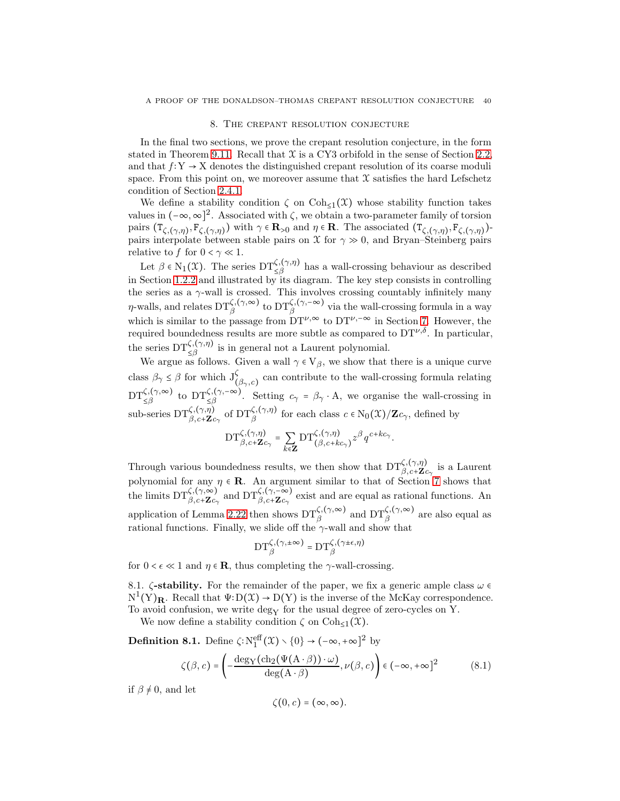#### 8. The crepant resolution conjecture

<span id="page-39-0"></span>In the final two sections, we prove the crepant resolution conjecture, in the form stated in Theorem [9.11.](#page-55-0) Recall that  $\mathfrak X$  is a CY3 orbifold in the sense of Section [2.2,](#page-10-1) and that  $f: Y \to X$  denotes the distinguished crepant resolution of its coarse moduli space. From this point on, we moreover assume that  $\mathfrak X$  satisfies the hard Lefschetz condition of Section [2.4.1.](#page-14-2)

We define a stability condition  $\zeta$  on  $\text{Coh}_{\leq 1}(\mathfrak{X})$  whose stability function takes values in  $(-\infty, \infty]^2$ . Associated with  $\zeta$ , we obtain a two-parameter family of torsion pairs  $(\mathsf{T}_{\zeta,(\gamma,\eta)},\mathsf{F}_{\zeta,(\gamma,\eta)})$  with  $\gamma \in \mathbf{R}_{>0}$  and  $\eta \in \mathbf{R}$ . The associated  $(\mathsf{T}_{\zeta,(\gamma,\eta)},\mathsf{F}_{\zeta,(\gamma,\eta)})$ pairs interpolate between stable pairs on  $\mathfrak X$  for  $\gamma \gg 0$ , and Bryan–Steinberg pairs relative to  $f$  for  $0 < \gamma \ll 1$ .

Let  $\beta \in N_1(\mathfrak{X})$ . The series  $DT_{\leq \beta}^{\zeta,(\gamma,\eta)}$  has a wall-crossing behaviour as described in Section [1.2.2](#page-7-0) and illustrated by its diagram. The key step consists in controlling the series as a  $\gamma$ -wall is crossed. This involves crossing countably infinitely many  $\eta$ -walls, and relates  $DT_{\beta}^{\zeta,(\gamma,\infty)}$  to  $DT_{\beta}^{\zeta,(\gamma,-\infty)}$  via the wall-crossing formula in a way which is similar to the passage from  $DT^{\nu, \infty}$  to  $DT^{\nu, -\infty}$  in Section [7.](#page-29-0) However, the required boundedness results are more subtle as compared to  $DT^{\nu,\delta}$ . In particular, the series  $DT_{\leq R}^{\zeta,(\gamma,\eta)}$  is in general not a Laurent polynomial. ≤β

We argue as follows. Given a wall  $\gamma \in V_\beta$ , we show that there is a unique curve class  $\beta_{\gamma} \leq \beta$  for which  $J^{\zeta}_{(\beta_{\gamma}, c)}$  can contribute to the wall-crossing formula relating  $DT_{\leq\beta}^{\zeta,(\gamma,\infty)}$  to  $DT_{\leq\beta}^{\zeta,(\gamma,-\infty)}$ . Setting  $c_{\gamma} = \beta_{\gamma} \cdot A$ , we organise the wall-crossing in sub-series  $\mathrm{DT}^{\zeta,(\gamma,\eta)}_{\beta,c+\mathbf{Z}c_{\gamma}}$  of  $\mathrm{DT}^{\zeta,(\gamma,\eta)}_{\beta}$  for each class  $c \in N_0(\mathfrak{X})/\mathbf{Z}c_{\gamma}$ , defined by  $DT_{\beta,c+\mathbf{Z}c_{\gamma}}^{\zeta,(\gamma,\eta)}=\sum_{\mathbf{Z}}$ *k*∈Z  $\mathop{\rm DT}\nolimits_{(\beta,c+kc_\gamma)}^{\zeta,(\gamma,\eta)}z^\beta q^{c+kc_\gamma}.$ 

Through various boundedness results, we then show that  $DT_{\beta,c+\mathbf{Z}c_{\gamma}}^{\zeta,(\gamma,\eta)}$  is a Laurent polynomial for any  $\eta \in \mathbb{R}$ . An argument similar to that of Section [7](#page-29-0) shows that the limits  $DT^{\zeta,(\gamma,\infty)}_{\beta,c+\mathbf{Z}c_{\gamma}}$  and  $DT^{\zeta,(\gamma,-\infty)}_{\beta,c+\mathbf{Z}c_{\gamma}}$  exist and are equal as rational functions. An application of Lemma [2.22](#page-16-1) then shows  $DT_{\beta}^{\zeta,(\gamma,\infty)}$  and  $DT_{\beta}^{\zeta,(\gamma,\infty)}$  are also equal as rational functions. Finally, we slide off the  $\gamma$ -wall and show that

$$
\mathrm{DT}^{\zeta,(\gamma,\pm\infty)}_{\beta}=\mathrm{DT}^{\zeta,(\gamma\pm\epsilon,\eta)}_{\beta}
$$

for  $0 < \epsilon \ll 1$  and  $\eta \in \mathbb{R}$ , thus completing the  $\gamma$ -wall-crossing.

8.1.  $\zeta$ -stability. For the remainder of the paper, we fix a generic ample class  $\omega \in \mathbb{R}$  $N^1(Y)_R$ . Recall that  $\Psi: D(\mathcal{X}) \to D(Y)$  is the inverse of the McKay correspondence. To avoid confusion, we write deg<sub>Y</sub> for the usual degree of zero-cycles on Y.

We now define a stability condition  $\zeta$  on  $\text{Coh}_{\leq 1}(\mathfrak{X})$ .

**Definition 8.1.** Define  $\zeta: \mathrm{N}_1^{\mathrm{eff}}(\mathfrak{X}) \setminus \{0\} \to (-\infty, +\infty]^2$  by

$$
\zeta(\beta, c) = \left( -\frac{\deg_{\mathbf{Y}}(\mathrm{ch}_2(\Psi(\mathbf{A} \cdot \beta)) \cdot \omega)}{\deg(\mathbf{A} \cdot \beta)}, \nu(\beta, c) \right) \in (-\infty, +\infty]^2 \tag{8.1}
$$

if  $\beta \neq 0$ , and let

$$
\zeta(0,c)=(\infty,\infty).
$$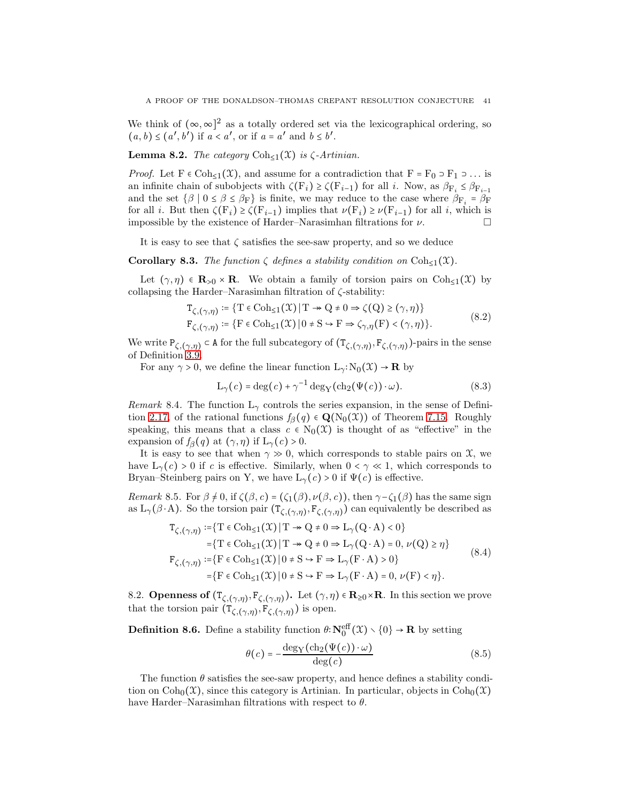We think of  $(\infty, \infty]^2$  as a totally ordered set via the lexicographical ordering, so  $(a, b) \leq (a', b')$  if  $a < a'$ , or if  $a = a'$  and  $b \leq b'$ .

**Lemma 8.2.** The category  $\text{Coh}_{\leq 1}(\mathfrak{X})$  is  $\zeta$ -Artinian.

*Proof.* Let  $F \in \text{Coh}_{\leq 1}(\mathfrak{X})$ , and assume for a contradiction that  $F = F_0 \supset F_1 \supset \dots$  is an infinite chain of subobjects with  $\zeta(\mathbf{F}_i) \geq \zeta(\mathbf{F}_{i-1})$  for all *i*. Now, as  $\beta_{\mathbf{F}_i} \leq \beta_{\mathbf{F}_{i-1}}$ and the set  $\{\beta \mid 0 \le \beta \le \beta_F\}$  is finite, we may reduce to the case where  $\beta_{F_i} = \beta_F$ for all *i*. But then  $\zeta(\mathbf{F}_i) \geq \zeta(\mathbf{F}_{i-1})$  implies that  $\nu(\mathbf{F}_i) \geq \nu(\mathbf{F}_{i-1})$  for all *i*, which is impossible by the existence of Harder–Narasimhan filtrations for  $\nu$ .

It is easy to see that  $\zeta$  satisfies the see-saw property, and so we deduce

**Corollary 8.3.** The function  $\zeta$  defines a stability condition on  $\text{Coh}_{\leq 1}(\mathfrak{X})$ .

Let  $(\gamma, \eta) \in \mathbf{R}_{>0} \times \mathbf{R}$ . We obtain a family of torsion pairs on  $Coh_{\leq 1}(\mathfrak{X})$  by collapsing the Harder–Narasimhan filtration of ζ-stability:

$$
T_{\zeta,(\gamma,\eta)} \coloneqq \{ T \in \text{Coh}_{\leq 1}(\mathcal{X}) \mid T \twoheadrightarrow Q \neq 0 \Rightarrow \zeta(Q) \geq (\gamma, \eta) \}
$$
  
\n
$$
F_{\zeta,(\gamma,\eta)} \coloneqq \{ F \in \text{Coh}_{\leq 1}(\mathcal{X}) \mid 0 \neq S \hookrightarrow F \Rightarrow \zeta_{\gamma,\eta}(F) < (\gamma, \eta) \}.
$$
\n
$$
(8.2)
$$

We write  $P_{\zeta,(\gamma,\eta)} \subset A$  for the full subcategory of  $(T_{\zeta,(\gamma,\eta)},F_{\zeta,(\gamma,\eta)})$ -pairs in the sense of Definition [3.9.](#page-19-1)

For any  $\gamma > 0$ , we define the linear function  $L_{\gamma}: N_0(\mathfrak{X}) \to \mathbf{R}$  by

$$
L_{\gamma}(c) = \deg(c) + \gamma^{-1} \deg_{Y}(\text{ch}_{2}(\Psi(c)) \cdot \omega).
$$
 (8.3)

Remark 8.4. The function  $L_{\gamma}$  controls the series expansion, in the sense of Defini-tion [2.17,](#page-15-2) of the rational functions  $f_{\beta}(q) \in \mathbf{Q}(N_0(\mathfrak{X}))$  of Theorem [7.15.](#page-35-0) Roughly speaking, this means that a class  $c \in N_0(\mathcal{X})$  is thought of as "effective" in the expansion of  $f_\beta(q)$  at  $(\gamma, \eta)$  if  $L_\gamma(c) > 0$ .

It is easy to see that when  $\gamma \gg 0$ , which corresponds to stable pairs on  $\mathfrak{X}$ , we have  $L_{\gamma}(c) > 0$  if c is effective. Similarly, when  $0 < \gamma \ll 1$ , which corresponds to Bryan–Steinberg pairs on Y, we have  $L_{\gamma}(c) > 0$  if  $\Psi(c)$  is effective.

Remark 8.5. For  $\beta \neq 0$ , if  $\zeta(\beta, c) = (\zeta_1(\beta), \nu(\beta, c))$ , then  $\gamma - \zeta_1(\beta)$  has the same sign as  $L_{\gamma}(\beta \cdot A)$ . So the torsion pair  $(T_{\zeta,(\gamma,\eta)},F_{\zeta,(\gamma,\eta)})$  can equivalently be described as

$$
T_{\zeta,(\gamma,\eta)} := \{ T \in \text{Coh}_{\leq 1}(\mathfrak{X}) \mid T \twoheadrightarrow Q \neq 0 \Rightarrow L_{\gamma}(Q \cdot A) < 0 \}
$$
\n
$$
= \{ T \in \text{Coh}_{\leq 1}(\mathfrak{X}) \mid T \twoheadrightarrow Q \neq 0 \Rightarrow L_{\gamma}(Q \cdot A) = 0, \nu(Q) \geq \eta \}
$$
\n
$$
F_{\zeta,(\gamma,\eta)} := \{ F \in \text{Coh}_{\leq 1}(\mathfrak{X}) \mid 0 \neq S \rightarrow F \Rightarrow L_{\gamma}(F \cdot A) > 0 \}
$$
\n
$$
= \{ F \in \text{Coh}_{\leq 1}(\mathfrak{X}) \mid 0 \neq S \rightarrow F \Rightarrow L_{\gamma}(F \cdot A) = 0, \nu(F) < \eta \}.
$$
\n
$$
(8.4)
$$

8.2. **Openness of**  $(T_{\zeta,(\gamma,\eta)}, F_{\zeta,(\gamma,\eta)})$ . Let  $(\gamma,\eta) \in \mathbf{R}_{\geq 0} \times \mathbf{R}$ . In this section we prove that the torsion pair  $(\Upsilon_{\zeta,(\gamma,\eta)},\Upsilon_{\zeta,(\gamma,\eta)})$  is open.

**Definition 8.6.** Define a stability function  $\theta: \mathbb{N}_0^{\text{eff}}(\mathcal{X}) \setminus \{0\} \to \mathbb{R}$  by setting

$$
\theta(c) = -\frac{\deg_{\mathcal{Y}}(\mathrm{ch}_{2}(\Psi(c)) \cdot \omega)}{\deg(c)}\tag{8.5}
$$

The function  $\theta$  satisfies the see-saw property, and hence defines a stability condition on  $\text{Coh}_0(\mathfrak{X})$ , since this category is Artinian. In particular, objects in  $\text{Coh}_0(\mathfrak{X})$ have Harder–Narasimhan filtrations with respect to  $\theta$ .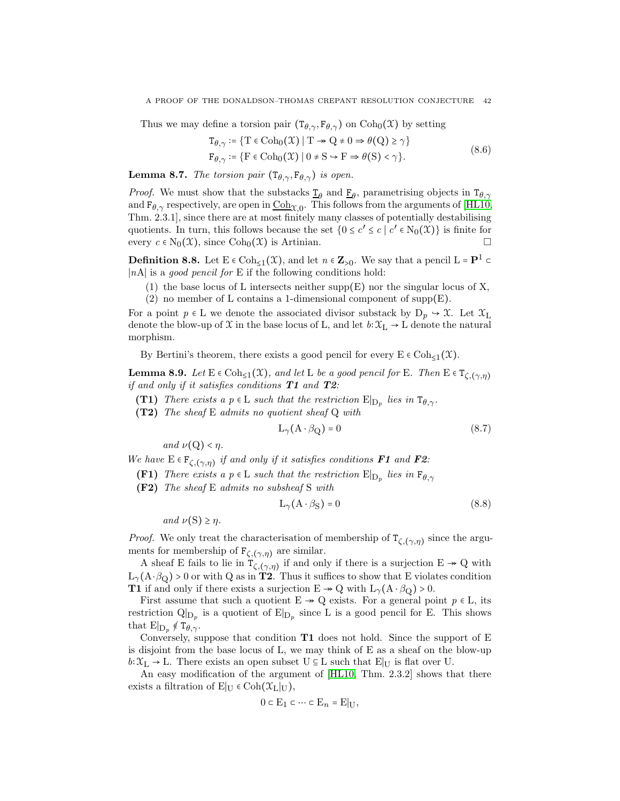Thus we may define a torsion pair  $(T_{\theta,\gamma}, F_{\theta,\gamma})$  on  $Coh_0(\mathfrak{X})$  by setting

$$
T_{\theta,\gamma} \coloneqq \{ T \in \text{Coh}_0(\mathcal{X}) \mid T \to Q \neq 0 \Rightarrow \theta(Q) \ge \gamma \}
$$
  
\n
$$
F_{\theta,\gamma} \coloneqq \{ F \in \text{Coh}_0(\mathcal{X}) \mid 0 \ne S \to F \Rightarrow \theta(S) < \gamma \}. \tag{8.6}
$$

**Lemma 8.7.** The torsion pair  $(T_{\theta,\gamma}, F_{\theta,\gamma})$  is open.

*Proof.* We must show that the substacks  $\underline{\mathbf{r}}_{\theta}$  and  $\underline{\mathbf{F}}_{\theta}$ , parametrising objects in  $\mathbf{T}_{\theta,\gamma}$ and  $F_{\theta,\gamma}$  respectively, are open in  $\text{Coh}_{\mathfrak{X},0}$ . This follows from the arguments of [\[HL10,](#page-64-17) Thm. 2.3.1], since there are at most finitely many classes of potentially destabilising quotients. In turn, this follows because the set  $(0 \le c' \le c \mid c' \in N_0(\mathfrak{X}))$  is finite for every  $c \in N_0(\mathcal{X})$ , since  $Coh_0(\mathcal{X})$  is Artinian.

**Definition 8.8.** Let  $E \in \text{Coh}_{\leq 1}(\mathfrak{X})$ , and let  $n \in \mathbb{Z}_{>0}$ . We say that a pencil  $L = \mathbf{P}^1 \subset \mathbb{Z}_{\leq 0}$ ∣nA∣ is a good pencil for E if the following conditions hold:

(1) the base locus of L intersects neither supp $(E)$  nor the singular locus of X,

(2) no member of L contains a 1-dimensional component of  $supp(E)$ .

For a point  $p \in L$  we denote the associated divisor substack by  $D_p \rightarrow \mathcal{X}$ . Let  $\mathcal{X}_L$ denote the blow-up of X in the base locus of L, and let  $b:\mathfrak{X}_{\mathrm{L}}\to\mathrm{L}$  denote the natural morphism.

By Bertini's theorem, there exists a good pencil for every  $E \in \text{Coh}_{\leq 1}(\mathfrak{X})$ .

**Lemma 8.9.** Let  $E \in \text{Coh}_{\leq 1}(\mathfrak{X})$ , and let L be a good pencil for E. Then  $E \in T_{\zeta,(\gamma,\eta)}$ if and only if it satisfies conditions  $T1$  and  $T2$ :

- (T1) There exists a  $p \in L$  such that the restriction  $E|_{D_p}$  lies in  $T_{\theta,\gamma}$ .
- (T2) The sheaf E admits no quotient sheaf Q with

$$
L_{\gamma}(A \cdot \beta_{Q}) = 0 \tag{8.7}
$$

and  $\nu(Q) < \eta$ .

We have  $E \in F_{\zeta,(\gamma,\eta)}$  if and only if it satisfies conditions **F1** and **F2**:

- **(F1)** There exists a p  $\in$  L such that the restriction  $E|_{D_p}$  lies in  $F_{\theta,\gamma}$
- (F2) The sheaf E admits no subsheaf S with

$$
L_{\gamma}(A \cdot \beta_S) = 0 \tag{8.8}
$$

and  $\nu(S) \geq \eta$ .

*Proof.* We only treat the characterisation of membership of  $T_{\zeta,(\gamma,\eta)}$  since the arguments for membership of  $F_{\zeta,(\gamma,\eta)}$  are similar.

A sheaf E fails to lie in  $T_{\zeta,(\gamma,\eta)}$  if and only if there is a surjection  $E \twoheadrightarrow Q$  with  $L_{\gamma}(A \cdot \beta_Q) > 0$  or with Q as in **T2**. Thus it suffices to show that E violates condition **T1** if and only if there exists a surjection  $E \rightarrow Q$  with  $L_{\gamma}(A \cdot \beta_{Q}) > 0$ .

First assume that such a quotient  $E \rightarrow Q$  exists. For a general point  $p \in L$ , its restriction  $\mathcal{Q}|_{\mathcal{D}_p}$  is a quotient of  $\mathcal{E}|_{\mathcal{D}_p}$  since L is a good pencil for E. This shows that  $E|_{D_p} \notin T_{\theta,\gamma}$ .

Conversely, suppose that condition  $T1$  does not hold. Since the support of E is disjoint from the base locus of L, we may think of E as a sheaf on the blow-up  $b:\mathfrak{X}_{L}\to L$ . There exists an open subset  $U\subseteq L$  such that  $E|_{U}$  is flat over U.

An easy modification of the argument of [\[HL10,](#page-64-17) Thm. 2.3.2] shows that there exists a filtration of E $|_U \in \text{Coh}(\mathfrak{X}_L|_U)$ ,

$$
0\subset \mathcal{E}_1\subset \cdots \subset \mathcal{E}_n=\mathcal{E}|_{\mathcal{U}},
$$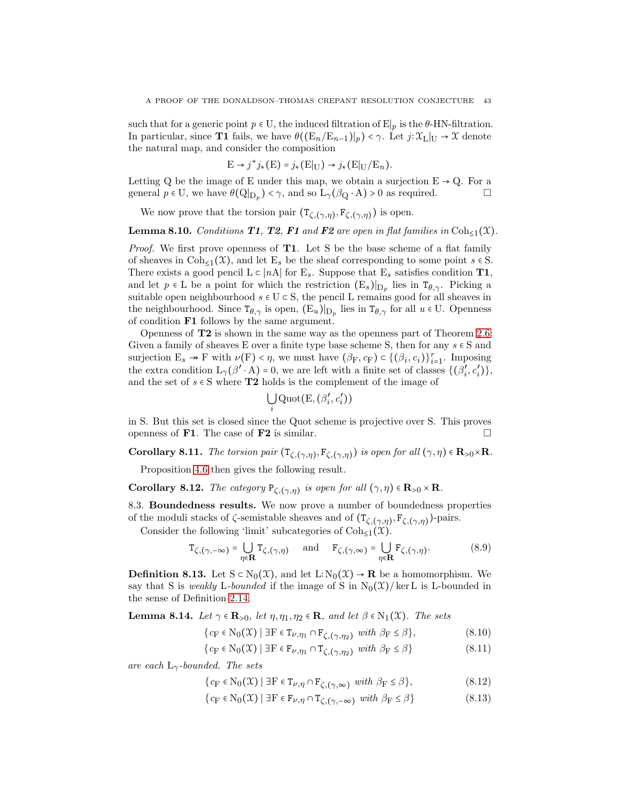such that for a generic point  $p \in U$ , the induced filtration of E $|p|$  is the  $\theta$ -HN-filtration. In particular, since **T1** fails, we have  $\theta((E_n/E_{n-1})|_p) < \gamma$ . Let  $j:\mathfrak{X}_L|_U \to \mathfrak{X}$  denote the natural map, and consider the composition

$$
E \to j^* j_*(E) = j_*(E|_U) \to j_*(E|_U/E_n).
$$

Letting Q be the image of E under this map, we obtain a surjection  $E \rightarrow Q$ . For a general  $p \in U$ , we have  $\theta(Q|_{D_p}) < \gamma$ , and so  $L_{\gamma}(\beta_Q \cdot A) > 0$  as required.

We now prove that the torsion pair  $(T_{\zeta,(\gamma,\eta)}, F_{\zeta,(\gamma,\eta)})$  is open.

**Lemma 8.10.** Conditions **T1, T2, F1** and **F2** are open in flat families in Coh<sub>≤1</sub>( $\mathfrak{X}$ ).

Proof. We first prove openness of T1. Let S be the base scheme of a flat family of sheaves in  $\text{Coh}_{\leq 1}(\mathfrak{X})$ , and let  $E_s$  be the sheaf corresponding to some point  $s \in S$ . There exists a good pencil  $L \subset |nA|$  for  $E_s$ . Suppose that  $E_s$  satisfies condition **T1**, and let  $p \in L$  be a point for which the restriction  $(E_s)|_{D_p}$  lies in  $T_{\theta,\gamma}$ . Picking a suitable open neighbourhood  $s \in U \subset S$ , the pencil L remains good for all sheaves in the neighbourhood. Since  $T_{\theta,\gamma}$  is open,  $(E_u)|_{D_p}$  lies in  $T_{\theta,\gamma}$  for all  $u \in U$ . Openness of condition F1 follows by the same argument.

Openness of T2 is shown in the same way as the openness part of Theorem [2.6:](#page-13-0) Given a family of sheaves E over a finite type base scheme S, then for any  $s \in S$  and surjection  $E_s \to F$  with  $\nu(F) < \eta$ , we must have  $(\beta_F, c_F) \subset \{(\beta_i, c_i)\}_{i=1}^r$ . Imposing the extra condition  $L_{\gamma}(\beta' \cdot A) = 0$ , we are left with a finite set of classes  $\{(\beta'_i)$  $\frac{i}{i}$ ,  $c_i'$ *i* )}, and the set of  $s \in S$  where **T2** holds is the complement of the image of

$$
\bigcup_i\mathrm{Quot}(\mathrm{E},(\beta_i',c_i'))
$$

in S. But this set is closed since the Quot scheme is projective over S. This proves openness of **F1**. The case of **F2** is similar.  $\Box$ 

<span id="page-42-2"></span>Corollary 8.11. The torsion pair  $(T_{\zeta,(\gamma,\eta)},F_{\zeta,(\gamma,\eta)})$  is open for all  $(\gamma,\eta) \in \mathbf{R}_{>0} \times \mathbf{R}$ .

Proposition [4.6](#page-22-0) then gives the following result.

Corollary 8.12. The category  $P_{\zeta,(\gamma,\eta)}$  is open for all  $(\gamma,\eta) \in \mathbf{R}_{>0} \times \mathbf{R}$ .

8.3. Boundedness results. We now prove a number of boundedness properties of the moduli stacks of  $\zeta$ -semistable sheaves and of  $(T_{\zeta,(\gamma,\eta)},F_{\zeta,(\gamma,\eta)})$ -pairs.

Consider the following 'limit' subcategories of  $\text{Coh}_{\leq 1}(\mathfrak{X})$ .

$$
\mathbf{T}_{\zeta,(\gamma,-\infty)} = \bigcup_{\eta \in \mathbf{R}} \mathbf{T}_{\zeta,(\gamma,\eta)} \quad \text{and} \quad \mathbf{F}_{\zeta,(\gamma,\infty)} = \bigcup_{\eta \in \mathbf{R}} \mathbf{F}_{\zeta,(\gamma,\eta)}. \tag{8.9}
$$

**Definition 8.13.** Let  $S \subset N_0(\mathcal{X})$ , and let  $L: N_0(\mathcal{X}) \to \mathbf{R}$  be a homomorphism. We say that S is weakly L-bounded if the image of S in  $N_0(\mathcal{X})$ /ker L is L-bounded in the sense of Definition [2.14.](#page-14-3)

<span id="page-42-3"></span>**Lemma 8.14.** Let  $\gamma \in \mathbb{R}_{>0}$ , let  $\eta, \eta_1, \eta_2 \in \mathbb{R}$ , and let  $\beta \in N_1(\mathfrak{X})$ . The sets

<span id="page-42-0"></span>
$$
\{c_{\mathcal{F}} \in \mathcal{N}_0(\mathcal{X}) \mid \exists \mathcal{F} \in \mathcal{T}_{\nu, \eta_1} \cap \mathcal{F}_{\zeta, (\gamma, \eta_2)} \text{ with } \beta_{\mathcal{F}} \le \beta\},\tag{8.10}
$$

$$
\{c_{\mathcal{F}} \in \mathcal{N}_0(\mathcal{X}) \mid \exists \mathcal{F} \in \mathcal{F}_{\nu, \eta_1} \cap \mathcal{T}_{\zeta, (\gamma, \eta_2)} \text{ with } \beta_{\mathcal{F}} \le \beta\}
$$
\n
$$
(8.11)
$$

are each  $L_{\gamma}$ -bounded. The sets

$$
\{c_{\mathcal{F}} \in \mathcal{N}_0(\mathfrak{X}) \mid \exists \mathcal{F} \in \mathcal{T}_{\nu,\eta} \cap \mathcal{F}_{\zeta,(\gamma,\infty)} \text{ with } \beta_{\mathcal{F}} \le \beta\},\tag{8.12}
$$

<span id="page-42-1"></span>
$$
\{c_{\mathcal{F}} \in \mathcal{N}_0(\mathcal{X}) \mid \exists \mathcal{F} \in \mathcal{F}_{\nu,\eta} \cap \mathcal{T}_{\zeta,(\gamma,-\infty)} \text{ with } \beta_{\mathcal{F}} \le \beta\}
$$
\n(8.13)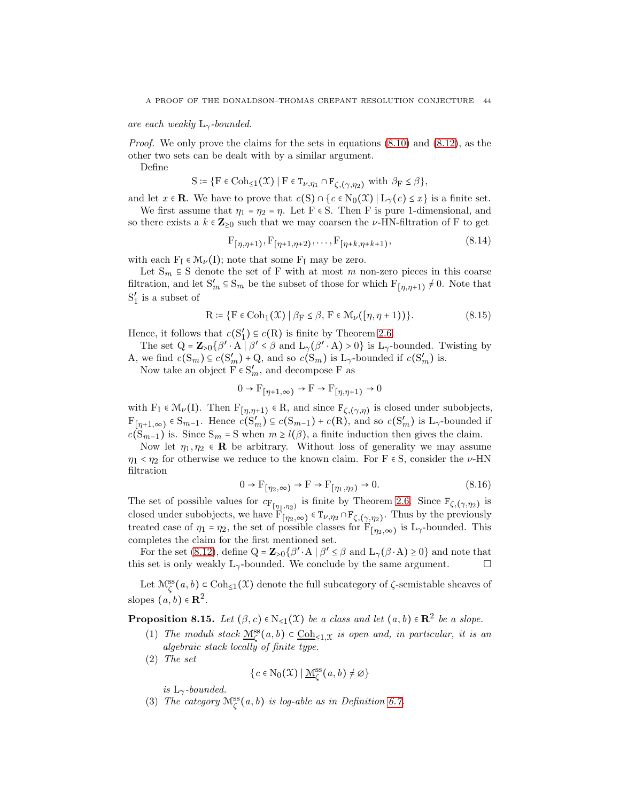are each weakly  $L_{\gamma}$ -bounded.

*Proof.* We only prove the claims for the sets in equations  $(8.10)$  and  $(8.12)$ , as the other two sets can be dealt with by a similar argument.

Define

$$
S \coloneqq \{ F \in \mathrm{Coh}_{\leq 1}(\mathfrak{X}) \mid F \in T_{\nu, \eta_1} \cap F_{\zeta, (\gamma, \eta_2)} \text{ with } \beta_F \leq \beta \},
$$

and let  $x \in \mathbf{R}$ . We have to prove that  $c(S) \cap \{c \in N_0(\mathcal{X}) | L_\gamma(c) \leq x\}$  is a finite set.

We first assume that  $\eta_1 = \eta_2 = \eta$ . Let F  $\in$  S. Then F is pure 1-dimensional, and so there exists a  $k \in \mathbb{Z}_{\geq 0}$  such that we may coarsen the *ν*-HN-filtration of F to get

$$
F_{[\eta,\eta+1)}, F_{[\eta+1,\eta+2)}, \dots, F_{[\eta+k,\eta+k+1)}, \tag{8.14}
$$

with each  $F_I \in \mathcal{M}_{\nu}(I)$ ; note that some  $F_I$  may be zero.

Let  $S_m \subseteq S$  denote the set of F with at most m non-zero pieces in this coarse filtration, and let  $S'_m \subseteq S_m$  be the subset of those for which  $F_{\lfloor \eta, \eta+1 \rfloor} \neq 0$ . Note that  $S'_1$  $\frac{1}{1}$  is a subset of

$$
R \coloneqq \{ F \in \text{Coh}_{1}(\mathcal{X}) \mid \beta_{F} \leq \beta, F \in \mathcal{M}_{\nu}([\eta, \eta + 1)) \}. \tag{8.15}
$$

Hence, it follows that  $c(S'_1)$  $'_{1}$ )  $\subseteq$  c(R) is finite by Theorem [2.6.](#page-13-0)

The set  $Q = \mathbb{Z}_{>0} \{\beta' \cdot A \mid \beta' \leq \beta \text{ and } L_{\gamma}(\beta' \cdot A) > 0\}$  is  $L_{\gamma}$ -bounded. Twisting by A, we find  $c(S_m) \subseteq c(S'_m) + Q$ , and so  $c(S_m)$  is  $L_\gamma$ -bounded if  $c(S'_m)$  is.

Now take an object  $\overrightarrow{F} \in S'_m$ , and decompose  $\overrightarrow{F}$  as

$$
0 \to \mathcal{F}_{\left[\eta+1,\infty\right)} \to \mathcal{F} \to \mathcal{F}_{\left[\eta,\eta+1\right)} \to 0
$$

with  $F_I \in M_\nu(I)$ . Then  $F_{[\eta,\eta+1)} \in R$ , and since  $F_{\zeta,(\gamma,\eta)}$  is closed under subobjects,  $F_{[\eta+1,\infty)} \in S_{m-1}$ . Hence  $c(S'_m) \subseteq c(S_{m-1}) + c(R)$ , and so  $c(S'_m)$  is  $L_\gamma$ -bounded if  $c(S_{m-1})$  is. Since  $S_m = S$  when  $m \ge l(\beta)$ , a finite induction then gives the claim.

Now let  $\eta_1, \eta_2 \in \mathbf{R}$  be arbitrary. Without loss of generality we may assume  $\eta_1 < \eta_2$  for otherwise we reduce to the known claim. For F  $\epsilon$  S, consider the  $\nu$ -HN filtration

$$
0 \to \mathcal{F}_{\left[\eta_2,\infty\right)} \to \mathcal{F} \to \mathcal{F}_{\left[\eta_1,\eta_2\right)} \to 0. \tag{8.16}
$$

The set of possible values for  $c_{\mathbf{F}_{[\eta_1,\eta_2)}}$  is finite by Theorem [2.6.](#page-13-0) Since  $\mathbf{F}_{\zeta,(\gamma,\eta_2)}$  is closed under subobjects, we have  $\overline{\mathrm{F}_{[\eta_2,\infty)}} \in \mathrm{T}_{\nu,\eta_2} \cap \mathrm{F}_{\zeta,(\gamma,\eta_2)}$ . Thus by the previously treated case of  $\eta_1 = \eta_2$ , the set of possible classes for  $F_{[\eta_2,\infty)}$  is  $L_\gamma$ -bounded. This completes the claim for the first mentioned set.

For the set [\(8.12\)](#page-42-1), define  $Q = \mathbb{Z}_{>0} \{\beta' \cdot A \mid \beta' \leq \beta \text{ and } L_{\gamma}(\beta \cdot A) \geq 0\}$  and note that this set is only weakly  $L_{\gamma}$ -bounded. We conclude by the same argument.  $\Box$ 

Let  $\mathcal{M}_{\zeta}^{ss}(a, b) \subset \text{Coh}_{\leq 1}(\mathfrak{X})$  denote the full subcategory of  $\zeta$ -semistable sheaves of slopes  $(a, b) \in \mathbb{R}^2$ .

<span id="page-43-0"></span>**Proposition 8.15.** Let  $(\beta, c) \in N_{\leq 1}(\mathfrak{X})$  be a class and let  $(a, b) \in \mathbb{R}^2$  be a slope.

- (1) The moduli stack  $\underline{M}_{\zeta}^{ss}(a, b) \subset \underline{\text{Coh}}_{\leq 1,\mathfrak{X}}$  is open and, in particular, it is an algebraic stack locally of finite type.
- (2) The set

$$
\{c \in \mathrm{N}_0(\mathfrak{X}) \mid \underline{\mathcal{M}}^{\mathrm{ss}}_{\zeta}(a, b) \neq \varnothing\}
$$

is  $L_{\gamma}$ -bounded.

(3) The category  $\mathcal{M}^{\text{ss}}_{\zeta}(a, b)$  is log-able as in Definition [6.7.](#page-27-0)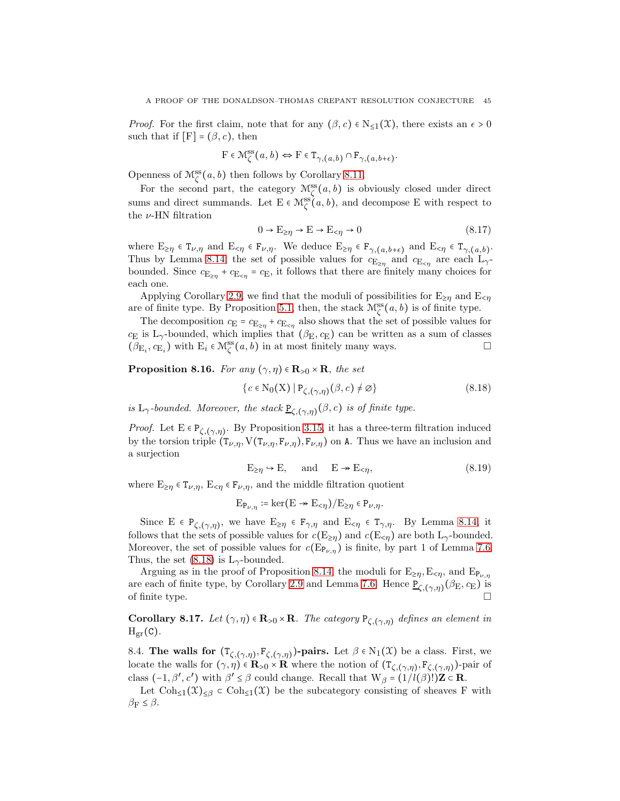*Proof.* For the first claim, note that for any  $(\beta, c) \in N_{\leq 1}(\mathfrak{X})$ , there exists an  $\epsilon > 0$ such that if  $[F] = (\beta, c)$ , then

$$
F \in \mathcal{M}_{\zeta}^{\mathop{\mathrm{ss}}\nolimits}(a,b) \Leftrightarrow F \in \mathbb{T}_{\gamma,(a,b)} \cap \mathbb{F}_{\gamma,(a,b+\epsilon)}.
$$

Openness of  $\mathcal{M}^{\text{ss}}_{\zeta}(a, b)$  then follows by Corollary [8.11.](#page-42-2)

For the second part, the category  $\mathcal{M}^{\text{ss}}_{\zeta}(a, b)$  is obviously closed under direct sums and direct summands. Let  $E \in \mathcal{M}^{\text{ss}}_{\zeta}(a, b)$ , and decompose E with respect to the  $\nu\text{-}\mathrm{HN}$  filtration

$$
0 \to \mathcal{E}_{\geq \eta} \to \mathcal{E} \to \mathcal{E}_{<\eta} \to 0 \tag{8.17}
$$

where  $E_{\geq \eta} \in T_{\nu, \eta}$  and  $E_{\leq \eta} \in F_{\nu, \eta}$ . We deduce  $E_{\geq \eta} \in F_{\gamma, (a, b+\epsilon)}$  and  $E_{\leq \eta} \in T_{\gamma, (a, b)}$ . Thus by Lemma [8.14,](#page-42-3) the set of possible values for  $c_{\mathbf{E}_{\geq \eta}}$  and  $c_{\mathbf{E}_{\leq \eta}}$  are each  $\mathbf{L}_{\gamma}$ bounded. Since  $c_{\mathbf{E}_{\geq \eta}} + c_{\mathbf{E}_{\leq \eta}} = c_{\mathbf{E}}$ , it follows that there are finitely many choices for each one.

Applying Corollary [2.9,](#page-13-3) we find that the moduli of possibilities for  $E_{\geq n}$  and  $E_{\leq n}$ are of finite type. By Proposition [5.1,](#page-23-0) then, the stack  $\mathcal{M}^{\text{ss}}_{\zeta}(a, b)$  is of finite type.

The decomposition  $c_{\mathbf{E}} = c_{\mathbf{E}_{\geq \eta}} + c_{\mathbf{E}_{\leq \eta}}$  also shows that the set of possible values for  $c_{\rm E}$  is L<sub>γ</sub>-bounded, which implies that  $(\beta_{\rm E}, c_{\rm E})$  can be written as a sum of classes  $(\beta_{\mathcal{E}_i}, c_{\mathcal{E}_i})$  with  $\mathcal{E}_i \in \mathcal{M}^{\text{ss}}_{\zeta}(a, b)$  in at most finitely many ways.

<span id="page-44-1"></span>**Proposition 8.16.** For any  $(\gamma, \eta) \in \mathbf{R}_{>0} \times \mathbf{R}$ , the set

<span id="page-44-0"></span>
$$
\{c \in \mathcal{N}_0(\mathbf{X}) \mid \mathbf{P}_{\zeta,(\gamma,\eta)}(\beta,c) \neq \varnothing\}
$$
\n(8.18)

is  $L_{\gamma}$ -bounded. Moreover, the stack  $\underline{P}_{\zeta,(\gamma,\eta)}(\beta,c)$  is of finite type.

*Proof.* Let  $E \in P_{\zeta,(\gamma,\eta)}$ . By Proposition [3.15,](#page-20-1) it has a three-term filtration induced by the torsion triple  $(T_{\nu,\eta}, V(T_{\nu,\eta}, F_{\nu,\eta}), F_{\nu,\eta})$  on A. Thus we have an inclusion and a surjection

$$
E_{\geq \eta} \hookrightarrow E, \quad \text{and} \quad E \twoheadrightarrow E_{<\eta}, \tag{8.19}
$$

where  $E_{\geq \eta} \in T_{\nu,\eta}$ ,  $E_{\leq \eta} \in F_{\nu,\eta}$ , and the middle filtration quotient

$$
E_{P_{\nu,\eta}} \coloneqq \ker(E \twoheadrightarrow E_{<\eta})/E_{\geq \eta} \in P_{\nu,\eta}.
$$

Since  $E \in P_{\zeta,(\gamma,\eta)}$ , we have  $E_{\geq \eta} \in F_{\gamma,\eta}$  and  $E_{\leq \eta} \in T_{\gamma,\eta}$ . By Lemma [8.14,](#page-42-3) it follows that the sets of possible values for  $c(E_{\geq n})$  and  $c(E_{\leq n})$  are both  $L_{\gamma}$ -bounded. Moreover, the set of possible values for  $c(\mathbb{E}_{\mathbb{P}_{\nu,\eta}})$  is finite, by part 1 of Lemma [7.6.](#page-31-1) Thus, the set  $(8.18)$  is L<sub>γ</sub>-bounded.

Arguing as in the proof of Proposition [8.14,](#page-42-3) the moduli for  $E_{\geq \eta}, E_{\leq \eta}$ , and  $E_{P_{\nu,\eta}}$ are each of finite type, by Corollary [2.9](#page-13-3) and Lemma [7.6.](#page-31-1) Hence  $\underline{P}_{\zeta,(\gamma,\eta)}(\beta_{\rm E},c_{\rm E})$  is of finite type.  $\Box$ 

**Corollary 8.17.** Let  $(\gamma, \eta) \in \mathbf{R}_{>0} \times \mathbf{R}$ . The category  $P_{\zeta,(\gamma,\eta)}$  defines an element in  $H_{\text{gr}}(C)$ .

8.4. The walls for  $(T_{\zeta,(\gamma,\eta)}, F_{\zeta,(\gamma,\eta)})$ -pairs. Let  $\beta \in N_1(\mathfrak{X})$  be a class. First, we locate the walls for  $(\gamma, \eta) \in \mathbf{R}_{>0} \times \mathbf{R}$  where the notion of  $(\mathsf{T}_{\zeta,(\gamma,\eta)}, \mathsf{F}_{\zeta,(\gamma,\eta)})$ -pair of class  $(-1, \beta', c')$  with  $\beta' \leq \beta$  could change. Recall that  $W_{\beta} = (1/l(\beta))\mathbf{Z} \subset \mathbf{R}$ .

Let  $\text{Coh}_{\leq 1}(\mathfrak{X})_{\leq \beta} \subset \text{Coh}_{\leq 1}(\mathfrak{X})$  be the subcategory consisting of sheaves F with  $\beta_F \leq \beta$ .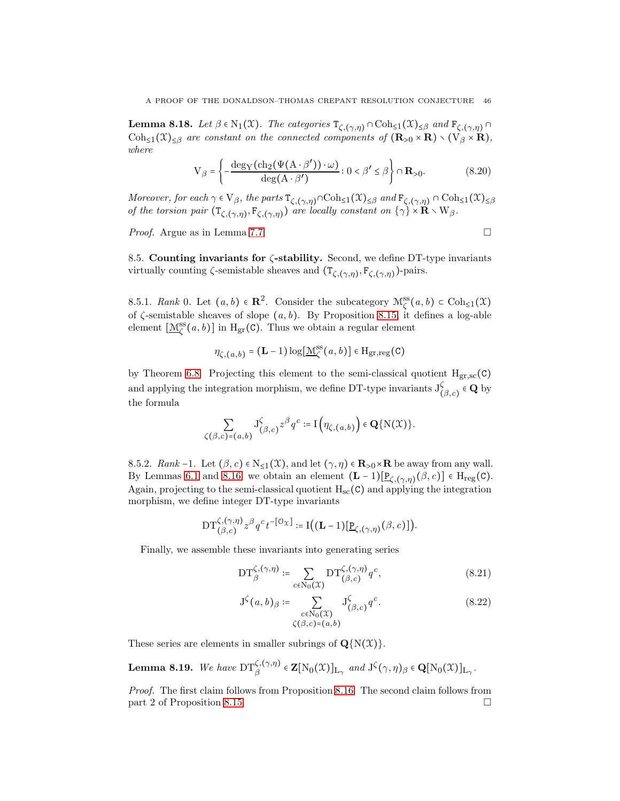<span id="page-45-0"></span>**Lemma 8.18.** Let  $\beta \in N_1(\mathfrak{X})$ . The categories  $\mathsf{T}_{\zeta,(\gamma,\eta)} \cap \text{Coh}_{\leq 1}(\mathfrak{X})_{\leq \beta}$  and  $\mathsf{F}_{\zeta,(\gamma,\eta)} \cap$  $\text{Coh}_{\leq 1}(\mathfrak{X})_{\leq \beta}$  are constant on the connected components of  $(\mathbf{R}_{>0} \times \mathbf{R}) \setminus (\mathbf{V}_{\beta} \times \mathbf{R})$ , where

$$
V_{\beta} = \left\{ -\frac{\deg_{Y}(\text{ch}_{2}(\Psi(A \cdot \beta')) \cdot \omega)}{\deg(A \cdot \beta')} : 0 < \beta' \le \beta \right\} \cap \mathbf{R}_{>0}.
$$
 (8.20)

Moreover, for each  $\gamma \in V_\beta$ , the parts  $T_{\zeta,(\gamma,\eta)} \cap \text{Coh}_{\leq 1}(\mathfrak{X})_{\leq \beta}$  and  $F_{\zeta,(\gamma,\eta)} \cap \text{Coh}_{\leq 1}(\mathfrak{X})_{\leq \beta}$ of the torsion pair  $(T_{\zeta,(\gamma,\eta)},F_{\zeta,(\gamma,\eta)})$  are locally constant on  $\{\gamma\}\times\mathbf{R}\times\mathbf{W}_{\beta}$ .

*Proof.* Argue as in Lemma [7.7.](#page-32-1)

8.5. Counting invariants for  $\zeta$ -stability. Second, we define DT-type invariants virtually counting  $\zeta$ -semistable sheaves and  $(\mathsf{T}_{\zeta,(\gamma,\eta)},\mathsf{F}_{\zeta,(\gamma,\eta)})$ -pairs.

8.5.1. Rank 0. Let  $(a, b) \in \mathbb{R}^2$ . Consider the subcategory  $\mathcal{M}^{\text{ss}}_{\zeta}(a, b) \subset \text{Coh}_{\leq 1}(\mathfrak{X})$ of  $\zeta$ -semistable sheaves of slope  $(a, b)$ . By Proposition [8.15,](#page-43-0) it defines a log-able element  $[\underline{\mathcal{M}}_{\zeta}^{\text{ss}}(a, b)]$  in  $H_{\text{gr}}(C)$ . Thus we obtain a regular element

$$
\eta_{\zeta,(a,b)} = (\mathbf{L} - 1) \log[\underline{\mathcal{M}}_{\zeta}^{\text{ss}}(a,b)] \in \mathrm{H}_{\text{gr,reg}}(\mathbf{C})
$$

by Theorem [6.8.](#page-27-1) Projecting this element to the semi-classical quotient  $H_{gr,sc}(C)$ and applying the integration morphism, we define DT-type invariants  $J_{\ell}^{\zeta}$  $\zeta_{(\beta,c)} \in \mathbf{Q}$  by the formula

$$
\sum_{\zeta(\beta,c)=(a,b)} \mathbf{J}_{(\beta,c)}^{\zeta} z^{\beta} q^c := \mathbf{I}\left(\eta_{\zeta,(a,b)}\right) \in \mathbf{Q}\{\mathbf{N}(\mathfrak{X})\}.
$$

8.5.2. Rank -1. Let  $(\beta, c) \in N_{\leq 1}(\mathfrak{X})$ , and let  $(\gamma, \eta) \in \mathbb{R}_{>0} \times \mathbb{R}$  be away from any wall. By Lemmas [6.1](#page-26-0) and [8.16,](#page-44-1) we obtain an element  $(L-1)[\underline{P}_{\zeta,(\gamma,\eta)}(\beta,c)] \in H_{reg}(C)$ . Again, projecting to the semi-classical quotient  $H_{sc}(C)$  and applying the integration morphism, we define integer DT-type invariants

$$
\mathrm{DT}_{(\beta,c)}^{\zeta,(\gamma,\eta)}z^{\beta}q^{c}t^{-\left[\mathcal{O}_{\mathfrak{X}}\right]}:=\mathrm{I}\big((\mathbf{L}-1)[\underline{\mathrm{P}}_{\zeta,(\gamma,\eta)}(\beta,c)]\big).
$$

Finally, we assemble these invariants into generating series

$$
\mathrm{DT}_{\beta}^{\zeta,(\gamma,\eta)} \coloneqq \sum_{c \in \mathrm{N}_0(\mathfrak{X})} \mathrm{DT}_{(\beta,c)}^{\zeta,(\gamma,\eta)} q^c,\tag{8.21}
$$

<span id="page-45-1"></span>
$$
J^{\zeta}(a,b)_{\beta} \coloneqq \sum_{\substack{c \in N_0(\mathfrak{X}) \\ \zeta(\beta,c) = (a,b)}} J^{\zeta}_{(\beta,c)} q^c.
$$
 (8.22)

These series are elements in smaller subrings of  $\mathbf{Q}\{N(\mathcal{X})\}.$ 

<span id="page-45-2"></span>**Lemma 8.19.** We have 
$$
DT_{\beta}^{\zeta,(\gamma,\eta)} \in \mathbf{Z}[N_0(\mathfrak{X})]_{L_{\gamma}}
$$
 and  $J^{\zeta}(\gamma,\eta)_{\beta} \in \mathbf{Q}[N_0(\mathfrak{X})]_{L_{\gamma}}$ .

Proof. The first claim follows from Proposition [8.16.](#page-44-1) The second claim follows from part 2 of Proposition [8.15.](#page-43-0)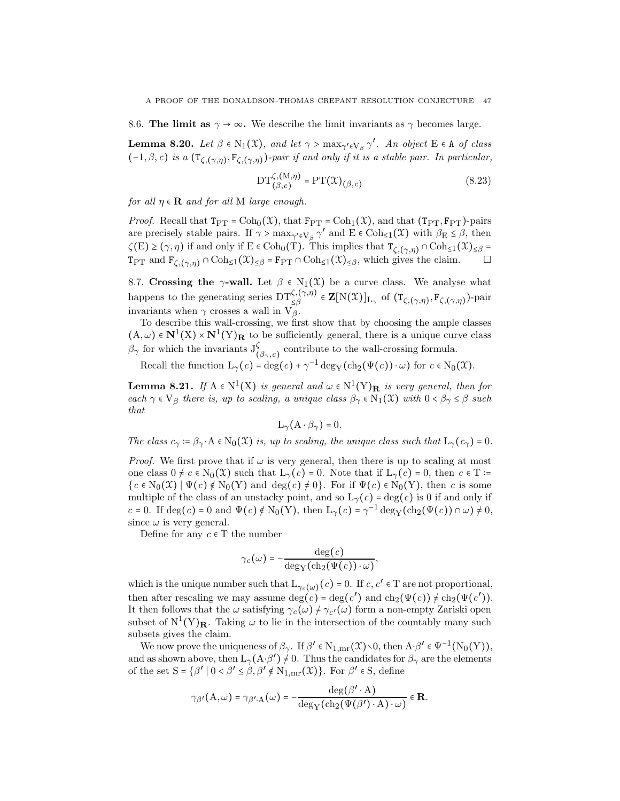8.6. The limit as  $\gamma \to \infty$ . We describe the limit invariants as  $\gamma$  becomes large.

<span id="page-46-1"></span>**Lemma 8.20.** Let  $\beta \in N_1(\mathfrak{X})$ , and let  $\gamma > \max_{\gamma' \in V_{\beta}} \gamma'$ . An object  $E \in A$  of class  $(-1, \beta, c)$  is a  $(\mathsf{T}_{\zeta,(\gamma,\eta)}, \mathsf{F}_{\zeta,(\gamma,\eta)})$ -pair if and only if it is a stable pair. In particular,

$$
DT_{(\beta,c)}^{\zeta,(M,\eta)} = PT(\mathfrak{X})_{(\beta,c)}
$$
(8.23)

for all  $\eta \in \mathbf{R}$  and for all M large enough.

*Proof.* Recall that  $T_{PT} = \text{Coh}_0(\mathcal{X})$ , that  $F_{PT} = \text{Coh}_1(\mathcal{X})$ , and that  $(T_{PT}, F_{PT})$ -pairs are precisely stable pairs. If  $\gamma > \max_{\gamma' \in V_{\beta}} \gamma'$  and  $E \in \text{Coh}_{\leq 1}(\mathfrak{X})$  with  $\beta_E \leq \beta$ , then  $\zeta(E)\geq(\gamma,\eta)$  if and only if  $E\in \text{Coh}_0(T)$ . This implies that  $T_{\zeta,(\gamma,\eta)}\cap \text{Coh}_{\leq 1}(\mathfrak{X})_{\leq\beta}=$  $T_{PT}$  and  $F_{\zeta,(\gamma,\eta)} \cap \text{Coh}_{\leq 1}(\mathfrak{X})_{\leq \beta} = F_{PT} \cap \text{Coh}_{\leq 1}(\mathfrak{X})_{\leq \beta}$ , which gives the claim.  $\Box$ 

8.7. Crossing the  $\gamma$ -wall. Let  $\beta \in N_1(\mathfrak{X})$  be a curve class. We analyse what happens to the generating series  $DT_{\leq \beta}^{\zeta,(\gamma,\eta)} \in \mathbf{Z}[N(\mathfrak{X})]_{L_{\gamma}}$  of  $(T_{\zeta,(\gamma,\eta)},F_{\zeta,(\gamma,\eta)})$ -pair invariants when  $\gamma$  crosses a wall in  $V_{\beta}^{\geq \rho}$ .

To describe this wall-crossing, we first show that by choosing the ample classes  $(A, \omega) \in \mathbb{N}^1(\mathbb{X}) \times \mathbb{N}^1(\mathbb{Y})$ R to be sufficiently general, there is a unique curve class  $\beta_{\gamma}$  for which the invariants  $J^{\zeta}_{(\beta_{\gamma},c)}$  contribute to the wall-crossing formula.

Recall the function  $L_{\gamma}(c) = \deg(c) + \gamma^{-1} \deg_{Y}(\text{ch}_{2}(\Psi(c)) \cdot \omega)$  for  $c \in N_{0}(\mathfrak{X})$ .

<span id="page-46-0"></span>**Lemma 8.21.** If  $A \in N^1(X)$  is general and  $\omega \in N^1(Y)_R$  is very general, then for each  $\gamma \in V_\beta$  there is, up to scaling, a unique class  $\beta_\gamma \in N_1(\mathfrak{X})$  with  $0 < \beta_\gamma \leq \beta$  such that

$$
L_\gamma(A\cdot\beta_\gamma)=0.
$$

The class  $c_{\gamma} := \beta_{\gamma} \cdot A \in N_0(\mathfrak{X})$  is, up to scaling, the unique class such that  $L_{\gamma}(c_{\gamma}) = 0$ .

*Proof.* We first prove that if  $\omega$  is very general, then there is up to scaling at most one class  $0 \neq c \in N_0(\mathfrak{X})$  such that  $L_\gamma(c) = 0$ . Note that if  $L_\gamma(c) = 0$ , then  $c \in \mathcal{T}$  :=  ${c \in N_0(\mathcal{X}) \mid \Psi(c) \notin N_0(Y) \text{ and } \deg(c) \neq 0}$ . For if  $\Psi(c) \in N_0(Y)$ , then c is some multiple of the class of an unstacky point, and so  $L_{\gamma}(c) = \deg(c)$  is 0 if and only if c = 0. If deg(c) = 0 and  $\Psi(c) \notin N_0(Y)$ , then  $L_\gamma(c) = \gamma^{-1} \deg_Y(\text{ch}_2(\Psi(c)) \cap \omega) \neq 0$ , since  $\omega$  is very general.

Define for any  $c \in T$  the number

$$
\gamma_c(\omega) = -\frac{\deg(c)}{\deg_{\rm Y}(\mathrm{ch}_2(\Psi(c))\cdot \omega)},
$$

which is the unique number such that  $L_{\gamma_c(\omega)}(c) = 0$ . If  $c, c' \in T$  are not proportional, then after rescaling we may assume  $deg(c) = deg(c')$  and  $ch_2(\Psi(c)) \neq ch_2(\Psi(c'))$ . It then follows that the  $\omega$  satisfying  $\gamma_c(\omega) \neq \gamma_{c'}(\omega)$  form a non-empty Zariski open subset of  $N^1(Y)$ **R**. Taking  $\omega$  to lie in the intersection of the countably many such subsets gives the claim.

We now prove the uniqueness of  $\beta_{\gamma}$ . If  $\beta' \in N_{1, \text{mr}}(\mathfrak{X}) \setminus 0$ , then  $A \cdot \beta' \in \Psi^{-1}(N_0(Y)),$ and as shown above, then  $L_{\gamma}(A \cdot \beta') \neq 0$ . Thus the candidates for  $\beta_{\gamma}$  are the elements of the set  $S = \{\beta' \mid 0 \le \beta' \le \beta, \beta' \notin N_{1, mr}(\mathcal{X})\}\)$ . For  $\beta' \in S$ , define

$$
\gamma_{\beta'}({\bf A},\omega)=\gamma_{\beta' \cdot {\bf A}}\big(\omega\big)=-\frac{\deg(\beta'\cdot {\bf A})}{\deg_{\rm Y}\bigl(\mathrm{ch}_2\bigl(\Psi\bigl(\beta'\bigr)\cdot {\bf A}\bigr)\cdot \omega\bigr)}\in \mathbf{R}.
$$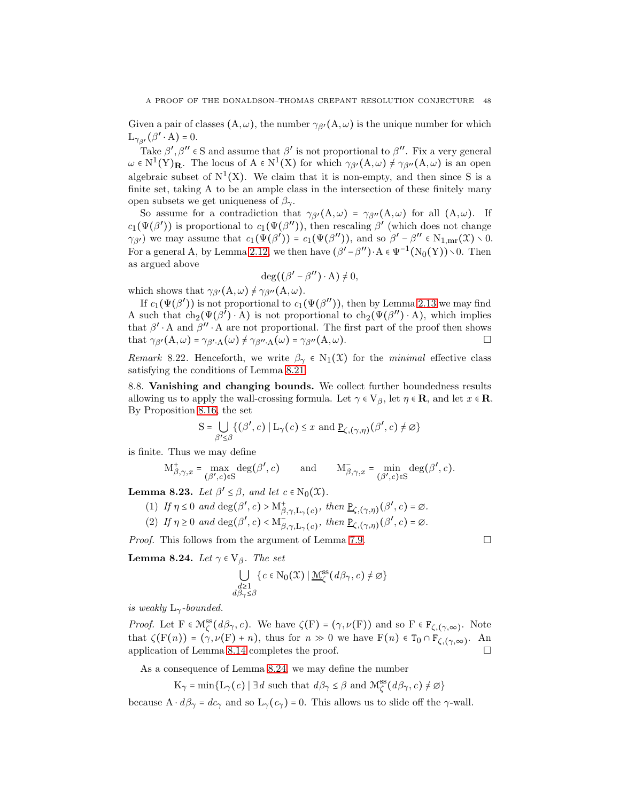Given a pair of classes  $(A, \omega)$ , the number  $\gamma_{\beta'}(A, \omega)$  is the unique number for which  $\mathcal{L}_{\gamma_{\beta'}}(\beta'\cdot\mathcal{A})=0.$ 

Take  $\beta', \beta'' \in S$  and assume that  $\beta'$  is not proportional to  $\beta''$ . Fix a very general  $\omega \in N^1(Y)_{\mathbf{R}}$ . The locus of  $A \in N^1(X)$  for which  $\gamma_{\beta'}(A,\omega) \neq \gamma_{\beta''}(A,\omega)$  is an open algebraic subset of  $N^1(X)$ . We claim that it is non-empty, and then since S is a finite set, taking A to be an ample class in the intersection of these finitely many open subsets we get uniqueness of  $\beta_{\gamma}$ .

So assume for a contradiction that  $\gamma_{\beta'}(A,\omega) = \gamma_{\beta''}(A,\omega)$  for all  $(A,\omega)$ . If  $c_1(\Psi(\beta'))$  is proportional to  $c_1(\Psi(\beta''))$ , then rescaling  $\beta'$  (which does not change  $\gamma_{\beta}$ ) we may assume that  $c_1(\Psi(\beta')) = c_1(\Psi(\beta''))$ , and so  $\beta' - \beta'' \in N_{1,mr}(\mathfrak{X}) \setminus 0$ . For a general A, by Lemma [2.12,](#page-14-4) we then have  $(\beta'-\beta'')\cdot A \in \Psi^{-1}(N_0(Y))\setminus 0$ . Then as argued above

$$
\deg((\beta'-\beta'')\cdot A)\neq 0,
$$

which shows that  $\gamma_{\beta'}(A,\omega) \neq \gamma_{\beta''}(A,\omega)$ .

If  $c_1(\Psi(\beta'))$  is not proportional to  $c_1(\Psi(\beta''))$ , then by Lemma [2.13](#page-14-5) we may find A such that  $ch_2(\Psi(\beta') \cdot A)$  is not proportional to  $ch_2(\Psi(\beta'') \cdot A)$ , which implies that  $\beta' \cdot A$  and  $\beta'' \cdot A$  are not proportional. The first part of the proof then shows that  $\gamma_{\beta'}(A,\omega) = \gamma_{\beta' \cdot A}(\omega) \neq \gamma_{\beta'' \cdot A}(\omega) = \gamma_{\beta''}(A,\omega).$ 

Remark 8.22. Henceforth, we write  $\beta_{\gamma} \in N_1(\mathfrak{X})$  for the minimal effective class satisfying the conditions of Lemma [8.21.](#page-46-0)

8.8. Vanishing and changing bounds. We collect further boundedness results allowing us to apply the wall-crossing formula. Let  $\gamma \in V_\beta$ , let  $\eta \in \mathbb{R}$ , and let  $x \in \mathbb{R}$ . By Proposition [8.16,](#page-44-1) the set

$$
S = \bigcup_{\beta' \le \beta} \{ (\beta', c) \mid L_{\gamma}(c) \le x \text{ and } \underline{P}_{\zeta,(\gamma,\eta)}(\beta',c) \ne \emptyset \}
$$

is finite. Thus we may define

$$
\mathbf{M}_{\beta,\gamma,x}^+ = \max_{(\beta',c) \in \mathcal{S}} \deg(\beta',c) \qquad \text{and} \qquad \mathbf{M}_{\beta,\gamma,x}^- = \min_{(\beta',c) \in \mathcal{S}} \deg(\beta',c).
$$

**Lemma 8.23.** Let  $\beta' \leq \beta$ , and let  $c \in N_0(\mathfrak{X})$ .

- (1) If  $\eta \leq 0$  and  $\deg(\beta', c) > M^+_{\beta, \gamma, L_\gamma(c)},$  then  $\underline{P}_{\zeta, (\gamma, \eta)}(\beta', c) = \emptyset$ .
- (2) If  $\eta \ge 0$  and  $\deg(\beta', c) < M_{\beta, \gamma, L_\gamma(c)}^{-}$ , then  $\underline{P}_{\zeta, (\gamma, \eta)}(\beta', c) = \emptyset$ .

*Proof.* This follows from the argument of Lemma [7.9.](#page-33-1)  $\Box$ 

<span id="page-47-0"></span>**Lemma 8.24.** Let  $\gamma \in V_\beta$ . The set

$$
\bigcup_{\substack{d \geq 1 \\ d\beta_{\gamma} \leq \beta}} \{c \in \mathbb{N}_{0}(\mathcal{X}) \mid \underline{\mathcal{M}}_{\zeta}^{\text{ss}}(d\beta_{\gamma}, c) \neq \emptyset\}
$$

is weakly  $L_{\gamma}$ -bounded.

*Proof.* Let  $F \in \mathcal{M}_{\zeta}^{\text{ss}}(d\beta_{\gamma}, c)$ . We have  $\zeta(F) = (\gamma, \nu(F))$  and so  $F \in F_{\zeta, (\gamma, \infty)}$ . Note that  $\zeta(F(n)) = (\gamma, \nu(F) + n)$ , thus for  $n \gg 0$  we have  $F(n) \in T_0 \cap F_{\zeta,(\gamma,\infty)}$ . An application of Lemma [8.14](#page-42-3) completes the proof.

As a consequence of Lemma [8.24,](#page-47-0) we may define the number

$$
K_{\gamma} = \min\{L_{\gamma}(c) \mid \exists d \text{ such that } d\beta_{\gamma} \le \beta \text{ and } \mathcal{M}_{\zeta}^{\text{ss}}(d\beta_{\gamma}, c) \ne \emptyset \}
$$

because  $A \cdot d\beta_{\gamma} = dc_{\gamma}$  and so  $L_{\gamma}(c_{\gamma}) = 0$ . This allows us to slide off the  $\gamma$ -wall.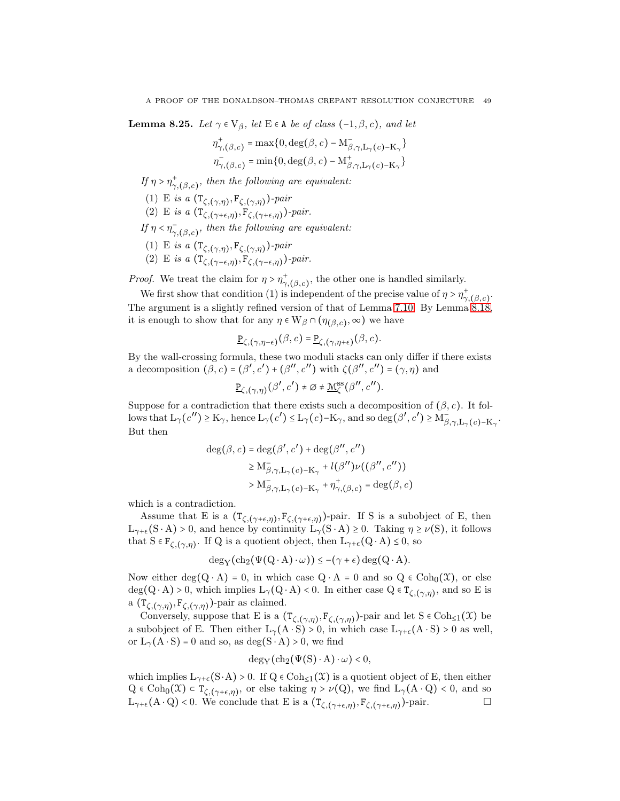<span id="page-48-0"></span>**Lemma 8.25.** Let  $\gamma \in V_\beta$ , let  $E \in A$  be of class  $(-1, \beta, c)$ , and let

$$
\eta_{\gamma,(\beta,c)}^{+} = \max\{0,\deg(\beta,c) - \mathcal{M}_{\beta,\gamma,\mathcal{L}_{\gamma}(c)-\mathcal{K}_{\gamma}}^{+}\}
$$

$$
\eta_{\gamma,(\beta,c)}^{-} = \min\{0,\deg(\beta,c) - \mathcal{M}_{\beta,\gamma,\mathcal{L}_{\gamma}(c)-\mathcal{K}_{\gamma}}^{+}\}
$$

If  $\eta > \eta^+_{\sim}$  $\sigma_{\gamma,(\beta,c)}^{+}$ , then the following are equivalent:

- (1) E is a  $(\mathsf{T}_{\zeta,(\gamma,\eta)},\mathsf{F}_{\zeta,(\gamma,\eta)})$ -pair
- (2) E is a  $(\mathsf{T}_{\zeta,(\gamma+\epsilon,\eta)},\mathsf{F}_{\zeta,(\gamma+\epsilon,\eta)})$ -pair.

If  $\eta < \eta_{\sim}$  $\bar{\gamma}_{\gamma,(\beta,c)},$  then the following are equivalent:

- (1) E is a  $(\mathsf{T}_{\zeta,(\gamma,\eta)},\mathsf{F}_{\zeta,(\gamma,\eta)})$ -pair
- (2) E is a  $(\mathsf{T}_{\zeta,(\gamma-\epsilon,\eta)},\mathsf{F}_{\zeta,(\gamma-\epsilon,\eta)})$ -pair.

*Proof.* We treat the claim for  $\eta > \eta^+$  $\phi_{\gamma,(\beta,c)}^*$ , the other one is handled similarly.

We first show that condition (1) is independent of the precise value of  $\eta > \eta^+_{\sim}$  $\sigma$ <sub>7</sub>,( $\beta$ ,*c*)<sup>-</sup> The argument is a slightly refined version of that of Lemma [7.10.](#page-33-0) By Lemma [8.18,](#page-45-0) it is enough to show that for any  $\eta \in W_{\beta} \cap (\eta_{(\beta,c)}, \infty)$  we have

$$
\underline{\mathbf{P}}_{\zeta,(\gamma,\eta-\epsilon)}(\beta,c) = \underline{\mathbf{P}}_{\zeta,(\gamma,\eta+\epsilon)}(\beta,c).
$$

By the wall-crossing formula, these two moduli stacks can only differ if there exists a decomposition  $(\beta, c) = (\beta', c') + (\beta'', c'')$  with  $\zeta(\beta'', c'') = (\gamma, \eta)$  and

$$
\underline{\mathbf{P}}_{\zeta,(\gamma,\eta)}(\beta',c') \neq \varnothing \neq \underline{\mathbf{M}}^{\mathrm{ss}}_{\zeta}(\beta'',c'').
$$

Suppose for a contradiction that there exists such a decomposition of  $(\beta, c)$ . It follows that  $L_{\gamma}(c'') \ge K_{\gamma}$ , hence  $L_{\gamma}(c') \le L_{\gamma}(c) - K_{\gamma}$ , and so deg $(\beta', c') \ge M_{\beta, \gamma, L_{\gamma}(c) - K_{\gamma}}^{-1}$ . But then

$$
deg(\beta, c) = deg(\beta', c') + deg(\beta'', c'')
$$
  
\n
$$
\geq M_{\beta, \gamma, L_{\gamma}(c) - K_{\gamma}}^{\gamma} + l(\beta'') \nu((\beta'', c''))
$$
  
\n
$$
> M_{\beta, \gamma, L_{\gamma}(c) - K_{\gamma}}^{\gamma} + \eta_{\gamma, (\beta, c)}^{\star} = deg(\beta, c)
$$

which is a contradiction.

Assume that E is a  $(T_{\zeta,(\gamma+\epsilon,\eta)},F_{\zeta,(\gamma+\epsilon,\eta)})$ -pair. If S is a subobject of E, then  $L_{\gamma+\epsilon}(S \cdot A) > 0$ , and hence by continuity  $L_{\gamma}(S \cdot A) \geq 0$ . Taking  $\eta \geq \nu(S)$ , it follows that  $S \in F_{\zeta,(\gamma,\eta)}$ . If Q is a quotient object, then  $L_{\gamma+\epsilon}(Q \cdot A) \leq 0$ , so

$$
\deg_Y(\mathrm{ch}_2(\Psi(Q\cdot A)\cdot\omega))\leq -(\gamma+\epsilon)\deg(Q\cdot A).
$$

Now either deg(Q ⋅ A) = 0, in which case  $Q \cdot A = 0$  and so  $Q \in \text{Coh}_0(\mathfrak{X})$ , or else  $deg(Q \cdot A) > 0$ , which implies  $L_{\gamma}(Q \cdot A) < 0$ . In either case  $Q \in T_{\zeta,(\gamma,\eta)}$ , and so E is a  $(\mathsf{T}_{\zeta,(\gamma,\eta)},\mathsf{F}_{\zeta,(\gamma,\eta)})$ -pair as claimed.

Conversely, suppose that E is a  $(\mathsf{T}_{\zeta,(\gamma,\eta)},\mathsf{F}_{\zeta,(\gamma,\eta)})$ -pair and let  $S \in \mathrm{Coh}_{\leq 1}(\mathfrak{X})$  be a subobject of E. Then either  $L_{\gamma}(A \cdot S) > 0$ , in which case  $L_{\gamma+\epsilon}(A \cdot S) > 0$  as well, or  $L_{\gamma}(A \cdot S) = 0$  and so, as deg(S ⋅ A) > 0, we find

$$
deg_Y(ch_2(\Psi(S) \cdot A) \cdot \omega) < 0,
$$

which implies  $L_{\gamma+\epsilon}(S\cdot A) > 0$ . If  $Q \in \text{Coh}_{\leq 1}(\mathcal{X})$  is a quotient object of E, then either  $Q \in \text{Coh}_0(\mathfrak{X}) \subset T_{\zeta,(\gamma+\epsilon,\eta)},$  or else taking  $\eta > \nu(Q)$ , we find  $L_\gamma(A \cdot Q) < 0$ , and so  $L_{\gamma+\epsilon}(A\cdot Q) < 0$ . We conclude that E is a  $(T_{\zeta,(\gamma+\epsilon,\eta)},F_{\zeta,(\gamma+\epsilon,\eta)})$ -pair.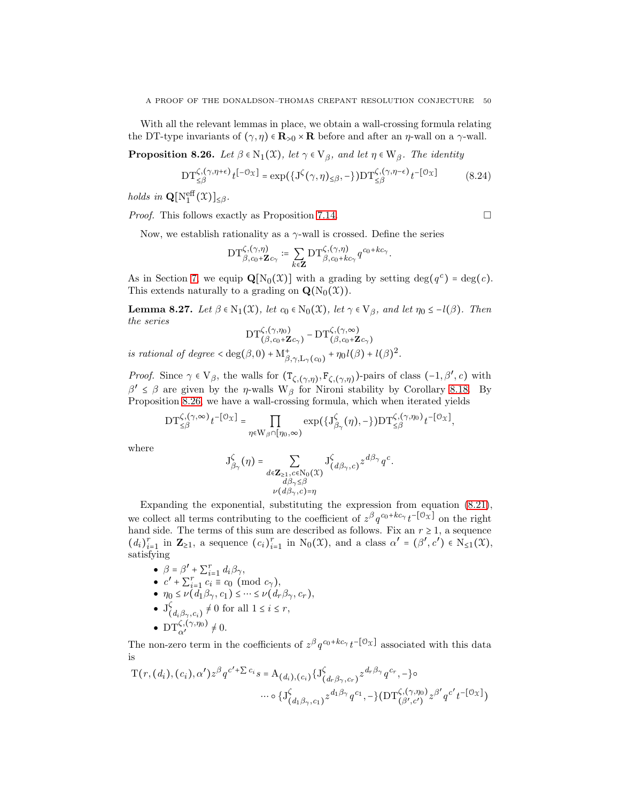With all the relevant lemmas in place, we obtain a wall-crossing formula relating the DT-type invariants of  $(\gamma, \eta) \in \mathbf{R}_{>0} \times \mathbf{R}$  before and after an  $\eta$ -wall on a  $\gamma$ -wall.

<span id="page-49-0"></span>**Proposition 8.26.** Let  $\beta \in N_1(\mathfrak{X})$ , let  $\gamma \in V_\beta$ , and let  $\eta \in W_\beta$ . The identity

$$
\mathrm{DT}_{\leq\beta}^{\zeta,(\gamma,\eta+\epsilon)}t^{[-\mathcal{O}_X]} = \exp(\{\mathrm{J}^{\zeta}(\gamma,\eta)_{\leq\beta},-\})\mathrm{DT}_{\leq\beta}^{\zeta,(\gamma,\eta-\epsilon)}t^{-[\mathcal{O}_X]} \tag{8.24}
$$

holds in  $\mathbf{Q}[\mathrm{N}_1^{\text{eff}}(\mathfrak{X})]_{\leq \beta}$ .

*Proof.* This follows exactly as Proposition [7.14.](#page-35-1)  $\Box$ 

Now, we establish rationality as a  $\gamma$ -wall is crossed. Define the series

$$
\mathrm{DT}_{\beta,c_0+\mathbf{Z}c_{\gamma}}^{\zeta,(\gamma,\eta)}:=\sum_{k\in\mathbf{Z}}\mathrm{DT}_{\beta,c_0+kc_{\gamma}}^{\zeta,(\gamma,\eta)}q^{c_0+kc_{\gamma}}.
$$

As in Section [7,](#page-29-0) we equip  $\mathbf{Q}[N_0(\mathcal{X})]$  with a grading by setting  $\deg(q^c) = \deg(c)$ . This extends naturally to a grading on  $\mathbf{Q}(N_0(\mathcal{X}))$ .

<span id="page-49-1"></span>**Lemma 8.27.** Let  $\beta \in N_1(\mathfrak{X})$ , let  $c_0 \in N_0(\mathfrak{X})$ , let  $\gamma \in V_\beta$ , and let  $\eta_0 \leq -l(\beta)$ . Then the series

$$
\mathrm{DT}_{\left(\beta,c_0+\mathbf{Z}c_\gamma\right)}^{\zeta,(\gamma,\eta_0)}-\mathrm{DT}_{\left(\beta,c_0+\mathbf{Z}c_\gamma\right)}^{\zeta,(\gamma,\infty)}
$$

is rational of degree  $\langle \deg(\beta, 0) + M_{\beta, \gamma, L_{\gamma}(c_0)}^+ + \eta_0 l(\beta) + l(\beta)^2$ .

*Proof.* Since  $\gamma \in V_\beta$ , the walls for  $(T_{\zeta,(\gamma,\eta)}, F_{\zeta,(\gamma,\eta)})$ -pairs of class  $(-1,\beta',c)$  with  $\beta' \leq \beta$  are given by the *η*-walls W<sub>β</sub> for Nironi stability by Corollary [8.18.](#page-45-0) By Proposition [8.26,](#page-49-0) we have a wall-crossing formula, which when iterated yields

$$
\mathrm{DT}_{\leq \beta}^{\zeta,(\gamma, \infty)} t^{-[\mathcal{O}_\mathcal{X}]} = \prod_{\eta \in \mathrm{W}_\beta \cap [\eta_0, \infty)} \exp \big( \{ \mathrm{J}_{\beta_\gamma}^\zeta(\eta), - \} \big) \mathrm{DT}_{\leq \beta}^{\zeta,(\gamma, \eta_0)} t^{-[\mathcal{O}_\mathcal{X}]},
$$

where

$$
\mathbf{J}_{\beta_{\gamma}}^{\zeta}(\eta) = \sum_{\substack{d \in \mathbf{Z}_{\geq 1}, c \in \mathbb{N}_0(\mathfrak{X}) \\ d\beta_{\gamma} \leq \beta \\ \nu(d\beta_{\gamma}, c) = \eta}} \mathbf{J}_{(d\beta_{\gamma}, c)}^{\zeta} z^{d\beta_{\gamma}} q^{c}.
$$

Expanding the exponential, substituting the expression from equation [\(8.21\)](#page-45-1), we collect all terms contributing to the coefficient of  $z^{\beta}q^{c_0+kc_{\gamma}}t^{-[0_{\mathcal{X}}]}$  on the right hand side. The terms of this sum are described as follows. Fix an  $r \geq 1$ , a sequence  $(d_i)_{i=1}^r$  in  $\mathbf{Z}_{\geq 1}$ , a sequence  $(c_i)_{i=1}^r$  in  $N_0(\mathfrak{X})$ , and a class  $\alpha' = (\beta', c') \in N_{\leq 1}(\mathfrak{X})$ , satisfying

- $\bullet$   $\beta = \beta' + \sum_{i=1}^r d_i \beta_{\gamma},$
- $c' + \sum_{i=1}^{r} c_i \equiv c_0 \pmod{c_\gamma},$
- $\bullet \ \eta_0 \leq \nu(\tilde{d_1}\beta_{\gamma}, c_1) \leq \cdots \leq \nu(\tilde{d_r}\beta_{\gamma}, c_r),$
- $\bullet$  J $\zeta$  $\begin{cases} \zeta_{(d_i,\beta_{\gamma},c_i)} \neq 0 \text{ for all } 1 \leq i \leq r, \end{cases}$
- $DT_{\alpha'}^{\zeta,(\gamma,\eta_0)} \neq 0.$

The non-zero term in the coefficients of  $z^{\beta}q^{c_0+kc_{\gamma}}t^{-[\mathcal{O}_X]}$  associated with this data is

$$
T(r, (d_i), (c_i), \alpha') z^{\beta} q^{c' + \sum c_i} s = A_{(d_i), (c_i)} \{J^{\zeta}_{(d_r \beta_{\gamma}, c_r)} z^{d_r \beta_{\gamma}} q^{c_r}, -\} \circ \cdots \circ \{J^{\zeta}_{(d_1 \beta_{\gamma}, c_1)} z^{d_1 \beta_{\gamma}} q^{c_1}, -\} (DT^{\zeta, (\gamma, \eta_0)}_{(\beta', c') } z^{\beta'} q^{c'} t^{-[\mathcal{O}_X]})
$$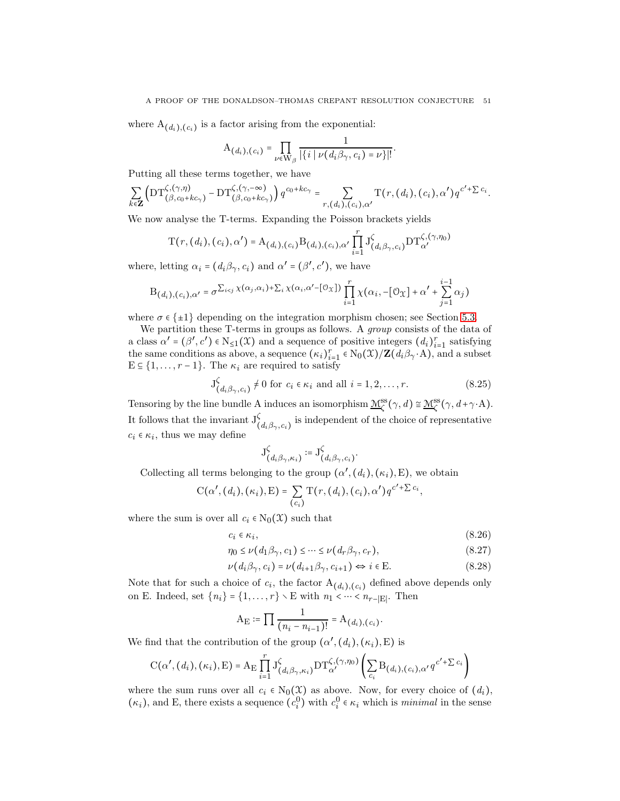where  $A_{(d_i),(c_i)}$  is a factor arising from the exponential:

$$
A_{(d_i),(c_i)} = \prod_{\nu \in W_\beta} \frac{1}{|\{i \mid \nu(d_i\beta_\gamma,c_i) = \nu\}|}.
$$

Putting all these terms together, we have

$$
\sum_{k\in\mathbf{Z}}\left(\mathrm{DT}_{(\beta,c_0+kc_\gamma)}^{\zeta,(\gamma,\eta)}-\mathrm{DT}_{(\beta,c_0+kc_\gamma)}^{\zeta,(\gamma,-\infty)}\right)q^{c_0+kc_\gamma}=\sum_{r,(d_i),(c_i),\alpha'}\mathrm{T}(r,(d_i),(c_i),\alpha')q^{c'+\sum c_i}.
$$

We now analyse the T-terms. Expanding the Poisson brackets yields

$$
T(r, (d_i), (c_i), \alpha') = A_{(d_i), (c_i)} B_{(d_i), (c_i), \alpha'} \prod_{i=1}^r J_{(d_i, \beta, \gamma, c_i)}^{\zeta} DT_{\alpha'}^{\zeta, (\gamma, \eta_0)}
$$

where, letting  $\alpha_i = (d_i \beta_{\gamma}, c_i)$  and  $\alpha' = (\beta', c')$ , we have

$$
\mathrm{B}_{\left(d_i\right),\left(c_i\right),\alpha'}=\sigma^{\sum_{i
$$

where  $\sigma \in \{\pm 1\}$  depending on the integration morphism chosen; see Section [5.3.](#page-24-0)

We partition these T-terms in groups as follows. A group consists of the data of a class  $\alpha' = (\beta', c') \in N_{\leq 1}(\mathfrak{X})$  and a sequence of positive integers  $(d_i)_{i=1}^r$  satisfying the same conditions as above, a sequence  $(\kappa_i)_{i=1}^r \in N_0(\mathfrak{X})/\mathbf{Z}(d_i \beta_{\gamma} \cdot A)$ , and a subset  $E \subseteq \{1, \ldots, r-1\}$ . The  $\kappa_i$  are required to satisfy

$$
J^{\zeta}_{(d_i;\beta_{\gamma},c_i)} \neq 0 \text{ for } c_i \in \kappa_i \text{ and all } i = 1,2,\ldots,r. \tag{8.25}
$$

Tensoring by the line bundle A induces an isomorphism  $\underline{\mathcal{M}}_{\zeta}^{\text{ss}}(\gamma, d) \cong \underline{\mathcal{M}}_{\zeta}^{\text{ss}}(\gamma, d + \gamma \cdot A)$ . It follows that the invariant  $J^{\zeta}_{(d_i \beta_{\gamma}, c_i)}$  is independent of the choice of representative  $c_i \in \kappa_i$ , thus we may define

<span id="page-50-1"></span><span id="page-50-0"></span>
$$
\mathcal{J}^\zeta_{\left(d_i\beta_\gamma,\kappa_i\right)}\coloneqq\mathcal{J}^\zeta_{\left(d_i\beta_\gamma,c_i\right)}.
$$

Collecting all terms belonging to the group  $(\alpha', (d_i), (\kappa_i), E)$ , we obtain

$$
C(\alpha', (d_i), (\kappa_i), E) = \sum_{(c_i)} T(r, (d_i), (c_i), \alpha') q^{c' + \sum c_i},
$$

where the sum is over all  $c_i \in N_0(\mathfrak{X})$  such that

$$
c_i \in \kappa_i,\tag{8.26}
$$

$$
\eta_0 \le \nu(d_1 \beta_\gamma, c_1) \le \dots \le \nu(d_r \beta_\gamma, c_r),\tag{8.27}
$$

$$
\nu(d_i \beta_{\gamma}, c_i) = \nu(d_{i+1} \beta_{\gamma}, c_{i+1}) \Leftrightarrow i \in \mathcal{E}.
$$
\n(8.28)

Note that for such a choice of  $c_i$ , the factor  $A_{(d_i),(c_i)}$  defined above depends only on E. Indeed, set  $\{n_i\} = \{1, \ldots, r\} \setminus E$  with  $n_1 < \cdots < n_{r-|E|}$ . Then

$$
A_{E} := \prod \frac{1}{(n_i - n_{i-1})!} = A_{(d_i),(c_i)}.
$$

We find that the contribution of the group  $(\alpha', (d_i), (\kappa_i), E)$  is

$$
C(\alpha', (d_i), (\kappa_i), E) = A_E \prod_{i=1}^r J(\delta_{d_i \beta_{\gamma}, \kappa_i}) DT_{\alpha'}^{\zeta, (\gamma, \eta_0)} \left( \sum_{c_i} B_{(d_i), (c_i), \alpha'} q^{c' + \sum c_i} \right)
$$

where the sum runs over all  $c_i \in N_0(\mathfrak{X})$  as above. Now, for every choice of  $(d_i)$ ,  $(\kappa_i)$ , and E, there exists a sequence  $(c_i^0)$  with  $c_i^0 \in \kappa_i$  which is *minimal* in the sense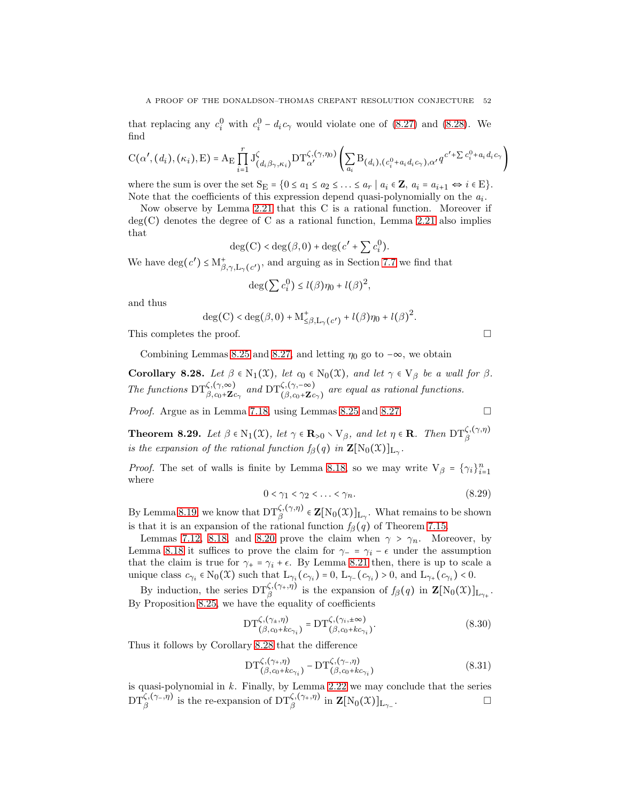that replacing any  $c_i^0$  with  $c_i^0 - d_i c_\gamma$  would violate one of [\(8.27\)](#page-50-0) and [\(8.28\)](#page-50-1). We find

$$
C(\alpha',(d_i),(\kappa_i),E) = A_E \prod_{i=1}^r J^{\zeta}_{(d_i \beta_{\gamma},\kappa_i)} DT^{\zeta,(\gamma,\eta_0)}_{\alpha'} \left( \sum_{a_i} B_{(d_i), (c_i^0 + a_i d_i c_{\gamma}),\alpha'} q^{c'+\sum c_i^0 + a_i d_i c_{\gamma}} \right)
$$

where the sum is over the set  $S_E = \{0 \le a_1 \le a_2 \le \ldots \le a_r \mid a_i \in \mathbf{Z}, a_i = a_{i+1} \Leftrightarrow i \in E\}.$ Note that the coefficients of this expression depend quasi-polynomially on the  $a_i$ .

Now observe by Lemma [2.21](#page-16-0) that this C is a rational function. Moreover if  $deg(C)$  denotes the degree of C as a rational function, Lemma [2.21](#page-16-0) also implies that

$$
\deg(C) < \deg(\beta, 0) + \deg(c' + \sum c_i^0).
$$

We have  $\deg(c') \leq M^+_{\beta,\gamma,L_{\gamma}(c')}$ , and arguing as in Section [7.7](#page-37-3) we find that

$$
\deg(\sum c_i^0) \le l(\beta)\eta_0 + l(\beta)^2,
$$

and thus

$$
\deg(\mathcal{C})<\deg(\beta,0)+\mathcal{M}^+_{\leq\beta,\mathcal{L}_\gamma(c') }+l(\beta)\eta_0+l(\beta)^2.
$$

This completes the proof.

Combining Lemmas 8.25 and 8.27, and letting 
$$
\eta_0
$$
 go to  $-\infty$ , we obtain

<span id="page-51-0"></span>Corollary 8.28. Let  $\beta \in N_1(\mathfrak{X})$ , let  $c_0 \in N_0(\mathfrak{X})$ , and let  $\gamma \in V_\beta$  be a wall for  $\beta$ . The functions  $\mathrm{DT}_{\beta,c_0+\mathbf{Z}_{c_\gamma}}^{\zeta,(\gamma,\infty)}$  and  $\mathrm{DT}_{(\beta,c_0+\mathbf{Z}_{c_\gamma})}^{\zeta,(\gamma,-\infty)}$  are equal as rational functions.

*Proof.* Argue as in Lemma [7.18,](#page-38-1) using Lemmas [8.25](#page-48-0) and [8.27.](#page-49-1)

$$
\mathcal{L}_{\mathcal{L}}
$$

<span id="page-51-1"></span>**Theorem 8.29.** Let  $\beta \in N_1(\mathfrak{X})$ , let  $\gamma \in \mathbf{R}_{>0} \setminus V_{\beta}$ , and let  $\eta \in \mathbf{R}$ . Then  $DT_{\beta}^{\zeta,(\gamma,\eta)}$ is the expansion of the rational function  $f_\beta(q)$  in  $\mathbf{Z}[\text{N}_0(\mathfrak{X})]_{L_\gamma}$ .

*Proof.* The set of walls is finite by Lemma [8.18,](#page-45-0) so we may write  $V_\beta = \{ \gamma_i \}_{i=1}^n$ where

$$
0 < \gamma_1 < \gamma_2 < \ldots < \gamma_n. \tag{8.29}
$$

By Lemma [8.19,](#page-45-2) we know that  $DT_\beta^{\zeta,(\gamma,\eta)} \in \mathbf{Z}[N_0(\mathfrak{X})]_{L_\gamma}$ . What remains to be shown is that it is an expansion of the rational function  $f_{\beta}(q)$  of Theorem [7.15.](#page-35-0)

Lemmas [7.12,](#page-34-2) [8.18,](#page-45-0) and [8.20](#page-46-1) prove the claim when  $\gamma > \gamma_n$ . Moreover, by Lemma [8.18](#page-45-0) it suffices to prove the claim for  $\gamma$ - =  $\gamma$ *i* −  $\epsilon$  under the assumption that the claim is true for  $\gamma_+ = \gamma_i + \epsilon$ . By Lemma [8.21](#page-46-0) then, there is up to scale a unique class  $c_{\gamma_i} \in N_0(\mathfrak{X})$  such that  $L_{\gamma_i}(c_{\gamma_i}) = 0$ ,  $L_{\gamma_{-}}(c_{\gamma_i}) > 0$ , and  $L_{\gamma_{+}}(c_{\gamma_i}) < 0$ .

By induction, the series  $DT_{\beta}^{\zeta,(\gamma_{+},\eta)}$  is the expansion of  $f_{\beta}(q)$  in  $\mathbf{Z}[N_0(\mathcal{X})]_{L_{\gamma_{+}}}$ . By Proposition [8.25,](#page-48-0) we have the equality of coefficients

$$
\mathrm{DT}_{(\beta,c_0+k c_{\gamma_i})}^{\zeta,(\gamma_{\pm},\eta)} = \mathrm{DT}_{(\beta,c_0+k c_{\gamma_i})}^{\zeta,(\gamma_i,\pm\infty)}.
$$
\n(8.30)

Thus it follows by Corollary [8.28](#page-51-0) that the difference

$$
\mathrm{DT}_{(\beta,c_0+k c_{\gamma_i})}^{\zeta,(\gamma_+,\eta)} - \mathrm{DT}_{(\beta,c_0+k c_{\gamma_i})}^{\zeta,(\gamma_-, \eta)} \tag{8.31}
$$

is quasi-polynomial in  $k$ . Finally, by Lemma [2.22](#page-16-1) we may conclude that the series  $\mathrm{DT}_\beta^{\zeta,(\gamma_-,\eta)}$  is the re-expansion of  $\mathrm{DT}_\beta^{\zeta,(\gamma_+,\eta)}$  in  $\mathbf{Z}[\mathrm{N}_0(\mathfrak{X})]_{\mathrm{L}_{\gamma_-}}$ .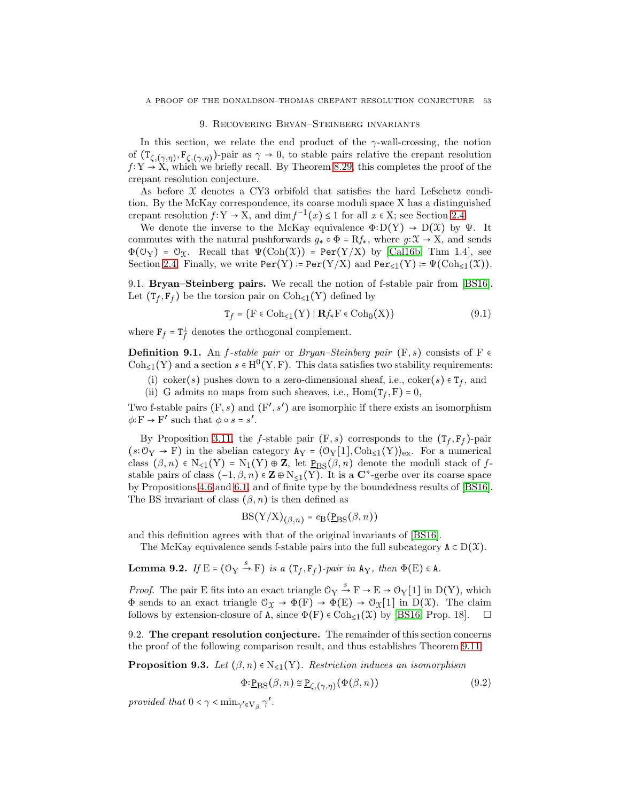#### 9. Recovering Bryan–Steinberg invariants

<span id="page-52-0"></span>In this section, we relate the end product of the  $\gamma$ -wall-crossing, the notion of  $(T_{\zeta,(\gamma,\eta)}, F_{\zeta,(\gamma,\eta)})$ -pair as  $\gamma \to 0$ , to stable pairs relative the crepant resolution  $f: Y \to X$ , which we briefly recall. By Theorem [8.29,](#page-51-1) this completes the proof of the crepant resolution conjecture.

As before  $\chi$  denotes a CY3 orbifold that satisfies the hard Lefschetz condition. By the McKay correspondence, its coarse moduli space X has a distinguished crepant resolution  $f: Y \to X$ , and  $\dim f^{-1}(x) \leq 1$  for all  $x \in X$ ; see Section [2.4.](#page-13-1)

We denote the inverse to the McKay equivalence  $\Phi: D(Y) \to D(X)$  by  $\Psi$ . It commutes with the natural pushforwards  $g_* \circ \Phi = Rf_*,$  where  $g: \mathfrak{X} \to X$ , and sends  $\Phi(\mathcal{O}_Y) = \mathcal{O}_X$ . Recall that  $\Psi(\text{Coh}(\mathcal{X})) = \text{Per}(Y/X)$  by [Call6b, Thm 1.4], see Section [2.4.](#page-13-1) Finally, we write  $\text{Per}(Y) := \text{Per}(Y/X)$  and  $\text{Per}_{\leq 1}(Y) := \Psi(\text{Coh}_{\leq 1}(\mathcal{X}))$ .

9.1. Bryan–Steinberg pairs. We recall the notion of f-stable pair from [\[BS16\]](#page-64-4). Let  $(T_f, F_f)$  be the torsion pair on  $\text{Coh}_{\leq 1}(Y)$  defined by

$$
\mathbf{T}_f = \{ \mathbf{F} \in \text{Coh}_{\leq 1}(\mathbf{Y}) \mid \mathbf{R}f_* \mathbf{F} \in \text{Coh}_0(\mathbf{X}) \} \tag{9.1}
$$

where  $F_f = T_f^{\perp}$  $\frac{1}{f}$  denotes the orthogonal complement.

<span id="page-52-1"></span>**Definition 9.1.** An *f*-stable pair or *Bryan–Steinberg pair* (F, s) consists of F  $\epsilon$ Coh<sub>≤1</sub>(Y) and a section  $s \in H^0(Y, F)$ . This data satisfies two stability requirements:

- (i) coker(s) pushes down to a zero-dimensional sheaf, i.e.,  $\text{coker}(s) \in T_f$ , and
- (ii) G admits no maps from such sheaves, i.e.,  $\text{Hom}(\textsf{T}_f, \textbf{F}) = 0$ ,

Two f-stable pairs  $(F, s)$  and  $(F', s')$  are isomorphic if there exists an isomorphism  $\phi: \mathbf{F} \to \mathbf{F'}$  such that  $\phi \circ s = s'$ .

By Proposition [3.11,](#page-19-0) the *f*-stable pair  $(F, s)$  corresponds to the  $(T_f, F_f)$ -pair  $(s:\mathcal{O}_Y \to F)$  in the abelian category  $A_Y = \langle \mathcal{O}_Y[1], \text{Coh}_{\leq 1}(Y) \rangle_{\text{ex}}$ . For a numerical class  $(\beta, n) \in N_{\leq 1}(Y) = N_1(Y) \oplus Z$ , let  $P_{BS}(\beta, n)$  denote the moduli stack of fstable pairs of class  $(-1, \beta, n) \in \mathbb{Z} \oplus N_{\leq 1}(Y)$ . It is a  $\mathbb{C}^*$ -gerbe over its coarse space by Propositions [4.6](#page-22-0) and [6.1,](#page-26-0) and of finite type by the boundedness results of [\[BS16\]](#page-64-4). The BS invariant of class  $(\beta, n)$  is then defined as

$$
BS(Y/X)_{(\beta,n)} = e_B(\underline{P}_{BS}(\beta,n))
$$

and this definition agrees with that of the original invariants of [\[BS16\]](#page-64-4).

The McKay equivalence sends f-stable pairs into the full subcategory  $A \subset D(X)$ .

<span id="page-52-2"></span>**Lemma 9.2.** If  $E = (\mathbb{O}_Y \xrightarrow{s} F)$  is a  $(T_f, F_f)$ -pair in  $A_Y$ , then  $\Phi(E) \in A$ .

*Proof.* The pair E fits into an exact triangle  $\mathcal{O}_Y \stackrel{s}{\to} F \to E \to \mathcal{O}_Y[1]$  in D(Y), which  $\Phi$  sends to an exact triangle  $\mathcal{O}_{\mathfrak{X}} \to \Phi(F) \to \Phi(E) \to \mathcal{O}_{\mathfrak{X}}[1]$  in  $D(\mathfrak{X})$ . The claim follows by extension-closure of A, since  $\Phi(F) \in \text{Coh}_{\leq 1}(\mathcal{X})$  by [\[BS16,](#page-64-4) Prop. 18].  $\Box$ 

9.2. The crepant resolution conjecture. The remainder of this section concerns the proof of the following comparison result, and thus establishes Theorem [9.11.](#page-55-0)

<span id="page-52-3"></span>**Proposition 9.3.** Let  $(\beta, n) \in N_{\leq 1}(Y)$ . Restriction induces an isomorphism

$$
\Phi: \underline{P}_{BS}(\beta, n) \cong \underline{P}_{\zeta, (\gamma, \eta)}(\Phi(\beta, n))
$$
\n(9.2)

provided that  $0 < \gamma < \min_{\gamma' \in V_\beta} \gamma'$ .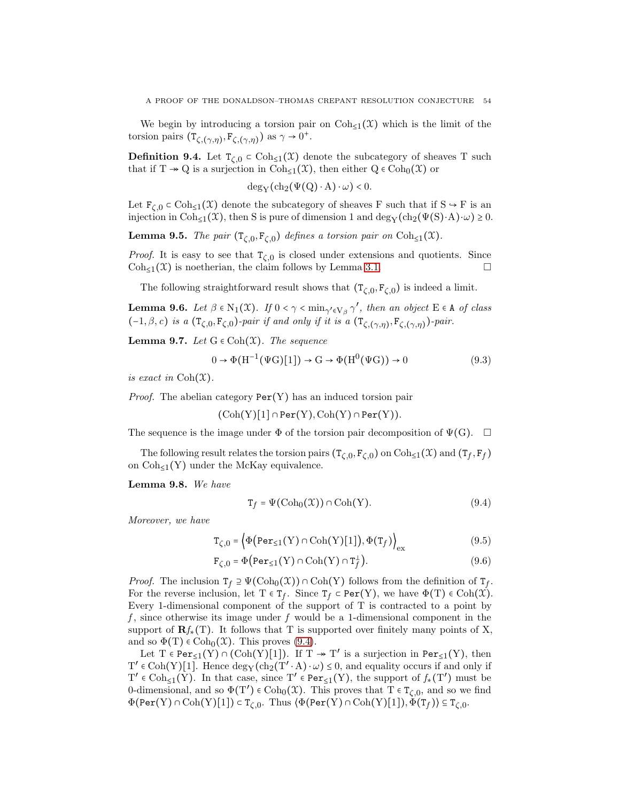We begin by introducing a torsion pair on  $\text{Coh}_{\leq 1}(\mathfrak{X})$  which is the limit of the torsion pairs  $(\mathbf{T}_{\zeta,(\gamma,\eta)}, \mathbf{F}_{\zeta,(\gamma,\eta)})$  as  $\gamma \to 0^+$ .

**Definition 9.4.** Let  $T_{\zeta,0} \subset \text{Coh}_{\leq 1}(\mathfrak{X})$  denote the subcategory of sheaves T such that if  $T \to Q$  is a surjection in  $Coh_{\leq 1}(\mathfrak{X})$ , then either  $Q \in Coh_0(\mathfrak{X})$  or

 $deg_Y(ch_2(\Psi(Q) \cdot A) \cdot \omega) < 0.$ 

Let  $F_{\zeta,0} \subset \text{Coh}_{\leq 1}(\mathfrak{X})$  denote the subcategory of sheaves F such that if  $S \to F$  is an injection in Coh<sub>≤1</sub>( $\mathfrak{X}$ ), then S is pure of dimension 1 and deg<sub>Y</sub>(ch<sub>2</sub>( $\Psi(S) \cdot A$ )⋅ω) ≥ 0.

**Lemma 9.5.** The pair  $(T_{\zeta,0}, F_{\zeta,0})$  defines a torsion pair on  $\text{Coh}_{\leq 1}(\mathfrak{X})$ .

*Proof.* It is easy to see that  $T_{\zeta,0}$  is closed under extensions and quotients. Since  $\text{Coh}_{\leq 1}(\mathfrak{X})$  is noetherian, the claim follows by Lemma [3.1.](#page-17-0)

The following straightforward result shows that  $(T_{\zeta,0}, F_{\zeta,0})$  is indeed a limit.

**Lemma 9.6.** Let  $\beta \in N_1(\mathfrak{X})$ . If  $0 < \gamma < \min_{\gamma' \in V_{\beta}} \gamma'$ , then an object  $E \in A$  of class  $(-1, \beta, c)$  is a  $(\mathsf{T}_{\zeta,0}, \mathsf{F}_{\zeta,0})$ -pair if and only if it is a  $(\mathsf{T}_{\zeta,(\gamma,\eta)}, \mathsf{F}_{\zeta,(\gamma,\eta)})$ -pair.

<span id="page-53-1"></span>**Lemma 9.7.** Let  $G \in \text{Coh}(\mathfrak{X})$ . The sequence

$$
0 \to \Phi(\mathrm{H}^{-1}(\Psi \mathrm{G})[1]) \to \mathrm{G} \to \Phi(\mathrm{H}^{0}(\Psi \mathrm{G})) \to 0 \tag{9.3}
$$

is exact in  $\mathrm{Coh}(\mathfrak{X})$ .

*Proof.* The abelian category  $Per(Y)$  has an induced torsion pair

$$
(\mathrm{Coh}(Y)[1]\cap \mathtt{Per}(Y),\mathrm{Coh}(Y)\cap \mathtt{Per}(Y)).
$$

The sequence is the image under  $\Phi$  of the torsion pair decomposition of  $\Psi(G)$ .  $\Box$ 

The following result relates the torsion pairs  $(T_{\zeta,0}, F_{\zeta,0})$  on  $Coh_{\leq 1}(\mathfrak{X})$  and  $(T_f, F_f)$ on  $\text{Coh}_{\leq 1}(Y)$  under the McKay equivalence.

<span id="page-53-4"></span>Lemma 9.8. We have

<span id="page-53-3"></span><span id="page-53-2"></span><span id="page-53-0"></span>
$$
\mathbf{T}_f = \Psi(\text{Coh}_0(\mathfrak{X})) \cap \text{Coh}(Y). \tag{9.4}
$$

Moreover, we have

$$
\mathbf{T}_{\zeta,0} = \left\langle \Phi\big(\text{Per}_{\leq 1}(\mathbf{Y}) \cap \text{Coh}(\mathbf{Y})[1]\big), \Phi(\mathbf{T}_f) \right\rangle_{\text{ex}} \tag{9.5}
$$

$$
\mathbf{F}_{\zeta,0} = \Phi\big(\text{Per}_{\leq 1}(Y) \cap \text{Coh}(Y) \cap \mathbf{T}_f^{\perp}\big). \tag{9.6}
$$

*Proof.* The inclusion  $T_f \supseteq \Psi(\text{Coh}_0(\mathcal{X})) \cap \text{Coh}(Y)$  follows from the definition of  $T_f$ . For the reverse inclusion, let  $T \in T_f$ . Since  $T_f \subset Per(Y)$ , we have  $\Phi(T) \in Coh(\mathcal{X})$ . Every 1-dimensional component of the support of T is contracted to a point by f, since otherwise its image under f would be a 1-dimensional component in the support of  $\mathbf{R}f_*(T)$ . It follows that T is supported over finitely many points of X, and so  $\Phi(T) \in \text{Coh}_0(\mathfrak{X})$ . This proves [\(9.4\)](#page-53-0).

Let  $T \in \text{Per}_{\leq 1}(Y) \cap (\text{Coh}(Y)[1])$ . If  $T \twoheadrightarrow T'$  is a surjection in  $\text{Per}_{\leq 1}(Y)$ , then  $T' \in \text{Coh}(Y)[1]$ . Hence  $\deg_Y(\text{ch}_2(T' \cdot A) \cdot \omega) \leq 0$ , and equality occurs if and only if  $T' \in \text{Coh}_{\leq 1}(Y)$ . In that case, since  $T' \in \text{Per}_{\leq 1}(Y)$ , the support of  $f_*(T')$  must be 0-dimensional, and so  $\Phi(T') \in \text{Coh}_0(\mathfrak{X})$ . This proves that  $T \in \mathfrak{T}_{\zeta,0}$ , and so we find  $\Phi(\text{Per}(Y) \cap \text{Coh}(Y)[1]) \subset T_{\zeta,0}$ . Thus  $\langle \Phi(\text{Per}(Y) \cap \text{Coh}(Y)[1]), \Phi(T_f) \rangle \subseteq T_{\zeta,0}$ .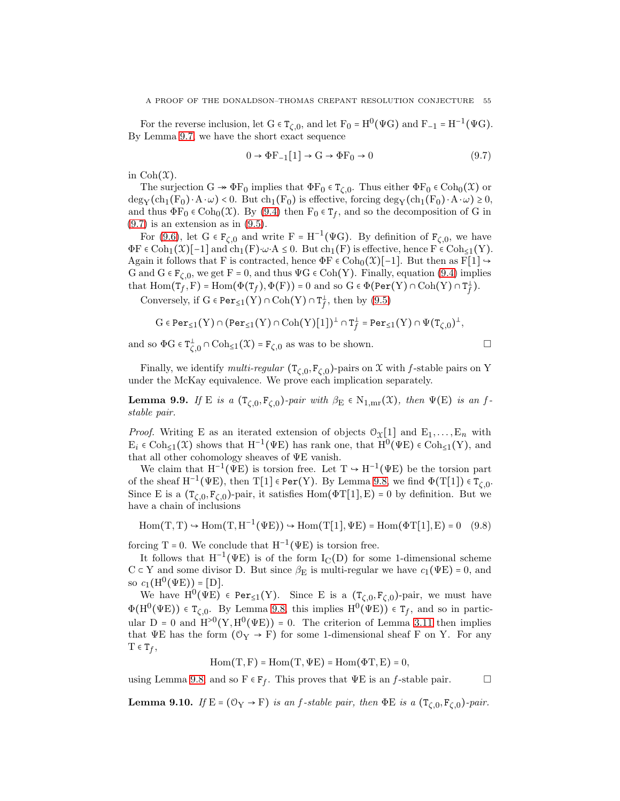For the reverse inclusion, let  $G \in T_{\zeta,0}$ , and let  $F_0 = H^0(\Psi G)$  and  $F_{-1} = H^{-1}(\Psi G)$ . By Lemma [9.7,](#page-53-1) we have the short exact sequence

<span id="page-54-0"></span>
$$
0 \to \Phi F_{-1}[1] \to G \to \Phi F_0 \to 0 \tag{9.7}
$$

in  $\mathrm{Coh}(\mathfrak{X}).$ 

The surjection  $G \twoheadrightarrow \Phi F_0$  implies that  $\Phi F_0 \in T_{\zeta,0}$ . Thus either  $\Phi F_0 \in \text{Coh}_0(\mathfrak{X})$  or  $\deg_Y(\ch_1(F_0) \cdot A \cdot \omega) < 0$ . But  $\ch_1(F_0)$  is effective, forcing  $\deg_Y(\ch_1(F_0) \cdot A \cdot \omega) \geq 0$ , and thus  $\Phi F_0 \in \text{Coh}_0(\mathfrak{X})$ . By [\(9.4\)](#page-53-0) then  $F_0 \in \mathsf{T}_f$ , and so the decomposition of G in  $(9.7)$  is an extension as in  $(9.5)$ .

For [\(9.6\)](#page-53-3), let  $G \in F_{\zeta,0}$  and write  $F = H^{-1}(\Psi G)$ . By definition of  $F_{\zeta,0}$ , we have  $\Phi F \in \text{Coh}_{1}(\mathfrak{X})[-1]$  and  $\text{ch}_{1}(F) \cdot \omega \cdot A \leq 0$ . But  $\text{ch}_{1}(F)$  is effective, hence  $F \in \text{Coh}_{\leq 1}(Y)$ . Again it follows that F is contracted, hence  $\Phi F \in \text{Coh}_0(\mathfrak{X})[-1]$ . But then as  $F[1] \rightarrow$ G and  $G \in F_{\zeta,0}$ , we get  $F = 0$ , and thus  $\Psi G \in \text{Coh}(Y)$ . Finally, equation [\(9.4\)](#page-53-0) implies that  $\text{Hom}(\mathsf{T}_f^{\bullet},\text{F}) = \text{Hom}(\Phi(\mathsf{T}_f),\Phi(\text{F})) = 0$  and so  $G \in \Phi(\text{Per}(Y) \cap \text{Coh}(Y) \cap \mathsf{T}_f^{\perp}$ *f* ).

Conversely, if  $G \in \text{Per}_{\leq 1}(Y) \cap \text{Coh}(Y) \cap T_f^{\perp}$  $\frac{1}{f}$ , then by  $(9.5)$ 

$$
\mathrm{G}\in \textup{Per}_{\leq 1}(\mathrm{Y})\cap (\textup{Per}_{\leq 1}(\mathrm{Y})\cap \mathrm{Coh}(\mathrm{Y})[\mathbf{1}])^{\perp}\cap \mathtt{T}_{f}^{\perp}=\textup{Per}_{\leq 1}(\mathrm{Y})\cap \Psi(\mathtt{T}_{\zeta,0})^{\perp},
$$

and so  $\Phi G \in T^{\perp}_{\zeta,0} \cap \text{Coh}_{\leq 1}(\mathfrak{X}) = F_{\zeta,0}$  as was to be shown.

Finally, we identify *multi-regular*  $(T_{\zeta,0}, F_{\zeta,0})$ -pairs on X with f-stable pairs on Y under the McKay equivalence. We prove each implication separately.

**Lemma 9.9.** If E is a  $(T_{\zeta,0}, F_{\zeta,0})$ -pair with  $\beta_{\rm E} \in N_{1,\rm mr}(\mathfrak{X})$ , then  $\Psi(\rm E)$  is an fstable pair.

*Proof.* Writing E as an iterated extension of objects  $O_{\mathfrak{X}}[1]$  and  $E_1, \ldots, E_n$  with  $E_i \in \text{Coh}_{\leq 1}(\mathfrak{X})$  shows that  $H^{-1}(\Psi E)$  has rank one, that  $\text{H}^0(\Psi E) \in \text{Coh}_{\leq 1}(Y)$ , and that all other cohomology sheaves of ΨE vanish.

We claim that  $H^{-1}(\Psi E)$  is torsion free. Let  $T \to H^{-1}(\Psi E)$  be the torsion part of the sheaf  $H^{-1}(\Psi E)$ , then  $T[1] \in Per(Y)$ . By Lemma [9.8,](#page-53-4) we find  $\Phi(T[1]) \in T_{\zeta,0}$ . Since E is a  $(T_{\zeta,0}, F_{\zeta,0})$ -pair, it satisfies  $Hom(\Phi T[1], E) = 0$  by definition. But we have a chain of inclusions

 $Hom(T, T) \hookrightarrow Hom(T, H^{-1}(\Psi E)) \hookrightarrow Hom(T[1], \Psi E) = Hom(\Phi T[1], E) = 0$  (9.8)

forcing T = 0. We conclude that  $H^{-1}(\Psi E)$  is torsion free.

It follows that  $H^{-1}(\Psi E)$  is of the form  $I_{C}(D)$  for some 1-dimensional scheme  $C \subset Y$  and some divisor D. But since  $\beta_E$  is multi-regular we have  $c_1(\Psi E) = 0$ , and so  $c_1(H^0(\Psi E)) = [D].$ 

We have  $H^0(\Psi E) \in Per_{\leq 1}(Y)$ . Since E is a  $(T_{\zeta,0}, F_{\zeta,0})$ -pair, we must have  $\Phi(H^0(\Psi E)) \in T_{\zeta,0}$ . By Lemma [9.8,](#page-53-4) this implies  $H^0(\Psi E)) \in T_f$ , and so in particular D = 0 and  $H^{>0}(Y, H^0(\Psi E)) = 0$ . The criterion of Lemma [3.11](#page-19-0) then implies that  $\Psi E$  has the form  $(\mathcal{O}_Y \to F)$  for some 1-dimensional sheaf F on Y. For any  $T \in T_f$ ,

 $Hom(T, F) = Hom(T, \Psi E) = Hom(\Phi T, E) = 0,$ 

using Lemma [9.8,](#page-53-4) and so  $F \in F_f$ . This proves that  $\Psi E$  is an *f*-stable pair.  $\Box$ 

**Lemma 9.10.** If  $E = (\mathbb{O}_Y \to F)$  is an f-stable pair, then  $\Phi E$  is a  $(T_{\zeta,0}, F_{\zeta,0})$ -pair.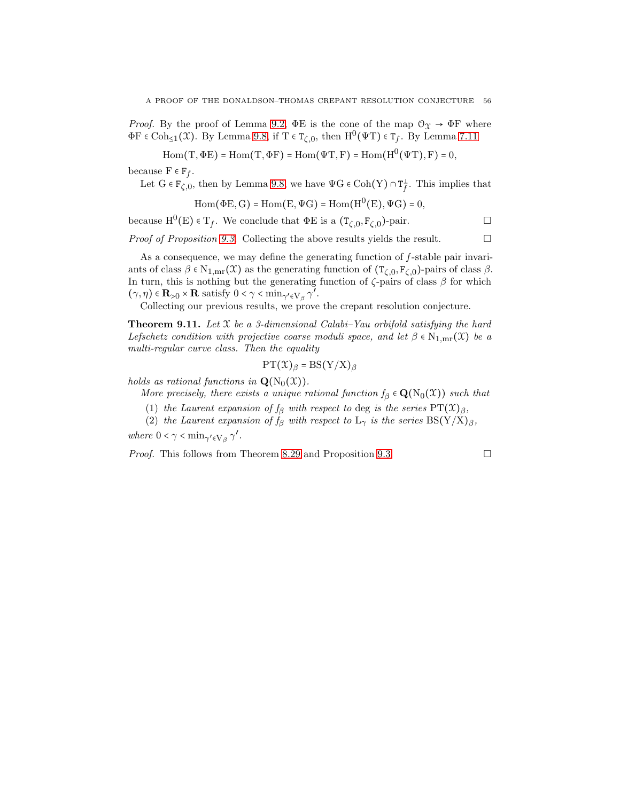*Proof.* By the proof of Lemma [9.2,](#page-52-2)  $\Phi$ E is the cone of the map  $\mathcal{O}_{\Upsilon} \to \Phi$ F where  $\Phi$ F ∈ Coh<sub>≤1</sub>( $\mathfrak{X}$ ). By Lemma [9.8,](#page-53-4) if T ∈ T<sub>ζ,0</sub>, then H<sup>0</sup>( $\Psi$ T) ∈ T<sub>f</sub>. By Lemma [7.11](#page-34-0)

 $\mathrm{Hom}(\mathrm{T}, \Phi \mathrm{E}) = \mathrm{Hom}(\mathrm{T}, \Phi \mathrm{F}) = \mathrm{Hom}(\Psi \mathrm{T}, \mathrm{F}) = \mathrm{Hom}(\mathrm{H}^0(\Psi \mathrm{T}), \mathrm{F}) = 0,$ 

because  $F \in F_f$ .

Let 
$$
G \in \mathcal{F}_{\zeta,0}
$$
, then by Lemma 9.8, we have  $\Psi G \in \text{Coh}(Y) \cap T_f^{\perp}$ . This implies that

$$
\mathrm{Hom}(\Phi\mathrm{E},\mathrm{G})=\mathrm{Hom}(\mathrm{E},\Psi\mathrm{G})=\mathrm{Hom}(\mathrm{H}^0(\mathrm{E}),\Psi\mathrm{G})=0,
$$

because  $H^0(E) \in T_f$ . We conclude that  $\Phi E$  is a  $(T_{\zeta,0}, F_{\zeta,0})$ -pair.

*Proof of Proposition [9.3.](#page-52-3)* Collecting the above results yields the result.  $\Box$ 

As a consequence, we may define the generating function of  $f$ -stable pair invariants of class  $\beta \in N_{1,mr}(\mathfrak{X})$  as the generating function of  $(T_{\zeta,0}, F_{\zeta,0})$ -pairs of class  $\beta$ . In turn, this is nothing but the generating function of  $\zeta$ -pairs of class  $\beta$  for which  $(\gamma, \eta) \in \mathbf{R}_{>0} \times \mathbf{R}$  satisfy  $0 < \gamma < \min_{\gamma' \in V_{\beta}} \gamma'$ .

Collecting our previous results, we prove the crepant resolution conjecture.

<span id="page-55-0"></span>**Theorem 9.11.** Let  $\mathcal{X}$  be a 3-dimensional Calabi–Yau orbifold satisfying the hard Lefschetz condition with projective coarse moduli space, and let  $\beta \in N_{1,m}(\mathfrak{X})$  be a multi-regular curve class. Then the equality

$$
PT(\mathfrak{X})_{\beta} = BS(Y/X)_{\beta}
$$

holds as rational functions in  $\mathbf{Q}(N_0(\mathfrak{X}))$ .

More precisely, there exists a unique rational function  $f_\beta \in \mathbf{Q}(N_0(\mathfrak{X}))$  such that

- (1) the Laurent expansion of  $f_\beta$  with respect to deg is the series  $PT(\mathfrak{X})_{\beta}$ ,
- (2) the Laurent expansion of  $f_\beta$  with respect to  $L_\gamma$  is the series  $BS(Y/X)_\beta$ ,

where  $0 < \gamma < \min_{\gamma' \in V_\beta} \gamma'$ .

*Proof.* This follows from Theorem [8.29](#page-51-1) and Proposition [9.3.](#page-52-3)  $\Box$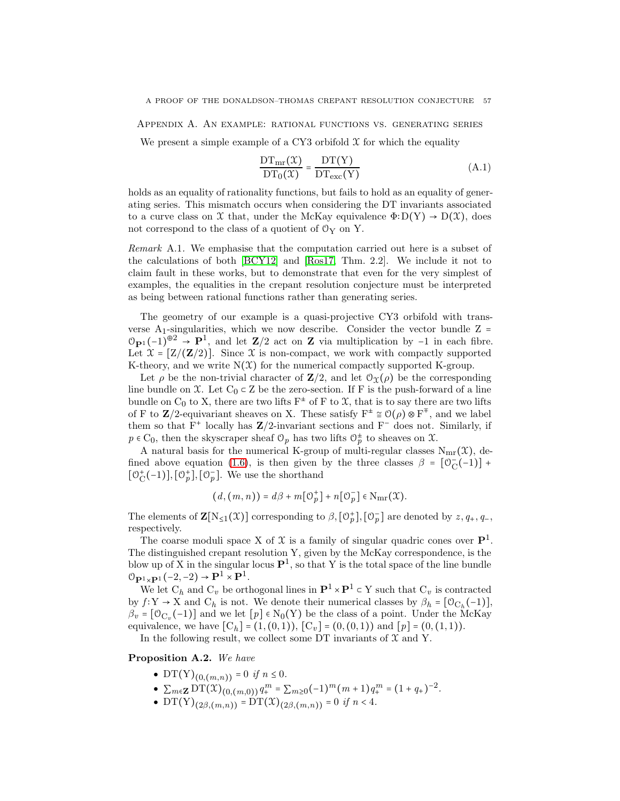<span id="page-56-0"></span>Appendix A. An example: rational functions vs. generating series

We present a simple example of a CY3 orbifold  $\mathfrak X$  for which the equality

<span id="page-56-1"></span>
$$
\frac{\mathrm{DT}_{\mathrm{mr}}(\mathcal{X})}{\mathrm{DT}_0(\mathcal{X})} = \frac{\mathrm{DT}(Y)}{\mathrm{DT}_{\mathrm{exc}}(Y)}\tag{A.1}
$$

holds as an equality of rationality functions, but fails to hold as an equality of generating series. This mismatch occurs when considering the DT invariants associated to a curve class on X that, under the McKay equivalence  $\Phi$ :  $D(Y) \rightarrow D(X)$ , does not correspond to the class of a quotient of  $\mathcal{O}_Y$  on Y.

Remark A.1. We emphasise that the computation carried out here is a subset of the calculations of both [\[BCY12\]](#page-63-0) and [\[Ros17,](#page-64-14) Thm. 2.2]. We include it not to claim fault in these works, but to demonstrate that even for the very simplest of examples, the equalities in the crepant resolution conjecture must be interpreted as being between rational functions rather than generating series.

The geometry of our example is a quasi-projective CY3 orbifold with transverse  $A_1$ -singularities, which we now describe. Consider the vector bundle Z =  $\mathcal{O}_{\mathbf{P}^1}(-1)^{\oplus 2} \rightarrow \mathbf{P}^1$ , and let  $\mathbf{Z}/2$  act on **Z** via multiplication by -1 in each fibre. Let  $\mathfrak{X} = [Z/(\mathbf{Z}/2)]$ . Since  $\mathfrak{X}$  is non-compact, we work with compactly supported K-theory, and we write  $N(\mathcal{X})$  for the numerical compactly supported K-group.

Let  $\rho$  be the non-trivial character of  $\mathbf{Z}/2$ , and let  $\mathcal{O}_{\mathfrak{X}}(\rho)$  be the corresponding line bundle on  $\mathfrak{X}$ . Let  $C_0 \subset Z$  be the zero-section. If F is the push-forward of a line bundle on  $C_0$  to X, there are two lifts  $F^{\pm}$  of F to X, that is to say there are two lifts of F to  $\mathbb{Z}/2$ -equivariant sheaves on X. These satisfy  $F^{\pm} \cong \mathcal{O}(\rho) \otimes F^{\mp}$ , and we label them so that  $F^+$  locally has  $\mathbb{Z}/2$ -invariant sections and  $F^-$  does not. Similarly, if  $p \in C_0$ , then the skyscraper sheaf  $\mathcal{O}_p$  has two lifts  $\mathcal{O}_p^{\pm}$  to sheaves on  $\mathcal{X}$ .

A natural basis for the numerical K-group of multi-regular classes  $N_{mr}(\mathcal{X})$ , de-fined above equation [\(1.6\)](#page-3-1), is then given by the three classes  $\beta = [\overline{0}_C^{\text{max}}]$  $\bar{C}(-1)] +$  $[0^+_C$  ${}_{\mathcal{C}}^{+}(-1)$ ,  $[\mathcal{O}_{p}^{+}], [\mathcal{O}_{p}^{-}]$ . We use the shorthand

$$
(d,(m,n)) = d\beta + m[\mathcal{O}_p^+] + n[\mathcal{O}_p^-] \in \mathcal{N}_{\text{mr}}(\mathfrak{X}).
$$

The elements of  $\mathbf{Z}[N_{\leq 1}(\mathcal{X})]$  corresponding to  $\beta$ ,  $[\mathcal{O}_p^+]$ ,  $[\mathcal{O}_p^-]$  are denoted by  $z, q_+, q_-,$ respectively.

The coarse moduli space X of X is a family of singular quadric cones over  $\mathbf{P}^1$ . The distinguished crepant resolution Y, given by the McKay correspondence, is the blow up of X in the singular locus  $\mathbf{P}^1$ , so that Y is the total space of the line bundle  $\mathcal{O}_{\mathbf{P}^1 \times \mathbf{P}^1}(-2,-2) \to \mathbf{P}^1 \times \mathbf{P}^1.$ 

We let  $C_h$  and  $C_v$  be orthogonal lines in  $\mathbf{P}^1 \times \mathbf{P}^1 \subset Y$  such that  $C_v$  is contracted by  $f: Y \to X$  and  $C_h$  is not. We denote their numerical classes by  $\beta_h = [\mathcal{O}_{C_h}(-1)],$  $\beta_v = [\mathcal{O}_{C_v}(-1)]$  and we let  $[p] \in N_0(Y)$  be the class of a point. Under the McKay equivalence, we have  $[C_h] = (1, (0, 1)), [C_v] = (0, (0, 1))$  and  $[p] = (0, (1, 1)).$ 

In the following result, we collect some DT invariants of  $\mathfrak X$  and Y.

<span id="page-56-2"></span>Proposition A.2. We have

- $DT(Y)_{(0,(m,n))} = 0$  if  $n \le 0$ .
- $\bullet$   $\sum_{m\in \mathbf{Z}}\overrightarrow{DT(X)}(x)_{(0,(m,0))}q_+^m = \sum_{m\geq 0}(-1)^m(m+1)q_+^m = (1+q_+)^{-2}.$
- DT(Y)<sub>(2β,(m,n)</sub>) = DT(X)<sub>(2β,(m,n)</sub>) = 0 if  $n < 4$ .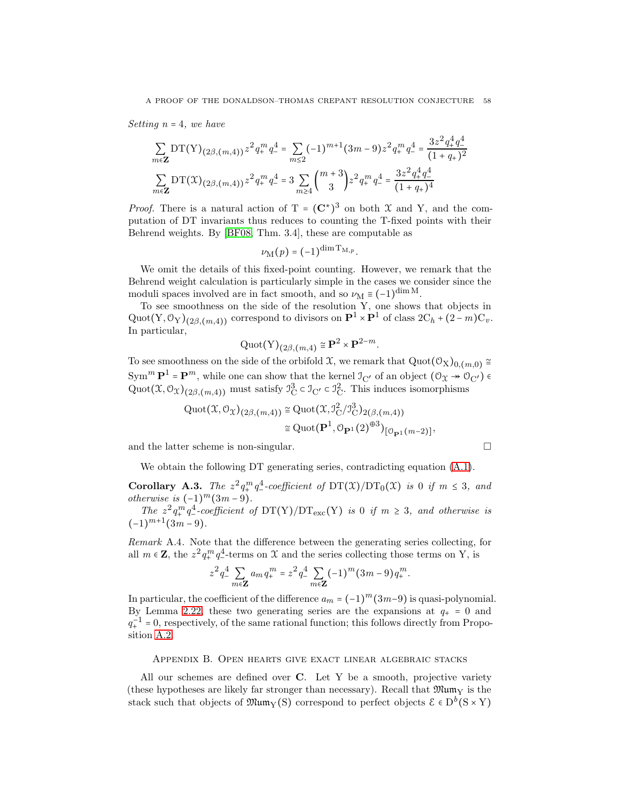Setting  $n = 4$ , we have

$$
\sum_{m \in \mathbf{Z}} \mathrm{DT}(\mathrm{Y})_{(2\beta,(m,4))} z^2 q_+^m q_-^4 = \sum_{m \le 2} (-1)^{m+1} (3m-9) z^2 q_+^m q_-^4 = \frac{3z^2 q_+^4 q_-^4}{(1+q_+)^2}
$$

$$
\sum_{m \in \mathbf{Z}} \mathrm{DT}(\mathfrak{X})_{(2\beta,(m,4))} z^2 q_+^m q_-^4 = 3 \sum_{m \ge 4} {m+3 \choose 3} z^2 q_+^m q_-^4 = \frac{3z^2 q_+^4 q_-^4}{(1+q_+)^4}
$$

*Proof.* There is a natural action of  $T = (C^*)^3$  on both X and Y, and the computation of DT invariants thus reduces to counting the T-fixed points with their Behrend weights. By [\[BF08,](#page-63-6) Thm. 3.4], these are computable as

$$
\nu_{\text{M}}(p) = (-1)^{\dim \mathrm{T}_{\mathrm{M},p}}.
$$

We omit the details of this fixed-point counting. However, we remark that the Behrend weight calculation is particularly simple in the cases we consider since the moduli spaces involved are in fact smooth, and so  $\nu_M \equiv (-1)^{\dim M}$ .

To see smoothness on the side of the resolution Y, one shows that objects in Quot(Y,  $\mathcal{O}_Y$ )<sub>(2 $\beta$ ,(*m*,4)) correspond to divisors on  $\mathbf{P}^1 \times \mathbf{P}^1$  of class  $2C_h + (2-m)C_v$ .</sub> In particular,

$$
\mathrm{Quot}(\mathrm{Y})_{(2\beta,(m,4)} \cong \mathbf{P}^2 \times \mathbf{P}^{2-m}.
$$

To see smoothness on the side of the orbifold X, we remark that  $Quot(\mathcal{O}_X)_{0,(m,0)} \cong$  $\text{Sym}^m \mathbf{P}^1 = \mathbf{P}^m$ , while one can show that the kernel  $\mathcal{I}_{C'}$  of an object  $(\mathcal{O}_{\mathfrak{X}} \twoheadrightarrow \mathcal{O}_{C'}) \in$ Quot $(\mathfrak{X}, \mathfrak{O}_{\mathfrak{X}})_{(2\beta,(m,4))}$  must satisfy  $\mathfrak{I}_{\mathbf{C}}^3 \subset \mathfrak{I}_{\mathbf{C}'} \subset \mathfrak{I}_{\mathbf{C}}^2$ . This induces isomorphisms

$$
\begin{aligned} \mathrm{Quot}(\mathfrak{X},\mathcal{O}_{\mathfrak{X}})_{(2\beta,(m,4))} &\cong \mathrm{Quot}(\mathfrak{X},\mathfrak{I}_{\mathrm{C}}^2/\mathfrak{I}_{\mathrm{C}}^3)_{2(\beta,(m,4))} \\ &\cong \mathrm{Quot}(\mathbf{P}^1,\mathcal{O}_{\mathbf{P}^1}(2)^{\oplus 3})_{\left[\mathcal{O}_{\mathbf{P}^1}(m-2)\right]}, \end{aligned}
$$

and the latter scheme is non-singular.  $\Box$ 

We obtain the following DT generating series, contradicting equation [\(A.1\)](#page-56-1).

**Corollary A.3.** The  $z^2 q_+^m q_-^4$ -coefficient of  $DT(\mathfrak{X})/DT_0(\mathfrak{X})$  is 0 if  $m \leq 3$ , and otherwise is  $(-1)^m(3m-9)$ .

The  $z^2 q^m_+ q^4$ -coefficient of DT(Y)/DT<sub>exc</sub>(Y) is 0 if  $m \geq 3$ , and otherwise is  $(-1)^{m+1}(3m-9).$ 

Remark A.4. Note that the difference between the generating series collecting, for all  $m \in \mathbb{Z}$ , the  $z^2 q_{+}^m q_{-}^4$ -terms on X and the series collecting those terms on Y, is

$$
z^{2} q_{-}^{4} \sum_{m \in \mathbf{Z}} a_{m} q_{+}^{m} = z^{2} q_{-}^{4} \sum_{m \in \mathbf{Z}} (-1)^{m} (3m - 9) q_{+}^{m}.
$$

In particular, the coefficient of the difference  $a_m = (-1)^m (3m-9)$  is quasi-polynomial. By Lemma [2.22,](#page-16-1) these two generating series are the expansions at  $q_+ = 0$  and  $q_+^{-1} = 0$ , respectively, of the same rational function; this follows directly from Proposition [A.2.](#page-56-2)

### <span id="page-57-0"></span>Appendix B. Open hearts give exact linear algebraic stacks

All our schemes are defined over C. Let Y be a smooth, projective variety (these hypotheses are likely far stronger than necessary). Recall that  $\mathfrak{Mum}_Y$  is the stack such that objects of  $\mathfrak{Mum}_Y(S)$  correspond to perfect objects  $\mathcal{E} \in D^b(S \times Y)$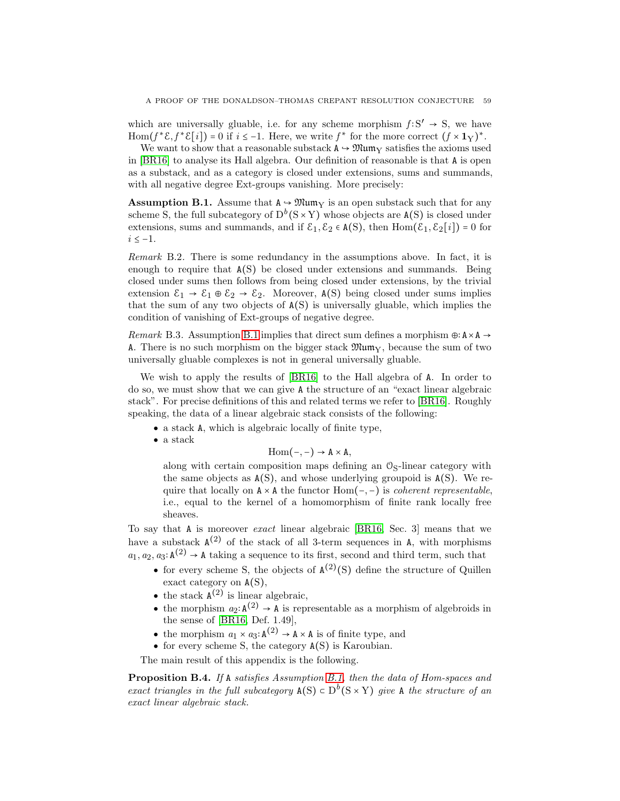which are universally gluable, i.e. for any scheme morphism  $f: S' \rightarrow S$ , we have Hom( $f^* \mathcal{E}, f^* \mathcal{E}[i]$ ) = 0 if  $i \leq -1$ . Here, we write  $f^*$  for the more correct  $(f \times \mathbf{1}_Y)^*$ .

We want to show that a reasonable substack  $A \rightarrow \mathfrak{Mum}_Y$  satisfies the axioms used in [\[BR16\]](#page-64-25) to analyse its Hall algebra. Our definition of reasonable is that A is open as a substack, and as a category is closed under extensions, sums and summands, with all negative degree Ext-groups vanishing. More precisely:

<span id="page-58-0"></span>**Assumption B.1.** Assume that  $A \rightarrow \mathfrak{Mum}_V$  is an open substack such that for any scheme S, the full subcategory of  $D^b(S \times Y)$  whose objects are  $A(S)$  is closed under extensions, sums and summands, and if  $\mathcal{E}_1, \mathcal{E}_2 \in A(S)$ , then  $Hom(\mathcal{E}_1, \mathcal{E}_2[i]) = 0$  for  $i \leq -1$ .

<span id="page-58-2"></span>Remark B.2. There is some redundancy in the assumptions above. In fact, it is enough to require that A(S) be closed under extensions and summands. Being closed under sums then follows from being closed under extensions, by the trivial extension  $\mathcal{E}_1 \to \mathcal{E}_1 \oplus \mathcal{E}_2 \to \mathcal{E}_2$ . Moreover,  $A(S)$  being closed under sums implies that the sum of any two objects of  $A(S)$  is universally gluable, which implies the condition of vanishing of Ext-groups of negative degree.

Remark B.3. Assumption [B.1](#page-58-0) implies that direct sum defines a morphism  $\oplus$ : A×A → A. There is no such morphism on the bigger stack  $\mathfrak{Mum}_{\mathbf{Y}}$ , because the sum of two universally gluable complexes is not in general universally gluable.

We wish to apply the results of [\[BR16\]](#page-64-25) to the Hall algebra of A. In order to do so, we must show that we can give A the structure of an "exact linear algebraic stack". For precise definitions of this and related terms we refer to [\[BR16\]](#page-64-25). Roughly speaking, the data of a linear algebraic stack consists of the following:

- a stack A, which is algebraic locally of finite type,
- a stack

$$
\mathrm{Hom}(\text{--},\text{--}) \to A \times A,
$$

along with certain composition maps defining an  $\mathcal{O}_S$ -linear category with the same objects as  $A(S)$ , and whose underlying groupoid is  $A(S)$ . We require that locally on  $A \times A$  the functor  $Hom(-, -)$  is *coherent representable*, i.e., equal to the kernel of a homomorphism of finite rank locally free sheaves.

To say that A is moreover exact linear algebraic [\[BR16,](#page-64-25) Sec. 3] means that we have a substack  $A^{(2)}$  of the stack of all 3-term sequences in A, with morphisms  $a_1, a_2, a_3: \mathbf{A}^{(2)} \to \mathbf{A}$  taking a sequence to its first, second and third term, such that

- for every scheme S, the objects of  $A^{(2)}(S)$  define the structure of Quillen exact category on A(S),
- the stack  $A^{(2)}$  is linear algebraic,
- the morphism  $a_2: \mathbf{A}^{(2)} \to \mathbf{A}$  is representable as a morphism of algebroids in the sense of [\[BR16,](#page-64-25) Def. 1.49],
- the morphism  $a_1 \times a_3$ :  $\mathbf{A}^{(2)} \to \mathbf{A} \times \mathbf{A}$  is of finite type, and
- for every scheme S, the category  $A(S)$  is Karoubian.

The main result of this appendix is the following.

<span id="page-58-1"></span>Proposition B.4. If A satisfies Assumption [B.1,](#page-58-0) then the data of Hom-spaces and exact triangles in the full subcategory  $A(S) \subset D^{b}(S \times Y)$  give A the structure of an exact linear algebraic stack.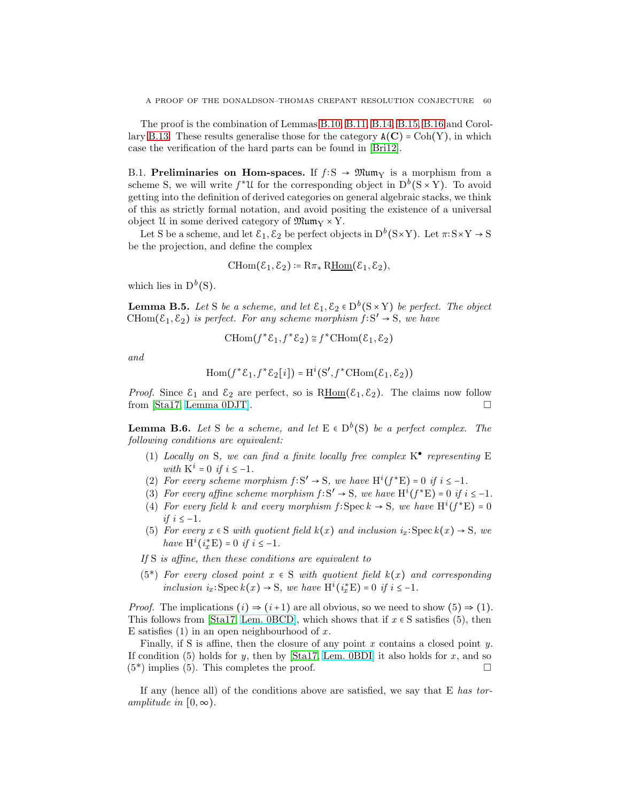The proof is the combination of Lemmas [B.10,](#page-61-0) [B.11,](#page-61-1) [B.14,](#page-63-7) [B.15,](#page-63-8) [B.16](#page-63-9) and Corol-lary [B.13.](#page-63-10) These results generalise those for the category  $A(C) = \text{Coh}(Y)$ , in which case the verification of the hard parts can be found in [\[Bri12\]](#page-64-24).

B.1. Preliminaries on Hom-spaces. If  $f: S \to \mathfrak{Mum}_Y$  is a morphism from a scheme S, we will write  $f^*U$  for the corresponding object in  $D^b(S \times Y)$ . To avoid getting into the definition of derived categories on general algebraic stacks, we think of this as strictly formal notation, and avoid positing the existence of a universal object  $\mathfrak U$  in some derived category of  $\mathfrak M$ um $_{\rm Y}$  × Y.

Let S be a scheme, and let  $\mathcal{E}_1, \mathcal{E}_2$  be perfect objects in  $D^b(S \times Y)$ . Let  $\pi: S \times Y \to S$ be the projection, and define the complex

$$
\mathrm{CHom}(\mathcal{E}_1,\mathcal{E}_2) \coloneqq \mathrm{R}\pi_*\,\mathrm{R\underline{Hom}}(\mathcal{E}_1,\mathcal{E}_2),
$$

which lies in  $D^b(S)$ .

**Lemma B.5.** Let S be a scheme, and let  $\mathcal{E}_1, \mathcal{E}_2 \in D^b(S \times Y)$  be perfect. The object CHom( $\mathcal{E}_1, \mathcal{E}_2$ ) is perfect. For any scheme morphism  $\hat{f}: S' \to S$ , we have

$$
\text{CHom}(f^*\mathcal{E}_1, f^*\mathcal{E}_2) \cong f^* \text{CHom}(\mathcal{E}_1, \mathcal{E}_2)
$$

and

$$
\operatorname{Hom}(f^* \mathcal{E}_1, f^* \mathcal{E}_2[i]) = \operatorname{H}^i(\operatorname{S}', f^* \operatorname{CHom}(\mathcal{E}_1, \mathcal{E}_2))
$$

*Proof.* Since  $\mathcal{E}_1$  and  $\mathcal{E}_2$  are perfect, so is  $\overline{\text{RHom}}(\mathcal{E}_1, \mathcal{E}_2)$ . The claims now follow from [Sta17, Lemma 0DJT]. from [\[Sta17,](#page-64-28) [Lemma 0DJT\]](https://stacks.math.columbia.edu/tag/0DJT).

**Lemma B.6.** Let S be a scheme, and let  $E \in D^b(S)$  be a perfect complex. The following conditions are equivalent:

- (1) Locally on S, we can find a finite locally free complex  $K^{\bullet}$  representing E with  $K^i = 0$  if  $i \leq -1$ .
- (2) For every scheme morphism  $f: S' \to S$ , we have  $H^{i}(f^{*}E) = 0$  if  $i \leq -1$ .
- (3) For every affine scheme morphism  $f: S' \to S$ , we have  $H^{i}(f^{*}E) = 0$  if  $i \leq -1$ .
- (4) For every field k and every morphism  $f: \text{Spec } k \to \mathbb{S}$ , we have  $\mathrm{H}^i(f^* \mathbb{E}) = 0$ if  $i \leq -1$ .
- (5) For every  $x \in S$  with quotient field  $k(x)$  and inclusion  $i_x$ : Spec  $k(x) \to S$ , we have  $H^i(i_x^*E) = 0$  if  $i \leq -1$ .
- If S is affine, then these conditions are equivalent to
- $(5^*)$  For every closed point  $x \in S$  with quotient field  $k(x)$  and corresponding inclusion  $i_x$ : Spec  $k(x) \to S$ , we have  $H^i(i_x^*E) = 0$  if  $i \le -1$ .

*Proof.* The implications  $(i) \Rightarrow (i+1)$  are all obvious, so we need to show  $(5) \Rightarrow (1)$ . This follows from [\[Sta17,](#page-64-28) [Lem. 0BCD\]](https://stacks.math.columbia.edu/tag/0BCD), which shows that if  $x \in S$  satisfies (5), then E satisfies  $(1)$  in an open neighbourhood of x.

Finally, if S is affine, then the closure of any point  $x$  contains a closed point  $y$ . If condition (5) holds for y, then by [\[Sta17,](#page-64-28) [Lem. 0BDI\]](https://stacks.math.columbia.edu/tag/0BDI) it also holds for  $x$ , and so  $(5^*)$  implies (5). This completes the proof.  $\square$ 

If any (hence all) of the conditions above are satisfied, we say that E has toramplitude in  $[0, \infty)$ .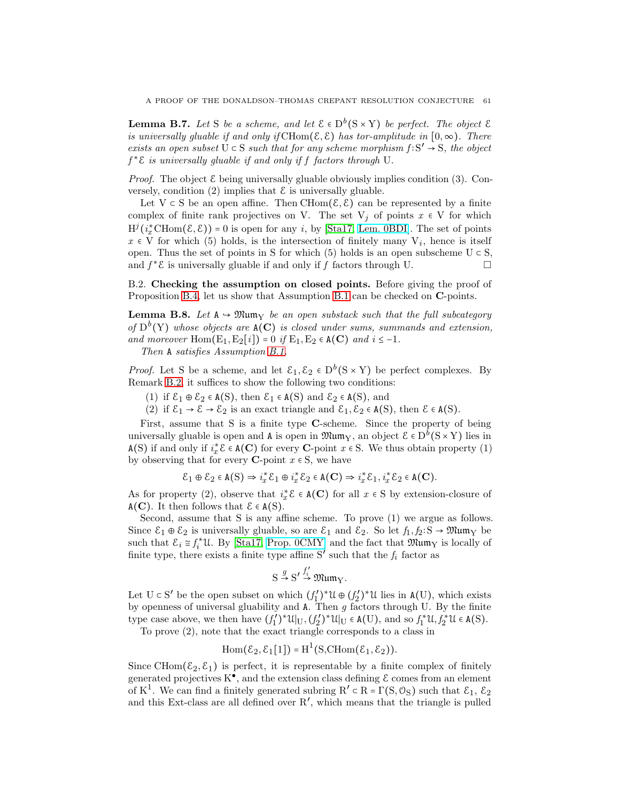**Lemma B.7.** Let S be a scheme, and let  $\mathcal{E} \in D^b(S \times Y)$  be perfect. The object  $\mathcal{E}$ is universally gluable if and only if CHom( $\mathcal{E}, \mathcal{E}$ ) has tor-amplitude in  $[0, \infty)$ . There exists an open subset  $\dot{U} \subset S$  such that for any scheme morphism  $f: S' \to S$ , the object  $f^*\mathcal{E}$  is universally gluable if and only if f factors through U.

*Proof.* The object  $\mathcal E$  being universally gluable obviously implies condition (3). Conversely, condition (2) implies that  $\mathcal E$  is universally gluable.

Let  $V \subset S$  be an open affine. Then CHom $(\mathcal{E}, \mathcal{E})$  can be represented by a finite complex of finite rank projectives on V. The set  $V_j$  of points  $x \in V$  for which  $H^{j}(i_{x}^{*}CHom(\mathcal{E}, \mathcal{E})) = 0$  is open for any i, by [\[Sta17,](#page-64-28) [Lem. 0BDI\]](https://stacks.math.columbia.edu/tag/0BDI). The set of points  $x \in V$  for which (5) holds, is the intersection of finitely many  $V_i$ , hence is itself open. Thus the set of points in S for which (5) holds is an open subscheme  $U \subset S$ , and  $f^*$ **E** is universally gluable if and only if  $\overrightarrow{f}$  factors through U.

B.2. Checking the assumption on closed points. Before giving the proof of Proposition [B.4,](#page-58-1) let us show that Assumption [B.1](#page-58-0) can be checked on C-points.

<span id="page-60-0"></span>**Lemma B.8.** Let  $A \rightarrow \mathfrak{Mum}_Y$  be an open substack such that the full subcategory of  $D^b(Y)$  whose objects are  $A(C)$  is closed under sums, summands and extension, and moreover Hom( $E_1, E_2[i]$ ) = 0 if  $E_1, E_2 \in A(C)$  and  $i \le -1$ .

Then A satisfies Assumption [B.1.](#page-58-0)

*Proof.* Let S be a scheme, and let  $\mathcal{E}_1, \mathcal{E}_2 \in D^b(S \times Y)$  be perfect complexes. By Remark [B.2,](#page-58-2) it suffices to show the following two conditions:

- (1) if  $\mathcal{E}_1 \oplus \mathcal{E}_2 \in A(S)$ , then  $\mathcal{E}_1 \in A(S)$  and  $\mathcal{E}_2 \in A(S)$ , and
- (2) if  $\mathcal{E}_1 \to \mathcal{E} \to \mathcal{E}_2$  is an exact triangle and  $\mathcal{E}_1, \mathcal{E}_2 \in A(S)$ , then  $\mathcal{E} \in A(S)$ .

First, assume that S is a finite type C-scheme. Since the property of being universally gluable is open and  $A$  is open in  $\mathfrak{Mum}_Y$ , an object  $\mathcal{E} \in D^b(S \times Y)$  lies in A(S) if and only if  $i_x^* \mathcal{E} \in A(\mathbf{C})$  for every **C**-point  $x \in S$ . We thus obtain property (1) by observing that for every **C**-point  $x \in S$ , we have

$$
\mathcal{E}_1 \oplus \mathcal{E}_2 \in \mathsf{A}(\mathsf{S}) \Rightarrow i_x^* \mathcal{E}_1 \oplus i_x^* \mathcal{E}_2 \in \mathsf{A}(\mathbf{C}) \Rightarrow i_x^* \mathcal{E}_1, i_x^* \mathcal{E}_2 \in \mathsf{A}(\mathbf{C}).
$$

As for property (2), observe that  $i_x^* \mathcal{E} \in \mathbf{A}(\mathbf{C})$  for all  $x \in S$  by extension-closure of  $A(C)$ . It then follows that  $\mathcal{E} \in A(S)$ .

Second, assume that S is any affine scheme. To prove (1) we argue as follows. Since  $\mathcal{E}_1 \oplus \mathcal{E}_2$  is universally gluable, so are  $\mathcal{E}_1$  and  $\mathcal{E}_2$ . So let  $f_1, f_2: S \to \mathfrak{Mum}_Y$  be such that  $\mathcal{E}_i \cong f_i^* \mathfrak{U}$ . By [\[Sta17,](#page-64-28) [Prop. 0CMY\]](https://stacks.math.columbia.edu/tag/0CMY) and the fact that  $\mathfrak{Mum}_Y$  is locally of finite type, there exists a finite type affine  $S'$  such that the  $f_i$  factor as

$$
S \stackrel{g}{\rightarrow} S' \stackrel{f'_i}{\rightarrow} \mathfrak{Mum}_Y.
$$

Let  $U \subset S'$  be the open subset on which  $(f'_1)$  $(f_1')^* \mathfrak{U} \oplus (f_2')$  $\binom{e'}{2}$ <sup>\*</sup>U lies in A(U), which exists by openness of universal gluability and  $A$ . Then  $g$  factors through U. By the finite type case above, we then have  $(f_1^{\prime})$  $\binom{r}{1}$ \*U $|_{\mathrm{U}}, (f'_{2})$  $f_2^{(r)}$ <sup>\*</sup>U<sub>|U</sub>  $\in$  A(U), and so  $f_1^*$ U,  $f_2^*$ U  $\in$  A(S).

To prove (2), note that the exact triangle corresponds to a class in

$$
\mathrm{Hom}(\mathcal{E}_2, \mathcal{E}_1[1]) = \mathrm{H}^1(\mathrm{S}, \mathrm{CHom}(\mathcal{E}_1, \mathcal{E}_2)).
$$

Since CHom( $\mathcal{E}_2, \mathcal{E}_1$ ) is perfect, it is representable by a finite complex of finitely generated projectives  $K^{\bullet}$ , and the extension class defining  $\mathcal E$  comes from an element of K<sup>1</sup>. We can find a finitely generated subring R'  $\subset$  R =  $\Gamma(S, \mathcal{O}_S)$  such that  $\mathcal{E}_1, \mathcal{E}_2$ and this Ext-class are all defined over  $R'$ , which means that the triangle is pulled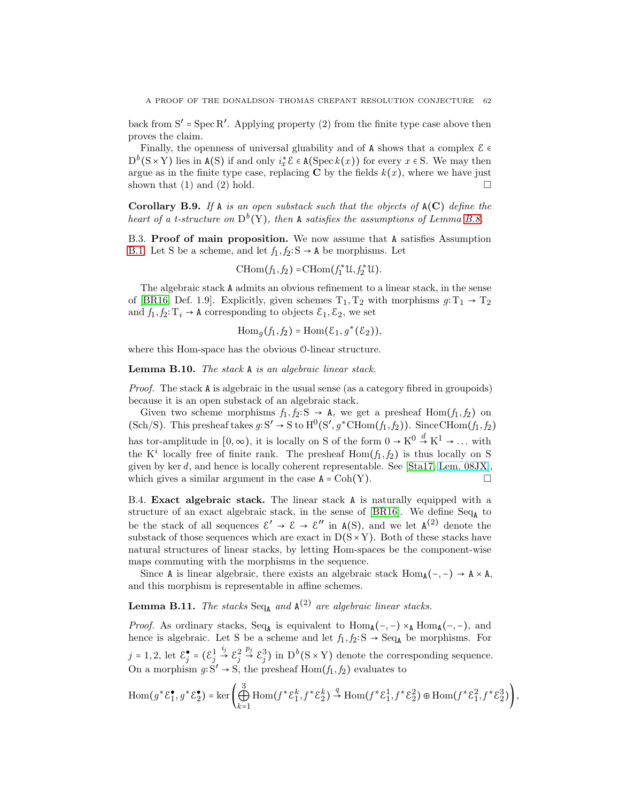back from  $S' = Spec R'$ . Applying property (2) from the finite type case above then proves the claim.

Finally, the openness of universal gluability and of  ${\tt A}$  shows that a complex  ${\mathcal E} \in$  $D^{b}(S \times Y)$  lies in  $A(S)$  if and only  $i_x^* \mathcal{E} \in A(Spec k(x))$  for every  $x \in S$ . We may then argue as in the finite type case, replacing  $C$  by the fields  $k(x)$ , where we have just shown that  $(1)$  and  $(2)$  hold.

Corollary B.9. If A is an open substack such that the objects of  $A(C)$  define the heart of a t-structure on  $D^b(Y)$ , then A satisfies the assumptions of Lemma [B.8.](#page-60-0)

B.3. Proof of main proposition. We now assume that A satisfies Assumption [B.1.](#page-58-0) Let S be a scheme, and let  $f_1, f_2: S \to A$  be morphisms. Let

$$
\mathrm{CHom}(f_1,f_2)=\mathrm{CHom}(f_1^*\mathfrak{U},f_2^*\mathfrak{U}).
$$

The algebraic stack A admits an obvious refinement to a linear stack, in the sense of [\[BR16,](#page-64-25) Def. 1.9]. Explicitly, given schemes  $T_1, T_2$  with morphisms  $g: T_1 \rightarrow T_2$ and  $f_1, f_2: T_i \to A$  corresponding to objects  $\mathcal{E}_1, \mathcal{E}_2$ , we set

$$
\operatorname{Hom}_g(f_1, f_2) = \operatorname{Hom}(\mathcal{E}_1, g^*(\mathcal{E}_2)),
$$

where this Hom-space has the obvious O-linear structure.

<span id="page-61-0"></span>Lemma B.10. The stack A is an algebraic linear stack.

Proof. The stack A is algebraic in the usual sense (as a category fibred in groupoids) because it is an open substack of an algebraic stack.

Given two scheme morphisms  $f_1, f_2: S \rightarrow A$ , we get a presheaf Hom $(f_1, f_2)$  on  $(\text{Sch/S})$ . This presheaf takes  $g: S' \to S$  to  $H^0(S', g^*CHom(f_1, f_2))$ . Since CHom $(f_1, f_2)$ has tor-amplitude in  $[0, \infty)$ , it is locally on S of the form  $0 \to K^0 \overset{d}{\to} K^1 \to \dots$  with the  $K^i$  locally free of finite rank. The presheaf  $Hom(f_1, f_2)$  is thus locally on S given by ker d, and hence is locally coherent representable. See [\[Sta17,](#page-64-28) [Lem. 08JX\]](https://stacks.math.columbia.edu/tag/08JX), which gives a similar argument in the case  $A = \text{Coh}(Y)$ .

B.4. Exact algebraic stack. The linear stack A is naturally equipped with a structure of an exact algebraic stack, in the sense of [\[BR16\]](#page-64-25). We define  $Seq_A$  to be the stack of all sequences  $\mathcal{E}' \to \mathcal{E} \to \mathcal{E}''$  in  $A(S)$ , and we let  $A^{(2)}$  denote the substack of those sequences which are exact in  $D(S \times Y)$ . Both of these stacks have natural structures of linear stacks, by letting Hom-spaces be the component-wise maps commuting with the morphisms in the sequence.

Since A is linear algebraic, there exists an algebraic stack  $Hom_{A}(-, -) \rightarrow A \times A$ , and this morphism is representable in affine schemes.

# <span id="page-61-1"></span>**Lemma B.11.** The stacks  $Seq_A$  and  $A^{(2)}$  are algebraic linear stacks.

*Proof.* As ordinary stacks,  $Seq_A$  is equivalent to  $Hom_A(-,-) \times_A Hom_A(-,-)$ , and hence is algebraic. Let S be a scheme and let  $f_1, f_2: S \to \text{Seq}_A$  be morphisms. For  $j = 1, 2$ , let  $\mathcal{E}_{i}^{\bullet}$  $\frac{\bullet}{j} = (\mathcal{E}_j^1)$  $\stackrel{i_j}{\rightarrow} \varepsilon_j^2$  $\stackrel{p_j}{\rightarrow} \mathcal{E}_j^3$ ) in  $D^b(S \times Y)$  denote the corresponding sequence. On a morphism  $g: S' \to S$ , the presheaf Hom $(f_1, f_2)$  evaluates to

$$
\operatorname{Hom}(g^* \mathcal{E}_1^{\bullet}, g^* \mathcal{E}_2^{\bullet}) = \ker \left( \bigoplus_{k=1}^3 \operatorname{Hom}(f^* \mathcal{E}_1^k, f^* \mathcal{E}_2^k) \stackrel{q}{\to} \operatorname{Hom}(f^* \mathcal{E}_1^1, f^* \mathcal{E}_2^2) \oplus \operatorname{Hom}(f^* \mathcal{E}_1^2, f^* \mathcal{E}_2^3) \right),
$$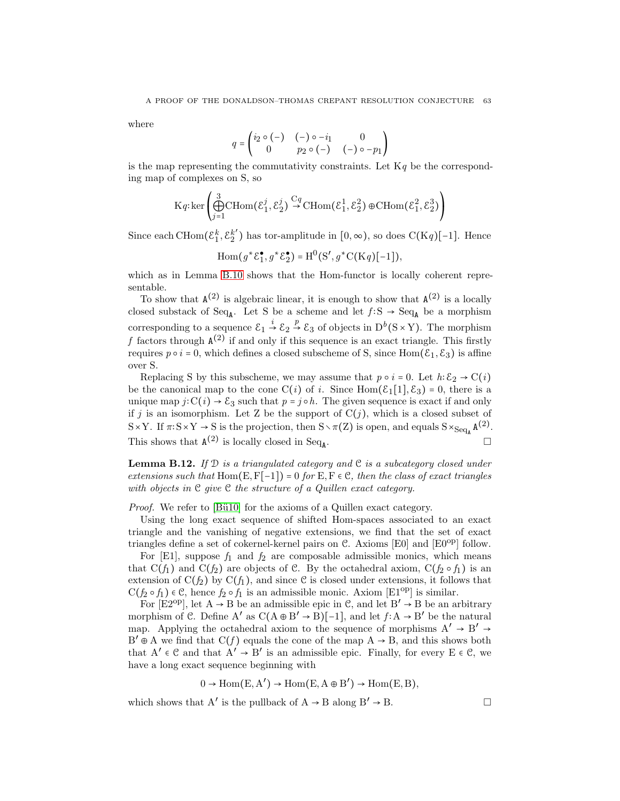where

$$
q = \begin{pmatrix} i_2 \circ (-) & (-) \circ -i_1 & 0 \\ 0 & p_2 \circ (-) & (-) \circ -p_1 \end{pmatrix}
$$

is the map representing the commutativity constraints. Let  $Kq$  be the corresponding map of complexes on S, so

$$
\mathrm{K} q: \mathrm{ker}\left(\bigoplus_{j=1}^3 \mathrm{CHom}(\mathcal{E}_1^j, \mathcal{E}_2^j) \stackrel{\mathrm{C}q}{\rightarrow} \mathrm{CHom}(\mathcal{E}_1^1, \mathcal{E}_2^2) \oplus \mathrm{CHom}(\mathcal{E}_1^2, \mathcal{E}_2^3)\right)
$$

Since each CHom $(\varepsilon_1^k, \varepsilon_2^{k'} )$  $2^{k'}$ ) has tor-amplitude in  $[0, \infty)$ , so does C(Kq)[-1]. Hence

$$
\operatorname{Hom}(g^* \mathcal{E}_1^{\bullet}, g^* \mathcal{E}_2^{\bullet}) = \operatorname{H}^0(\mathcal{S}', g^* \operatorname{C}(\mathcal{K}q)[-1]),
$$

which as in Lemma [B.10](#page-61-0) shows that the Hom-functor is locally coherent representable.

To show that  $A^{(2)}$  is algebraic linear, it is enough to show that  $A^{(2)}$  is a locally closed substack of Seq<sub>A</sub>. Let S be a scheme and let  $f: S \to \text{Seq}_A$  be a morphism corresponding to a sequence  $\mathcal{E}_1 \stackrel{i}{\to} \mathcal{E}_2 \stackrel{p}{\to} \mathcal{E}_3$  of objects in  $D^b(S \times Y)$ . The morphism f factors through  $A^{(2)}$  if and only if this sequence is an exact triangle. This firstly requires  $p \circ i = 0$ , which defines a closed subscheme of S, since Hom( $\mathcal{E}_1, \mathcal{E}_3$ ) is affine over S.

Replacing S by this subscheme, we may assume that  $p \circ i = 0$ . Let  $h: \mathcal{E}_2 \to \mathcal{C}(i)$ be the canonical map to the cone  $C(i)$  of i. Since  $\text{Hom}(\mathcal{E}_1[1],\mathcal{E}_3) = 0$ , there is a unique map  $j: C(i) \to \mathcal{E}_3$  such that  $p = j \circ h$ . The given sequence is exact if and only if j is an isomorphism. Let Z be the support of  $C(j)$ , which is a closed subset of  $S \times Y$ . If  $\pi: S \times Y \to S$  is the projection, then  $S \setminus \pi(Z)$  is open, and equals  $S \times_{\text{Seq}_A} A^{(2)}$ . This shows that  $A^{(2)}$  is locally closed in Seq<sub>A</sub> . В последните поставите на производите на селото на селото на селото на селото на селото на селото на селото<br>В селото на селото на селото на селото на селото на селото на селото на селото на селото на селото на селото н

**Lemma B.12.** If  $D$  is a triangulated category and  $C$  is a subcategory closed under extensions such that Hom(E,  $F[-1]$ ) = 0 for E,  $F \in \mathcal{C}$ , then the class of exact triangles with objects in  $\mathfrak C$  give  $\mathfrak C$  the structure of a Quillen exact category.

*Proof.* We refer to [Bü10] for the axioms of a Quillen exact category.

Using the long exact sequence of shifted Hom-spaces associated to an exact triangle and the vanishing of negative extensions, we find that the set of exact triangles define a set of cokernel-kernel pairs on  $\mathcal C$ . Axioms [E0] and [E0<sup>op</sup>] follow.

For  $[E1]$ , suppose  $f_1$  and  $f_2$  are composable admissible monics, which means that  $C(f_1)$  and  $C(f_2)$  are objects of C. By the octahedral axiom,  $C(f_2 \circ f_1)$  is an extension of  $C(f_2)$  by  $C(f_1)$ , and since C is closed under extensions, it follows that  $C(f_2 \circ f_1) \in \mathcal{C}$ , hence  $f_2 \circ f_1$  is an admissible monic. Axiom [E1<sup>op</sup>] is similar.

For  $[E2^{op}]$ , let  $A \rightarrow B$  be an admissible epic in C, and let  $B' \rightarrow B$  be an arbitrary morphism of C. Define A' as  $C(A \oplus B' \rightarrow B)[-1]$ , and let  $f: A \rightarrow B'$  be the natural map. Applying the octahedral axiom to the sequence of morphisms  $A' \rightarrow B' \rightarrow$  $B' \oplus A$  we find that  $C(f)$  equals the cone of the map  $A \rightarrow B$ , and this shows both that  $A' \in \mathcal{C}$  and that  $A' \rightarrow B'$  is an admissible epic. Finally, for every  $E \in \mathcal{C}$ , we have a long exact sequence beginning with

$$
0\to \operatorname{Hom}(E,A')\to \operatorname{Hom}(E,A\oplus B')\to \operatorname{Hom}(E,B),
$$

which shows that A' is the pullback of  $A \to B$  along  $B' \to B$ .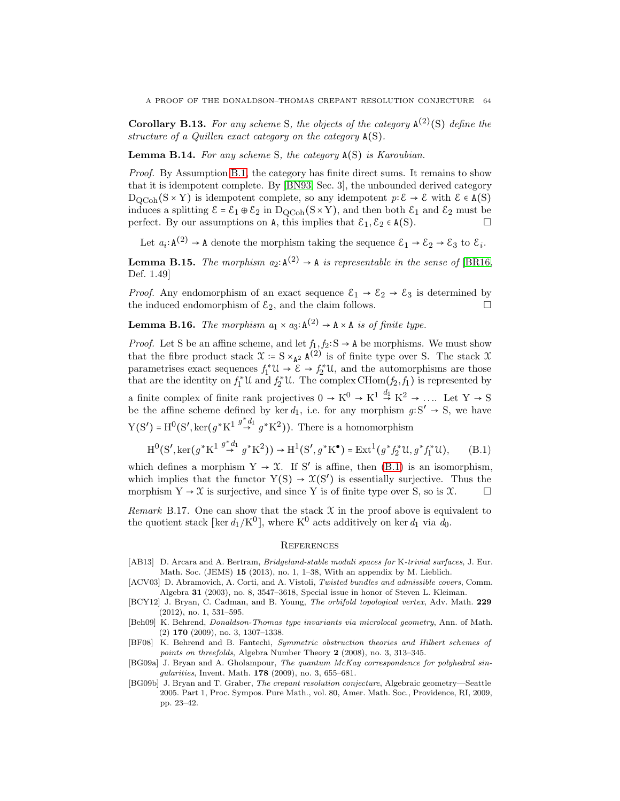<span id="page-63-10"></span>**Corollary B.13.** For any scheme S, the objects of the category  $\mathbf{A}^{(2)}(\mathbf{S})$  define the structure of a Quillen exact category on the category A(S).

<span id="page-63-7"></span>Lemma B.14. For any scheme S, the category A(S) is Karoubian.

Proof. By Assumption [B.1,](#page-58-0) the category has finite direct sums. It remains to show that it is idempotent complete. By [\[BN93,](#page-64-30) Sec. 3], the unbounded derived category  $D_{\text{QCoh}}(S \times Y)$  is idempotent complete, so any idempotent  $p: \mathcal{E} \to \mathcal{E}$  with  $\mathcal{E} \in A(S)$ induces a splitting  $\mathcal{E} = \mathcal{E}_1 \oplus \mathcal{E}_2$  in  $D_{QCoh}(S \times Y)$ , and then both  $\mathcal{E}_1$  and  $\mathcal{E}_2$  must be perfect. By our assumptions on A, this implies that  $\mathcal{E}_1, \mathcal{E}_2 \in A(S)$ .

Let  $a_i: \mathbf{A}^{(2)} \to \mathbf{A}$  denote the morphism taking the sequence  $\mathcal{E}_1 \to \mathcal{E}_2 \to \mathcal{E}_3$  to  $\mathcal{E}_i$ .

<span id="page-63-8"></span>**Lemma B.15.** The morphism  $a_2: A^{(2)} \to A$  is representable in the sense of [\[BR16,](#page-64-25) Def. 1.49]

*Proof.* Any endomorphism of an exact sequence  $\mathcal{E}_1 \rightarrow \mathcal{E}_2 \rightarrow \mathcal{E}_3$  is determined by the induced endomorphism of  $\mathcal{E}_2$  and the claim follows the induced endomorphism of  $\mathcal{E}_2$ , and the claim follows.

<span id="page-63-9"></span>**Lemma B.16.** The morphism  $a_1 \times a_3$ :  $A^{(2)} \rightarrow A \times A$  is of finite type.

*Proof.* Let S be an affine scheme, and let  $f_1, f_2: S \to A$  be morphisms. We must show that the fibre product stack  $\mathfrak{X} := S \times_{A^2} A^{(2)}$  is of finite type over S. The stack  $\mathfrak{X}$ parametrises exact sequences  $f_1^* \mathcal{U} \to \mathcal{E} \to f_2^* \mathcal{U}$ , and the automorphisms are those that are the identity on  $f_1^* \mathfrak{U}$  and  $f_2^* \mathfrak{U}$ . The complex CHom $(f_2, f_1)$  is represented by a finite complex of finite rank projectives  $0 \to K^0 \to K^1 \stackrel{d_1}{\to} K^2 \to \dots$  Let  $Y \to S$ be the affine scheme defined by ker  $d_1$ , i.e. for any morphism  $g: S' \rightarrow S$ , we have  $Y(S') = H^0(S', \ker(g^*K^1 \stackrel{g^*d_1}{\rightarrow} g^*K^2)).$  There is a homomorphism

<span id="page-63-11"></span>
$$
H^{0}(S', \ker(g^{*}K^{1} \stackrel{g^{*}d_{1}}{\to} g^{*}K^{2})) \to H^{1}(S', g^{*}K^{\bullet}) = \text{Ext}^{1}(g^{*}f_{2}^{*}\mathfrak{U}, g^{*}f_{1}^{*}\mathfrak{U}), \qquad (B.1)
$$

which defines a morphism  $Y \to \mathcal{X}$ . If S' is affine, then [\(B.1\)](#page-63-11) is an isomorphism, which implies that the functor  $Y(S) \rightarrow \mathfrak{X}(S')$  is essentially surjective. Thus the morphism  $Y \to \mathcal{X}$  is surjective, and since Y is of finite type over S, so is  $\mathcal{X}$ .

Remark B.17. One can show that the stack  $\mathfrak X$  in the proof above is equivalent to the quotient stack [ker  $d_1/K^0$ ], where  $K^0$  acts additively on ker  $d_1$  via  $d_0$ .

### **REFERENCES**

- <span id="page-63-4"></span>[AB13] D. Arcara and A. Bertram, *Bridgeland-stable moduli spaces for* K*-trivial surfaces*, J. Eur. Math. Soc. (JEMS) 15 (2013), no. 1, 1–38, With an appendix by M. Lieblich.
- <span id="page-63-5"></span>[ACV03] D. Abramovich, A. Corti, and A. Vistoli, *Twisted bundles and admissible covers*, Comm. Algebra 31 (2003), no. 8, 3547–3618, Special issue in honor of Steven L. Kleiman.
- <span id="page-63-0"></span>[BCY12] J. Bryan, C. Cadman, and B. Young, *The orbifold topological vertex*, Adv. Math. 229 (2012), no. 1, 531–595.
- <span id="page-63-2"></span>[Beh09] K. Behrend, *Donaldson-Thomas type invariants via microlocal geometry*, Ann. of Math. (2) 170 (2009), no. 3, 1307–1338.
- <span id="page-63-6"></span>[BF08] K. Behrend and B. Fantechi, *Symmetric obstruction theories and Hilbert schemes of points on threefolds*, Algebra Number Theory 2 (2008), no. 3, 313–345.
- <span id="page-63-3"></span>[BG09a] J. Bryan and A. Gholampour, *The quantum McKay correspondence for polyhedral singularities*, Invent. Math. 178 (2009), no. 3, 655–681.
- <span id="page-63-1"></span>[BG09b] J. Bryan and T. Graber, *The crepant resolution conjecture*, Algebraic geometry—Seattle 2005. Part 1, Proc. Sympos. Pure Math., vol. 80, Amer. Math. Soc., Providence, RI, 2009, pp. 23–42.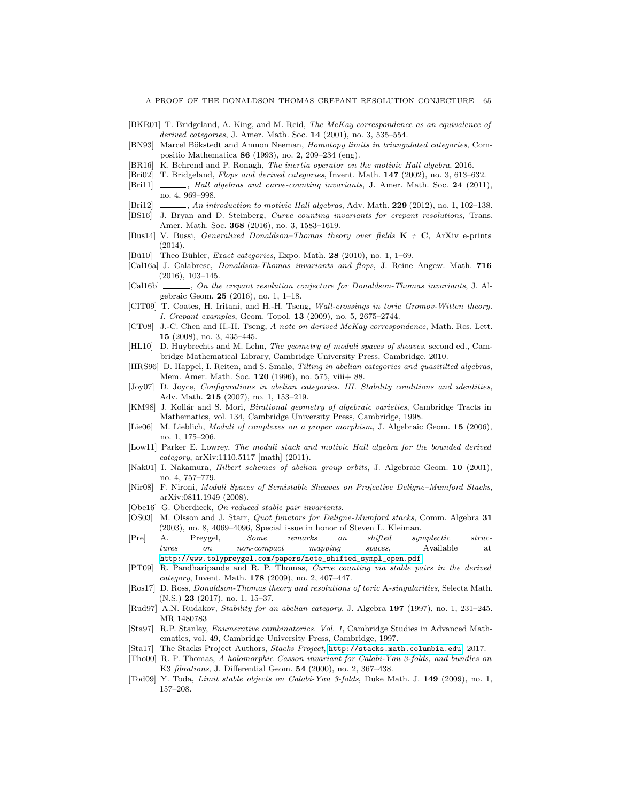- <span id="page-64-7"></span>[BKR01] T. Bridgeland, A. King, and M. Reid, *The McKay correspondence as an equivalence of derived categories*, J. Amer. Math. Soc. 14 (2001), no. 3, 535–554.
- <span id="page-64-30"></span>[BN93] Marcel Bökstedt and Amnon Neeman, *Homotopy limits in triangulated categories*, Compositio Mathematica 86 (1993), no. 2, 209–234 (eng).
- <span id="page-64-25"></span>[BR16] K. Behrend and P. Ronagh, *The inertia operator on the motivic Hall algebra*, 2016.
- <span id="page-64-19"></span>[Bri02] T. Bridgeland, *Flops and derived categories*, Invent. Math. 147 (2002), no. 3, 613–632.
- <span id="page-64-2"></span>[Bri11] , *Hall algebras and curve-counting invariants*, J. Amer. Math. Soc. 24 (2011), no. 4, 969–998.
- <span id="page-64-24"></span>[Bri12] , *An introduction to motivic Hall algebras*, Adv. Math. 229 (2012), no. 1, 102–138.
- <span id="page-64-4"></span>[BS16] J. Bryan and D. Steinberg, *Curve counting invariants for crepant resolutions*, Trans. Amer. Math. Soc. 368 (2016), no. 3, 1583–1619.
- <span id="page-64-11"></span>[Bus14] V. Bussi, *Generalized Donaldson–Thomas theory over fields* K ≠ C, ArXiv e-prints  $(2014).$
- <span id="page-64-29"></span>[Bü10] Theo Bühler, *Exact categories*, Expo. Math. 28 (2010), no. 1, 1-69.
- <span id="page-64-3"></span>[Cal16a] J. Calabrese, *Donaldson-Thomas invariants and flops*, J. Reine Angew. Math. 716 (2016), 103–145.
- <span id="page-64-9"></span>[Cal16b] , *On the crepant resolution conjecture for Donaldson-Thomas invariants*, J. Algebraic Geom. 25 (2016), no. 1, 1–18.
- <span id="page-64-6"></span>[CIT09] T. Coates, H. Iritani, and H.-H. Tseng, *Wall-crossings in toric Gromov-Witten theory. I. Crepant examples*, Geom. Topol. 13 (2009), no. 5, 2675–2744.
- <span id="page-64-8"></span>[CT08] J.-C. Chen and H.-H. Tseng, *A note on derived McKay correspondence*, Math. Res. Lett. 15 (2008), no. 3, 435–445.
- <span id="page-64-17"></span>[HL10] D. Huybrechts and M. Lehn, *The geometry of moduli spaces of sheaves*, second ed., Cambridge Mathematical Library, Cambridge University Press, Cambridge, 2010.
- <span id="page-64-22"></span>[HRS96] D. Happel, I. Reiten, and S. Smalø, *Tilting in abelian categories and quasitilted algebras*, Mem. Amer. Math. Soc. 120 (1996), no. 575, viii+ 88.
- <span id="page-64-13"></span>[Joy07] D. Joyce, *Configurations in abelian categories. III. Stability conditions and identities*, Adv. Math. 215 (2007), no. 1, 153–219.
- <span id="page-64-20"></span>[KM98] J. Kollár and S. Mori, *Birational geometry of algebraic varieties*, Cambridge Tracts in Mathematics, vol. 134, Cambridge University Press, Cambridge, 1998.
- <span id="page-64-23"></span>[Lie06] M. Lieblich, *Moduli of complexes on a proper morphism*, J. Algebraic Geom. **15** (2006), no. 1, 175–206.
- <span id="page-64-26"></span>[Low11] Parker E. Lowrey, *The moduli stack and motivic Hall algebra for the bounded derived category*, arXiv:1110.5117 [math] (2011).
- <span id="page-64-18"></span>[Nak01] I. Nakamura, *Hilbert schemes of abelian group orbits*, J. Algebraic Geom. 10 (2001), no. 4, 757–779.
- <span id="page-64-10"></span>[Nir08] F. Nironi, *Moduli Spaces of Semistable Sheaves on Projective Deligne–Mumford Stacks*, arXiv:0811.1949 (2008).
- <span id="page-64-5"></span>[Obe16] G. Oberdieck, *On reduced stable pair invariants*.
- <span id="page-64-15"></span>[OS03] M. Olsson and J. Starr, *Quot functors for Deligne-Mumford stacks*, Comm. Algebra 31 (2003), no. 8, 4069–4096, Special issue in honor of Steven L. Kleiman.
- <span id="page-64-12"></span>[Pre] A. Preygel, *Some remarks on shifted symplectic structures on non-compact mapping spaces*, Available at [http://www.tolypreygel.com/papers/note\\_shifted\\_sympl\\_open.pdf](http://www.tolypreygel.com/papers/note_shifted_sympl_open.pdf).
- <span id="page-64-1"></span>[PT09] R. Pandharipande and R. P. Thomas, *Curve counting via stable pairs in the derived category*, Invent. Math. 178 (2009), no. 2, 407–447.
- <span id="page-64-14"></span>[Ros17] D. Ross, *Donaldson-Thomas theory and resolutions of toric* A*-singularities*, Selecta Math. (N.S.) 23 (2017), no. 1, 15–37.
- <span id="page-64-16"></span>[Rud97] A.N. Rudakov, *Stability for an abelian category*, J. Algebra 197 (1997), no. 1, 231–245. MR 1480783
- <span id="page-64-21"></span>[Sta97] R.P. Stanley, *Enumerative combinatorics. Vol. 1*, Cambridge Studies in Advanced Mathematics, vol. 49, Cambridge University Press, Cambridge, 1997.
- <span id="page-64-28"></span>[Sta17] The Stacks Project Authors, *Stacks Project*, <http://stacks.math.columbia.edu>, 2017.
- <span id="page-64-0"></span>[Tho00] R. P. Thomas, *A holomorphic Casson invariant for Calabi-Yau 3-folds, and bundles on* K3 *fibrations*, J. Differential Geom. 54 (2000), no. 2, 367–438.
- <span id="page-64-27"></span>[Tod09] Y. Toda, *Limit stable objects on Calabi-Yau 3-folds*, Duke Math. J. 149 (2009), no. 1, 157–208.